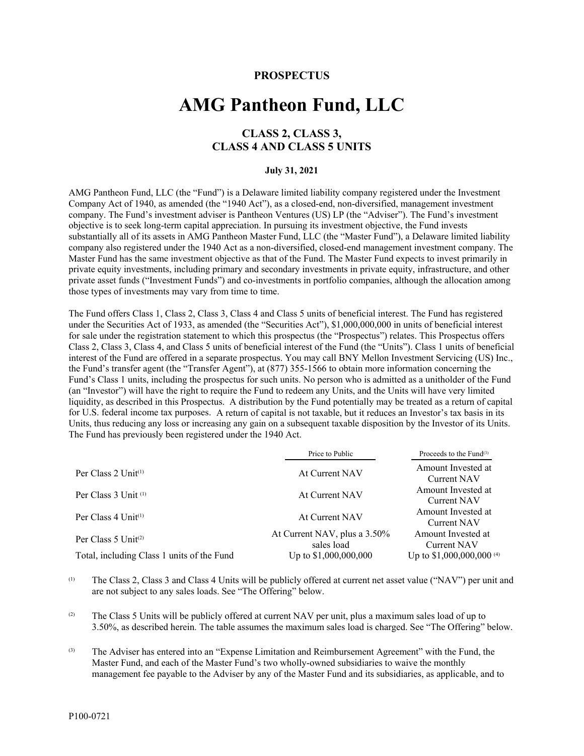# **PROSPECTUS**

# **AMG Pantheon Fund, LLC**

# **CLASS 2, CLASS 3, CLASS 4 AND CLASS 5 UNITS**

#### **July 31, 2021**

AMG Pantheon Fund, LLC (the "Fund") is a Delaware limited liability company registered under the Investment Company Act of 1940, as amended (the "1940 Act"), as a closed-end, non-diversified, management investment company. The Fund's investment adviser is Pantheon Ventures (US) LP (the "Adviser"). The Fund's investment objective is to seek long-term capital appreciation. In pursuing its investment objective, the Fund invests substantially all of its assets in AMG Pantheon Master Fund, LLC (the "Master Fund"), a Delaware limited liability company also registered under the 1940 Act as a non-diversified, closed-end management investment company. The Master Fund has the same investment objective as that of the Fund. The Master Fund expects to invest primarily in private equity investments, including primary and secondary investments in private equity, infrastructure, and other private asset funds ("Investment Funds") and co-investments in portfolio companies, although the allocation among those types of investments may vary from time to time.

The Fund offers Class 1, Class 2, Class 3, Class 4 and Class 5 units of beneficial interest. The Fund has registered under the Securities Act of 1933, as amended (the "Securities Act"), \$1,000,000,000 in units of beneficial interest for sale under the registration statement to which this prospectus (the "Prospectus") relates. This Prospectus offers Class 2, Class 3, Class 4, and Class 5 units of beneficial interest of the Fund (the "Units"). Class 1 units of beneficial interest of the Fund are offered in a separate prospectus. You may call BNY Mellon Investment Servicing (US) Inc., the Fund's transfer agent (the "Transfer Agent"), at (877) 355-1566 to obtain more information concerning the Fund's Class 1 units, including the prospectus for such units. No person who is admitted as a unitholder of the Fund (an "Investor") will have the right to require the Fund to redeem any Units, and the Units will have very limited liquidity, as described in this Prospectus. A distribution by the Fund potentially may be treated as a return of capital for U.S. federal income tax purposes. A return of capital is not taxable, but it reduces an Investor's tax basis in its Units, thus reducing any loss or increasing any gain on a subsequent taxable disposition by the Investor of its Units. The Fund has previously been registered under the 1940 Act.

|                                            | Price to Public                            | Proceeds to the Fund $(3)$           |
|--------------------------------------------|--------------------------------------------|--------------------------------------|
| Per Class $2 \text{ Unit}^{(1)}$           | At Current NAV                             | Amount Invested at<br>Current NAV    |
| Per Class 3 Unit (1)                       | At Current NAV                             | Amount Invested at<br>Current NAV    |
| Per Class $4$ Unit <sup>(1)</sup>          | At Current NAV                             | Amount Invested at<br>Current NAV    |
| Per Class 5 Unit(2)                        | At Current NAV, plus a 3.50%<br>sales load | Amount Invested at<br>Current NAV    |
| Total, including Class 1 units of the Fund | Up to \$1,000,000,000                      | Up to \$1,000,000,000 <sup>(4)</sup> |

(1) The Class 2, Class 3 and Class 4 Units will be publicly offered at current net asset value ("NAV") per unit and are not subject to any sales loads. See "The Offering" below.

 $(2)$  The Class 5 Units will be publicly offered at current NAV per unit, plus a maximum sales load of up to 3.50%, as described herein. The table assumes the maximum sales load is charged. See "The Offering" below.

(3) The Adviser has entered into an "Expense Limitation and Reimbursement Agreement" with the Fund, the Master Fund, and each of the Master Fund's two wholly-owned subsidiaries to waive the monthly management fee payable to the Adviser by any of the Master Fund and its subsidiaries, as applicable, and to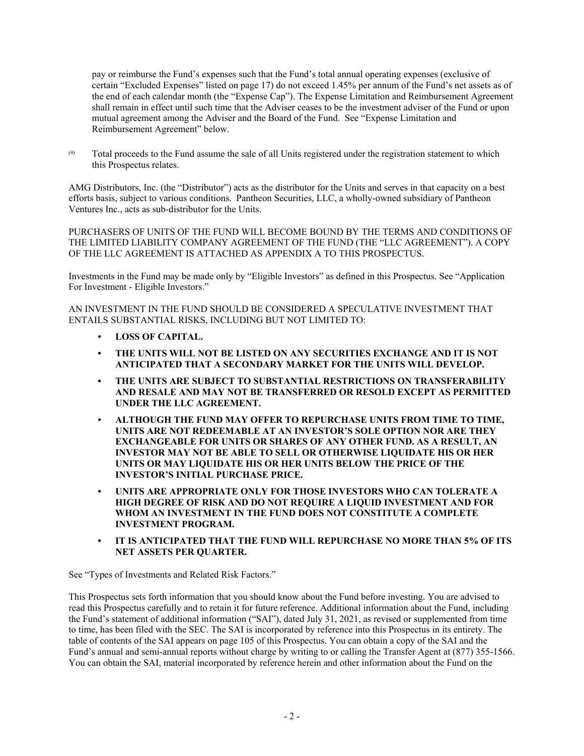pay or reimburse the Fund's expenses such that the Fund's total annual operating expenses (exclusive of certain "Excluded Expenses" listed on page 17) do not exceed 1.45% per annum of the Fund's net assets as of the end of each calendar month (the "Expense Cap"). The Expense Limitation and Reimbursement Agreement shall remain in effect until such time that the Adviser ceases to be the investment adviser of the Fund or upon mutual agreement among the Adviser and the Board of the Fund. See "Expense Limitation and Reimbursement Agreement" below.

(4) Total proceeds to the Fund assume the sale of all Units registered under the registration statement to which this Prospectus relates.

AMG Distributors, Inc. (the "Distributor") acts as the distributor for the Units and serves in that capacity on a best efforts basis, subject to various conditions. Pantheon Securities, LLC, a wholly-owned subsidiary of Pantheon Ventures Inc., acts as sub-distributor for the Units.

PURCHASERS OF UNITS OF THE FUND WILL BECOME BOUND BY THE TERMS AND CONDITIONS OF THE LIMITED LIABILITY COMPANY AGREEMENT OF THE FUND (THE "LLC AGREEMENT"). A COPY OF THE LLC AGREEMENT IS ATTACHED AS APPENDIX A TO THIS PROSPECTUS.

Investments in the Fund may be made only by "Eligible Investors" as defined in this Prospectus. See "Application For Investment - Eligible Investors."

AN INVESTMENT IN THE FUND SHOULD BE CONSIDERED A SPECULATIVE INVESTMENT THAT ENTAILS SUBSTANTIAL RISKS, INCLUDING BUT NOT LIMITED TO:

- **LOSS OF CAPITAL.**
- **THE UNITS WILL NOT BE LISTED ON ANY SECURITIES EXCHANGE AND IT IS NOT ANTICIPATED THAT A SECONDARY MARKET FOR THE UNITS WILL DEVELOP.**
- **THE UNITS ARE SUBJECT TO SUBSTANTIAL RESTRICTIONS ON TRANSFERABILITY AND RESALE AND MAY NOT BE TRANSFERRED OR RESOLD EXCEPT AS PERMITTED UNDER THE LLC AGREEMENT.**
- **ALTHOUGH THE FUND MAY OFFER TO REPURCHASE UNITS FROM TIME TO TIME, UNITS ARE NOT REDEEMABLE AT AN INVESTOR'S SOLE OPTION NOR ARE THEY EXCHANGEABLE FOR UNITS OR SHARES OF ANY OTHER FUND. AS A RESULT, AN INVESTOR MAY NOT BE ABLE TO SELL OR OTHERWISE LIQUIDATE HIS OR HER UNITS OR MAY LIQUIDATE HIS OR HER UNITS BELOW THE PRICE OF THE INVESTOR'S INITIAL PURCHASE PRICE.**
- **UNITS ARE APPROPRIATE ONLY FOR THOSE INVESTORS WHO CAN TOLERATE A HIGH DEGREE OF RISK AND DO NOT REQUIRE A LIQUID INVESTMENT AND FOR WHOM AN INVESTMENT IN THE FUND DOES NOT CONSTITUTE A COMPLETE INVESTMENT PROGRAM.**
- **IT IS ANTICIPATED THAT THE FUND WILL REPURCHASE NO MORE THAN 5% OF ITS NET ASSETS PER QUARTER.**

See "Types of Investments and Related Risk Factors."

This Prospectus sets forth information that you should know about the Fund before investing. You are advised to read this Prospectus carefully and to retain it for future reference. Additional information about the Fund, including the Fund's statement of additional information ("SAI"), dated July 31, 2021, as revised or supplemented from time to time, has been filed with the SEC. The SAI is incorporated by reference into this Prospectus in its entirety. The table of contents of the SAI appears on page 105 of this Prospectus. You can obtain a copy of the SAI and the Fund's annual and semi-annual reports without charge by writing to or calling the Transfer Agent at (877) 355-1566. You can obtain the SAI, material incorporated by reference herein and other information about the Fund on the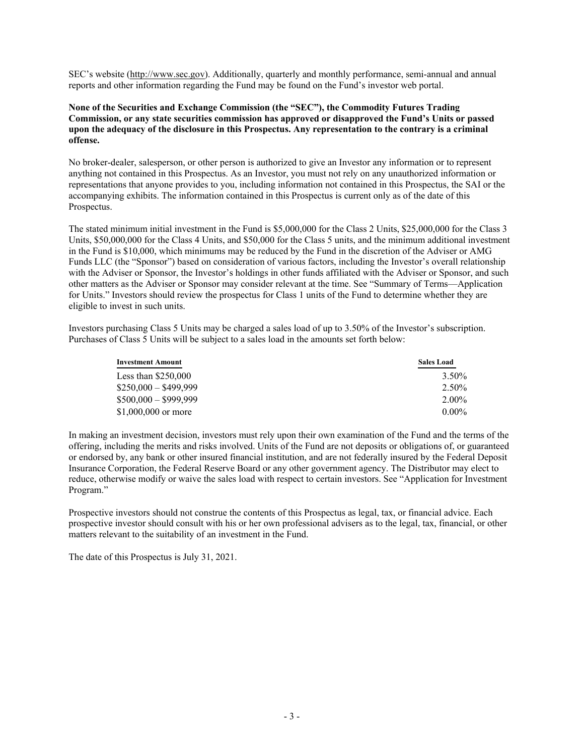SEC's website (http://www.sec.gov). Additionally, quarterly and monthly performance, semi-annual and annual reports and other information regarding the Fund may be found on the Fund's investor web portal.

# **None of the Securities and Exchange Commission (the "SEC"), the Commodity Futures Trading Commission, or any state securities commission has approved or disapproved the Fund's Units or passed upon the adequacy of the disclosure in this Prospectus. Any representation to the contrary is a criminal offense.**

No broker-dealer, salesperson, or other person is authorized to give an Investor any information or to represent anything not contained in this Prospectus. As an Investor, you must not rely on any unauthorized information or representations that anyone provides to you, including information not contained in this Prospectus, the SAI or the accompanying exhibits. The information contained in this Prospectus is current only as of the date of this Prospectus.

The stated minimum initial investment in the Fund is \$5,000,000 for the Class 2 Units, \$25,000,000 for the Class 3 Units, \$50,000,000 for the Class 4 Units, and \$50,000 for the Class 5 units, and the minimum additional investment in the Fund is \$10,000, which minimums may be reduced by the Fund in the discretion of the Adviser or AMG Funds LLC (the "Sponsor") based on consideration of various factors, including the Investor's overall relationship with the Adviser or Sponsor, the Investor's holdings in other funds affiliated with the Adviser or Sponsor, and such other matters as the Adviser or Sponsor may consider relevant at the time. See "Summary of Terms—Application for Units." Investors should review the prospectus for Class 1 units of the Fund to determine whether they are eligible to invest in such units.

Investors purchasing Class 5 Units may be charged a sales load of up to 3.50% of the Investor's subscription. Purchases of Class 5 Units will be subject to a sales load in the amounts set forth below:

| <b>Investment Amount</b> | <b>Sales Load</b> |
|--------------------------|-------------------|
| Less than $$250,000$     | 3.50%             |
| $$250,000 - $499,999$    | 2.50%             |
| $$500,000 - $999,999$    | $2.00\%$          |
| $$1,000,000$ or more     | $0.00\%$          |

In making an investment decision, investors must rely upon their own examination of the Fund and the terms of the offering, including the merits and risks involved. Units of the Fund are not deposits or obligations of, or guaranteed or endorsed by, any bank or other insured financial institution, and are not federally insured by the Federal Deposit Insurance Corporation, the Federal Reserve Board or any other government agency. The Distributor may elect to reduce, otherwise modify or waive the sales load with respect to certain investors. See "Application for Investment Program."

Prospective investors should not construe the contents of this Prospectus as legal, tax, or financial advice. Each prospective investor should consult with his or her own professional advisers as to the legal, tax, financial, or other matters relevant to the suitability of an investment in the Fund.

The date of this Prospectus is July 31, 2021.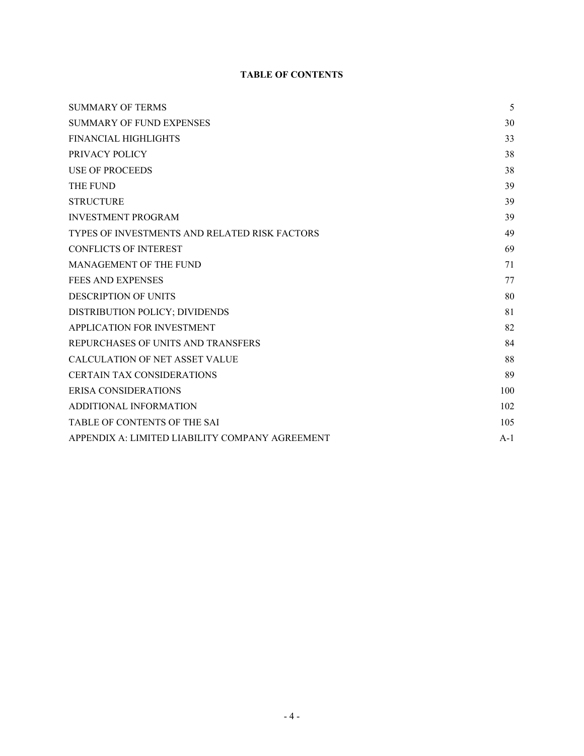# **TABLE OF CONTENTS**

| <b>SUMMARY OF TERMS</b>                         | 5     |
|-------------------------------------------------|-------|
| <b>SUMMARY OF FUND EXPENSES</b>                 | 30    |
| <b>FINANCIAL HIGHLIGHTS</b>                     | 33    |
| PRIVACY POLICY                                  | 38    |
| <b>USE OF PROCEEDS</b>                          | 38    |
| <b>THE FUND</b>                                 | 39    |
| <b>STRUCTURE</b>                                | 39    |
| <b>INVESTMENT PROGRAM</b>                       | 39    |
| TYPES OF INVESTMENTS AND RELATED RISK FACTORS   | 49    |
| <b>CONFLICTS OF INTEREST</b>                    | 69    |
| <b>MANAGEMENT OF THE FUND</b>                   | 71    |
| <b>FEES AND EXPENSES</b>                        | 77    |
| <b>DESCRIPTION OF UNITS</b>                     | 80    |
| DISTRIBUTION POLICY; DIVIDENDS                  | 81    |
| APPLICATION FOR INVESTMENT                      | 82    |
| REPURCHASES OF UNITS AND TRANSFERS              | 84    |
| <b>CALCULATION OF NET ASSET VALUE</b>           | 88    |
| <b>CERTAIN TAX CONSIDERATIONS</b>               | 89    |
| ERISA CONSIDERATIONS                            | 100   |
| ADDITIONAL INFORMATION                          | 102   |
| TABLE OF CONTENTS OF THE SAI                    | 105   |
| APPENDIX A: LIMITED LIABILITY COMPANY AGREEMENT | $A-1$ |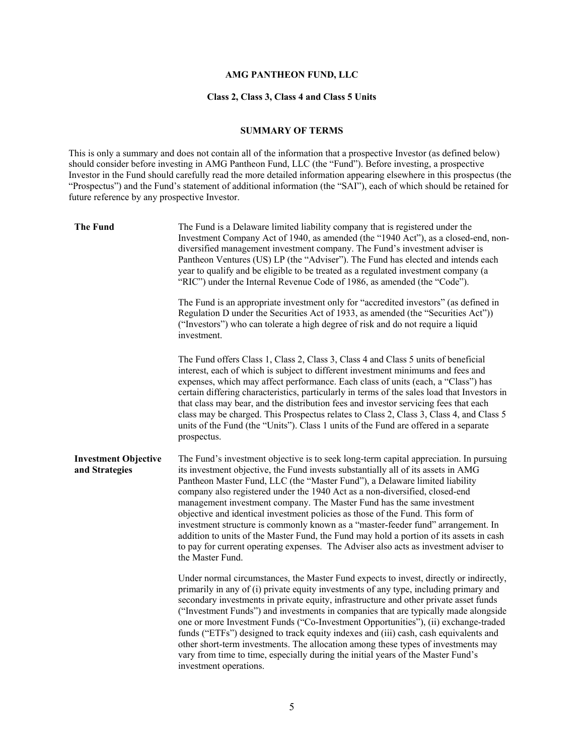# **AMG PANTHEON FUND, LLC**

#### **Class 2, Class 3, Class 4 and Class 5 Units**

#### **SUMMARY OF TERMS**

This is only a summary and does not contain all of the information that a prospective Investor (as defined below) should consider before investing in AMG Pantheon Fund, LLC (the "Fund"). Before investing, a prospective Investor in the Fund should carefully read the more detailed information appearing elsewhere in this prospectus (the "Prospectus") and the Fund's statement of additional information (the "SAI"), each of which should be retained for future reference by any prospective Investor.

| <b>The Fund</b>                               | The Fund is a Delaware limited liability company that is registered under the<br>Investment Company Act of 1940, as amended (the "1940 Act"), as a closed-end, non-<br>diversified management investment company. The Fund's investment adviser is<br>Pantheon Ventures (US) LP (the "Adviser"). The Fund has elected and intends each<br>year to qualify and be eligible to be treated as a regulated investment company (a<br>"RIC") under the Internal Revenue Code of 1986, as amended (the "Code").                                                                                                                                                                                                                                                                                          |
|-----------------------------------------------|---------------------------------------------------------------------------------------------------------------------------------------------------------------------------------------------------------------------------------------------------------------------------------------------------------------------------------------------------------------------------------------------------------------------------------------------------------------------------------------------------------------------------------------------------------------------------------------------------------------------------------------------------------------------------------------------------------------------------------------------------------------------------------------------------|
|                                               | The Fund is an appropriate investment only for "accredited investors" (as defined in<br>Regulation D under the Securities Act of 1933, as amended (the "Securities Act"))<br>("Investors") who can tolerate a high degree of risk and do not require a liquid<br>investment.                                                                                                                                                                                                                                                                                                                                                                                                                                                                                                                      |
|                                               | The Fund offers Class 1, Class 2, Class 3, Class 4 and Class 5 units of beneficial<br>interest, each of which is subject to different investment minimums and fees and<br>expenses, which may affect performance. Each class of units (each, a "Class") has<br>certain differing characteristics, particularly in terms of the sales load that Investors in<br>that class may bear, and the distribution fees and investor servicing fees that each<br>class may be charged. This Prospectus relates to Class 2, Class 3, Class 4, and Class 5<br>units of the Fund (the "Units"). Class 1 units of the Fund are offered in a separate<br>prospectus.                                                                                                                                             |
| <b>Investment Objective</b><br>and Strategies | The Fund's investment objective is to seek long-term capital appreciation. In pursuing<br>its investment objective, the Fund invests substantially all of its assets in AMG<br>Pantheon Master Fund, LLC (the "Master Fund"), a Delaware limited liability<br>company also registered under the 1940 Act as a non-diversified, closed-end<br>management investment company. The Master Fund has the same investment<br>objective and identical investment policies as those of the Fund. This form of<br>investment structure is commonly known as a "master-feeder fund" arrangement. In<br>addition to units of the Master Fund, the Fund may hold a portion of its assets in cash<br>to pay for current operating expenses. The Adviser also acts as investment adviser to<br>the Master Fund. |
|                                               | Under normal circumstances, the Master Fund expects to invest, directly or indirectly,<br>primarily in any of (i) private equity investments of any type, including primary and<br>secondary investments in private equity, infrastructure and other private asset funds<br>("Investment Funds") and investments in companies that are typically made alongside<br>one or more Investment Funds ("Co-Investment Opportunities"), (ii) exchange-traded<br>funds ("ETFs") designed to track equity indexes and (iii) cash, cash equivalents and<br>other short-term investments. The allocation among these types of investments may<br>vary from time to time, especially during the initial years of the Master Fund's<br>investment operations.                                                  |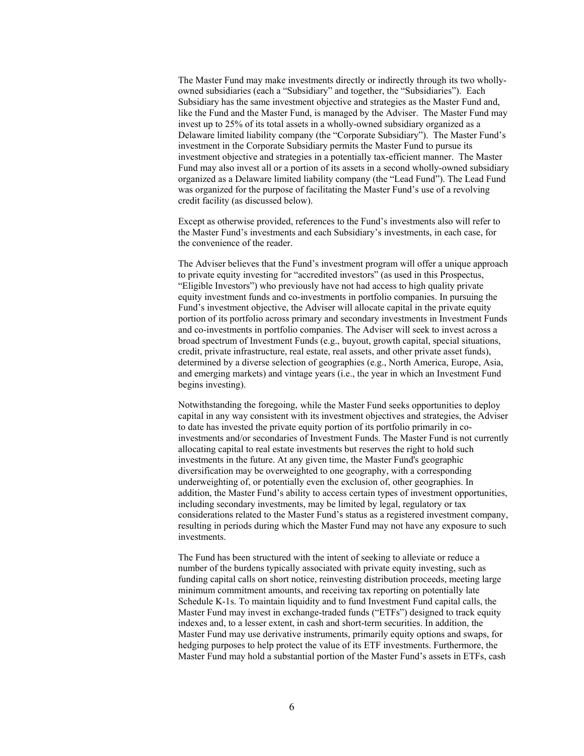The Master Fund may make investments directly or indirectly through its two whollyowned subsidiaries (each a "Subsidiary" and together, the "Subsidiaries"). Each Subsidiary has the same investment objective and strategies as the Master Fund and, like the Fund and the Master Fund, is managed by the Adviser. The Master Fund may invest up to 25% of its total assets in a wholly-owned subsidiary organized as a Delaware limited liability company (the "Corporate Subsidiary"). The Master Fund's investment in the Corporate Subsidiary permits the Master Fund to pursue its investment objective and strategies in a potentially tax-efficient manner. The Master Fund may also invest all or a portion of its assets in a second wholly-owned subsidiary organized as a Delaware limited liability company (the "Lead Fund"). The Lead Fund was organized for the purpose of facilitating the Master Fund's use of a revolving credit facility (as discussed below).

Except as otherwise provided, references to the Fund's investments also will refer to the Master Fund's investments and each Subsidiary's investments, in each case, for the convenience of the reader.

The Adviser believes that the Fund's investment program will offer a unique approach to private equity investing for "accredited investors" (as used in this Prospectus, "Eligible Investors") who previously have not had access to high quality private equity investment funds and co-investments in portfolio companies. In pursuing the Fund's investment objective, the Adviser will allocate capital in the private equity portion of its portfolio across primary and secondary investments in Investment Funds and co-investments in portfolio companies. The Adviser will seek to invest across a broad spectrum of Investment Funds (e.g., buyout, growth capital, special situations, credit, private infrastructure, real estate, real assets, and other private asset funds), determined by a diverse selection of geographies (e.g., North America, Europe, Asia, and emerging markets) and vintage years (i.e., the year in which an Investment Fund begins investing).

Notwithstanding the foregoing, while the Master Fund seeks opportunities to deploy capital in any way consistent with its investment objectives and strategies, the Adviser to date has invested the private equity portion of its portfolio primarily in coinvestments and/or secondaries of Investment Funds. The Master Fund is not currently allocating capital to real estate investments but reserves the right to hold such investments in the future. At any given time, the Master Fund's geographic diversification may be overweighted to one geography, with a corresponding underweighting of, or potentially even the exclusion of, other geographies. In addition, the Master Fund's ability to access certain types of investment opportunities, including secondary investments, may be limited by legal, regulatory or tax considerations related to the Master Fund's status as a registered investment company, resulting in periods during which the Master Fund may not have any exposure to such investments.

The Fund has been structured with the intent of seeking to alleviate or reduce a number of the burdens typically associated with private equity investing, such as funding capital calls on short notice, reinvesting distribution proceeds, meeting large minimum commitment amounts, and receiving tax reporting on potentially late Schedule K-1s. To maintain liquidity and to fund Investment Fund capital calls, the Master Fund may invest in exchange-traded funds ("ETFs") designed to track equity indexes and, to a lesser extent, in cash and short-term securities. In addition, the Master Fund may use derivative instruments, primarily equity options and swaps, for hedging purposes to help protect the value of its ETF investments. Furthermore, the Master Fund may hold a substantial portion of the Master Fund's assets in ETFs, cash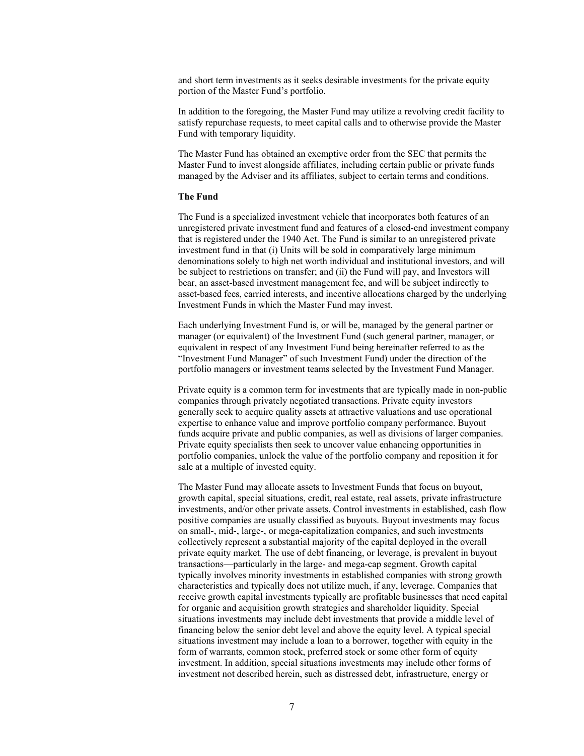and short term investments as it seeks desirable investments for the private equity portion of the Master Fund's portfolio.

In addition to the foregoing, the Master Fund may utilize a revolving credit facility to satisfy repurchase requests, to meet capital calls and to otherwise provide the Master Fund with temporary liquidity.

The Master Fund has obtained an exemptive order from the SEC that permits the Master Fund to invest alongside affiliates, including certain public or private funds managed by the Adviser and its affiliates, subject to certain terms and conditions.

#### **The Fund**

The Fund is a specialized investment vehicle that incorporates both features of an unregistered private investment fund and features of a closed-end investment company that is registered under the 1940 Act. The Fund is similar to an unregistered private investment fund in that (i) Units will be sold in comparatively large minimum denominations solely to high net worth individual and institutional investors, and will be subject to restrictions on transfer; and (ii) the Fund will pay, and Investors will bear, an asset-based investment management fee, and will be subject indirectly to asset-based fees, carried interests, and incentive allocations charged by the underlying Investment Funds in which the Master Fund may invest.

Each underlying Investment Fund is, or will be, managed by the general partner or manager (or equivalent) of the Investment Fund (such general partner, manager, or equivalent in respect of any Investment Fund being hereinafter referred to as the "Investment Fund Manager" of such Investment Fund) under the direction of the portfolio managers or investment teams selected by the Investment Fund Manager.

Private equity is a common term for investments that are typically made in non-public companies through privately negotiated transactions. Private equity investors generally seek to acquire quality assets at attractive valuations and use operational expertise to enhance value and improve portfolio company performance. Buyout funds acquire private and public companies, as well as divisions of larger companies. Private equity specialists then seek to uncover value enhancing opportunities in portfolio companies, unlock the value of the portfolio company and reposition it for sale at a multiple of invested equity.

The Master Fund may allocate assets to Investment Funds that focus on buyout, growth capital, special situations, credit, real estate, real assets, private infrastructure investments, and/or other private assets. Control investments in established, cash flow positive companies are usually classified as buyouts. Buyout investments may focus on small-, mid-, large-, or mega-capitalization companies, and such investments collectively represent a substantial majority of the capital deployed in the overall private equity market. The use of debt financing, or leverage, is prevalent in buyout transactions—particularly in the large- and mega-cap segment. Growth capital typically involves minority investments in established companies with strong growth characteristics and typically does not utilize much, if any, leverage. Companies that receive growth capital investments typically are profitable businesses that need capital for organic and acquisition growth strategies and shareholder liquidity. Special situations investments may include debt investments that provide a middle level of financing below the senior debt level and above the equity level. A typical special situations investment may include a loan to a borrower, together with equity in the form of warrants, common stock, preferred stock or some other form of equity investment. In addition, special situations investments may include other forms of investment not described herein, such as distressed debt, infrastructure, energy or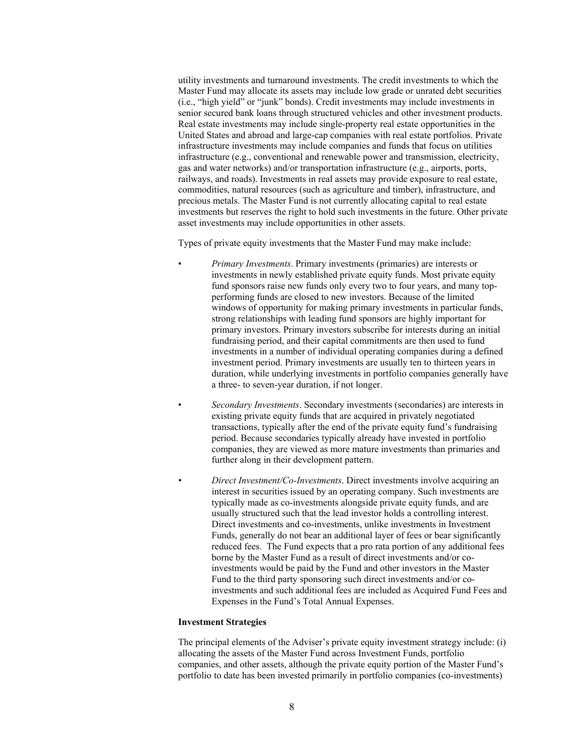utility investments and turnaround investments. The credit investments to which the Master Fund may allocate its assets may include low grade or unrated debt securities (i.e., "high yield" or "junk" bonds). Credit investments may include investments in senior secured bank loans through structured vehicles and other investment products. Real estate investments may include single-property real estate opportunities in the United States and abroad and large-cap companies with real estate portfolios. Private infrastructure investments may include companies and funds that focus on utilities infrastructure (e.g., conventional and renewable power and transmission, electricity, gas and water networks) and/or transportation infrastructure (e.g., airports, ports, railways, and roads). Investments in real assets may provide exposure to real estate, commodities, natural resources (such as agriculture and timber), infrastructure, and precious metals. The Master Fund is not currently allocating capital to real estate investments but reserves the right to hold such investments in the future. Other private asset investments may include opportunities in other assets.

Types of private equity investments that the Master Fund may make include:

- *Primary Investments*. Primary investments (primaries) are interests or investments in newly established private equity funds. Most private equity fund sponsors raise new funds only every two to four years, and many topperforming funds are closed to new investors. Because of the limited windows of opportunity for making primary investments in particular funds, strong relationships with leading fund sponsors are highly important for primary investors. Primary investors subscribe for interests during an initial fundraising period, and their capital commitments are then used to fund investments in a number of individual operating companies during a defined investment period. Primary investments are usually ten to thirteen years in duration, while underlying investments in portfolio companies generally have a three- to seven-year duration, if not longer.
- *Secondary Investments*. Secondary investments (secondaries) are interests in existing private equity funds that are acquired in privately negotiated transactions, typically after the end of the private equity fund's fundraising period. Because secondaries typically already have invested in portfolio companies, they are viewed as more mature investments than primaries and further along in their development pattern.
- *Direct Investment/Co-Investments*. Direct investments involve acquiring an interest in securities issued by an operating company. Such investments are typically made as co-investments alongside private equity funds, and are usually structured such that the lead investor holds a controlling interest. Direct investments and co-investments, unlike investments in Investment Funds, generally do not bear an additional layer of fees or bear significantly reduced fees. The Fund expects that a pro rata portion of any additional fees borne by the Master Fund as a result of direct investments and/or coinvestments would be paid by the Fund and other investors in the Master Fund to the third party sponsoring such direct investments and/or coinvestments and such additional fees are included as Acquired Fund Fees and Expenses in the Fund's Total Annual Expenses.

#### **Investment Strategies**

The principal elements of the Adviser's private equity investment strategy include: (i) allocating the assets of the Master Fund across Investment Funds, portfolio companies, and other assets, although the private equity portion of the Master Fund's portfolio to date has been invested primarily in portfolio companies (co-investments)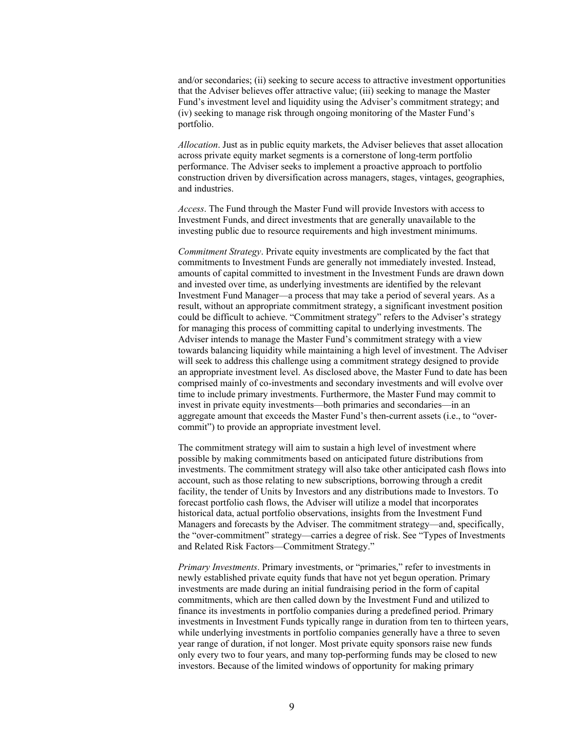and/or secondaries; (ii) seeking to secure access to attractive investment opportunities that the Adviser believes offer attractive value; (iii) seeking to manage the Master Fund's investment level and liquidity using the Adviser's commitment strategy; and (iv) seeking to manage risk through ongoing monitoring of the Master Fund's portfolio.

*Allocation*. Just as in public equity markets, the Adviser believes that asset allocation across private equity market segments is a cornerstone of long-term portfolio performance. The Adviser seeks to implement a proactive approach to portfolio construction driven by diversification across managers, stages, vintages, geographies, and industries.

*Access*. The Fund through the Master Fund will provide Investors with access to Investment Funds, and direct investments that are generally unavailable to the investing public due to resource requirements and high investment minimums.

*Commitment Strategy*. Private equity investments are complicated by the fact that commitments to Investment Funds are generally not immediately invested. Instead, amounts of capital committed to investment in the Investment Funds are drawn down and invested over time, as underlying investments are identified by the relevant Investment Fund Manager—a process that may take a period of several years. As a result, without an appropriate commitment strategy, a significant investment position could be difficult to achieve. "Commitment strategy" refers to the Adviser's strategy for managing this process of committing capital to underlying investments. The Adviser intends to manage the Master Fund's commitment strategy with a view towards balancing liquidity while maintaining a high level of investment. The Adviser will seek to address this challenge using a commitment strategy designed to provide an appropriate investment level. As disclosed above, the Master Fund to date has been comprised mainly of co-investments and secondary investments and will evolve over time to include primary investments. Furthermore, the Master Fund may commit to invest in private equity investments—both primaries and secondaries—in an aggregate amount that exceeds the Master Fund's then-current assets (i.e., to "overcommit") to provide an appropriate investment level.

The commitment strategy will aim to sustain a high level of investment where possible by making commitments based on anticipated future distributions from investments. The commitment strategy will also take other anticipated cash flows into account, such as those relating to new subscriptions, borrowing through a credit facility, the tender of Units by Investors and any distributions made to Investors. To forecast portfolio cash flows, the Adviser will utilize a model that incorporates historical data, actual portfolio observations, insights from the Investment Fund Managers and forecasts by the Adviser. The commitment strategy—and, specifically, the "over-commitment" strategy—carries a degree of risk. See "Types of Investments and Related Risk Factors—Commitment Strategy."

*Primary Investments*. Primary investments, or "primaries," refer to investments in newly established private equity funds that have not yet begun operation. Primary investments are made during an initial fundraising period in the form of capital commitments, which are then called down by the Investment Fund and utilized to finance its investments in portfolio companies during a predefined period. Primary investments in Investment Funds typically range in duration from ten to thirteen years, while underlying investments in portfolio companies generally have a three to seven year range of duration, if not longer. Most private equity sponsors raise new funds only every two to four years, and many top-performing funds may be closed to new investors. Because of the limited windows of opportunity for making primary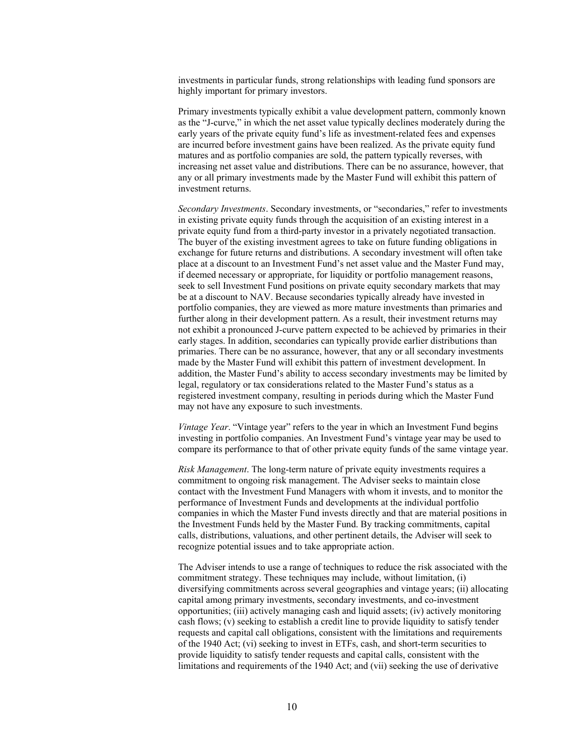investments in particular funds, strong relationships with leading fund sponsors are highly important for primary investors.

Primary investments typically exhibit a value development pattern, commonly known as the "J-curve," in which the net asset value typically declines moderately during the early years of the private equity fund's life as investment-related fees and expenses are incurred before investment gains have been realized. As the private equity fund matures and as portfolio companies are sold, the pattern typically reverses, with increasing net asset value and distributions. There can be no assurance, however, that any or all primary investments made by the Master Fund will exhibit this pattern of investment returns.

*Secondary Investments*. Secondary investments, or "secondaries," refer to investments in existing private equity funds through the acquisition of an existing interest in a private equity fund from a third-party investor in a privately negotiated transaction. The buyer of the existing investment agrees to take on future funding obligations in exchange for future returns and distributions. A secondary investment will often take place at a discount to an Investment Fund's net asset value and the Master Fund may, if deemed necessary or appropriate, for liquidity or portfolio management reasons, seek to sell Investment Fund positions on private equity secondary markets that may be at a discount to NAV. Because secondaries typically already have invested in portfolio companies, they are viewed as more mature investments than primaries and further along in their development pattern. As a result, their investment returns may not exhibit a pronounced J-curve pattern expected to be achieved by primaries in their early stages. In addition, secondaries can typically provide earlier distributions than primaries. There can be no assurance, however, that any or all secondary investments made by the Master Fund will exhibit this pattern of investment development. In addition, the Master Fund's ability to access secondary investments may be limited by legal, regulatory or tax considerations related to the Master Fund's status as a registered investment company, resulting in periods during which the Master Fund may not have any exposure to such investments.

*Vintage Year*. "Vintage year" refers to the year in which an Investment Fund begins investing in portfolio companies. An Investment Fund's vintage year may be used to compare its performance to that of other private equity funds of the same vintage year.

*Risk Management*. The long-term nature of private equity investments requires a commitment to ongoing risk management. The Adviser seeks to maintain close contact with the Investment Fund Managers with whom it invests, and to monitor the performance of Investment Funds and developments at the individual portfolio companies in which the Master Fund invests directly and that are material positions in the Investment Funds held by the Master Fund. By tracking commitments, capital calls, distributions, valuations, and other pertinent details, the Adviser will seek to recognize potential issues and to take appropriate action.

The Adviser intends to use a range of techniques to reduce the risk associated with the commitment strategy. These techniques may include, without limitation, (i) diversifying commitments across several geographies and vintage years; (ii) allocating capital among primary investments, secondary investments, and co-investment opportunities; (iii) actively managing cash and liquid assets; (iv) actively monitoring cash flows; (v) seeking to establish a credit line to provide liquidity to satisfy tender requests and capital call obligations, consistent with the limitations and requirements of the 1940 Act; (vi) seeking to invest in ETFs, cash, and short-term securities to provide liquidity to satisfy tender requests and capital calls, consistent with the limitations and requirements of the 1940 Act; and (vii) seeking the use of derivative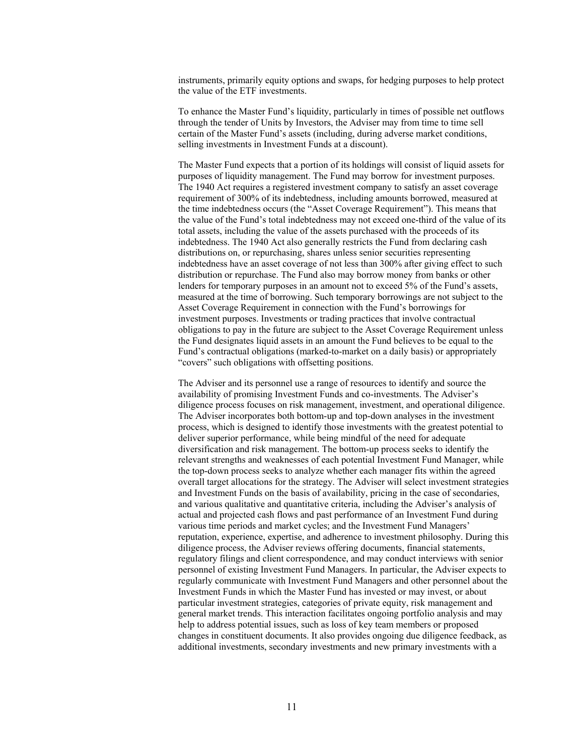instruments, primarily equity options and swaps, for hedging purposes to help protect the value of the ETF investments.

To enhance the Master Fund's liquidity, particularly in times of possible net outflows through the tender of Units by Investors, the Adviser may from time to time sell certain of the Master Fund's assets (including, during adverse market conditions, selling investments in Investment Funds at a discount).

The Master Fund expects that a portion of its holdings will consist of liquid assets for purposes of liquidity management. The Fund may borrow for investment purposes. The 1940 Act requires a registered investment company to satisfy an asset coverage requirement of 300% of its indebtedness, including amounts borrowed, measured at the time indebtedness occurs (the "Asset Coverage Requirement"). This means that the value of the Fund's total indebtedness may not exceed one-third of the value of its total assets, including the value of the assets purchased with the proceeds of its indebtedness. The 1940 Act also generally restricts the Fund from declaring cash distributions on, or repurchasing, shares unless senior securities representing indebtedness have an asset coverage of not less than 300% after giving effect to such distribution or repurchase. The Fund also may borrow money from banks or other lenders for temporary purposes in an amount not to exceed 5% of the Fund's assets, measured at the time of borrowing. Such temporary borrowings are not subject to the Asset Coverage Requirement in connection with the Fund's borrowings for investment purposes. Investments or trading practices that involve contractual obligations to pay in the future are subject to the Asset Coverage Requirement unless the Fund designates liquid assets in an amount the Fund believes to be equal to the Fund's contractual obligations (marked-to-market on a daily basis) or appropriately "covers" such obligations with offsetting positions.

The Adviser and its personnel use a range of resources to identify and source the availability of promising Investment Funds and co-investments. The Adviser's diligence process focuses on risk management, investment, and operational diligence. The Adviser incorporates both bottom-up and top-down analyses in the investment process, which is designed to identify those investments with the greatest potential to deliver superior performance, while being mindful of the need for adequate diversification and risk management. The bottom-up process seeks to identify the relevant strengths and weaknesses of each potential Investment Fund Manager, while the top-down process seeks to analyze whether each manager fits within the agreed overall target allocations for the strategy. The Adviser will select investment strategies and Investment Funds on the basis of availability, pricing in the case of secondaries, and various qualitative and quantitative criteria, including the Adviser's analysis of actual and projected cash flows and past performance of an Investment Fund during various time periods and market cycles; and the Investment Fund Managers' reputation, experience, expertise, and adherence to investment philosophy. During this diligence process, the Adviser reviews offering documents, financial statements, regulatory filings and client correspondence, and may conduct interviews with senior personnel of existing Investment Fund Managers. In particular, the Adviser expects to regularly communicate with Investment Fund Managers and other personnel about the Investment Funds in which the Master Fund has invested or may invest, or about particular investment strategies, categories of private equity, risk management and general market trends. This interaction facilitates ongoing portfolio analysis and may help to address potential issues, such as loss of key team members or proposed changes in constituent documents. It also provides ongoing due diligence feedback, as additional investments, secondary investments and new primary investments with a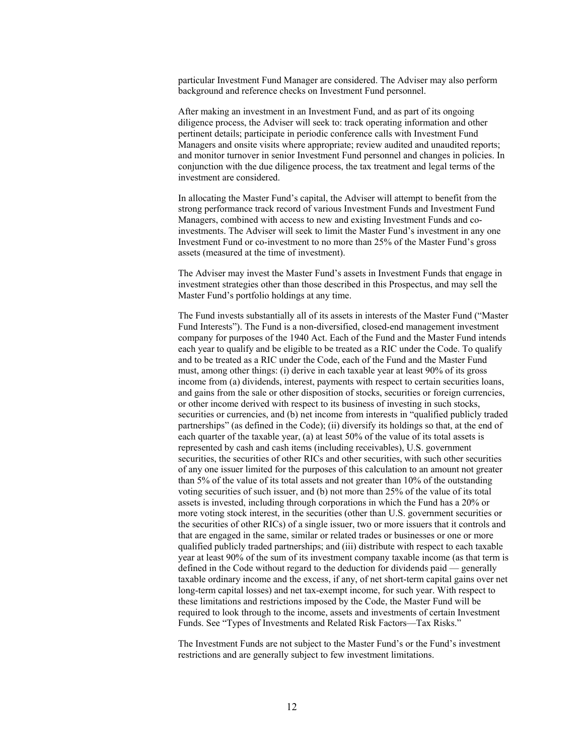particular Investment Fund Manager are considered. The Adviser may also perform background and reference checks on Investment Fund personnel.

After making an investment in an Investment Fund, and as part of its ongoing diligence process, the Adviser will seek to: track operating information and other pertinent details; participate in periodic conference calls with Investment Fund Managers and onsite visits where appropriate; review audited and unaudited reports; and monitor turnover in senior Investment Fund personnel and changes in policies. In conjunction with the due diligence process, the tax treatment and legal terms of the investment are considered.

In allocating the Master Fund's capital, the Adviser will attempt to benefit from the strong performance track record of various Investment Funds and Investment Fund Managers, combined with access to new and existing Investment Funds and coinvestments. The Adviser will seek to limit the Master Fund's investment in any one Investment Fund or co-investment to no more than 25% of the Master Fund's gross assets (measured at the time of investment).

The Adviser may invest the Master Fund's assets in Investment Funds that engage in investment strategies other than those described in this Prospectus, and may sell the Master Fund's portfolio holdings at any time.

The Fund invests substantially all of its assets in interests of the Master Fund ("Master Fund Interests"). The Fund is a non-diversified, closed-end management investment company for purposes of the 1940 Act. Each of the Fund and the Master Fund intends each year to qualify and be eligible to be treated as a RIC under the Code. To qualify and to be treated as a RIC under the Code, each of the Fund and the Master Fund must, among other things: (i) derive in each taxable year at least 90% of its gross income from (a) dividends, interest, payments with respect to certain securities loans, and gains from the sale or other disposition of stocks, securities or foreign currencies, or other income derived with respect to its business of investing in such stocks, securities or currencies, and (b) net income from interests in "qualified publicly traded partnerships" (as defined in the Code); (ii) diversify its holdings so that, at the end of each quarter of the taxable year, (a) at least 50% of the value of its total assets is represented by cash and cash items (including receivables), U.S. government securities, the securities of other RICs and other securities, with such other securities of any one issuer limited for the purposes of this calculation to an amount not greater than 5% of the value of its total assets and not greater than 10% of the outstanding voting securities of such issuer, and (b) not more than 25% of the value of its total assets is invested, including through corporations in which the Fund has a 20% or more voting stock interest, in the securities (other than U.S. government securities or the securities of other RICs) of a single issuer, two or more issuers that it controls and that are engaged in the same, similar or related trades or businesses or one or more qualified publicly traded partnerships; and (iii) distribute with respect to each taxable year at least 90% of the sum of its investment company taxable income (as that term is defined in the Code without regard to the deduction for dividends paid — generally taxable ordinary income and the excess, if any, of net short-term capital gains over net long-term capital losses) and net tax-exempt income, for such year. With respect to these limitations and restrictions imposed by the Code, the Master Fund will be required to look through to the income, assets and investments of certain Investment Funds. See "Types of Investments and Related Risk Factors—Tax Risks."

The Investment Funds are not subject to the Master Fund's or the Fund's investment restrictions and are generally subject to few investment limitations.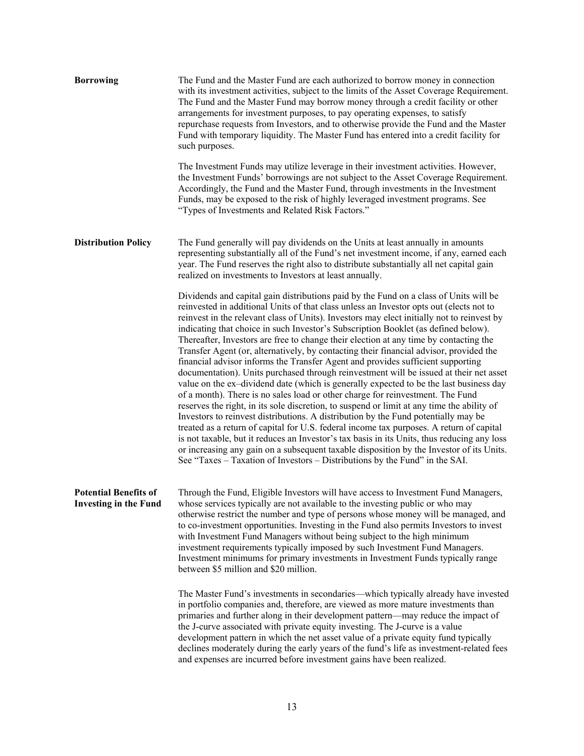| <b>Borrowing</b>                                             | The Fund and the Master Fund are each authorized to borrow money in connection<br>with its investment activities, subject to the limits of the Asset Coverage Requirement.<br>The Fund and the Master Fund may borrow money through a credit facility or other<br>arrangements for investment purposes, to pay operating expenses, to satisfy<br>repurchase requests from Investors, and to otherwise provide the Fund and the Master<br>Fund with temporary liquidity. The Master Fund has entered into a credit facility for<br>such purposes.                                                                                                                                                                                                                                                                                                                                                                                                                                                                                                                                                                                                                                                                                                                                                                                                                                                                                                                           |
|--------------------------------------------------------------|----------------------------------------------------------------------------------------------------------------------------------------------------------------------------------------------------------------------------------------------------------------------------------------------------------------------------------------------------------------------------------------------------------------------------------------------------------------------------------------------------------------------------------------------------------------------------------------------------------------------------------------------------------------------------------------------------------------------------------------------------------------------------------------------------------------------------------------------------------------------------------------------------------------------------------------------------------------------------------------------------------------------------------------------------------------------------------------------------------------------------------------------------------------------------------------------------------------------------------------------------------------------------------------------------------------------------------------------------------------------------------------------------------------------------------------------------------------------------|
|                                                              | The Investment Funds may utilize leverage in their investment activities. However,<br>the Investment Funds' borrowings are not subject to the Asset Coverage Requirement.<br>Accordingly, the Fund and the Master Fund, through investments in the Investment<br>Funds, may be exposed to the risk of highly leveraged investment programs. See<br>"Types of Investments and Related Risk Factors."                                                                                                                                                                                                                                                                                                                                                                                                                                                                                                                                                                                                                                                                                                                                                                                                                                                                                                                                                                                                                                                                        |
| <b>Distribution Policy</b>                                   | The Fund generally will pay dividends on the Units at least annually in amounts<br>representing substantially all of the Fund's net investment income, if any, earned each<br>year. The Fund reserves the right also to distribute substantially all net capital gain<br>realized on investments to Investors at least annually.                                                                                                                                                                                                                                                                                                                                                                                                                                                                                                                                                                                                                                                                                                                                                                                                                                                                                                                                                                                                                                                                                                                                           |
|                                                              | Dividends and capital gain distributions paid by the Fund on a class of Units will be<br>reinvested in additional Units of that class unless an Investor opts out (elects not to<br>reinvest in the relevant class of Units). Investors may elect initially not to reinvest by<br>indicating that choice in such Investor's Subscription Booklet (as defined below).<br>Thereafter, Investors are free to change their election at any time by contacting the<br>Transfer Agent (or, alternatively, by contacting their financial advisor, provided the<br>financial advisor informs the Transfer Agent and provides sufficient supporting<br>documentation). Units purchased through reinvestment will be issued at their net asset<br>value on the ex-dividend date (which is generally expected to be the last business day<br>of a month). There is no sales load or other charge for reinvestment. The Fund<br>reserves the right, in its sole discretion, to suspend or limit at any time the ability of<br>Investors to reinvest distributions. A distribution by the Fund potentially may be<br>treated as a return of capital for U.S. federal income tax purposes. A return of capital<br>is not taxable, but it reduces an Investor's tax basis in its Units, thus reducing any loss<br>or increasing any gain on a subsequent taxable disposition by the Investor of its Units.<br>See "Taxes – Taxation of Investors – Distributions by the Fund" in the SAI. |
| <b>Potential Benefits of</b><br><b>Investing in the Fund</b> | Through the Fund, Eligible Investors will have access to Investment Fund Managers,<br>whose services typically are not available to the investing public or who may<br>otherwise restrict the number and type of persons whose money will be managed, and<br>to co-investment opportunities. Investing in the Fund also permits Investors to invest<br>with Investment Fund Managers without being subject to the high minimum<br>investment requirements typically imposed by such Investment Fund Managers.<br>Investment minimums for primary investments in Investment Funds typically range<br>between \$5 million and \$20 million.                                                                                                                                                                                                                                                                                                                                                                                                                                                                                                                                                                                                                                                                                                                                                                                                                                  |
|                                                              | The Master Fund's investments in secondaries—which typically already have invested<br>in portfolio companies and, therefore, are viewed as more mature investments than<br>primaries and further along in their development pattern—may reduce the impact of<br>the J-curve associated with private equity investing. The J-curve is a value<br>development pattern in which the net asset value of a private equity fund typically<br>declines moderately during the early years of the fund's life as investment-related fees<br>and expenses are incurred before investment gains have been realized.                                                                                                                                                                                                                                                                                                                                                                                                                                                                                                                                                                                                                                                                                                                                                                                                                                                                   |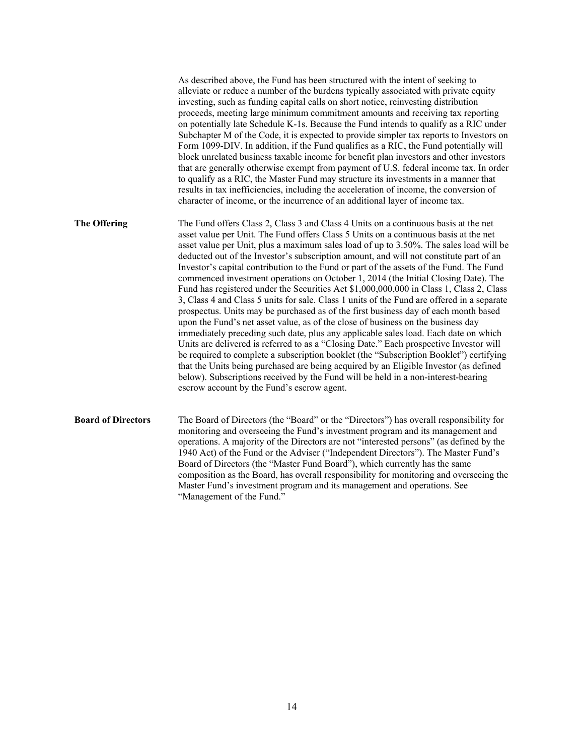|                           | As described above, the Fund has been structured with the intent of seeking to<br>alleviate or reduce a number of the burdens typically associated with private equity<br>investing, such as funding capital calls on short notice, reinvesting distribution<br>proceeds, meeting large minimum commitment amounts and receiving tax reporting<br>on potentially late Schedule K-1s. Because the Fund intends to qualify as a RIC under<br>Subchapter M of the Code, it is expected to provide simpler tax reports to Investors on<br>Form 1099-DIV. In addition, if the Fund qualifies as a RIC, the Fund potentially will<br>block unrelated business taxable income for benefit plan investors and other investors<br>that are generally otherwise exempt from payment of U.S. federal income tax. In order<br>to qualify as a RIC, the Master Fund may structure its investments in a manner that<br>results in tax inefficiencies, including the acceleration of income, the conversion of<br>character of income, or the incurrence of an additional layer of income tax.                                                                                                                                                                                                                                                                                                                                             |
|---------------------------|-----------------------------------------------------------------------------------------------------------------------------------------------------------------------------------------------------------------------------------------------------------------------------------------------------------------------------------------------------------------------------------------------------------------------------------------------------------------------------------------------------------------------------------------------------------------------------------------------------------------------------------------------------------------------------------------------------------------------------------------------------------------------------------------------------------------------------------------------------------------------------------------------------------------------------------------------------------------------------------------------------------------------------------------------------------------------------------------------------------------------------------------------------------------------------------------------------------------------------------------------------------------------------------------------------------------------------------------------------------------------------------------------------------------------------|
| <b>The Offering</b>       | The Fund offers Class 2, Class 3 and Class 4 Units on a continuous basis at the net<br>asset value per Unit. The Fund offers Class 5 Units on a continuous basis at the net<br>asset value per Unit, plus a maximum sales load of up to 3.50%. The sales load will be<br>deducted out of the Investor's subscription amount, and will not constitute part of an<br>Investor's capital contribution to the Fund or part of the assets of the Fund. The Fund<br>commenced investment operations on October 1, 2014 (the Initial Closing Date). The<br>Fund has registered under the Securities Act \$1,000,000,000 in Class 1, Class 2, Class<br>3, Class 4 and Class 5 units for sale. Class 1 units of the Fund are offered in a separate<br>prospectus. Units may be purchased as of the first business day of each month based<br>upon the Fund's net asset value, as of the close of business on the business day<br>immediately preceding such date, plus any applicable sales load. Each date on which<br>Units are delivered is referred to as a "Closing Date." Each prospective Investor will<br>be required to complete a subscription booklet (the "Subscription Booklet") certifying<br>that the Units being purchased are being acquired by an Eligible Investor (as defined<br>below). Subscriptions received by the Fund will be held in a non-interest-bearing<br>escrow account by the Fund's escrow agent. |
| <b>Board of Directors</b> | The Board of Directors (the "Board" or the "Directors") has overall responsibility for<br>monitoring and overseeing the Fund's investment program and its management and<br>operations. A majority of the Directors are not "interested persons" (as defined by the<br>1940 Act) of the Fund or the Adviser ("Independent Directors"). The Master Fund's<br>Board of Directors (the "Master Fund Board"), which currently has the same<br>composition as the Board, has overall responsibility for monitoring and overseeing the<br>Master Fund's investment program and its management and operations. See<br>"Management of the Fund."                                                                                                                                                                                                                                                                                                                                                                                                                                                                                                                                                                                                                                                                                                                                                                                    |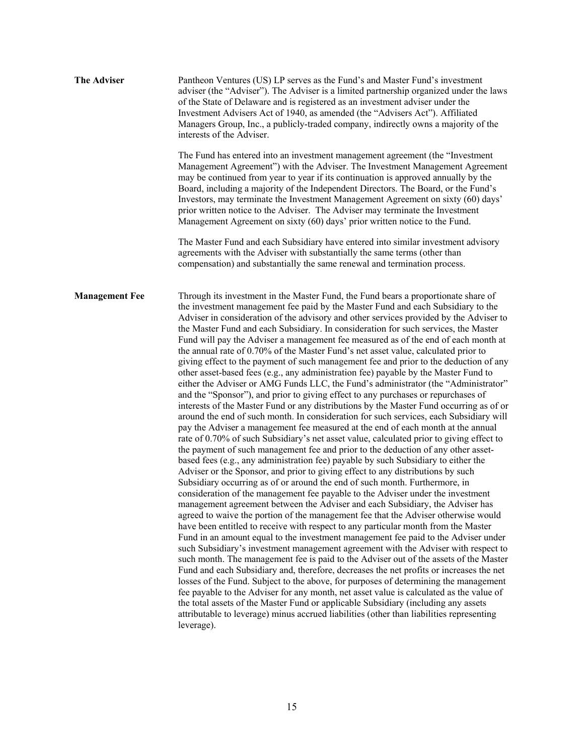| <b>The Adviser</b>    | Pantheon Ventures (US) LP serves as the Fund's and Master Fund's investment<br>adviser (the "Adviser"). The Adviser is a limited partnership organized under the laws<br>of the State of Delaware and is registered as an investment adviser under the<br>Investment Advisers Act of 1940, as amended (the "Advisers Act"). Affiliated<br>Managers Group, Inc., a publicly-traded company, indirectly owns a majority of the<br>interests of the Adviser.                                                                                                                                                                                                                                                                                                                                                                                                                                                                                                                                                                                                                                                                                                                                                                                                                                                                                                                                                                                                                                                                                                                                                                                                                                                                                                                                                                                                                                                                                                                                                                                                                                                                                                                                                                                                                                                                                                                                                                                                                                                                                                                                                                                                                                                           |
|-----------------------|---------------------------------------------------------------------------------------------------------------------------------------------------------------------------------------------------------------------------------------------------------------------------------------------------------------------------------------------------------------------------------------------------------------------------------------------------------------------------------------------------------------------------------------------------------------------------------------------------------------------------------------------------------------------------------------------------------------------------------------------------------------------------------------------------------------------------------------------------------------------------------------------------------------------------------------------------------------------------------------------------------------------------------------------------------------------------------------------------------------------------------------------------------------------------------------------------------------------------------------------------------------------------------------------------------------------------------------------------------------------------------------------------------------------------------------------------------------------------------------------------------------------------------------------------------------------------------------------------------------------------------------------------------------------------------------------------------------------------------------------------------------------------------------------------------------------------------------------------------------------------------------------------------------------------------------------------------------------------------------------------------------------------------------------------------------------------------------------------------------------------------------------------------------------------------------------------------------------------------------------------------------------------------------------------------------------------------------------------------------------------------------------------------------------------------------------------------------------------------------------------------------------------------------------------------------------------------------------------------------------------------------------------------------------------------------------------------------------|
|                       | The Fund has entered into an investment management agreement (the "Investment<br>Management Agreement") with the Adviser. The Investment Management Agreement<br>may be continued from year to year if its continuation is approved annually by the<br>Board, including a majority of the Independent Directors. The Board, or the Fund's<br>Investors, may terminate the Investment Management Agreement on sixty (60) days'<br>prior written notice to the Adviser. The Adviser may terminate the Investment<br>Management Agreement on sixty (60) days' prior written notice to the Fund.                                                                                                                                                                                                                                                                                                                                                                                                                                                                                                                                                                                                                                                                                                                                                                                                                                                                                                                                                                                                                                                                                                                                                                                                                                                                                                                                                                                                                                                                                                                                                                                                                                                                                                                                                                                                                                                                                                                                                                                                                                                                                                                        |
|                       | The Master Fund and each Subsidiary have entered into similar investment advisory<br>agreements with the Adviser with substantially the same terms (other than<br>compensation) and substantially the same renewal and termination process.                                                                                                                                                                                                                                                                                                                                                                                                                                                                                                                                                                                                                                                                                                                                                                                                                                                                                                                                                                                                                                                                                                                                                                                                                                                                                                                                                                                                                                                                                                                                                                                                                                                                                                                                                                                                                                                                                                                                                                                                                                                                                                                                                                                                                                                                                                                                                                                                                                                                         |
| <b>Management Fee</b> | Through its investment in the Master Fund, the Fund bears a proportionate share of<br>the investment management fee paid by the Master Fund and each Subsidiary to the<br>Adviser in consideration of the advisory and other services provided by the Adviser to<br>the Master Fund and each Subsidiary. In consideration for such services, the Master<br>Fund will pay the Adviser a management fee measured as of the end of each month at<br>the annual rate of 0.70% of the Master Fund's net asset value, calculated prior to<br>giving effect to the payment of such management fee and prior to the deduction of any<br>other asset-based fees (e.g., any administration fee) payable by the Master Fund to<br>either the Adviser or AMG Funds LLC, the Fund's administrator (the "Administrator"<br>and the "Sponsor"), and prior to giving effect to any purchases or repurchases of<br>interests of the Master Fund or any distributions by the Master Fund occurring as of or<br>around the end of such month. In consideration for such services, each Subsidiary will<br>pay the Adviser a management fee measured at the end of each month at the annual<br>rate of 0.70% of such Subsidiary's net asset value, calculated prior to giving effect to<br>the payment of such management fee and prior to the deduction of any other asset-<br>based fees (e.g., any administration fee) payable by such Subsidiary to either the<br>Adviser or the Sponsor, and prior to giving effect to any distributions by such<br>Subsidiary occurring as of or around the end of such month. Furthermore, in<br>consideration of the management fee payable to the Adviser under the investment<br>management agreement between the Adviser and each Subsidiary, the Adviser has<br>agreed to waive the portion of the management fee that the Adviser otherwise would<br>have been entitled to receive with respect to any particular month from the Master<br>Fund in an amount equal to the investment management fee paid to the Adviser under<br>such Subsidiary's investment management agreement with the Adviser with respect to<br>such month. The management fee is paid to the Adviser out of the assets of the Master<br>Fund and each Subsidiary and, therefore, decreases the net profits or increases the net<br>losses of the Fund. Subject to the above, for purposes of determining the management<br>fee payable to the Adviser for any month, net asset value is calculated as the value of<br>the total assets of the Master Fund or applicable Subsidiary (including any assets<br>attributable to leverage) minus accrued liabilities (other than liabilities representing<br>leverage). |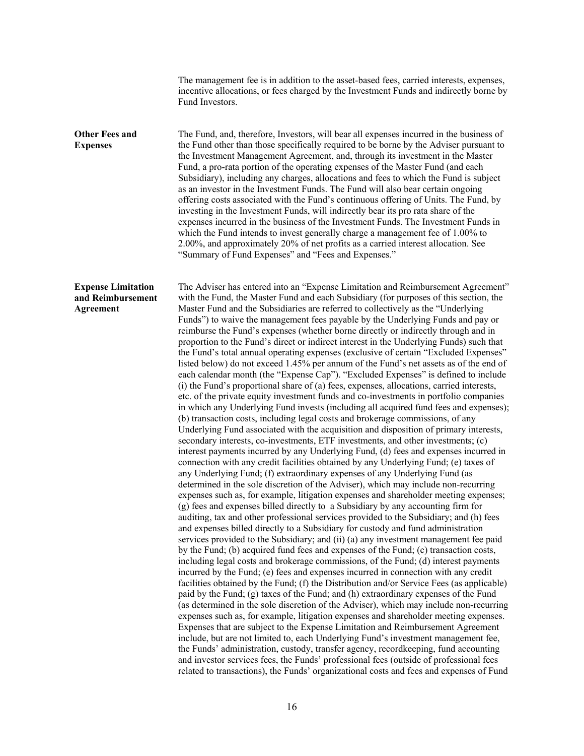|                                                             | The management fee is in addition to the asset-based fees, carried interests, expenses,<br>incentive allocations, or fees charged by the Investment Funds and indirectly borne by<br>Fund Investors.                                                                                                                                                                                                                                                                                                                                                                                                                                                                                                                                                                                                                                                                                                                                                                                                                                                                                                                                                                                                                                                                                                                                                                                                                                                                                                                                                                                                                                                                                                                                                                                                                                                                                                                                                                                                                                                                                                                                                                                                                                                                                                                                                                                                                                                                                                                                                                                                                                                                                                                                                                                                                                                                                                                                                                                                                                                                                                                                                                                                                                                       |
|-------------------------------------------------------------|------------------------------------------------------------------------------------------------------------------------------------------------------------------------------------------------------------------------------------------------------------------------------------------------------------------------------------------------------------------------------------------------------------------------------------------------------------------------------------------------------------------------------------------------------------------------------------------------------------------------------------------------------------------------------------------------------------------------------------------------------------------------------------------------------------------------------------------------------------------------------------------------------------------------------------------------------------------------------------------------------------------------------------------------------------------------------------------------------------------------------------------------------------------------------------------------------------------------------------------------------------------------------------------------------------------------------------------------------------------------------------------------------------------------------------------------------------------------------------------------------------------------------------------------------------------------------------------------------------------------------------------------------------------------------------------------------------------------------------------------------------------------------------------------------------------------------------------------------------------------------------------------------------------------------------------------------------------------------------------------------------------------------------------------------------------------------------------------------------------------------------------------------------------------------------------------------------------------------------------------------------------------------------------------------------------------------------------------------------------------------------------------------------------------------------------------------------------------------------------------------------------------------------------------------------------------------------------------------------------------------------------------------------------------------------------------------------------------------------------------------------------------------------------------------------------------------------------------------------------------------------------------------------------------------------------------------------------------------------------------------------------------------------------------------------------------------------------------------------------------------------------------------------------------------------------------------------------------------------------------------------|
| <b>Other Fees and</b><br><b>Expenses</b>                    | The Fund, and, therefore, Investors, will bear all expenses incurred in the business of<br>the Fund other than those specifically required to be borne by the Adviser pursuant to<br>the Investment Management Agreement, and, through its investment in the Master<br>Fund, a pro-rata portion of the operating expenses of the Master Fund (and each<br>Subsidiary), including any charges, allocations and fees to which the Fund is subject<br>as an investor in the Investment Funds. The Fund will also bear certain ongoing<br>offering costs associated with the Fund's continuous offering of Units. The Fund, by<br>investing in the Investment Funds, will indirectly bear its pro rata share of the<br>expenses incurred in the business of the Investment Funds. The Investment Funds in<br>which the Fund intends to invest generally charge a management fee of 1.00% to<br>2.00%, and approximately 20% of net profits as a carried interest allocation. See<br>"Summary of Fund Expenses" and "Fees and Expenses."                                                                                                                                                                                                                                                                                                                                                                                                                                                                                                                                                                                                                                                                                                                                                                                                                                                                                                                                                                                                                                                                                                                                                                                                                                                                                                                                                                                                                                                                                                                                                                                                                                                                                                                                                                                                                                                                                                                                                                                                                                                                                                                                                                                                                        |
| <b>Expense Limitation</b><br>and Reimbursement<br>Agreement | The Adviser has entered into an "Expense Limitation and Reimbursement Agreement"<br>with the Fund, the Master Fund and each Subsidiary (for purposes of this section, the<br>Master Fund and the Subsidiaries are referred to collectively as the "Underlying<br>Funds") to waive the management fees payable by the Underlying Funds and pay or<br>reimburse the Fund's expenses (whether borne directly or indirectly through and in<br>proportion to the Fund's direct or indirect interest in the Underlying Funds) such that<br>the Fund's total annual operating expenses (exclusive of certain "Excluded Expenses"<br>listed below) do not exceed 1.45% per annum of the Fund's net assets as of the end of<br>each calendar month (the "Expense Cap"). "Excluded Expenses" is defined to include<br>(i) the Fund's proportional share of (a) fees, expenses, allocations, carried interests,<br>etc. of the private equity investment funds and co-investments in portfolio companies<br>in which any Underlying Fund invests (including all acquired fund fees and expenses);<br>(b) transaction costs, including legal costs and brokerage commissions, of any<br>Underlying Fund associated with the acquisition and disposition of primary interests,<br>secondary interests, co-investments, ETF investments, and other investments; (c)<br>interest payments incurred by any Underlying Fund, (d) fees and expenses incurred in<br>connection with any credit facilities obtained by any Underlying Fund; (e) taxes of<br>any Underlying Fund; (f) extraordinary expenses of any Underlying Fund (as<br>determined in the sole discretion of the Adviser), which may include non-recurring<br>expenses such as, for example, litigation expenses and shareholder meeting expenses;<br>(g) fees and expenses billed directly to a Subsidiary by any accounting firm for<br>auditing, tax and other professional services provided to the Subsidiary; and (h) fees<br>and expenses billed directly to a Subsidiary for custody and fund administration<br>services provided to the Subsidiary; and (ii) (a) any investment management fee paid<br>by the Fund; (b) acquired fund fees and expenses of the Fund; (c) transaction costs,<br>including legal costs and brokerage commissions, of the Fund; (d) interest payments<br>incurred by the Fund; (e) fees and expenses incurred in connection with any credit<br>facilities obtained by the Fund; (f) the Distribution and/or Service Fees (as applicable)<br>paid by the Fund; (g) taxes of the Fund; and (h) extraordinary expenses of the Fund<br>(as determined in the sole discretion of the Adviser), which may include non-recurring<br>expenses such as, for example, litigation expenses and shareholder meeting expenses.<br>Expenses that are subject to the Expense Limitation and Reimbursement Agreement<br>include, but are not limited to, each Underlying Fund's investment management fee,<br>the Funds' administration, custody, transfer agency, recordkeeping, fund accounting<br>and investor services fees, the Funds' professional fees (outside of professional fees<br>related to transactions), the Funds' organizational costs and fees and expenses of Fund |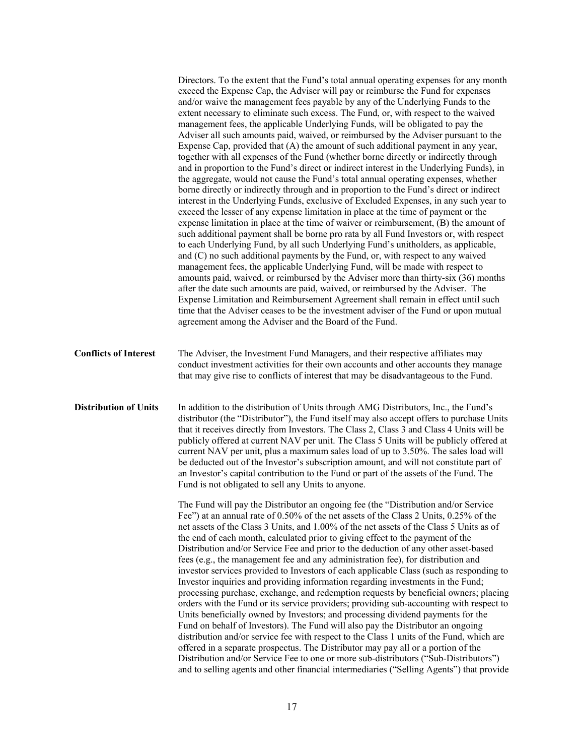|                              | Directors. To the extent that the Fund's total annual operating expenses for any month<br>exceed the Expense Cap, the Adviser will pay or reimburse the Fund for expenses<br>and/or waive the management fees payable by any of the Underlying Funds to the<br>extent necessary to eliminate such excess. The Fund, or, with respect to the waived<br>management fees, the applicable Underlying Funds, will be obligated to pay the<br>Adviser all such amounts paid, waived, or reimbursed by the Adviser pursuant to the<br>Expense Cap, provided that (A) the amount of such additional payment in any year,<br>together with all expenses of the Fund (whether borne directly or indirectly through<br>and in proportion to the Fund's direct or indirect interest in the Underlying Funds), in<br>the aggregate, would not cause the Fund's total annual operating expenses, whether<br>borne directly or indirectly through and in proportion to the Fund's direct or indirect<br>interest in the Underlying Funds, exclusive of Excluded Expenses, in any such year to<br>exceed the lesser of any expense limitation in place at the time of payment or the<br>expense limitation in place at the time of waiver or reimbursement, (B) the amount of<br>such additional payment shall be borne pro rata by all Fund Investors or, with respect<br>to each Underlying Fund, by all such Underlying Fund's unitholders, as applicable,<br>and (C) no such additional payments by the Fund, or, with respect to any waived<br>management fees, the applicable Underlying Fund, will be made with respect to<br>amounts paid, waived, or reimbursed by the Adviser more than thirty-six (36) months<br>after the date such amounts are paid, waived, or reimbursed by the Adviser. The<br>Expense Limitation and Reimbursement Agreement shall remain in effect until such<br>time that the Adviser ceases to be the investment adviser of the Fund or upon mutual<br>agreement among the Adviser and the Board of the Fund. |
|------------------------------|-----------------------------------------------------------------------------------------------------------------------------------------------------------------------------------------------------------------------------------------------------------------------------------------------------------------------------------------------------------------------------------------------------------------------------------------------------------------------------------------------------------------------------------------------------------------------------------------------------------------------------------------------------------------------------------------------------------------------------------------------------------------------------------------------------------------------------------------------------------------------------------------------------------------------------------------------------------------------------------------------------------------------------------------------------------------------------------------------------------------------------------------------------------------------------------------------------------------------------------------------------------------------------------------------------------------------------------------------------------------------------------------------------------------------------------------------------------------------------------------------------------------------------------------------------------------------------------------------------------------------------------------------------------------------------------------------------------------------------------------------------------------------------------------------------------------------------------------------------------------------------------------------------------------------------------------------------------------------------------------------------------------------------------|
| <b>Conflicts of Interest</b> | The Adviser, the Investment Fund Managers, and their respective affiliates may<br>conduct investment activities for their own accounts and other accounts they manage<br>that may give rise to conflicts of interest that may be disadvantageous to the Fund.                                                                                                                                                                                                                                                                                                                                                                                                                                                                                                                                                                                                                                                                                                                                                                                                                                                                                                                                                                                                                                                                                                                                                                                                                                                                                                                                                                                                                                                                                                                                                                                                                                                                                                                                                                     |
| <b>Distribution of Units</b> | In addition to the distribution of Units through AMG Distributors, Inc., the Fund's<br>distributor (the "Distributor"), the Fund itself may also accept offers to purchase Units<br>that it receives directly from Investors. The Class 2, Class 3 and Class 4 Units will be<br>publicly offered at current NAV per unit. The Class 5 Units will be publicly offered at<br>current NAV per unit, plus a maximum sales load of up to 3.50%. The sales load will<br>be deducted out of the Investor's subscription amount, and will not constitute part of<br>an Investor's capital contribution to the Fund or part of the assets of the Fund. The<br>Fund is not obligated to sell any Units to anyone.<br>The Fund will pay the Distributor an ongoing fee (the "Distribution and/or Service"<br>Fee") at an annual rate of 0.50% of the net assets of the Class 2 Units, 0.25% of the<br>net assets of the Class 3 Units, and 1.00% of the net assets of the Class 5 Units as of<br>the end of each month, calculated prior to giving effect to the payment of the<br>Distribution and/or Service Fee and prior to the deduction of any other asset-based<br>fees (e.g., the management fee and any administration fee), for distribution and<br>investor services provided to Investors of each applicable Class (such as responding to<br>Investor inquiries and providing information regarding investments in the Fund;<br>processing purchase, exchange, and redemption requests by beneficial owners; placing<br>orders with the Fund or its service providers; providing sub-accounting with respect to<br>Units beneficially owned by Investors; and processing dividend payments for the<br>Fund on behalf of Investors). The Fund will also pay the Distributor an ongoing<br>distribution and/or service fee with respect to the Class 1 units of the Fund, which are<br>offered in a separate prospectus. The Distributor may pay all or a portion of the                                                           |
|                              | Distribution and/or Service Fee to one or more sub-distributors ("Sub-Distributors")<br>and to selling agents and other financial intermediaries ("Selling Agents") that provide                                                                                                                                                                                                                                                                                                                                                                                                                                                                                                                                                                                                                                                                                                                                                                                                                                                                                                                                                                                                                                                                                                                                                                                                                                                                                                                                                                                                                                                                                                                                                                                                                                                                                                                                                                                                                                                  |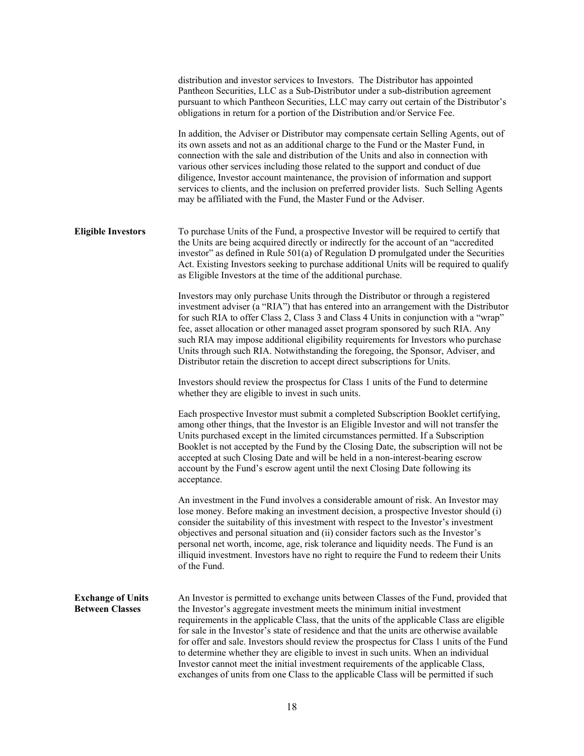|                                                    | distribution and investor services to Investors. The Distributor has appointed<br>Pantheon Securities, LLC as a Sub-Distributor under a sub-distribution agreement<br>pursuant to which Pantheon Securities, LLC may carry out certain of the Distributor's<br>obligations in return for a portion of the Distribution and/or Service Fee.                                                                                                                                                                                                                                                                                                                                                                               |
|----------------------------------------------------|--------------------------------------------------------------------------------------------------------------------------------------------------------------------------------------------------------------------------------------------------------------------------------------------------------------------------------------------------------------------------------------------------------------------------------------------------------------------------------------------------------------------------------------------------------------------------------------------------------------------------------------------------------------------------------------------------------------------------|
|                                                    | In addition, the Adviser or Distributor may compensate certain Selling Agents, out of<br>its own assets and not as an additional charge to the Fund or the Master Fund, in<br>connection with the sale and distribution of the Units and also in connection with<br>various other services including those related to the support and conduct of due<br>diligence, Investor account maintenance, the provision of information and support<br>services to clients, and the inclusion on preferred provider lists. Such Selling Agents<br>may be affiliated with the Fund, the Master Fund or the Adviser.                                                                                                                 |
| <b>Eligible Investors</b>                          | To purchase Units of the Fund, a prospective Investor will be required to certify that<br>the Units are being acquired directly or indirectly for the account of an "accredited<br>investor" as defined in Rule $501(a)$ of Regulation D promulgated under the Securities<br>Act. Existing Investors seeking to purchase additional Units will be required to qualify<br>as Eligible Investors at the time of the additional purchase.                                                                                                                                                                                                                                                                                   |
|                                                    | Investors may only purchase Units through the Distributor or through a registered<br>investment adviser (a "RIA") that has entered into an arrangement with the Distributor<br>for such RIA to offer Class 2, Class 3 and Class 4 Units in conjunction with a "wrap"<br>fee, asset allocation or other managed asset program sponsored by such RIA. Any<br>such RIA may impose additional eligibility requirements for Investors who purchase<br>Units through such RIA. Notwithstanding the foregoing, the Sponsor, Adviser, and<br>Distributor retain the discretion to accept direct subscriptions for Units.                                                                                                         |
|                                                    | Investors should review the prospectus for Class 1 units of the Fund to determine<br>whether they are eligible to invest in such units.                                                                                                                                                                                                                                                                                                                                                                                                                                                                                                                                                                                  |
|                                                    | Each prospective Investor must submit a completed Subscription Booklet certifying,<br>among other things, that the Investor is an Eligible Investor and will not transfer the<br>Units purchased except in the limited circumstances permitted. If a Subscription<br>Booklet is not accepted by the Fund by the Closing Date, the subscription will not be<br>accepted at such Closing Date and will be held in a non-interest-bearing escrow<br>account by the Fund's escrow agent until the next Closing Date following its<br>acceptance.                                                                                                                                                                             |
|                                                    | An investment in the Fund involves a considerable amount of risk. An Investor may<br>lose money. Before making an investment decision, a prospective Investor should (i)<br>consider the suitability of this investment with respect to the Investor's investment<br>objectives and personal situation and (ii) consider factors such as the Investor's<br>personal net worth, income, age, risk tolerance and liquidity needs. The Fund is an<br>illiquid investment. Investors have no right to require the Fund to redeem their Units<br>of the Fund.                                                                                                                                                                 |
| <b>Exchange of Units</b><br><b>Between Classes</b> | An Investor is permitted to exchange units between Classes of the Fund, provided that<br>the Investor's aggregate investment meets the minimum initial investment<br>requirements in the applicable Class, that the units of the applicable Class are eligible<br>for sale in the Investor's state of residence and that the units are otherwise available<br>for offer and sale. Investors should review the prospectus for Class 1 units of the Fund<br>to determine whether they are eligible to invest in such units. When an individual<br>Investor cannot meet the initial investment requirements of the applicable Class,<br>exchanges of units from one Class to the applicable Class will be permitted if such |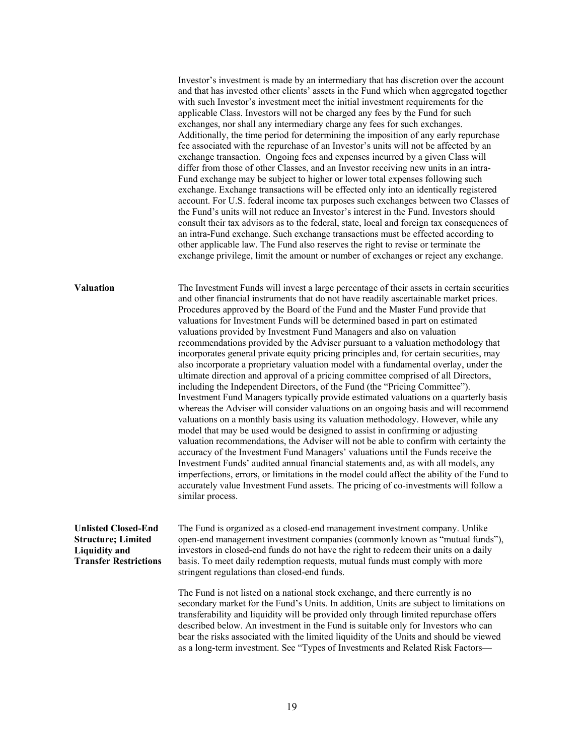Investor's investment is made by an intermediary that has discretion over the account and that has invested other clients' assets in the Fund which when aggregated together with such Investor's investment meet the initial investment requirements for the applicable Class. Investors will not be charged any fees by the Fund for such exchanges, nor shall any intermediary charge any fees for such exchanges. Additionally, the time period for determining the imposition of any early repurchase fee associated with the repurchase of an Investor's units will not be affected by an exchange transaction. Ongoing fees and expenses incurred by a given Class will differ from those of other Classes, and an Investor receiving new units in an intra-Fund exchange may be subject to higher or lower total expenses following such exchange. Exchange transactions will be effected only into an identically registered account. For U.S. federal income tax purposes such exchanges between two Classes of the Fund's units will not reduce an Investor's interest in the Fund. Investors should consult their tax advisors as to the federal, state, local and foreign tax consequences of an intra-Fund exchange. Such exchange transactions must be effected according to other applicable law. The Fund also reserves the right to revise or terminate the exchange privilege, limit the amount or number of exchanges or reject any exchange.

**Valuation** The Investment Funds will invest a large percentage of their assets in certain securities and other financial instruments that do not have readily ascertainable market prices. Procedures approved by the Board of the Fund and the Master Fund provide that valuations for Investment Funds will be determined based in part on estimated valuations provided by Investment Fund Managers and also on valuation recommendations provided by the Adviser pursuant to a valuation methodology that incorporates general private equity pricing principles and, for certain securities, may also incorporate a proprietary valuation model with a fundamental overlay, under the ultimate direction and approval of a pricing committee comprised of all Directors, including the Independent Directors, of the Fund (the "Pricing Committee"). Investment Fund Managers typically provide estimated valuations on a quarterly basis whereas the Adviser will consider valuations on an ongoing basis and will recommend valuations on a monthly basis using its valuation methodology. However, while any model that may be used would be designed to assist in confirming or adjusting valuation recommendations, the Adviser will not be able to confirm with certainty the accuracy of the Investment Fund Managers' valuations until the Funds receive the Investment Funds' audited annual financial statements and, as with all models, any imperfections, errors, or limitations in the model could affect the ability of the Fund to accurately value Investment Fund assets. The pricing of co-investments will follow a similar process.

#### **Unlisted Closed-End Structure; Limited Liquidity and Transfer Restrictions**

The Fund is organized as a closed-end management investment company. Unlike open-end management investment companies (commonly known as "mutual funds"), investors in closed-end funds do not have the right to redeem their units on a daily basis. To meet daily redemption requests, mutual funds must comply with more stringent regulations than closed-end funds.

The Fund is not listed on a national stock exchange, and there currently is no secondary market for the Fund's Units. In addition, Units are subject to limitations on transferability and liquidity will be provided only through limited repurchase offers described below. An investment in the Fund is suitable only for Investors who can bear the risks associated with the limited liquidity of the Units and should be viewed as a long-term investment. See "Types of Investments and Related Risk Factors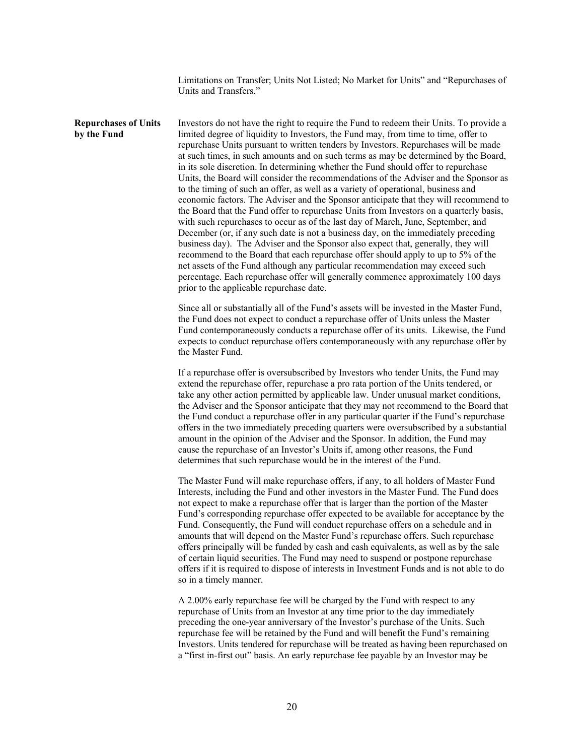Limitations on Transfer; Units Not Listed; No Market for Units" and "Repurchases of Units and Transfers."

**Repurchases of Units by the Fund**  Investors do not have the right to require the Fund to redeem their Units. To provide a limited degree of liquidity to Investors, the Fund may, from time to time, offer to repurchase Units pursuant to written tenders by Investors. Repurchases will be made at such times, in such amounts and on such terms as may be determined by the Board, in its sole discretion. In determining whether the Fund should offer to repurchase Units, the Board will consider the recommendations of the Adviser and the Sponsor as to the timing of such an offer, as well as a variety of operational, business and economic factors. The Adviser and the Sponsor anticipate that they will recommend to the Board that the Fund offer to repurchase Units from Investors on a quarterly basis, with such repurchases to occur as of the last day of March, June, September, and December (or, if any such date is not a business day, on the immediately preceding business day). The Adviser and the Sponsor also expect that, generally, they will recommend to the Board that each repurchase offer should apply to up to 5% of the net assets of the Fund although any particular recommendation may exceed such percentage. Each repurchase offer will generally commence approximately 100 days prior to the applicable repurchase date.

> Since all or substantially all of the Fund's assets will be invested in the Master Fund, the Fund does not expect to conduct a repurchase offer of Units unless the Master Fund contemporaneously conducts a repurchase offer of its units. Likewise, the Fund expects to conduct repurchase offers contemporaneously with any repurchase offer by the Master Fund.

> If a repurchase offer is oversubscribed by Investors who tender Units, the Fund may extend the repurchase offer, repurchase a pro rata portion of the Units tendered, or take any other action permitted by applicable law. Under unusual market conditions, the Adviser and the Sponsor anticipate that they may not recommend to the Board that the Fund conduct a repurchase offer in any particular quarter if the Fund's repurchase offers in the two immediately preceding quarters were oversubscribed by a substantial amount in the opinion of the Adviser and the Sponsor. In addition, the Fund may cause the repurchase of an Investor's Units if, among other reasons, the Fund determines that such repurchase would be in the interest of the Fund.

The Master Fund will make repurchase offers, if any, to all holders of Master Fund Interests, including the Fund and other investors in the Master Fund. The Fund does not expect to make a repurchase offer that is larger than the portion of the Master Fund's corresponding repurchase offer expected to be available for acceptance by the Fund. Consequently, the Fund will conduct repurchase offers on a schedule and in amounts that will depend on the Master Fund's repurchase offers. Such repurchase offers principally will be funded by cash and cash equivalents, as well as by the sale of certain liquid securities. The Fund may need to suspend or postpone repurchase offers if it is required to dispose of interests in Investment Funds and is not able to do so in a timely manner.

A 2.00% early repurchase fee will be charged by the Fund with respect to any repurchase of Units from an Investor at any time prior to the day immediately preceding the one-year anniversary of the Investor's purchase of the Units. Such repurchase fee will be retained by the Fund and will benefit the Fund's remaining Investors. Units tendered for repurchase will be treated as having been repurchased on a "first in-first out" basis. An early repurchase fee payable by an Investor may be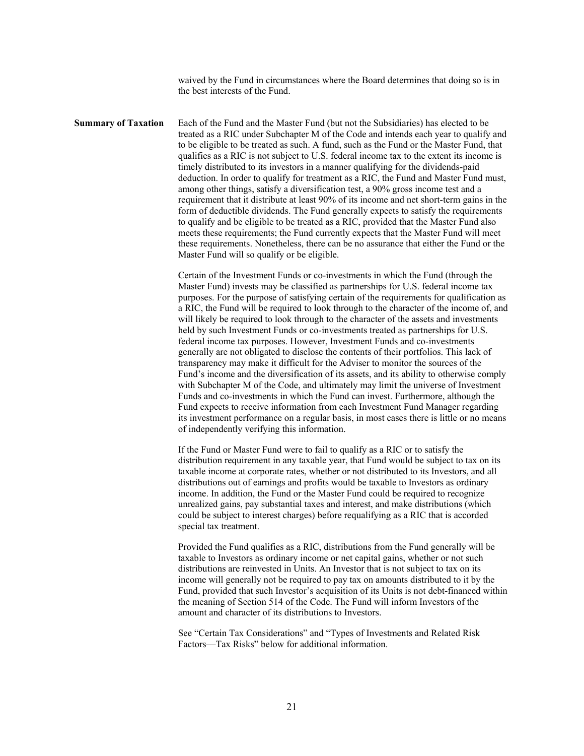waived by the Fund in circumstances where the Board determines that doing so is in the best interests of the Fund.

**Summary of Taxation** Each of the Fund and the Master Fund (but not the Subsidiaries) has elected to be treated as a RIC under Subchapter M of the Code and intends each year to qualify and to be eligible to be treated as such. A fund, such as the Fund or the Master Fund, that qualifies as a RIC is not subject to U.S. federal income tax to the extent its income is timely distributed to its investors in a manner qualifying for the dividends-paid deduction. In order to qualify for treatment as a RIC, the Fund and Master Fund must, among other things, satisfy a diversification test, a 90% gross income test and a requirement that it distribute at least 90% of its income and net short-term gains in the form of deductible dividends. The Fund generally expects to satisfy the requirements to qualify and be eligible to be treated as a RIC, provided that the Master Fund also meets these requirements; the Fund currently expects that the Master Fund will meet these requirements. Nonetheless, there can be no assurance that either the Fund or the Master Fund will so qualify or be eligible.

> Certain of the Investment Funds or co-investments in which the Fund (through the Master Fund) invests may be classified as partnerships for U.S. federal income tax purposes. For the purpose of satisfying certain of the requirements for qualification as a RIC, the Fund will be required to look through to the character of the income of, and will likely be required to look through to the character of the assets and investments held by such Investment Funds or co-investments treated as partnerships for U.S. federal income tax purposes. However, Investment Funds and co-investments generally are not obligated to disclose the contents of their portfolios. This lack of transparency may make it difficult for the Adviser to monitor the sources of the Fund's income and the diversification of its assets, and its ability to otherwise comply with Subchapter M of the Code, and ultimately may limit the universe of Investment Funds and co-investments in which the Fund can invest. Furthermore, although the Fund expects to receive information from each Investment Fund Manager regarding its investment performance on a regular basis, in most cases there is little or no means of independently verifying this information.

If the Fund or Master Fund were to fail to qualify as a RIC or to satisfy the distribution requirement in any taxable year, that Fund would be subject to tax on its taxable income at corporate rates, whether or not distributed to its Investors, and all distributions out of earnings and profits would be taxable to Investors as ordinary income. In addition, the Fund or the Master Fund could be required to recognize unrealized gains, pay substantial taxes and interest, and make distributions (which could be subject to interest charges) before requalifying as a RIC that is accorded special tax treatment.

Provided the Fund qualifies as a RIC, distributions from the Fund generally will be taxable to Investors as ordinary income or net capital gains, whether or not such distributions are reinvested in Units. An Investor that is not subject to tax on its income will generally not be required to pay tax on amounts distributed to it by the Fund, provided that such Investor's acquisition of its Units is not debt-financed within the meaning of Section 514 of the Code. The Fund will inform Investors of the amount and character of its distributions to Investors.

See "Certain Tax Considerations" and "Types of Investments and Related Risk Factors—Tax Risks" below for additional information.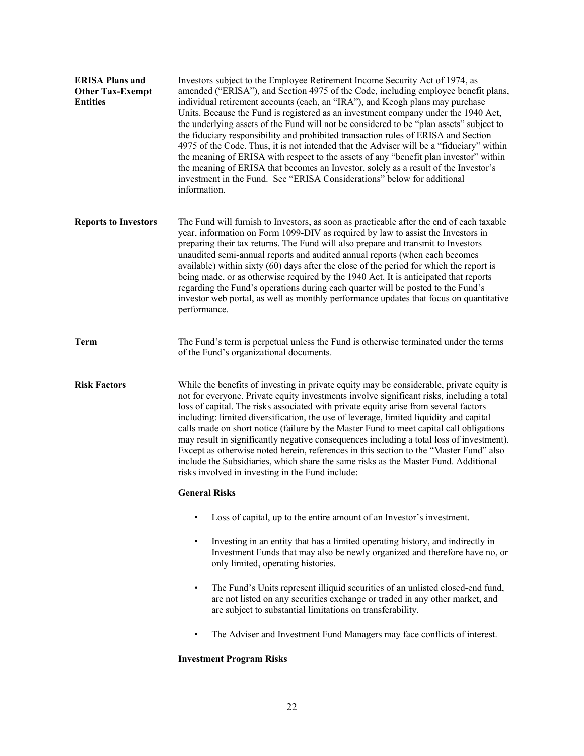| <b>ERISA Plans and</b><br><b>Other Tax-Exempt</b><br><b>Entities</b> | Investors subject to the Employee Retirement Income Security Act of 1974, as<br>amended ("ERISA"), and Section 4975 of the Code, including employee benefit plans,<br>individual retirement accounts (each, an "IRA"), and Keogh plans may purchase<br>Units. Because the Fund is registered as an investment company under the 1940 Act,<br>the underlying assets of the Fund will not be considered to be "plan assets" subject to<br>the fiduciary responsibility and prohibited transaction rules of ERISA and Section<br>4975 of the Code. Thus, it is not intended that the Adviser will be a "fiduciary" within<br>the meaning of ERISA with respect to the assets of any "benefit plan investor" within<br>the meaning of ERISA that becomes an Investor, solely as a result of the Investor's<br>investment in the Fund. See "ERISA Considerations" below for additional<br>information. |
|----------------------------------------------------------------------|---------------------------------------------------------------------------------------------------------------------------------------------------------------------------------------------------------------------------------------------------------------------------------------------------------------------------------------------------------------------------------------------------------------------------------------------------------------------------------------------------------------------------------------------------------------------------------------------------------------------------------------------------------------------------------------------------------------------------------------------------------------------------------------------------------------------------------------------------------------------------------------------------|
| <b>Reports to Investors</b>                                          | The Fund will furnish to Investors, as soon as practicable after the end of each taxable<br>year, information on Form 1099-DIV as required by law to assist the Investors in<br>preparing their tax returns. The Fund will also prepare and transmit to Investors<br>unaudited semi-annual reports and audited annual reports (when each becomes<br>available) within sixty (60) days after the close of the period for which the report is<br>being made, or as otherwise required by the 1940 Act. It is anticipated that reports<br>regarding the Fund's operations during each quarter will be posted to the Fund's<br>investor web portal, as well as monthly performance updates that focus on quantitative<br>performance.                                                                                                                                                                 |
| <b>Term</b>                                                          | The Fund's term is perpetual unless the Fund is otherwise terminated under the terms<br>of the Fund's organizational documents.                                                                                                                                                                                                                                                                                                                                                                                                                                                                                                                                                                                                                                                                                                                                                                   |
| <b>Risk Factors</b>                                                  | While the benefits of investing in private equity may be considerable, private equity is<br>not for everyone. Private equity investments involve significant risks, including a total<br>loss of capital. The risks associated with private equity arise from several factors<br>including: limited diversification, the use of leverage, limited liquidity and capital<br>calls made on short notice (failure by the Master Fund to meet capital call obligations<br>may result in significantly negative consequences including a total loss of investment).<br>Except as otherwise noted herein, references in this section to the "Master Fund" also<br>include the Subsidiaries, which share the same risks as the Master Fund. Additional<br>risks involved in investing in the Fund include:                                                                                               |
|                                                                      | <b>General Risks</b>                                                                                                                                                                                                                                                                                                                                                                                                                                                                                                                                                                                                                                                                                                                                                                                                                                                                              |
|                                                                      | Loss of capital, up to the entire amount of an Investor's investment.                                                                                                                                                                                                                                                                                                                                                                                                                                                                                                                                                                                                                                                                                                                                                                                                                             |
|                                                                      | Investing in an entity that has a limited operating history, and indirectly in<br>$\bullet$<br>Investment Funds that may also be newly organized and therefore have no, or<br>only limited, operating histories.                                                                                                                                                                                                                                                                                                                                                                                                                                                                                                                                                                                                                                                                                  |
|                                                                      | The Fund's Units represent illiquid securities of an unlisted closed-end fund,<br>٠<br>are not listed on any securities exchange or traded in any other market, and<br>are subject to substantial limitations on transferability.                                                                                                                                                                                                                                                                                                                                                                                                                                                                                                                                                                                                                                                                 |
|                                                                      | The Adviser and Investment Fund Managers may face conflicts of interest.<br>٠                                                                                                                                                                                                                                                                                                                                                                                                                                                                                                                                                                                                                                                                                                                                                                                                                     |
|                                                                      | <b>Investment Program Risks</b>                                                                                                                                                                                                                                                                                                                                                                                                                                                                                                                                                                                                                                                                                                                                                                                                                                                                   |

# 22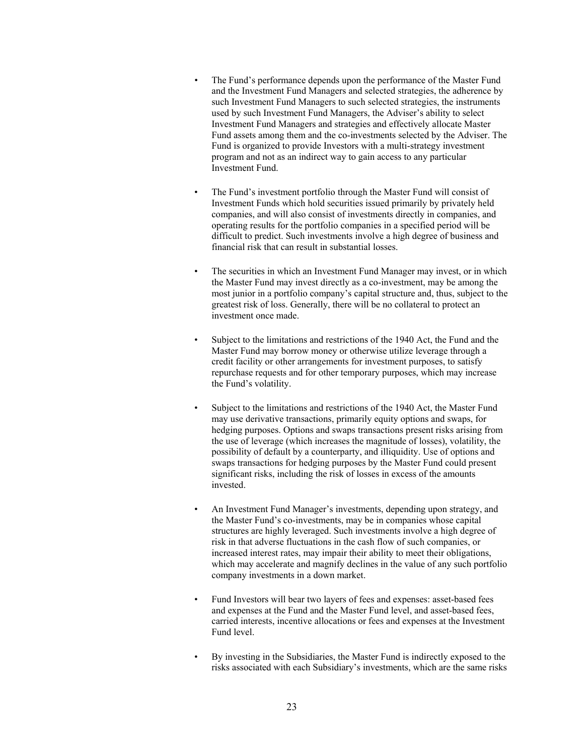- The Fund's performance depends upon the performance of the Master Fund and the Investment Fund Managers and selected strategies, the adherence by such Investment Fund Managers to such selected strategies, the instruments used by such Investment Fund Managers, the Adviser's ability to select Investment Fund Managers and strategies and effectively allocate Master Fund assets among them and the co-investments selected by the Adviser. The Fund is organized to provide Investors with a multi-strategy investment program and not as an indirect way to gain access to any particular Investment Fund.
- The Fund's investment portfolio through the Master Fund will consist of Investment Funds which hold securities issued primarily by privately held companies, and will also consist of investments directly in companies, and operating results for the portfolio companies in a specified period will be difficult to predict. Such investments involve a high degree of business and financial risk that can result in substantial losses.
- The securities in which an Investment Fund Manager may invest, or in which the Master Fund may invest directly as a co-investment, may be among the most junior in a portfolio company's capital structure and, thus, subject to the greatest risk of loss. Generally, there will be no collateral to protect an investment once made.
- Subject to the limitations and restrictions of the 1940 Act, the Fund and the Master Fund may borrow money or otherwise utilize leverage through a credit facility or other arrangements for investment purposes, to satisfy repurchase requests and for other temporary purposes, which may increase the Fund's volatility.
- Subject to the limitations and restrictions of the 1940 Act, the Master Fund may use derivative transactions, primarily equity options and swaps, for hedging purposes. Options and swaps transactions present risks arising from the use of leverage (which increases the magnitude of losses), volatility, the possibility of default by a counterparty, and illiquidity. Use of options and swaps transactions for hedging purposes by the Master Fund could present significant risks, including the risk of losses in excess of the amounts invested.
- An Investment Fund Manager's investments, depending upon strategy, and the Master Fund's co-investments, may be in companies whose capital structures are highly leveraged. Such investments involve a high degree of risk in that adverse fluctuations in the cash flow of such companies, or increased interest rates, may impair their ability to meet their obligations, which may accelerate and magnify declines in the value of any such portfolio company investments in a down market.
- Fund Investors will bear two layers of fees and expenses: asset-based fees and expenses at the Fund and the Master Fund level, and asset-based fees, carried interests, incentive allocations or fees and expenses at the Investment Fund level.
- By investing in the Subsidiaries, the Master Fund is indirectly exposed to the risks associated with each Subsidiary's investments, which are the same risks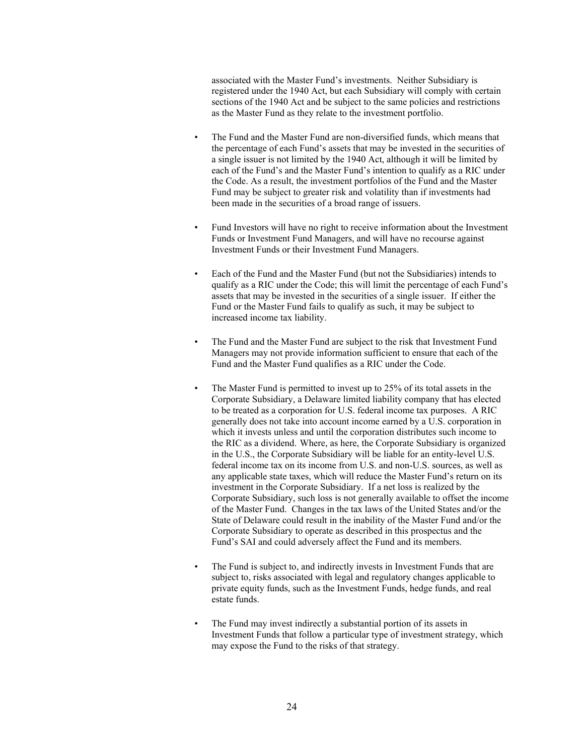associated with the Master Fund's investments. Neither Subsidiary is registered under the 1940 Act, but each Subsidiary will comply with certain sections of the 1940 Act and be subject to the same policies and restrictions as the Master Fund as they relate to the investment portfolio.

- The Fund and the Master Fund are non-diversified funds, which means that the percentage of each Fund's assets that may be invested in the securities of a single issuer is not limited by the 1940 Act, although it will be limited by each of the Fund's and the Master Fund's intention to qualify as a RIC under the Code. As a result, the investment portfolios of the Fund and the Master Fund may be subject to greater risk and volatility than if investments had been made in the securities of a broad range of issuers.
- Fund Investors will have no right to receive information about the Investment Funds or Investment Fund Managers, and will have no recourse against Investment Funds or their Investment Fund Managers.
- Each of the Fund and the Master Fund (but not the Subsidiaries) intends to qualify as a RIC under the Code; this will limit the percentage of each Fund's assets that may be invested in the securities of a single issuer. If either the Fund or the Master Fund fails to qualify as such, it may be subject to increased income tax liability.
- The Fund and the Master Fund are subject to the risk that Investment Fund Managers may not provide information sufficient to ensure that each of the Fund and the Master Fund qualifies as a RIC under the Code.
- The Master Fund is permitted to invest up to 25% of its total assets in the Corporate Subsidiary, a Delaware limited liability company that has elected to be treated as a corporation for U.S. federal income tax purposes. A RIC generally does not take into account income earned by a U.S. corporation in which it invests unless and until the corporation distributes such income to the RIC as a dividend. Where, as here, the Corporate Subsidiary is organized in the U.S., the Corporate Subsidiary will be liable for an entity-level U.S. federal income tax on its income from U.S. and non-U.S. sources, as well as any applicable state taxes, which will reduce the Master Fund's return on its investment in the Corporate Subsidiary. If a net loss is realized by the Corporate Subsidiary, such loss is not generally available to offset the income of the Master Fund. Changes in the tax laws of the United States and/or the State of Delaware could result in the inability of the Master Fund and/or the Corporate Subsidiary to operate as described in this prospectus and the Fund's SAI and could adversely affect the Fund and its members.
- The Fund is subject to, and indirectly invests in Investment Funds that are subject to, risks associated with legal and regulatory changes applicable to private equity funds, such as the Investment Funds, hedge funds, and real estate funds.
- The Fund may invest indirectly a substantial portion of its assets in Investment Funds that follow a particular type of investment strategy, which may expose the Fund to the risks of that strategy.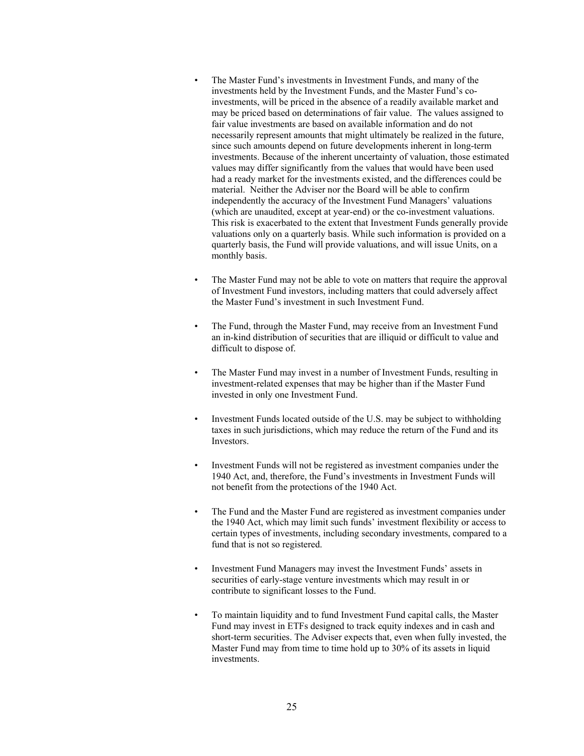- The Master Fund's investments in Investment Funds, and many of the investments held by the Investment Funds, and the Master Fund's coinvestments, will be priced in the absence of a readily available market and may be priced based on determinations of fair value. The values assigned to fair value investments are based on available information and do not necessarily represent amounts that might ultimately be realized in the future, since such amounts depend on future developments inherent in long-term investments. Because of the inherent uncertainty of valuation, those estimated values may differ significantly from the values that would have been used had a ready market for the investments existed, and the differences could be material. Neither the Adviser nor the Board will be able to confirm independently the accuracy of the Investment Fund Managers' valuations (which are unaudited, except at year-end) or the co-investment valuations. This risk is exacerbated to the extent that Investment Funds generally provide valuations only on a quarterly basis. While such information is provided on a quarterly basis, the Fund will provide valuations, and will issue Units, on a monthly basis.
- The Master Fund may not be able to vote on matters that require the approval of Investment Fund investors, including matters that could adversely affect the Master Fund's investment in such Investment Fund.
- The Fund, through the Master Fund, may receive from an Investment Fund an in-kind distribution of securities that are illiquid or difficult to value and difficult to dispose of.
- The Master Fund may invest in a number of Investment Funds, resulting in investment-related expenses that may be higher than if the Master Fund invested in only one Investment Fund.
- Investment Funds located outside of the U.S. may be subject to withholding taxes in such jurisdictions, which may reduce the return of the Fund and its Investors.
- Investment Funds will not be registered as investment companies under the 1940 Act, and, therefore, the Fund's investments in Investment Funds will not benefit from the protections of the 1940 Act.
- The Fund and the Master Fund are registered as investment companies under the 1940 Act, which may limit such funds' investment flexibility or access to certain types of investments, including secondary investments, compared to a fund that is not so registered.
- Investment Fund Managers may invest the Investment Funds' assets in securities of early-stage venture investments which may result in or contribute to significant losses to the Fund.
- To maintain liquidity and to fund Investment Fund capital calls, the Master Fund may invest in ETFs designed to track equity indexes and in cash and short-term securities. The Adviser expects that, even when fully invested, the Master Fund may from time to time hold up to 30% of its assets in liquid investments.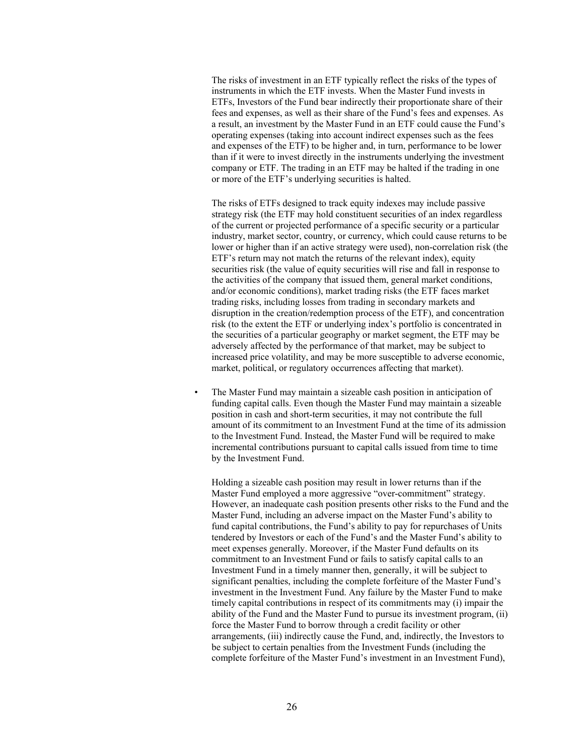The risks of investment in an ETF typically reflect the risks of the types of instruments in which the ETF invests. When the Master Fund invests in ETFs, Investors of the Fund bear indirectly their proportionate share of their fees and expenses, as well as their share of the Fund's fees and expenses. As a result, an investment by the Master Fund in an ETF could cause the Fund's operating expenses (taking into account indirect expenses such as the fees and expenses of the ETF) to be higher and, in turn, performance to be lower than if it were to invest directly in the instruments underlying the investment company or ETF. The trading in an ETF may be halted if the trading in one or more of the ETF's underlying securities is halted.

The risks of ETFs designed to track equity indexes may include passive strategy risk (the ETF may hold constituent securities of an index regardless of the current or projected performance of a specific security or a particular industry, market sector, country, or currency, which could cause returns to be lower or higher than if an active strategy were used), non-correlation risk (the ETF's return may not match the returns of the relevant index), equity securities risk (the value of equity securities will rise and fall in response to the activities of the company that issued them, general market conditions, and/or economic conditions), market trading risks (the ETF faces market trading risks, including losses from trading in secondary markets and disruption in the creation/redemption process of the ETF), and concentration risk (to the extent the ETF or underlying index's portfolio is concentrated in the securities of a particular geography or market segment, the ETF may be adversely affected by the performance of that market, may be subject to increased price volatility, and may be more susceptible to adverse economic, market, political, or regulatory occurrences affecting that market).

The Master Fund may maintain a sizeable cash position in anticipation of funding capital calls. Even though the Master Fund may maintain a sizeable position in cash and short-term securities, it may not contribute the full amount of its commitment to an Investment Fund at the time of its admission to the Investment Fund. Instead, the Master Fund will be required to make incremental contributions pursuant to capital calls issued from time to time by the Investment Fund.

Holding a sizeable cash position may result in lower returns than if the Master Fund employed a more aggressive "over-commitment" strategy. However, an inadequate cash position presents other risks to the Fund and the Master Fund, including an adverse impact on the Master Fund's ability to fund capital contributions, the Fund's ability to pay for repurchases of Units tendered by Investors or each of the Fund's and the Master Fund's ability to meet expenses generally. Moreover, if the Master Fund defaults on its commitment to an Investment Fund or fails to satisfy capital calls to an Investment Fund in a timely manner then, generally, it will be subject to significant penalties, including the complete forfeiture of the Master Fund's investment in the Investment Fund. Any failure by the Master Fund to make timely capital contributions in respect of its commitments may (i) impair the ability of the Fund and the Master Fund to pursue its investment program, (ii) force the Master Fund to borrow through a credit facility or other arrangements, (iii) indirectly cause the Fund, and, indirectly, the Investors to be subject to certain penalties from the Investment Funds (including the complete forfeiture of the Master Fund's investment in an Investment Fund),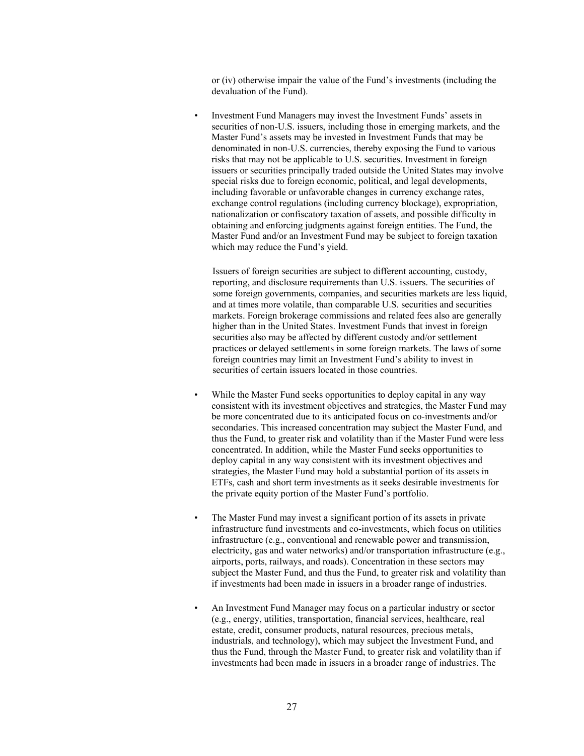or (iv) otherwise impair the value of the Fund's investments (including the devaluation of the Fund).

• Investment Fund Managers may invest the Investment Funds' assets in securities of non-U.S. issuers, including those in emerging markets, and the Master Fund's assets may be invested in Investment Funds that may be denominated in non-U.S. currencies, thereby exposing the Fund to various risks that may not be applicable to U.S. securities. Investment in foreign issuers or securities principally traded outside the United States may involve special risks due to foreign economic, political, and legal developments, including favorable or unfavorable changes in currency exchange rates, exchange control regulations (including currency blockage), expropriation, nationalization or confiscatory taxation of assets, and possible difficulty in obtaining and enforcing judgments against foreign entities. The Fund, the Master Fund and/or an Investment Fund may be subject to foreign taxation which may reduce the Fund's yield.

Issuers of foreign securities are subject to different accounting, custody, reporting, and disclosure requirements than U.S. issuers. The securities of some foreign governments, companies, and securities markets are less liquid, and at times more volatile, than comparable U.S. securities and securities markets. Foreign brokerage commissions and related fees also are generally higher than in the United States. Investment Funds that invest in foreign securities also may be affected by different custody and/or settlement practices or delayed settlements in some foreign markets. The laws of some foreign countries may limit an Investment Fund's ability to invest in securities of certain issuers located in those countries.

- While the Master Fund seeks opportunities to deploy capital in any way consistent with its investment objectives and strategies, the Master Fund may be more concentrated due to its anticipated focus on co-investments and/or secondaries. This increased concentration may subject the Master Fund, and thus the Fund, to greater risk and volatility than if the Master Fund were less concentrated. In addition, while the Master Fund seeks opportunities to deploy capital in any way consistent with its investment objectives and strategies, the Master Fund may hold a substantial portion of its assets in ETFs, cash and short term investments as it seeks desirable investments for the private equity portion of the Master Fund's portfolio.
- The Master Fund may invest a significant portion of its assets in private infrastructure fund investments and co-investments, which focus on utilities infrastructure (e.g., conventional and renewable power and transmission, electricity, gas and water networks) and/or transportation infrastructure (e.g., airports, ports, railways, and roads). Concentration in these sectors may subject the Master Fund, and thus the Fund, to greater risk and volatility than if investments had been made in issuers in a broader range of industries.
- An Investment Fund Manager may focus on a particular industry or sector (e.g., energy, utilities, transportation, financial services, healthcare, real estate, credit, consumer products, natural resources, precious metals, industrials, and technology), which may subject the Investment Fund, and thus the Fund, through the Master Fund, to greater risk and volatility than if investments had been made in issuers in a broader range of industries. The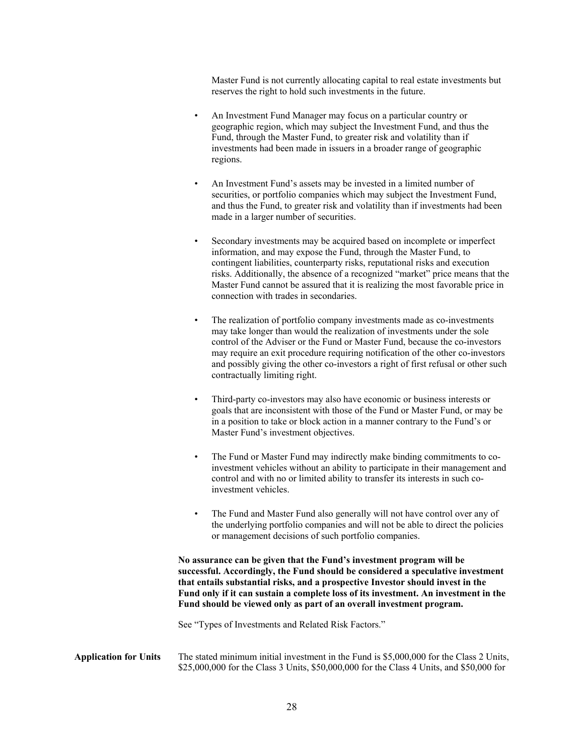Master Fund is not currently allocating capital to real estate investments but reserves the right to hold such investments in the future.

- An Investment Fund Manager may focus on a particular country or geographic region, which may subject the Investment Fund, and thus the Fund, through the Master Fund, to greater risk and volatility than if investments had been made in issuers in a broader range of geographic regions.
- An Investment Fund's assets may be invested in a limited number of securities, or portfolio companies which may subject the Investment Fund, and thus the Fund, to greater risk and volatility than if investments had been made in a larger number of securities.
- Secondary investments may be acquired based on incomplete or imperfect information, and may expose the Fund, through the Master Fund, to contingent liabilities, counterparty risks, reputational risks and execution risks. Additionally, the absence of a recognized "market" price means that the Master Fund cannot be assured that it is realizing the most favorable price in connection with trades in secondaries.
- The realization of portfolio company investments made as co-investments may take longer than would the realization of investments under the sole control of the Adviser or the Fund or Master Fund, because the co-investors may require an exit procedure requiring notification of the other co-investors and possibly giving the other co-investors a right of first refusal or other such contractually limiting right.
- Third-party co-investors may also have economic or business interests or goals that are inconsistent with those of the Fund or Master Fund, or may be in a position to take or block action in a manner contrary to the Fund's or Master Fund's investment objectives.
- The Fund or Master Fund may indirectly make binding commitments to coinvestment vehicles without an ability to participate in their management and control and with no or limited ability to transfer its interests in such coinvestment vehicles.
- The Fund and Master Fund also generally will not have control over any of the underlying portfolio companies and will not be able to direct the policies or management decisions of such portfolio companies.

**No assurance can be given that the Fund's investment program will be successful. Accordingly, the Fund should be considered a speculative investment that entails substantial risks, and a prospective Investor should invest in the Fund only if it can sustain a complete loss of its investment. An investment in the Fund should be viewed only as part of an overall investment program.**

See "Types of Investments and Related Risk Factors."

**Application for Units** The stated minimum initial investment in the Fund is \$5,000,000 for the Class 2 Units, \$25,000,000 for the Class 3 Units, \$50,000,000 for the Class 4 Units, and \$50,000 for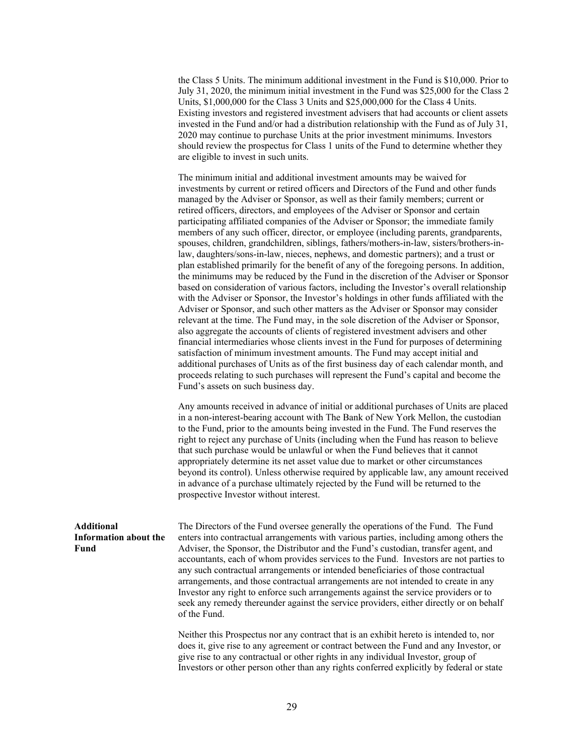the Class 5 Units. The minimum additional investment in the Fund is \$10,000. Prior to July 31, 2020, the minimum initial investment in the Fund was \$25,000 for the Class 2 Units, \$1,000,000 for the Class 3 Units and \$25,000,000 for the Class 4 Units. Existing investors and registered investment advisers that had accounts or client assets invested in the Fund and/or had a distribution relationship with the Fund as of July 31, 2020 may continue to purchase Units at the prior investment minimums. Investors should review the prospectus for Class 1 units of the Fund to determine whether they are eligible to invest in such units.

The minimum initial and additional investment amounts may be waived for investments by current or retired officers and Directors of the Fund and other funds managed by the Adviser or Sponsor, as well as their family members; current or retired officers, directors, and employees of the Adviser or Sponsor and certain participating affiliated companies of the Adviser or Sponsor; the immediate family members of any such officer, director, or employee (including parents, grandparents, spouses, children, grandchildren, siblings, fathers/mothers-in-law, sisters/brothers-inlaw, daughters/sons-in-law, nieces, nephews, and domestic partners); and a trust or plan established primarily for the benefit of any of the foregoing persons. In addition, the minimums may be reduced by the Fund in the discretion of the Adviser or Sponsor based on consideration of various factors, including the Investor's overall relationship with the Adviser or Sponsor, the Investor's holdings in other funds affiliated with the Adviser or Sponsor, and such other matters as the Adviser or Sponsor may consider relevant at the time. The Fund may, in the sole discretion of the Adviser or Sponsor, also aggregate the accounts of clients of registered investment advisers and other financial intermediaries whose clients invest in the Fund for purposes of determining satisfaction of minimum investment amounts. The Fund may accept initial and additional purchases of Units as of the first business day of each calendar month, and proceeds relating to such purchases will represent the Fund's capital and become the Fund's assets on such business day.

Any amounts received in advance of initial or additional purchases of Units are placed in a non-interest-bearing account with The Bank of New York Mellon, the custodian to the Fund, prior to the amounts being invested in the Fund. The Fund reserves the right to reject any purchase of Units (including when the Fund has reason to believe that such purchase would be unlawful or when the Fund believes that it cannot appropriately determine its net asset value due to market or other circumstances beyond its control). Unless otherwise required by applicable law, any amount received in advance of a purchase ultimately rejected by the Fund will be returned to the prospective Investor without interest.

**Additional Information about the Fund**  The Directors of the Fund oversee generally the operations of the Fund. The Fund enters into contractual arrangements with various parties, including among others the Adviser, the Sponsor, the Distributor and the Fund's custodian, transfer agent, and accountants, each of whom provides services to the Fund. Investors are not parties to any such contractual arrangements or intended beneficiaries of those contractual arrangements, and those contractual arrangements are not intended to create in any Investor any right to enforce such arrangements against the service providers or to seek any remedy thereunder against the service providers, either directly or on behalf of the Fund.

> Neither this Prospectus nor any contract that is an exhibit hereto is intended to, nor does it, give rise to any agreement or contract between the Fund and any Investor, or give rise to any contractual or other rights in any individual Investor, group of Investors or other person other than any rights conferred explicitly by federal or state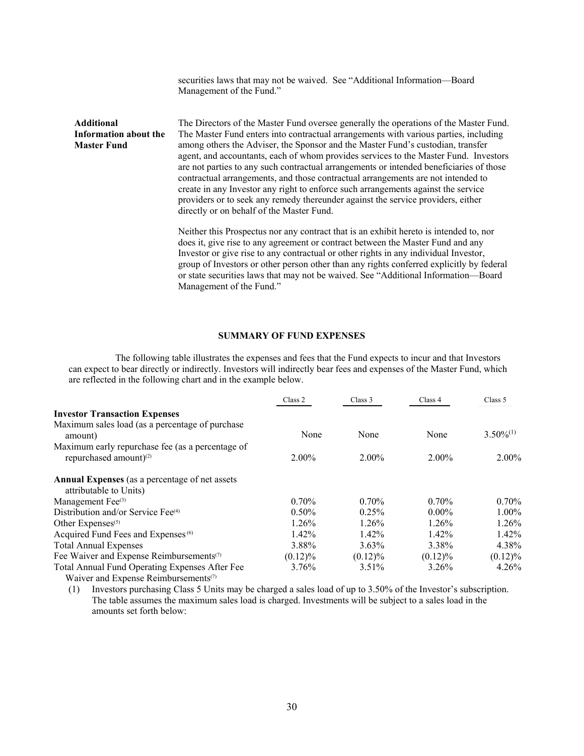|                                                                  | securities laws that may not be waived. See "Additional Information-Board<br>Management of the Fund."                                                                                                                                                                                                                                                                                                                                                                                                                                                                                                                                                                                                                                                         |
|------------------------------------------------------------------|---------------------------------------------------------------------------------------------------------------------------------------------------------------------------------------------------------------------------------------------------------------------------------------------------------------------------------------------------------------------------------------------------------------------------------------------------------------------------------------------------------------------------------------------------------------------------------------------------------------------------------------------------------------------------------------------------------------------------------------------------------------|
| <b>Additional</b><br>Information about the<br><b>Master Fund</b> | The Directors of the Master Fund oversee generally the operations of the Master Fund.<br>The Master Fund enters into contractual arrangements with various parties, including<br>among others the Adviser, the Sponsor and the Master Fund's custodian, transfer<br>agent, and accountants, each of whom provides services to the Master Fund. Investors<br>are not parties to any such contractual arrangements or intended beneficiaries of those<br>contractual arrangements, and those contractual arrangements are not intended to<br>create in any Investor any right to enforce such arrangements against the service<br>providers or to seek any remedy thereunder against the service providers, either<br>directly or on behalf of the Master Fund. |
|                                                                  | Neither this Prospectus nor any contract that is an exhibit hereto is intended to, nor<br>does it, give rise to any agreement or contract between the Master Fund and any<br>Investor or give rise to any contractual or other rights in any individual Investor,<br>group of Investors or other person other than any rights conferred explicitly by federal<br>or state securities laws that may not be waived. See "Additional Information-Board<br>Management of the Fund."                                                                                                                                                                                                                                                                               |

### **SUMMARY OF FUND EXPENSES**

The following table illustrates the expenses and fees that the Fund expects to incur and that Investors can expect to bear directly or indirectly. Investors will indirectly bear fees and expenses of the Master Fund, which are reflected in the following chart and in the example below.

|                                                                                                                                                                                                                                                                                                                                                                                       | Class 2    | Class 3    | Class 4    | Class 5        |
|---------------------------------------------------------------------------------------------------------------------------------------------------------------------------------------------------------------------------------------------------------------------------------------------------------------------------------------------------------------------------------------|------------|------------|------------|----------------|
| <b>Investor Transaction Expenses</b>                                                                                                                                                                                                                                                                                                                                                  |            |            |            |                |
| Maximum sales load (as a percentage of purchase<br>amount)                                                                                                                                                                                                                                                                                                                            | None       | None       | None       | $3.50\%^{(1)}$ |
| Maximum early repurchase fee (as a percentage of<br>repurchased amount) <sup>(2)</sup>                                                                                                                                                                                                                                                                                                | $2.00\%$   | 2.00%      | $2.00\%$   | $2.00\%$       |
| <b>Annual Expenses</b> (as a percentage of net assets<br>attributable to Units)                                                                                                                                                                                                                                                                                                       |            |            |            |                |
| Management Fee <sup>(3)</sup>                                                                                                                                                                                                                                                                                                                                                         | $0.70\%$   | $0.70\%$   | $0.70\%$   | $0.70\%$       |
| Distribution and/or Service Fee <sup>(4)</sup>                                                                                                                                                                                                                                                                                                                                        | $0.50\%$   | 0.25%      | $0.00\%$   | $1.00\%$       |
| Other Expenses $(5)$                                                                                                                                                                                                                                                                                                                                                                  | 1.26%      | 1.26%      | 1.26%      | 1.26%          |
| Acquired Fund Fees and Expenses <sup>(6)</sup>                                                                                                                                                                                                                                                                                                                                        | 1.42%      | $1.42\%$   | 1.42%      | $1.42\%$       |
| <b>Total Annual Expenses</b>                                                                                                                                                                                                                                                                                                                                                          | 3.88%      | $3.63\%$   | 3.38%      | 4.38%          |
| Fee Waiver and Expense Reimbursements <sup>(7)</sup>                                                                                                                                                                                                                                                                                                                                  | $(0.12)\%$ | $(0.12)\%$ | $(0.12)\%$ | $(0.12)\%$     |
| Total Annual Fund Operating Expenses After Fee<br>$\mathbf{W}$ . $\mathbf{H}$ $\mathbf{H}$ $\mathbf{H}$ $\mathbf{H}$ $\mathbf{H}$ $\mathbf{H}$ $\mathbf{H}$ $\mathbf{H}$ $\mathbf{H}$ $\mathbf{H}$ $\mathbf{H}$ $\mathbf{H}$ $\mathbf{H}$ $\mathbf{H}$ $\mathbf{H}$ $\mathbf{H}$ $\mathbf{H}$ $\mathbf{H}$ $\mathbf{H}$ $\mathbf{H}$ $\mathbf{H}$ $\mathbf{H}$ $\mathbf{H}$ $\mathbf$ | 3.76%      | $3.51\%$   | 3.26%      | 4.26%          |

Waiver and Expense Reimbursements<sup>(7)</sup>

(1) Investors purchasing Class 5 Units may be charged a sales load of up to 3.50% of the Investor's subscription. The table assumes the maximum sales load is charged. Investments will be subject to a sales load in the amounts set forth below: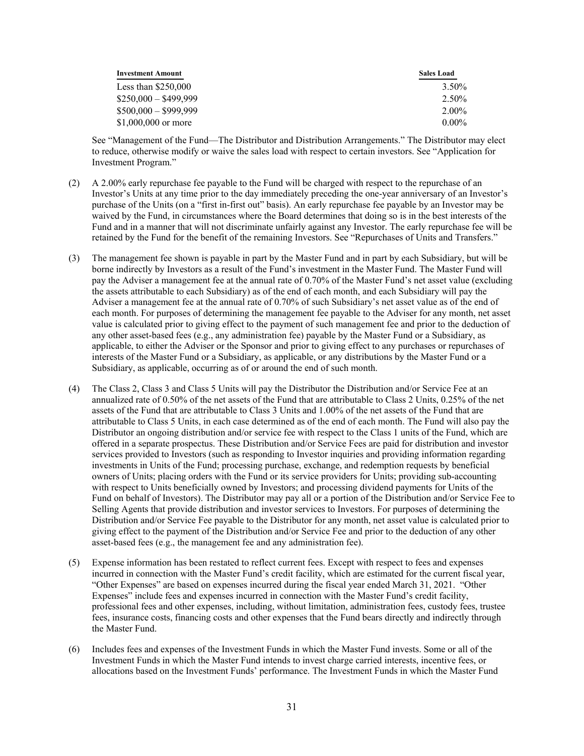| <b>Investment Amount</b> | <b>Sales Load</b> |
|--------------------------|-------------------|
| Less than $$250,000$     | 3.50%             |
| $$250,000 - $499,999$    | 2.50%             |
| $$500,000 - $999,999$    | $2.00\%$          |
| \$1,000,000 or more      | $0.00\%$          |

See "Management of the Fund—The Distributor and Distribution Arrangements." The Distributor may elect to reduce, otherwise modify or waive the sales load with respect to certain investors. See "Application for Investment Program."

- (2) A 2.00% early repurchase fee payable to the Fund will be charged with respect to the repurchase of an Investor's Units at any time prior to the day immediately preceding the one-year anniversary of an Investor's purchase of the Units (on a "first in-first out" basis). An early repurchase fee payable by an Investor may be waived by the Fund, in circumstances where the Board determines that doing so is in the best interests of the Fund and in a manner that will not discriminate unfairly against any Investor. The early repurchase fee will be retained by the Fund for the benefit of the remaining Investors. See "Repurchases of Units and Transfers."
- (3) The management fee shown is payable in part by the Master Fund and in part by each Subsidiary, but will be borne indirectly by Investors as a result of the Fund's investment in the Master Fund. The Master Fund will pay the Adviser a management fee at the annual rate of 0.70% of the Master Fund's net asset value (excluding the assets attributable to each Subsidiary) as of the end of each month, and each Subsidiary will pay the Adviser a management fee at the annual rate of 0.70% of such Subsidiary's net asset value as of the end of each month. For purposes of determining the management fee payable to the Adviser for any month, net asset value is calculated prior to giving effect to the payment of such management fee and prior to the deduction of any other asset-based fees (e.g., any administration fee) payable by the Master Fund or a Subsidiary, as applicable, to either the Adviser or the Sponsor and prior to giving effect to any purchases or repurchases of interests of the Master Fund or a Subsidiary, as applicable, or any distributions by the Master Fund or a Subsidiary, as applicable, occurring as of or around the end of such month.
- (4) The Class 2, Class 3 and Class 5 Units will pay the Distributor the Distribution and/or Service Fee at an annualized rate of 0.50% of the net assets of the Fund that are attributable to Class 2 Units, 0.25% of the net assets of the Fund that are attributable to Class 3 Units and 1.00% of the net assets of the Fund that are attributable to Class 5 Units, in each case determined as of the end of each month. The Fund will also pay the Distributor an ongoing distribution and/or service fee with respect to the Class 1 units of the Fund, which are offered in a separate prospectus. These Distribution and/or Service Fees are paid for distribution and investor services provided to Investors (such as responding to Investor inquiries and providing information regarding investments in Units of the Fund; processing purchase, exchange, and redemption requests by beneficial owners of Units; placing orders with the Fund or its service providers for Units; providing sub-accounting with respect to Units beneficially owned by Investors; and processing dividend payments for Units of the Fund on behalf of Investors). The Distributor may pay all or a portion of the Distribution and/or Service Fee to Selling Agents that provide distribution and investor services to Investors. For purposes of determining the Distribution and/or Service Fee payable to the Distributor for any month, net asset value is calculated prior to giving effect to the payment of the Distribution and/or Service Fee and prior to the deduction of any other asset-based fees (e.g., the management fee and any administration fee).
- (5) Expense information has been restated to reflect current fees. Except with respect to fees and expenses incurred in connection with the Master Fund's credit facility, which are estimated for the current fiscal year, "Other Expenses" are based on expenses incurred during the fiscal year ended March 31, 2021. "Other Expenses" include fees and expenses incurred in connection with the Master Fund's credit facility, professional fees and other expenses, including, without limitation, administration fees, custody fees, trustee fees, insurance costs, financing costs and other expenses that the Fund bears directly and indirectly through the Master Fund.
- (6) Includes fees and expenses of the Investment Funds in which the Master Fund invests. Some or all of the Investment Funds in which the Master Fund intends to invest charge carried interests, incentive fees, or allocations based on the Investment Funds' performance. The Investment Funds in which the Master Fund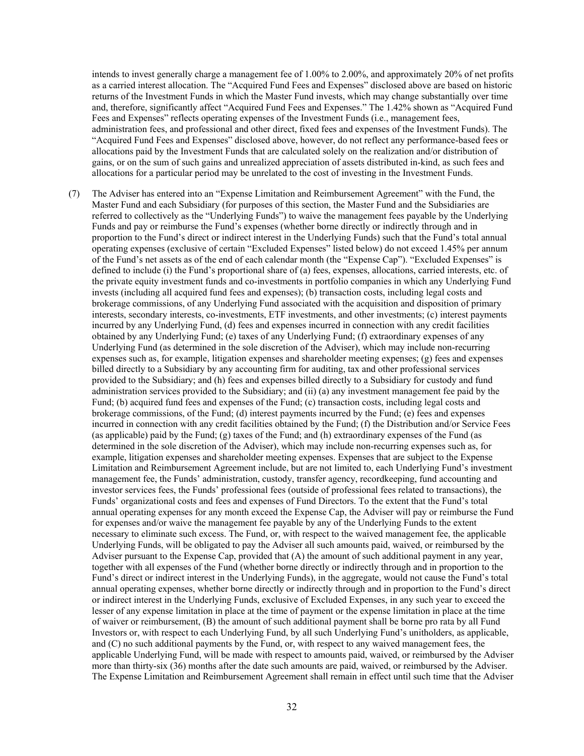intends to invest generally charge a management fee of 1.00% to 2.00%, and approximately 20% of net profits as a carried interest allocation. The "Acquired Fund Fees and Expenses" disclosed above are based on historic returns of the Investment Funds in which the Master Fund invests, which may change substantially over time and, therefore, significantly affect "Acquired Fund Fees and Expenses." The 1.42% shown as "Acquired Fund Fees and Expenses" reflects operating expenses of the Investment Funds (i.e., management fees, administration fees, and professional and other direct, fixed fees and expenses of the Investment Funds). The "Acquired Fund Fees and Expenses" disclosed above, however, do not reflect any performance-based fees or allocations paid by the Investment Funds that are calculated solely on the realization and/or distribution of gains, or on the sum of such gains and unrealized appreciation of assets distributed in-kind, as such fees and allocations for a particular period may be unrelated to the cost of investing in the Investment Funds.

(7) The Adviser has entered into an "Expense Limitation and Reimbursement Agreement" with the Fund, the Master Fund and each Subsidiary (for purposes of this section, the Master Fund and the Subsidiaries are referred to collectively as the "Underlying Funds") to waive the management fees payable by the Underlying Funds and pay or reimburse the Fund's expenses (whether borne directly or indirectly through and in proportion to the Fund's direct or indirect interest in the Underlying Funds) such that the Fund's total annual operating expenses (exclusive of certain "Excluded Expenses" listed below) do not exceed 1.45% per annum of the Fund's net assets as of the end of each calendar month (the "Expense Cap"). "Excluded Expenses" is defined to include (i) the Fund's proportional share of (a) fees, expenses, allocations, carried interests, etc. of the private equity investment funds and co-investments in portfolio companies in which any Underlying Fund invests (including all acquired fund fees and expenses); (b) transaction costs, including legal costs and brokerage commissions, of any Underlying Fund associated with the acquisition and disposition of primary interests, secondary interests, co-investments, ETF investments, and other investments; (c) interest payments incurred by any Underlying Fund, (d) fees and expenses incurred in connection with any credit facilities obtained by any Underlying Fund; (e) taxes of any Underlying Fund; (f) extraordinary expenses of any Underlying Fund (as determined in the sole discretion of the Adviser), which may include non-recurring expenses such as, for example, litigation expenses and shareholder meeting expenses; (g) fees and expenses billed directly to a Subsidiary by any accounting firm for auditing, tax and other professional services provided to the Subsidiary; and (h) fees and expenses billed directly to a Subsidiary for custody and fund administration services provided to the Subsidiary; and (ii) (a) any investment management fee paid by the Fund; (b) acquired fund fees and expenses of the Fund; (c) transaction costs, including legal costs and brokerage commissions, of the Fund; (d) interest payments incurred by the Fund; (e) fees and expenses incurred in connection with any credit facilities obtained by the Fund; (f) the Distribution and/or Service Fees (as applicable) paid by the Fund; (g) taxes of the Fund; and (h) extraordinary expenses of the Fund (as determined in the sole discretion of the Adviser), which may include non-recurring expenses such as, for example, litigation expenses and shareholder meeting expenses. Expenses that are subject to the Expense Limitation and Reimbursement Agreement include, but are not limited to, each Underlying Fund's investment management fee, the Funds' administration, custody, transfer agency, recordkeeping, fund accounting and investor services fees, the Funds' professional fees (outside of professional fees related to transactions), the Funds' organizational costs and fees and expenses of Fund Directors. To the extent that the Fund's total annual operating expenses for any month exceed the Expense Cap, the Adviser will pay or reimburse the Fund for expenses and/or waive the management fee payable by any of the Underlying Funds to the extent necessary to eliminate such excess. The Fund, or, with respect to the waived management fee, the applicable Underlying Funds, will be obligated to pay the Adviser all such amounts paid, waived, or reimbursed by the Adviser pursuant to the Expense Cap, provided that (A) the amount of such additional payment in any year, together with all expenses of the Fund (whether borne directly or indirectly through and in proportion to the Fund's direct or indirect interest in the Underlying Funds), in the aggregate, would not cause the Fund's total annual operating expenses, whether borne directly or indirectly through and in proportion to the Fund's direct or indirect interest in the Underlying Funds, exclusive of Excluded Expenses, in any such year to exceed the lesser of any expense limitation in place at the time of payment or the expense limitation in place at the time of waiver or reimbursement, (B) the amount of such additional payment shall be borne pro rata by all Fund Investors or, with respect to each Underlying Fund, by all such Underlying Fund's unitholders, as applicable, and (C) no such additional payments by the Fund, or, with respect to any waived management fees, the applicable Underlying Fund, will be made with respect to amounts paid, waived, or reimbursed by the Adviser more than thirty-six (36) months after the date such amounts are paid, waived, or reimbursed by the Adviser. The Expense Limitation and Reimbursement Agreement shall remain in effect until such time that the Adviser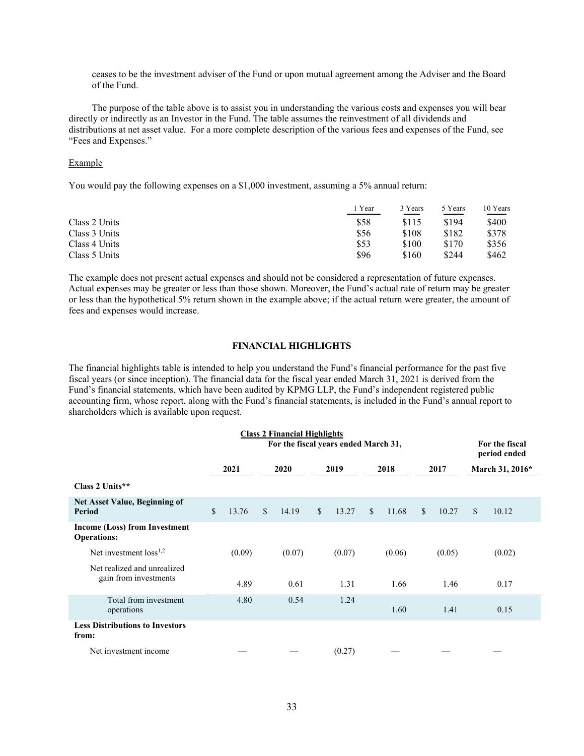ceases to be the investment adviser of the Fund or upon mutual agreement among the Adviser and the Board of the Fund.

The purpose of the table above is to assist you in understanding the various costs and expenses you will bear directly or indirectly as an Investor in the Fund. The table assumes the reinvestment of all dividends and distributions at net asset value. For a more complete description of the various fees and expenses of the Fund, see "Fees and Expenses."

#### Example

You would pay the following expenses on a \$1,000 investment, assuming a 5% annual return:

|               | ı Year | 3 Years | 5 Years | 10 Years |
|---------------|--------|---------|---------|----------|
| Class 2 Units | \$58   | \$115   | \$194   | \$400    |
| Class 3 Units | \$56   | \$108   | \$182   | \$378    |
| Class 4 Units | \$53   | \$100   | \$170   | \$356    |
| Class 5 Units | \$96   | \$160   | \$244   | \$462    |

The example does not present actual expenses and should not be considered a representation of future expenses. Actual expenses may be greater or less than those shown. Moreover, the Fund's actual rate of return may be greater or less than the hypothetical 5% return shown in the example above; if the actual return were greater, the amount of fees and expenses would increase.

#### **FINANCIAL HIGHLIGHTS**

The financial highlights table is intended to help you understand the Fund's financial performance for the past five fiscal years (or since inception). The financial data for the fiscal year ended March 31, 2021 is derived from the Fund's financial statements, which have been audited by KPMG LLP, the Fund's independent registered public accounting firm, whose report, along with the Fund's financial statements, is included in the Fund's annual report to shareholders which is available upon request.

| <b>Class 2 Financial Highlights</b>                  |                                      |        |               |        |               |        |              |        |              |        |                                |                 |
|------------------------------------------------------|--------------------------------------|--------|---------------|--------|---------------|--------|--------------|--------|--------------|--------|--------------------------------|-----------------|
|                                                      | For the fiscal years ended March 31, |        |               |        |               |        |              |        |              |        | For the fiscal<br>period ended |                 |
|                                                      |                                      | 2021   | 2020          |        | 2019          |        | 2018         |        | 2017         |        |                                | March 31, 2016* |
| Class 2 Units**                                      |                                      |        |               |        |               |        |              |        |              |        |                                |                 |
| Net Asset Value, Beginning of<br>Period              | $\mathcal{S}$                        | 13.76  | $\mathcal{S}$ | 14.19  | $\mathcal{S}$ | 13.27  | $\mathbb{S}$ | 11.68  | $\mathbb{S}$ | 10.27  | $\mathbb{S}$                   | 10.12           |
| Income (Loss) from Investment<br><b>Operations:</b>  |                                      |        |               |        |               |        |              |        |              |        |                                |                 |
| Net investment $loss1,2$                             |                                      | (0.09) |               | (0.07) |               | (0.07) |              | (0.06) |              | (0.05) |                                | (0.02)          |
| Net realized and unrealized<br>gain from investments |                                      | 4.89   |               | 0.61   |               | 1.31   |              | 1.66   |              | 1.46   |                                | 0.17            |
| Total from investment<br>operations                  |                                      | 4.80   |               | 0.54   |               | 1.24   |              | 1.60   |              | 1.41   |                                | 0.15            |
| <b>Less Distributions to Investors</b><br>from:      |                                      |        |               |        |               |        |              |        |              |        |                                |                 |
| Net investment income                                |                                      |        |               |        |               | (0.27) |              |        |              |        |                                |                 |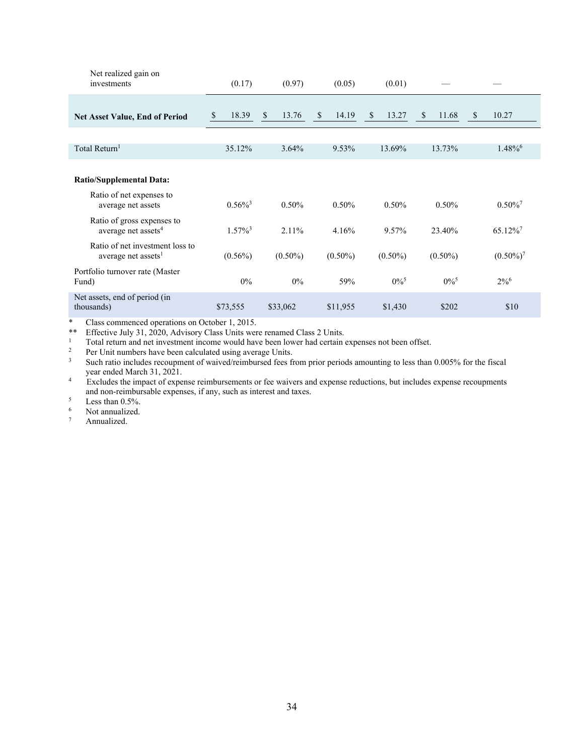| Net realized gain on<br>investments                                | (0.17)                | (0.97)                | (0.05)                | (0.01)             |                        |                       |
|--------------------------------------------------------------------|-----------------------|-----------------------|-----------------------|--------------------|------------------------|-----------------------|
| <b>Net Asset Value, End of Period</b>                              | 18.39<br>\$           | $\mathbb{S}$<br>13.76 | $\mathbb{S}$<br>14.19 | \$<br>13.27        | $\mathcal{S}$<br>11.68 | $\mathbb{S}$<br>10.27 |
|                                                                    |                       |                       |                       |                    |                        |                       |
| Total Return <sup>1</sup>                                          | 35.12%                | 3.64%                 | 9.53%                 | 13.69%             | 13.73%                 | $1.48\%$ <sup>6</sup> |
| <b>Ratio/Supplemental Data:</b>                                    |                       |                       |                       |                    |                        |                       |
| Ratio of net expenses to<br>average net assets                     | $0.56\%$ <sup>3</sup> | $0.50\%$              | 0.50%                 | 0.50%              | $0.50\%$               | $0.50\%$ <sup>7</sup> |
| Ratio of gross expenses to<br>average net assets <sup>4</sup>      | $1.57\%$ <sup>3</sup> | $2.11\%$              | 4.16%                 | 9.57%              | 23.40%                 | 65.12%                |
| Ratio of net investment loss to<br>average net assets <sup>1</sup> | $(0.56\%)$            | $(0.50\%)$            | $(0.50\%)$            | $(0.50\%)$         | $(0.50\%)$             | $(0.50\%)^7$          |
| Portfolio turnover rate (Master<br>Fund)                           | $0\%$                 | $0\%$                 | 59%                   | $0\%$ <sup>5</sup> | $0\%^5$                | $2\%^{6}$             |
| Net assets, end of period (in<br>thousands)                        | \$73,555              | \$33,062              | \$11,955              | \$1,430            | \$202                  | \$10                  |

\* Class commenced operations on October 1, 2015.<br>\*\* Effective July 31, 2020, Advisory Class Units were renamed Class 2 Units.

Total return and net investment income would have been lower had certain expenses not been offset.<br>
Per Unit numbers have been calculated using average Units.<br>
3 Such ratio includes recoupment of waived/reimbursed fees fro

<sup>4</sup> Excludes the impact of expense reimbursements or fee waivers and expense reductions, but includes expense recoupments and non-reimbursable expenses, if any, such as interest and taxes.<br>
<sup>5</sup><br>
<sup>6</sup><br>
Not annualized

 $\frac{6}{7}$  Not annualized.

Annualized.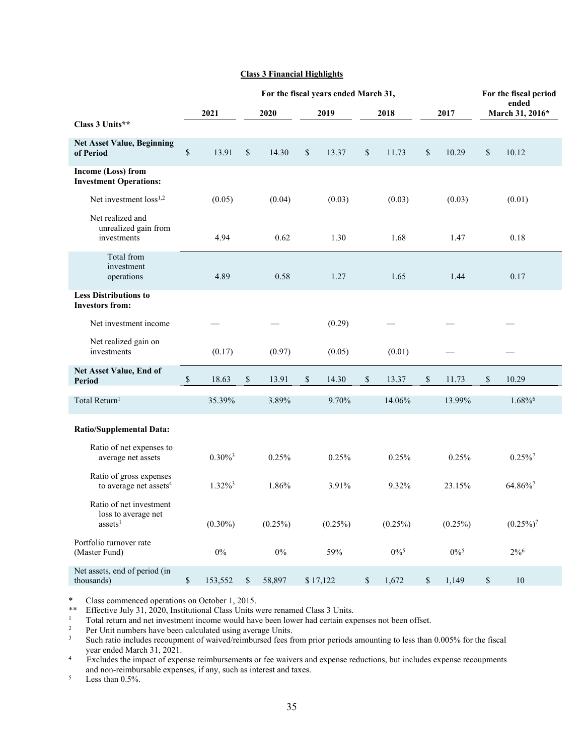# **Class 3 Financial Highlights**

|                                                                       | For the fiscal years ended March 31, |                       |    |            |    |            |    |                    |    |                    | For the fiscal period |                          |
|-----------------------------------------------------------------------|--------------------------------------|-----------------------|----|------------|----|------------|----|--------------------|----|--------------------|-----------------------|--------------------------|
|                                                                       |                                      | 2021                  |    | 2020       |    | 2019       |    | 2018               |    | 2017               |                       | ended<br>March 31, 2016* |
| Class 3 Units**                                                       |                                      |                       |    |            |    |            |    |                    |    |                    |                       |                          |
| <b>Net Asset Value, Beginning</b><br>of Period                        | $\mathbb S$                          | 13.91                 | \$ | 14.30      | \$ | 13.37      | \$ | 11.73              | \$ | 10.29              | \$                    | 10.12                    |
| Income (Loss) from<br><b>Investment Operations:</b>                   |                                      |                       |    |            |    |            |    |                    |    |                    |                       |                          |
| Net investment loss <sup>1,2</sup>                                    |                                      | (0.05)                |    | (0.04)     |    | (0.03)     |    | (0.03)             |    | (0.03)             |                       | (0.01)                   |
| Net realized and<br>unrealized gain from<br>investments               |                                      | 4.94                  |    | 0.62       |    | 1.30       |    | 1.68               |    | 1.47               |                       | 0.18                     |
| Total from<br>investment<br>operations                                |                                      | 4.89                  |    | 0.58       |    | 1.27       |    | 1.65               |    | 1.44               |                       | 0.17                     |
| <b>Less Distributions to</b><br><b>Investors from:</b>                |                                      |                       |    |            |    |            |    |                    |    |                    |                       |                          |
| Net investment income                                                 |                                      |                       |    |            |    | (0.29)     |    |                    |    |                    |                       |                          |
| Net realized gain on<br>investments                                   |                                      | (0.17)                |    | (0.97)     |    | (0.05)     |    | (0.01)             |    |                    |                       |                          |
| Net Asset Value, End of<br><b>Period</b>                              | $\mathbb{S}$                         | 18.63                 | \$ | 13.91      | \$ | 14.30      | \$ | 13.37              | \$ | 11.73              | \$                    | 10.29                    |
| Total Return <sup>1</sup>                                             |                                      | 35.39%                |    | 3.89%      |    | 9.70%      |    | 14.06%             |    | 13.99%             |                       | $1.68\%$ <sup>6</sup>    |
| <b>Ratio/Supplemental Data:</b>                                       |                                      |                       |    |            |    |            |    |                    |    |                    |                       |                          |
| Ratio of net expenses to<br>average net assets                        |                                      | $0.30\%$ <sup>3</sup> |    | 0.25%      |    | 0.25%      |    | 0.25%              |    | 0.25%              |                       | $0.25\%$ <sup>7</sup>    |
| Ratio of gross expenses<br>to average net assets <sup>4</sup>         |                                      | $1.32\%$ <sup>3</sup> |    | 1.86%      |    | 3.91%      |    | 9.32%              |    | 23.15%             |                       | 64.86%7                  |
| Ratio of net investment<br>loss to average net<br>assets <sup>1</sup> |                                      | $(0.30\%)$            |    | $(0.25\%)$ |    | $(0.25\%)$ |    | $(0.25\%)$         |    | $(0.25\%)$         |                       | $(0.25\%)^7$             |
| Portfolio turnover rate<br>(Master Fund)                              |                                      | 0%                    |    | $0\%$      |    | 59%        |    | $0\%$ <sup>5</sup> |    | $0\%$ <sup>5</sup> |                       | $2\%^{6}$                |
| Net assets, end of period (in<br>thousands)                           | \$                                   | 153,552               | \$ | 58,897     |    | \$17,122   | \$ | 1,672              | \$ | 1,149              | $\mathbb{S}$          | 10                       |

\* Class commenced operations on October 1, 2015.

Total return and net investment income would have been lower had certain expenses not been offset.<br>
<sup>2</sup> Per Unit numbers have been calculated using average Units.<br>
<sup>3</sup> Such ratio includes recoupment of waived/reimbursed fe year ended March 31, 2021. 4 Excludes the impact of expense reimbursements or fee waivers and expense reductions, but includes expense recoupments

and non-reimbursable expenses, if any, such as interest and taxes. 5 Less than 0.5%.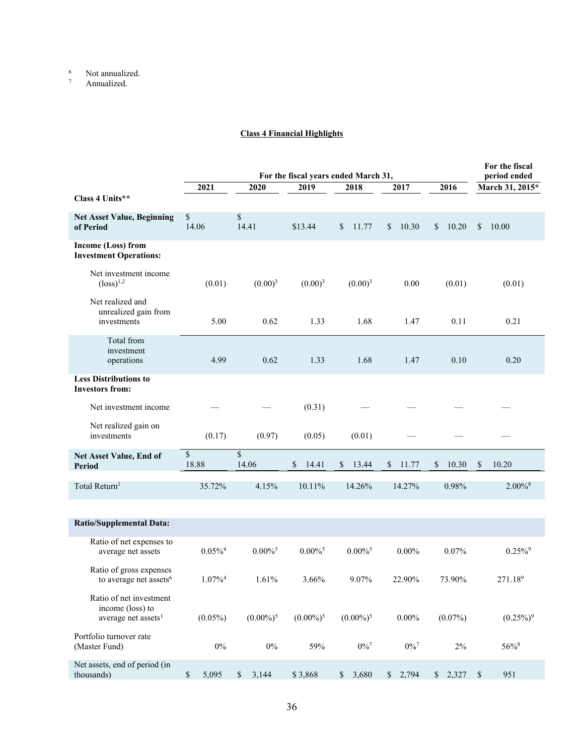$\frac{6}{7}$  Not annualized.

Annualized.

# **Class 4 Financial Highlights**

|                                                                                |                       | For the fiscal<br>period ended |                                              |                        |                       |             |                       |
|--------------------------------------------------------------------------------|-----------------------|--------------------------------|----------------------------------------------|------------------------|-----------------------|-------------|-----------------------|
|                                                                                | 2021                  | 2020                           | For the fiscal years ended March 31,<br>2019 | 2018                   | 2017                  | 2016        | March 31, 2015*       |
| Class 4 Units**                                                                |                       |                                |                                              |                        |                       |             |                       |
| <b>Net Asset Value, Beginning</b><br>of Period                                 | \$<br>14.06           | \$<br>14.41                    | \$13.44                                      | <sup>\$</sup><br>11.77 | 10.30<br>$\mathbb{S}$ | \$<br>10.20 | 10.00<br>\$           |
| Income (Loss) from<br><b>Investment Operations:</b>                            |                       |                                |                                              |                        |                       |             |                       |
| Net investment income<br>$(\text{loss})^{1,2}$                                 | (0.01)                | $(0.00)^3$                     | $(0.00)^3$                                   | $(0.00)^3$             | 0.00                  | (0.01)      | (0.01)                |
| Net realized and<br>unrealized gain from<br>investments                        | 5.00                  | 0.62                           | 1.33                                         | 1.68                   | 1.47                  | 0.11        | 0.21                  |
| Total from<br>investment<br>operations                                         | 4.99                  | 0.62                           | 1.33                                         | 1.68                   | 1.47                  | 0.10        | 0.20                  |
| <b>Less Distributions to</b><br><b>Investors from:</b>                         |                       |                                |                                              |                        |                       |             |                       |
| Net investment income                                                          |                       |                                | (0.31)                                       |                        |                       |             |                       |
| Net realized gain on<br>investments                                            | (0.17)                | (0.97)                         | (0.05)                                       | (0.01)                 |                       |             |                       |
| Net Asset Value, End of<br><b>Period</b>                                       | \$<br>18.88           | \$<br>14.06                    | \$<br>14.41                                  | \$<br>13.44            | $\mathbb{S}$<br>11.77 | \$<br>10.30 | \$<br>10.20           |
| Total Return <sup>1</sup>                                                      | 35.72%                | 4.15%                          | 10.11%                                       | 14.26%                 | 14.27%                | 0.98%       | $2.00\%$ <sup>8</sup> |
| <b>Ratio/Supplemental Data:</b>                                                |                       |                                |                                              |                        |                       |             |                       |
| Ratio of net expenses to<br>average net assets                                 | $0.05\%$ <sup>4</sup> | $0.00\%$ <sup>5</sup>          | $0.00\%$ <sup>5</sup>                        | $0.00\%$ <sup>5</sup>  | $0.00\%$              | 0.07%       | $0.25\%$ <sup>9</sup> |
| Ratio of gross expenses<br>to average net assets <sup>6</sup>                  | $1.07\%$ <sup>4</sup> | 1.61%                          | 3.66%                                        | 9.07%                  | 22.90%                | 73.90%      | 271.189               |
| Ratio of net investment<br>income (loss) to<br>average net assets <sup>1</sup> | $(0.05\%)$            | $(0.00\%)^5$                   | $(0.00\%)^5$                                 | $(0.00\%)^5$           | $0.00\%$              | $(0.07\%)$  | $(0.25\%)^9$          |
| Portfolio turnover rate<br>(Master Fund)                                       | $0\%$                 | $0\%$                          | 59%                                          | $0\%$ <sup>7</sup>     | $0\%$ <sup>7</sup>    | 2%          | 56%8                  |
| Net assets, end of period (in<br>thousands)                                    | \$<br>5,095           | 3,144<br>$\mathbb{S}$          | \$3,868                                      | 3,680<br>$\mathbb{S}$  | \$2,794               | \$2,327     | $\mathcal{S}$<br>951  |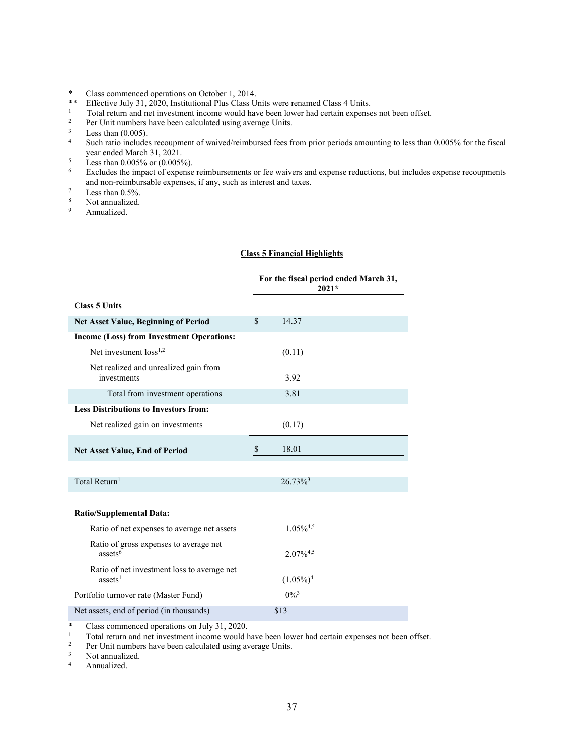- 
- \* Class commenced operations on October 1, 2014.<br>\*\* Effective July 31, 2020, Institutional Plus Class Units were renamed Class 4 Units.
- Total return and net investment income would have been lower had certain expenses not been offset.<br>
<sup>2</sup><br>
Per Unit numbers have been calculated using average Units.<br>
<sup>3</sup><br>
Less than (0.005).<br>
<sup>4</sup><br>
Such ratio includes recounm
- 
- 
- Such ratio includes recoupment of waived/reimbursed fees from prior periods amounting to less than 0.005% for the fiscal year ended March 31, 2021.
- $\frac{5}{6}$  Less than 0.005% or (0.005%).
- Excludes the impact of expense reimbursements or fee waivers and expense reductions, but includes expense recoupments and non-reimbursable expenses, if any, such as interest and taxes.<br>
<sup>7</sup><br>
<sup>8</sup><br>
<sup>8</sup><br> **Annualized.**
- 
- 
- Annualized.

### **Class 5 Financial Highlights**

|                                                                    | For the fiscal period ended March 31,<br>$2021*$ |
|--------------------------------------------------------------------|--------------------------------------------------|
| <b>Class 5 Units</b>                                               |                                                  |
| Net Asset Value, Beginning of Period                               | $\mathcal{S}$<br>14.37                           |
| <b>Income (Loss) from Investment Operations:</b>                   |                                                  |
| Net investment $loss1,2$                                           | (0.11)                                           |
| Net realized and unrealized gain from<br>investments               | 3.92                                             |
| Total from investment operations                                   | 3.81                                             |
| <b>Less Distributions to Investors from:</b>                       |                                                  |
| Net realized gain on investments                                   | (0.17)                                           |
| <b>Net Asset Value, End of Period</b>                              | \$<br>18.01                                      |
| Total Return <sup>1</sup>                                          | $26.73\%$ <sup>3</sup>                           |
|                                                                    |                                                  |
| <b>Ratio/Supplemental Data:</b>                                    |                                                  |
| Ratio of net expenses to average net assets                        | $1.05\%^{4,5}$                                   |
| Ratio of gross expenses to average net<br>assets $6$               | $2.07\%^{4,5}$                                   |
| Ratio of net investment loss to average net<br>assets <sup>1</sup> | $(1.05\%)^4$                                     |
| Portfolio turnover rate (Master Fund)                              | $0\%^{3}$                                        |
| Net assets, end of period (in thousands)                           | \$13                                             |

\* Class commenced operations on July 31, 2020.

1 Total return and net investment income would have been lower had certain expenses not been offset.<br>
<sup>2</sup> Per Unit numbers have been calculated using average Units.<br>
<sup>3</sup> Annualized.<br>
<sup>4</sup> Annualized.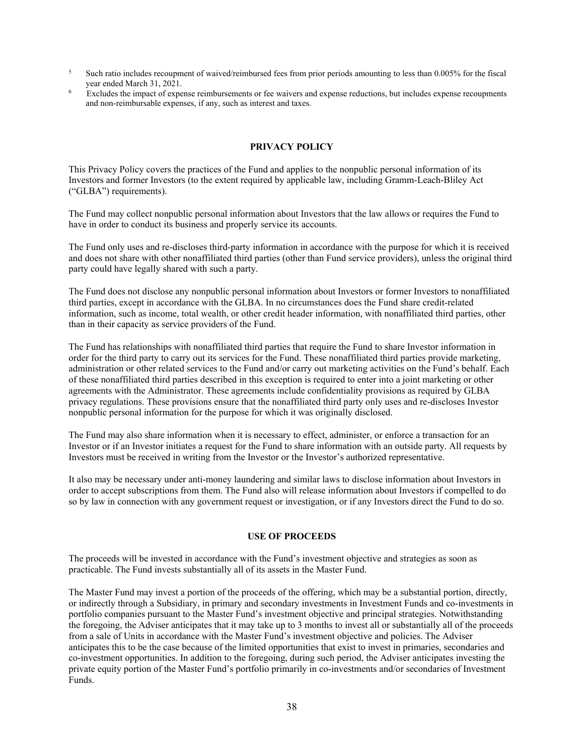- <sup>5</sup> Such ratio includes recoupment of waived/reimbursed fees from prior periods amounting to less than 0.005% for the fiscal year ended March 31, 2021.<br>Excludes the impact of expense reimbursements or fee waivers and expense reductions, but includes expense recoupments
- and non-reimbursable expenses, if any, such as interest and taxes.

# **PRIVACY POLICY**

This Privacy Policy covers the practices of the Fund and applies to the nonpublic personal information of its Investors and former Investors (to the extent required by applicable law, including Gramm-Leach-Bliley Act ("GLBA") requirements).

The Fund may collect nonpublic personal information about Investors that the law allows or requires the Fund to have in order to conduct its business and properly service its accounts.

The Fund only uses and re-discloses third-party information in accordance with the purpose for which it is received and does not share with other nonaffiliated third parties (other than Fund service providers), unless the original third party could have legally shared with such a party.

The Fund does not disclose any nonpublic personal information about Investors or former Investors to nonaffiliated third parties, except in accordance with the GLBA. In no circumstances does the Fund share credit-related information, such as income, total wealth, or other credit header information, with nonaffiliated third parties, other than in their capacity as service providers of the Fund.

The Fund has relationships with nonaffiliated third parties that require the Fund to share Investor information in order for the third party to carry out its services for the Fund. These nonaffiliated third parties provide marketing, administration or other related services to the Fund and/or carry out marketing activities on the Fund's behalf. Each of these nonaffiliated third parties described in this exception is required to enter into a joint marketing or other agreements with the Administrator. These agreements include confidentiality provisions as required by GLBA privacy regulations. These provisions ensure that the nonaffiliated third party only uses and re-discloses Investor nonpublic personal information for the purpose for which it was originally disclosed.

The Fund may also share information when it is necessary to effect, administer, or enforce a transaction for an Investor or if an Investor initiates a request for the Fund to share information with an outside party. All requests by Investors must be received in writing from the Investor or the Investor's authorized representative.

It also may be necessary under anti-money laundering and similar laws to disclose information about Investors in order to accept subscriptions from them. The Fund also will release information about Investors if compelled to do so by law in connection with any government request or investigation, or if any Investors direct the Fund to do so.

## **USE OF PROCEEDS**

The proceeds will be invested in accordance with the Fund's investment objective and strategies as soon as practicable. The Fund invests substantially all of its assets in the Master Fund.

The Master Fund may invest a portion of the proceeds of the offering, which may be a substantial portion, directly, or indirectly through a Subsidiary, in primary and secondary investments in Investment Funds and co-investments in portfolio companies pursuant to the Master Fund's investment objective and principal strategies. Notwithstanding the foregoing, the Adviser anticipates that it may take up to 3 months to invest all or substantially all of the proceeds from a sale of Units in accordance with the Master Fund's investment objective and policies. The Adviser anticipates this to be the case because of the limited opportunities that exist to invest in primaries, secondaries and co-investment opportunities. In addition to the foregoing, during such period, the Adviser anticipates investing the private equity portion of the Master Fund's portfolio primarily in co-investments and/or secondaries of Investment Funds.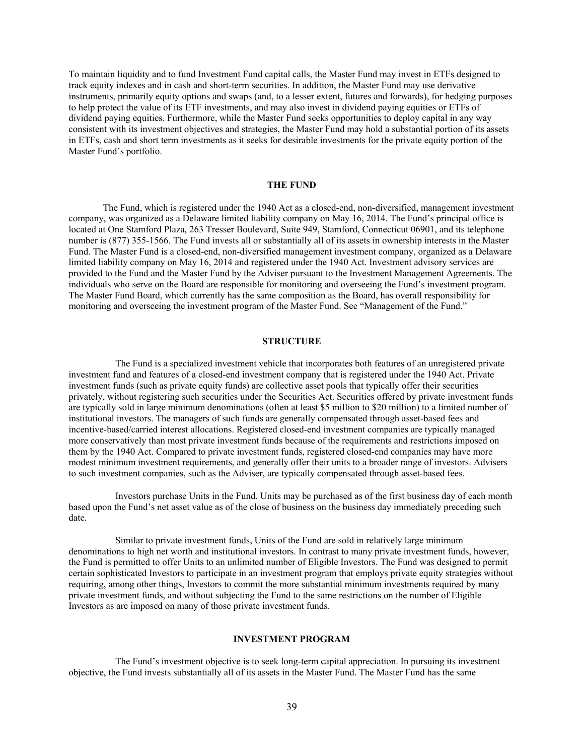To maintain liquidity and to fund Investment Fund capital calls, the Master Fund may invest in ETFs designed to track equity indexes and in cash and short-term securities. In addition, the Master Fund may use derivative instruments, primarily equity options and swaps (and, to a lesser extent, futures and forwards), for hedging purposes to help protect the value of its ETF investments, and may also invest in dividend paying equities or ETFs of dividend paying equities. Furthermore, while the Master Fund seeks opportunities to deploy capital in any way consistent with its investment objectives and strategies, the Master Fund may hold a substantial portion of its assets in ETFs, cash and short term investments as it seeks for desirable investments for the private equity portion of the Master Fund's portfolio.

### **THE FUND**

The Fund, which is registered under the 1940 Act as a closed-end, non-diversified, management investment company, was organized as a Delaware limited liability company on May 16, 2014. The Fund's principal office is located at One Stamford Plaza, 263 Tresser Boulevard, Suite 949, Stamford, Connecticut 06901, and its telephone number is (877) 355-1566. The Fund invests all or substantially all of its assets in ownership interests in the Master Fund. The Master Fund is a closed-end, non-diversified management investment company, organized as a Delaware limited liability company on May 16, 2014 and registered under the 1940 Act. Investment advisory services are provided to the Fund and the Master Fund by the Adviser pursuant to the Investment Management Agreements. The individuals who serve on the Board are responsible for monitoring and overseeing the Fund's investment program. The Master Fund Board, which currently has the same composition as the Board, has overall responsibility for monitoring and overseeing the investment program of the Master Fund. See "Management of the Fund."

# **STRUCTURE**

The Fund is a specialized investment vehicle that incorporates both features of an unregistered private investment fund and features of a closed-end investment company that is registered under the 1940 Act. Private investment funds (such as private equity funds) are collective asset pools that typically offer their securities privately, without registering such securities under the Securities Act. Securities offered by private investment funds are typically sold in large minimum denominations (often at least \$5 million to \$20 million) to a limited number of institutional investors. The managers of such funds are generally compensated through asset-based fees and incentive-based/carried interest allocations. Registered closed-end investment companies are typically managed more conservatively than most private investment funds because of the requirements and restrictions imposed on them by the 1940 Act. Compared to private investment funds, registered closed-end companies may have more modest minimum investment requirements, and generally offer their units to a broader range of investors. Advisers to such investment companies, such as the Adviser, are typically compensated through asset-based fees.

Investors purchase Units in the Fund. Units may be purchased as of the first business day of each month based upon the Fund's net asset value as of the close of business on the business day immediately preceding such date.

Similar to private investment funds, Units of the Fund are sold in relatively large minimum denominations to high net worth and institutional investors. In contrast to many private investment funds, however, the Fund is permitted to offer Units to an unlimited number of Eligible Investors. The Fund was designed to permit certain sophisticated Investors to participate in an investment program that employs private equity strategies without requiring, among other things, Investors to commit the more substantial minimum investments required by many private investment funds, and without subjecting the Fund to the same restrictions on the number of Eligible Investors as are imposed on many of those private investment funds.

#### **INVESTMENT PROGRAM**

The Fund's investment objective is to seek long-term capital appreciation. In pursuing its investment objective, the Fund invests substantially all of its assets in the Master Fund. The Master Fund has the same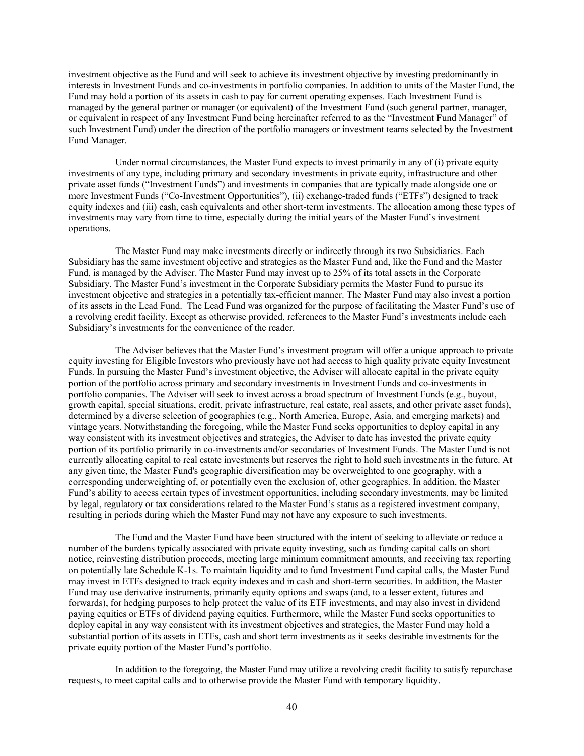investment objective as the Fund and will seek to achieve its investment objective by investing predominantly in interests in Investment Funds and co-investments in portfolio companies. In addition to units of the Master Fund, the Fund may hold a portion of its assets in cash to pay for current operating expenses. Each Investment Fund is managed by the general partner or manager (or equivalent) of the Investment Fund (such general partner, manager, or equivalent in respect of any Investment Fund being hereinafter referred to as the "Investment Fund Manager" of such Investment Fund) under the direction of the portfolio managers or investment teams selected by the Investment Fund Manager.

Under normal circumstances, the Master Fund expects to invest primarily in any of (i) private equity investments of any type, including primary and secondary investments in private equity, infrastructure and other private asset funds ("Investment Funds") and investments in companies that are typically made alongside one or more Investment Funds ("Co-Investment Opportunities"), (ii) exchange-traded funds ("ETFs") designed to track equity indexes and (iii) cash, cash equivalents and other short-term investments. The allocation among these types of investments may vary from time to time, especially during the initial years of the Master Fund's investment operations.

The Master Fund may make investments directly or indirectly through its two Subsidiaries. Each Subsidiary has the same investment objective and strategies as the Master Fund and, like the Fund and the Master Fund, is managed by the Adviser. The Master Fund may invest up to 25% of its total assets in the Corporate Subsidiary. The Master Fund's investment in the Corporate Subsidiary permits the Master Fund to pursue its investment objective and strategies in a potentially tax-efficient manner. The Master Fund may also invest a portion of its assets in the Lead Fund. The Lead Fund was organized for the purpose of facilitating the Master Fund's use of a revolving credit facility. Except as otherwise provided, references to the Master Fund's investments include each Subsidiary's investments for the convenience of the reader.

The Adviser believes that the Master Fund's investment program will offer a unique approach to private equity investing for Eligible Investors who previously have not had access to high quality private equity Investment Funds. In pursuing the Master Fund's investment objective, the Adviser will allocate capital in the private equity portion of the portfolio across primary and secondary investments in Investment Funds and co-investments in portfolio companies. The Adviser will seek to invest across a broad spectrum of Investment Funds (e.g., buyout, growth capital, special situations, credit, private infrastructure, real estate, real assets, and other private asset funds), determined by a diverse selection of geographies (e.g., North America, Europe, Asia, and emerging markets) and vintage years. Notwithstanding the foregoing, while the Master Fund seeks opportunities to deploy capital in any way consistent with its investment objectives and strategies, the Adviser to date has invested the private equity portion of its portfolio primarily in co-investments and/or secondaries of Investment Funds. The Master Fund is not currently allocating capital to real estate investments but reserves the right to hold such investments in the future. At any given time, the Master Fund's geographic diversification may be overweighted to one geography, with a corresponding underweighting of, or potentially even the exclusion of, other geographies. In addition, the Master Fund's ability to access certain types of investment opportunities, including secondary investments, may be limited by legal, regulatory or tax considerations related to the Master Fund's status as a registered investment company, resulting in periods during which the Master Fund may not have any exposure to such investments.

The Fund and the Master Fund have been structured with the intent of seeking to alleviate or reduce a number of the burdens typically associated with private equity investing, such as funding capital calls on short notice, reinvesting distribution proceeds, meeting large minimum commitment amounts, and receiving tax reporting on potentially late Schedule K-1s. To maintain liquidity and to fund Investment Fund capital calls, the Master Fund may invest in ETFs designed to track equity indexes and in cash and short-term securities. In addition, the Master Fund may use derivative instruments, primarily equity options and swaps (and, to a lesser extent, futures and forwards), for hedging purposes to help protect the value of its ETF investments, and may also invest in dividend paying equities or ETFs of dividend paying equities. Furthermore, while the Master Fund seeks opportunities to deploy capital in any way consistent with its investment objectives and strategies, the Master Fund may hold a substantial portion of its assets in ETFs, cash and short term investments as it seeks desirable investments for the private equity portion of the Master Fund's portfolio.

In addition to the foregoing, the Master Fund may utilize a revolving credit facility to satisfy repurchase requests, to meet capital calls and to otherwise provide the Master Fund with temporary liquidity.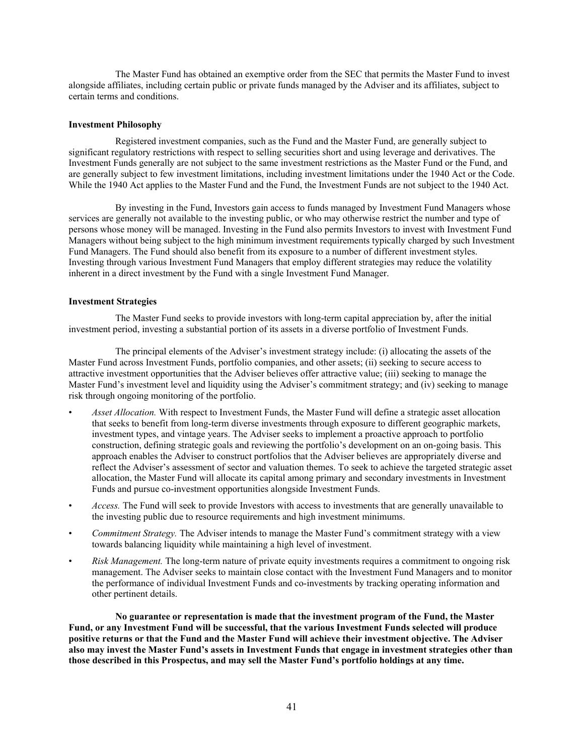The Master Fund has obtained an exemptive order from the SEC that permits the Master Fund to invest alongside affiliates, including certain public or private funds managed by the Adviser and its affiliates, subject to certain terms and conditions.

### **Investment Philosophy**

Registered investment companies, such as the Fund and the Master Fund, are generally subject to significant regulatory restrictions with respect to selling securities short and using leverage and derivatives. The Investment Funds generally are not subject to the same investment restrictions as the Master Fund or the Fund, and are generally subject to few investment limitations, including investment limitations under the 1940 Act or the Code. While the 1940 Act applies to the Master Fund and the Fund, the Investment Funds are not subject to the 1940 Act.

By investing in the Fund, Investors gain access to funds managed by Investment Fund Managers whose services are generally not available to the investing public, or who may otherwise restrict the number and type of persons whose money will be managed. Investing in the Fund also permits Investors to invest with Investment Fund Managers without being subject to the high minimum investment requirements typically charged by such Investment Fund Managers. The Fund should also benefit from its exposure to a number of different investment styles. Investing through various Investment Fund Managers that employ different strategies may reduce the volatility inherent in a direct investment by the Fund with a single Investment Fund Manager.

### **Investment Strategies**

The Master Fund seeks to provide investors with long-term capital appreciation by, after the initial investment period, investing a substantial portion of its assets in a diverse portfolio of Investment Funds.

The principal elements of the Adviser's investment strategy include: (i) allocating the assets of the Master Fund across Investment Funds, portfolio companies, and other assets; (ii) seeking to secure access to attractive investment opportunities that the Adviser believes offer attractive value; (iii) seeking to manage the Master Fund's investment level and liquidity using the Adviser's commitment strategy; and (iv) seeking to manage risk through ongoing monitoring of the portfolio.

- *Asset Allocation.* With respect to Investment Funds, the Master Fund will define a strategic asset allocation that seeks to benefit from long-term diverse investments through exposure to different geographic markets, investment types, and vintage years. The Adviser seeks to implement a proactive approach to portfolio construction, defining strategic goals and reviewing the portfolio's development on an on-going basis. This approach enables the Adviser to construct portfolios that the Adviser believes are appropriately diverse and reflect the Adviser's assessment of sector and valuation themes. To seek to achieve the targeted strategic asset allocation, the Master Fund will allocate its capital among primary and secondary investments in Investment Funds and pursue co-investment opportunities alongside Investment Funds.
- *Access.* The Fund will seek to provide Investors with access to investments that are generally unavailable to the investing public due to resource requirements and high investment minimums.
- *Commitment Strategy.* The Adviser intends to manage the Master Fund's commitment strategy with a view towards balancing liquidity while maintaining a high level of investment.
- *Risk Management.* The long-term nature of private equity investments requires a commitment to ongoing risk management. The Adviser seeks to maintain close contact with the Investment Fund Managers and to monitor the performance of individual Investment Funds and co-investments by tracking operating information and other pertinent details.

**No guarantee or representation is made that the investment program of the Fund, the Master Fund, or any Investment Fund will be successful, that the various Investment Funds selected will produce positive returns or that the Fund and the Master Fund will achieve their investment objective. The Adviser also may invest the Master Fund's assets in Investment Funds that engage in investment strategies other than those described in this Prospectus, and may sell the Master Fund's portfolio holdings at any time.**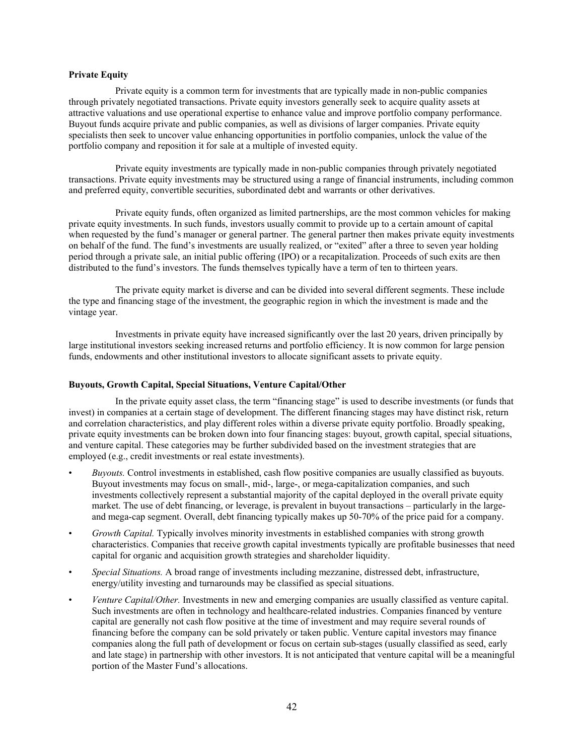### **Private Equity**

Private equity is a common term for investments that are typically made in non-public companies through privately negotiated transactions. Private equity investors generally seek to acquire quality assets at attractive valuations and use operational expertise to enhance value and improve portfolio company performance. Buyout funds acquire private and public companies, as well as divisions of larger companies. Private equity specialists then seek to uncover value enhancing opportunities in portfolio companies, unlock the value of the portfolio company and reposition it for sale at a multiple of invested equity.

Private equity investments are typically made in non-public companies through privately negotiated transactions. Private equity investments may be structured using a range of financial instruments, including common and preferred equity, convertible securities, subordinated debt and warrants or other derivatives.

Private equity funds, often organized as limited partnerships, are the most common vehicles for making private equity investments. In such funds, investors usually commit to provide up to a certain amount of capital when requested by the fund's manager or general partner. The general partner then makes private equity investments on behalf of the fund. The fund's investments are usually realized, or "exited" after a three to seven year holding period through a private sale, an initial public offering (IPO) or a recapitalization. Proceeds of such exits are then distributed to the fund's investors. The funds themselves typically have a term of ten to thirteen years.

The private equity market is diverse and can be divided into several different segments. These include the type and financing stage of the investment, the geographic region in which the investment is made and the vintage year.

Investments in private equity have increased significantly over the last 20 years, driven principally by large institutional investors seeking increased returns and portfolio efficiency. It is now common for large pension funds, endowments and other institutional investors to allocate significant assets to private equity.

#### **Buyouts, Growth Capital, Special Situations, Venture Capital/Other**

In the private equity asset class, the term "financing stage" is used to describe investments (or funds that invest) in companies at a certain stage of development. The different financing stages may have distinct risk, return and correlation characteristics, and play different roles within a diverse private equity portfolio. Broadly speaking, private equity investments can be broken down into four financing stages: buyout, growth capital, special situations, and venture capital. These categories may be further subdivided based on the investment strategies that are employed (e.g., credit investments or real estate investments).

- *Buyouts.* Control investments in established, cash flow positive companies are usually classified as buyouts. Buyout investments may focus on small-, mid-, large-, or mega-capitalization companies, and such investments collectively represent a substantial majority of the capital deployed in the overall private equity market. The use of debt financing, or leverage, is prevalent in buyout transactions – particularly in the largeand mega-cap segment. Overall, debt financing typically makes up 50-70% of the price paid for a company.
- *Growth Capital.* Typically involves minority investments in established companies with strong growth characteristics. Companies that receive growth capital investments typically are profitable businesses that need capital for organic and acquisition growth strategies and shareholder liquidity.
- *Special Situations.* A broad range of investments including mezzanine, distressed debt, infrastructure, energy/utility investing and turnarounds may be classified as special situations.
- *Venture Capital/Other.* Investments in new and emerging companies are usually classified as venture capital. Such investments are often in technology and healthcare-related industries. Companies financed by venture capital are generally not cash flow positive at the time of investment and may require several rounds of financing before the company can be sold privately or taken public. Venture capital investors may finance companies along the full path of development or focus on certain sub-stages (usually classified as seed, early and late stage) in partnership with other investors. It is not anticipated that venture capital will be a meaningful portion of the Master Fund's allocations.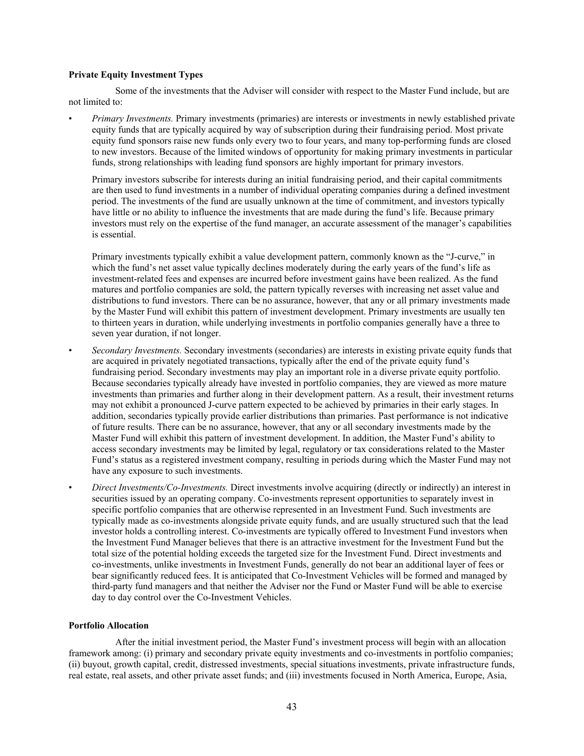# **Private Equity Investment Types**

Some of the investments that the Adviser will consider with respect to the Master Fund include, but are not limited to:

• *Primary Investments.* Primary investments (primaries) are interests or investments in newly established private equity funds that are typically acquired by way of subscription during their fundraising period. Most private equity fund sponsors raise new funds only every two to four years, and many top-performing funds are closed to new investors. Because of the limited windows of opportunity for making primary investments in particular funds, strong relationships with leading fund sponsors are highly important for primary investors.

Primary investors subscribe for interests during an initial fundraising period, and their capital commitments are then used to fund investments in a number of individual operating companies during a defined investment period. The investments of the fund are usually unknown at the time of commitment, and investors typically have little or no ability to influence the investments that are made during the fund's life. Because primary investors must rely on the expertise of the fund manager, an accurate assessment of the manager's capabilities is essential.

Primary investments typically exhibit a value development pattern, commonly known as the "J-curve," in which the fund's net asset value typically declines moderately during the early years of the fund's life as investment-related fees and expenses are incurred before investment gains have been realized. As the fund matures and portfolio companies are sold, the pattern typically reverses with increasing net asset value and distributions to fund investors. There can be no assurance, however, that any or all primary investments made by the Master Fund will exhibit this pattern of investment development. Primary investments are usually ten to thirteen years in duration, while underlying investments in portfolio companies generally have a three to seven year duration, if not longer.

- *Secondary Investments.* Secondary investments (secondaries) are interests in existing private equity funds that are acquired in privately negotiated transactions, typically after the end of the private equity fund's fundraising period. Secondary investments may play an important role in a diverse private equity portfolio. Because secondaries typically already have invested in portfolio companies, they are viewed as more mature investments than primaries and further along in their development pattern. As a result, their investment returns may not exhibit a pronounced J-curve pattern expected to be achieved by primaries in their early stages. In addition, secondaries typically provide earlier distributions than primaries. Past performance is not indicative of future results. There can be no assurance, however, that any or all secondary investments made by the Master Fund will exhibit this pattern of investment development. In addition, the Master Fund's ability to access secondary investments may be limited by legal, regulatory or tax considerations related to the Master Fund's status as a registered investment company, resulting in periods during which the Master Fund may not have any exposure to such investments.
- *Direct Investments/Co-Investments.* Direct investments involve acquiring (directly or indirectly) an interest in securities issued by an operating company. Co-investments represent opportunities to separately invest in specific portfolio companies that are otherwise represented in an Investment Fund. Such investments are typically made as co-investments alongside private equity funds, and are usually structured such that the lead investor holds a controlling interest. Co-investments are typically offered to Investment Fund investors when the Investment Fund Manager believes that there is an attractive investment for the Investment Fund but the total size of the potential holding exceeds the targeted size for the Investment Fund. Direct investments and co-investments, unlike investments in Investment Funds, generally do not bear an additional layer of fees or bear significantly reduced fees. It is anticipated that Co-Investment Vehicles will be formed and managed by third-party fund managers and that neither the Adviser nor the Fund or Master Fund will be able to exercise day to day control over the Co-Investment Vehicles.

# **Portfolio Allocation**

After the initial investment period, the Master Fund's investment process will begin with an allocation framework among: (i) primary and secondary private equity investments and co-investments in portfolio companies; (ii) buyout, growth capital, credit, distressed investments, special situations investments, private infrastructure funds, real estate, real assets, and other private asset funds; and (iii) investments focused in North America, Europe, Asia,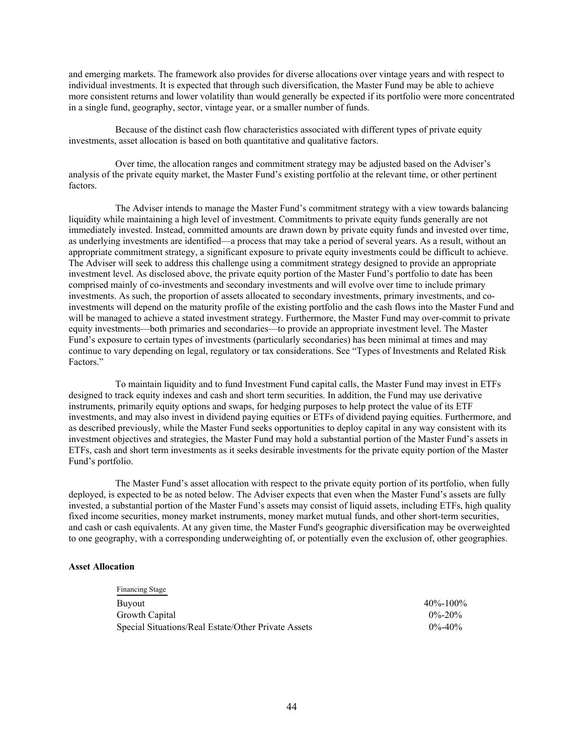and emerging markets. The framework also provides for diverse allocations over vintage years and with respect to individual investments. It is expected that through such diversification, the Master Fund may be able to achieve more consistent returns and lower volatility than would generally be expected if its portfolio were more concentrated in a single fund, geography, sector, vintage year, or a smaller number of funds.

Because of the distinct cash flow characteristics associated with different types of private equity investments, asset allocation is based on both quantitative and qualitative factors.

Over time, the allocation ranges and commitment strategy may be adjusted based on the Adviser's analysis of the private equity market, the Master Fund's existing portfolio at the relevant time, or other pertinent factors.

The Adviser intends to manage the Master Fund's commitment strategy with a view towards balancing liquidity while maintaining a high level of investment. Commitments to private equity funds generally are not immediately invested. Instead, committed amounts are drawn down by private equity funds and invested over time, as underlying investments are identified—a process that may take a period of several years. As a result, without an appropriate commitment strategy, a significant exposure to private equity investments could be difficult to achieve. The Adviser will seek to address this challenge using a commitment strategy designed to provide an appropriate investment level. As disclosed above, the private equity portion of the Master Fund's portfolio to date has been comprised mainly of co-investments and secondary investments and will evolve over time to include primary investments. As such, the proportion of assets allocated to secondary investments, primary investments, and coinvestments will depend on the maturity profile of the existing portfolio and the cash flows into the Master Fund and will be managed to achieve a stated investment strategy. Furthermore, the Master Fund may over-commit to private equity investments—both primaries and secondaries—to provide an appropriate investment level. The Master Fund's exposure to certain types of investments (particularly secondaries) has been minimal at times and may continue to vary depending on legal, regulatory or tax considerations. See "Types of Investments and Related Risk Factors."

To maintain liquidity and to fund Investment Fund capital calls, the Master Fund may invest in ETFs designed to track equity indexes and cash and short term securities. In addition, the Fund may use derivative instruments, primarily equity options and swaps, for hedging purposes to help protect the value of its ETF investments, and may also invest in dividend paying equities or ETFs of dividend paying equities. Furthermore, and as described previously, while the Master Fund seeks opportunities to deploy capital in any way consistent with its investment objectives and strategies, the Master Fund may hold a substantial portion of the Master Fund's assets in ETFs, cash and short term investments as it seeks desirable investments for the private equity portion of the Master Fund's portfolio.

The Master Fund's asset allocation with respect to the private equity portion of its portfolio, when fully deployed, is expected to be as noted below. The Adviser expects that even when the Master Fund's assets are fully invested, a substantial portion of the Master Fund's assets may consist of liquid assets, including ETFs, high quality fixed income securities, money market instruments, money market mutual funds, and other short-term securities, and cash or cash equivalents. At any given time, the Master Fund's geographic diversification may be overweighted to one geography, with a corresponding underweighting of, or potentially even the exclusion of, other geographies.

# **Asset Allocation**

| Financing Stage                                     |                |
|-----------------------------------------------------|----------------|
| Buyout                                              | $40\% - 100\%$ |
| Growth Capital                                      | $0\% - 20\%$   |
| Special Situations/Real Estate/Other Private Assets | $0\% - 40\%$   |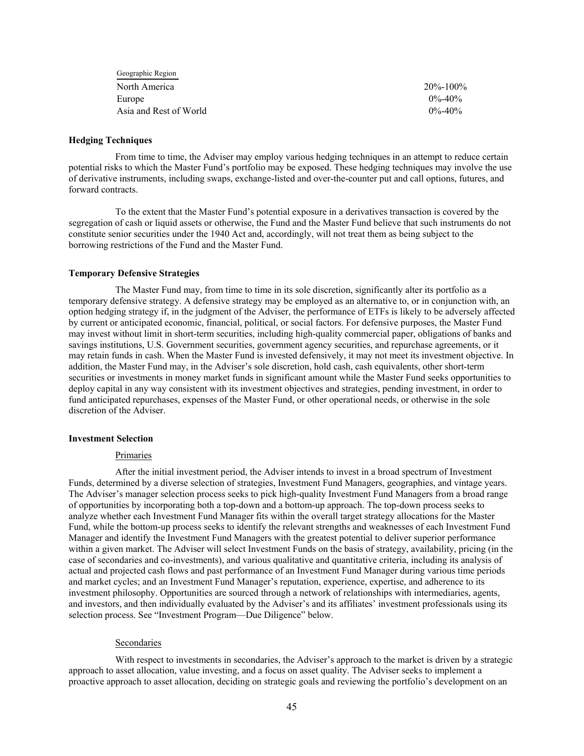| Geographic Region      |                |
|------------------------|----------------|
| North America          | $20\% - 100\%$ |
| Europe                 | $0\% - 40\%$   |
| Asia and Rest of World | $0\% - 40\%$   |

### **Hedging Techniques**

From time to time, the Adviser may employ various hedging techniques in an attempt to reduce certain potential risks to which the Master Fund's portfolio may be exposed. These hedging techniques may involve the use of derivative instruments, including swaps, exchange-listed and over-the-counter put and call options, futures, and forward contracts.

To the extent that the Master Fund's potential exposure in a derivatives transaction is covered by the segregation of cash or liquid assets or otherwise, the Fund and the Master Fund believe that such instruments do not constitute senior securities under the 1940 Act and, accordingly, will not treat them as being subject to the borrowing restrictions of the Fund and the Master Fund.

### **Temporary Defensive Strategies**

The Master Fund may, from time to time in its sole discretion, significantly alter its portfolio as a temporary defensive strategy. A defensive strategy may be employed as an alternative to, or in conjunction with, an option hedging strategy if, in the judgment of the Adviser, the performance of ETFs is likely to be adversely affected by current or anticipated economic, financial, political, or social factors. For defensive purposes, the Master Fund may invest without limit in short-term securities, including high-quality commercial paper, obligations of banks and savings institutions, U.S. Government securities, government agency securities, and repurchase agreements, or it may retain funds in cash. When the Master Fund is invested defensively, it may not meet its investment objective. In addition, the Master Fund may, in the Adviser's sole discretion, hold cash, cash equivalents, other short-term securities or investments in money market funds in significant amount while the Master Fund seeks opportunities to deploy capital in any way consistent with its investment objectives and strategies, pending investment, in order to fund anticipated repurchases, expenses of the Master Fund, or other operational needs, or otherwise in the sole discretion of the Adviser.

#### **Investment Selection**

### Primaries

After the initial investment period, the Adviser intends to invest in a broad spectrum of Investment Funds, determined by a diverse selection of strategies, Investment Fund Managers, geographies, and vintage years. The Adviser's manager selection process seeks to pick high-quality Investment Fund Managers from a broad range of opportunities by incorporating both a top-down and a bottom-up approach. The top-down process seeks to analyze whether each Investment Fund Manager fits within the overall target strategy allocations for the Master Fund, while the bottom-up process seeks to identify the relevant strengths and weaknesses of each Investment Fund Manager and identify the Investment Fund Managers with the greatest potential to deliver superior performance within a given market. The Adviser will select Investment Funds on the basis of strategy, availability, pricing (in the case of secondaries and co-investments), and various qualitative and quantitative criteria, including its analysis of actual and projected cash flows and past performance of an Investment Fund Manager during various time periods and market cycles; and an Investment Fund Manager's reputation, experience, expertise, and adherence to its investment philosophy. Opportunities are sourced through a network of relationships with intermediaries, agents, and investors, and then individually evaluated by the Adviser's and its affiliates' investment professionals using its selection process. See "Investment Program—Due Diligence" below.

#### Secondaries

With respect to investments in secondaries, the Adviser's approach to the market is driven by a strategic approach to asset allocation, value investing, and a focus on asset quality. The Adviser seeks to implement a proactive approach to asset allocation, deciding on strategic goals and reviewing the portfolio's development on an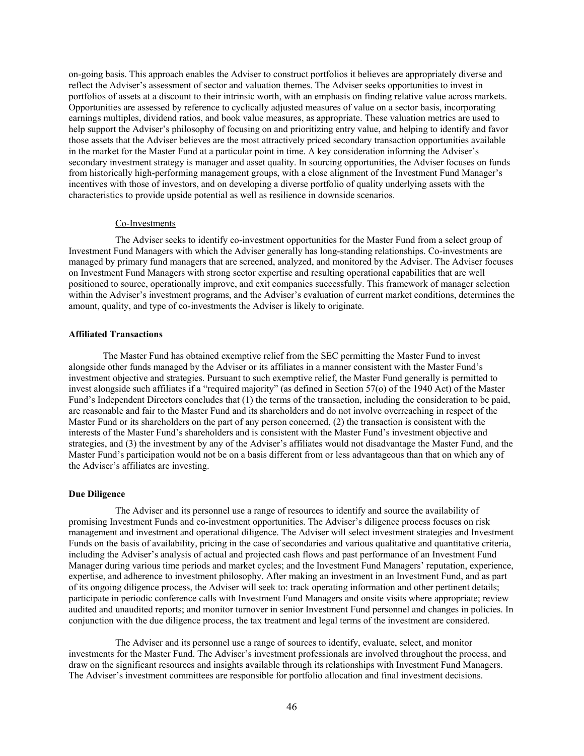on-going basis. This approach enables the Adviser to construct portfolios it believes are appropriately diverse and reflect the Adviser's assessment of sector and valuation themes. The Adviser seeks opportunities to invest in portfolios of assets at a discount to their intrinsic worth, with an emphasis on finding relative value across markets. Opportunities are assessed by reference to cyclically adjusted measures of value on a sector basis, incorporating earnings multiples, dividend ratios, and book value measures, as appropriate. These valuation metrics are used to help support the Adviser's philosophy of focusing on and prioritizing entry value, and helping to identify and favor those assets that the Adviser believes are the most attractively priced secondary transaction opportunities available in the market for the Master Fund at a particular point in time. A key consideration informing the Adviser's secondary investment strategy is manager and asset quality. In sourcing opportunities, the Adviser focuses on funds from historically high-performing management groups, with a close alignment of the Investment Fund Manager's incentives with those of investors, and on developing a diverse portfolio of quality underlying assets with the characteristics to provide upside potential as well as resilience in downside scenarios.

### Co-Investments

The Adviser seeks to identify co-investment opportunities for the Master Fund from a select group of Investment Fund Managers with which the Adviser generally has long-standing relationships. Co-investments are managed by primary fund managers that are screened, analyzed, and monitored by the Adviser. The Adviser focuses on Investment Fund Managers with strong sector expertise and resulting operational capabilities that are well positioned to source, operationally improve, and exit companies successfully. This framework of manager selection within the Adviser's investment programs, and the Adviser's evaluation of current market conditions, determines the amount, quality, and type of co-investments the Adviser is likely to originate.

# **Affiliated Transactions**

The Master Fund has obtained exemptive relief from the SEC permitting the Master Fund to invest alongside other funds managed by the Adviser or its affiliates in a manner consistent with the Master Fund's investment objective and strategies. Pursuant to such exemptive relief, the Master Fund generally is permitted to invest alongside such affiliates if a "required majority" (as defined in Section 57(o) of the 1940 Act) of the Master Fund's Independent Directors concludes that (1) the terms of the transaction, including the consideration to be paid, are reasonable and fair to the Master Fund and its shareholders and do not involve overreaching in respect of the Master Fund or its shareholders on the part of any person concerned, (2) the transaction is consistent with the interests of the Master Fund's shareholders and is consistent with the Master Fund's investment objective and strategies, and (3) the investment by any of the Adviser's affiliates would not disadvantage the Master Fund, and the Master Fund's participation would not be on a basis different from or less advantageous than that on which any of the Adviser's affiliates are investing.

# **Due Diligence**

The Adviser and its personnel use a range of resources to identify and source the availability of promising Investment Funds and co-investment opportunities. The Adviser's diligence process focuses on risk management and investment and operational diligence. The Adviser will select investment strategies and Investment Funds on the basis of availability, pricing in the case of secondaries and various qualitative and quantitative criteria, including the Adviser's analysis of actual and projected cash flows and past performance of an Investment Fund Manager during various time periods and market cycles; and the Investment Fund Managers' reputation, experience, expertise, and adherence to investment philosophy. After making an investment in an Investment Fund, and as part of its ongoing diligence process, the Adviser will seek to: track operating information and other pertinent details; participate in periodic conference calls with Investment Fund Managers and onsite visits where appropriate; review audited and unaudited reports; and monitor turnover in senior Investment Fund personnel and changes in policies. In conjunction with the due diligence process, the tax treatment and legal terms of the investment are considered.

The Adviser and its personnel use a range of sources to identify, evaluate, select, and monitor investments for the Master Fund. The Adviser's investment professionals are involved throughout the process, and draw on the significant resources and insights available through its relationships with Investment Fund Managers. The Adviser's investment committees are responsible for portfolio allocation and final investment decisions.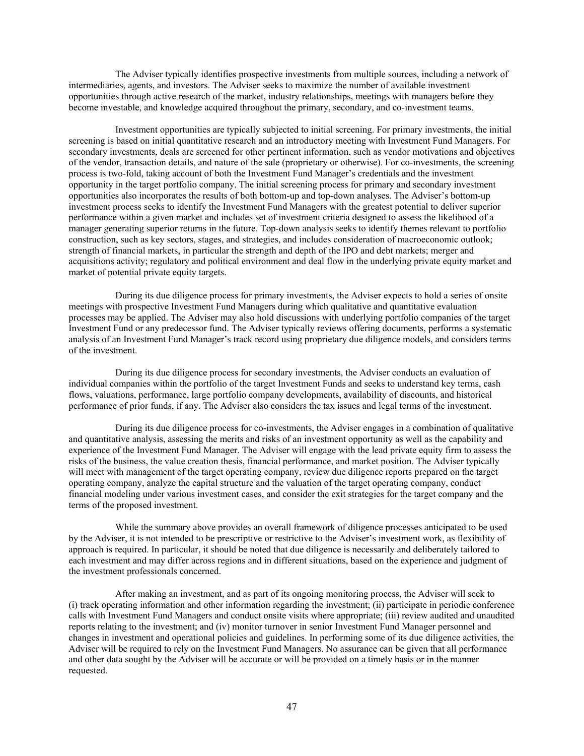The Adviser typically identifies prospective investments from multiple sources, including a network of intermediaries, agents, and investors. The Adviser seeks to maximize the number of available investment opportunities through active research of the market, industry relationships, meetings with managers before they become investable, and knowledge acquired throughout the primary, secondary, and co-investment teams.

Investment opportunities are typically subjected to initial screening. For primary investments, the initial screening is based on initial quantitative research and an introductory meeting with Investment Fund Managers. For secondary investments, deals are screened for other pertinent information, such as vendor motivations and objectives of the vendor, transaction details, and nature of the sale (proprietary or otherwise). For co-investments, the screening process is two-fold, taking account of both the Investment Fund Manager's credentials and the investment opportunity in the target portfolio company. The initial screening process for primary and secondary investment opportunities also incorporates the results of both bottom-up and top-down analyses. The Adviser's bottom-up investment process seeks to identify the Investment Fund Managers with the greatest potential to deliver superior performance within a given market and includes set of investment criteria designed to assess the likelihood of a manager generating superior returns in the future. Top-down analysis seeks to identify themes relevant to portfolio construction, such as key sectors, stages, and strategies, and includes consideration of macroeconomic outlook; strength of financial markets, in particular the strength and depth of the IPO and debt markets; merger and acquisitions activity; regulatory and political environment and deal flow in the underlying private equity market and market of potential private equity targets.

During its due diligence process for primary investments, the Adviser expects to hold a series of onsite meetings with prospective Investment Fund Managers during which qualitative and quantitative evaluation processes may be applied. The Adviser may also hold discussions with underlying portfolio companies of the target Investment Fund or any predecessor fund. The Adviser typically reviews offering documents, performs a systematic analysis of an Investment Fund Manager's track record using proprietary due diligence models, and considers terms of the investment.

During its due diligence process for secondary investments, the Adviser conducts an evaluation of individual companies within the portfolio of the target Investment Funds and seeks to understand key terms, cash flows, valuations, performance, large portfolio company developments, availability of discounts, and historical performance of prior funds, if any. The Adviser also considers the tax issues and legal terms of the investment.

During its due diligence process for co-investments, the Adviser engages in a combination of qualitative and quantitative analysis, assessing the merits and risks of an investment opportunity as well as the capability and experience of the Investment Fund Manager. The Adviser will engage with the lead private equity firm to assess the risks of the business, the value creation thesis, financial performance, and market position. The Adviser typically will meet with management of the target operating company, review due diligence reports prepared on the target operating company, analyze the capital structure and the valuation of the target operating company, conduct financial modeling under various investment cases, and consider the exit strategies for the target company and the terms of the proposed investment.

While the summary above provides an overall framework of diligence processes anticipated to be used by the Adviser, it is not intended to be prescriptive or restrictive to the Adviser's investment work, as flexibility of approach is required. In particular, it should be noted that due diligence is necessarily and deliberately tailored to each investment and may differ across regions and in different situations, based on the experience and judgment of the investment professionals concerned.

After making an investment, and as part of its ongoing monitoring process, the Adviser will seek to (i) track operating information and other information regarding the investment; (ii) participate in periodic conference calls with Investment Fund Managers and conduct onsite visits where appropriate; (iii) review audited and unaudited reports relating to the investment; and (iv) monitor turnover in senior Investment Fund Manager personnel and changes in investment and operational policies and guidelines. In performing some of its due diligence activities, the Adviser will be required to rely on the Investment Fund Managers. No assurance can be given that all performance and other data sought by the Adviser will be accurate or will be provided on a timely basis or in the manner requested.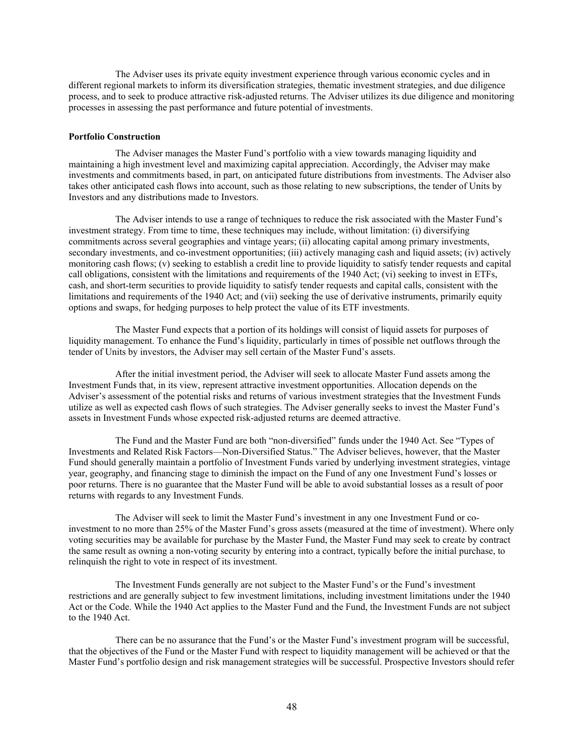The Adviser uses its private equity investment experience through various economic cycles and in different regional markets to inform its diversification strategies, thematic investment strategies, and due diligence process, and to seek to produce attractive risk-adjusted returns. The Adviser utilizes its due diligence and monitoring processes in assessing the past performance and future potential of investments.

# **Portfolio Construction**

The Adviser manages the Master Fund's portfolio with a view towards managing liquidity and maintaining a high investment level and maximizing capital appreciation. Accordingly, the Adviser may make investments and commitments based, in part, on anticipated future distributions from investments. The Adviser also takes other anticipated cash flows into account, such as those relating to new subscriptions, the tender of Units by Investors and any distributions made to Investors.

The Adviser intends to use a range of techniques to reduce the risk associated with the Master Fund's investment strategy. From time to time, these techniques may include, without limitation: (i) diversifying commitments across several geographies and vintage years; (ii) allocating capital among primary investments, secondary investments, and co-investment opportunities; (iii) actively managing cash and liquid assets; (iv) actively monitoring cash flows; (v) seeking to establish a credit line to provide liquidity to satisfy tender requests and capital call obligations, consistent with the limitations and requirements of the 1940 Act; (vi) seeking to invest in ETFs, cash, and short-term securities to provide liquidity to satisfy tender requests and capital calls, consistent with the limitations and requirements of the 1940 Act; and (vii) seeking the use of derivative instruments, primarily equity options and swaps, for hedging purposes to help protect the value of its ETF investments.

The Master Fund expects that a portion of its holdings will consist of liquid assets for purposes of liquidity management. To enhance the Fund's liquidity, particularly in times of possible net outflows through the tender of Units by investors, the Adviser may sell certain of the Master Fund's assets.

After the initial investment period, the Adviser will seek to allocate Master Fund assets among the Investment Funds that, in its view, represent attractive investment opportunities. Allocation depends on the Adviser's assessment of the potential risks and returns of various investment strategies that the Investment Funds utilize as well as expected cash flows of such strategies. The Adviser generally seeks to invest the Master Fund's assets in Investment Funds whose expected risk-adjusted returns are deemed attractive.

The Fund and the Master Fund are both "non-diversified" funds under the 1940 Act. See "Types of Investments and Related Risk Factors—Non-Diversified Status." The Adviser believes, however, that the Master Fund should generally maintain a portfolio of Investment Funds varied by underlying investment strategies, vintage year, geography, and financing stage to diminish the impact on the Fund of any one Investment Fund's losses or poor returns. There is no guarantee that the Master Fund will be able to avoid substantial losses as a result of poor returns with regards to any Investment Funds.

The Adviser will seek to limit the Master Fund's investment in any one Investment Fund or coinvestment to no more than 25% of the Master Fund's gross assets (measured at the time of investment). Where only voting securities may be available for purchase by the Master Fund, the Master Fund may seek to create by contract the same result as owning a non-voting security by entering into a contract, typically before the initial purchase, to relinquish the right to vote in respect of its investment.

The Investment Funds generally are not subject to the Master Fund's or the Fund's investment restrictions and are generally subject to few investment limitations, including investment limitations under the 1940 Act or the Code. While the 1940 Act applies to the Master Fund and the Fund, the Investment Funds are not subject to the 1940 Act.

There can be no assurance that the Fund's or the Master Fund's investment program will be successful, that the objectives of the Fund or the Master Fund with respect to liquidity management will be achieved or that the Master Fund's portfolio design and risk management strategies will be successful. Prospective Investors should refer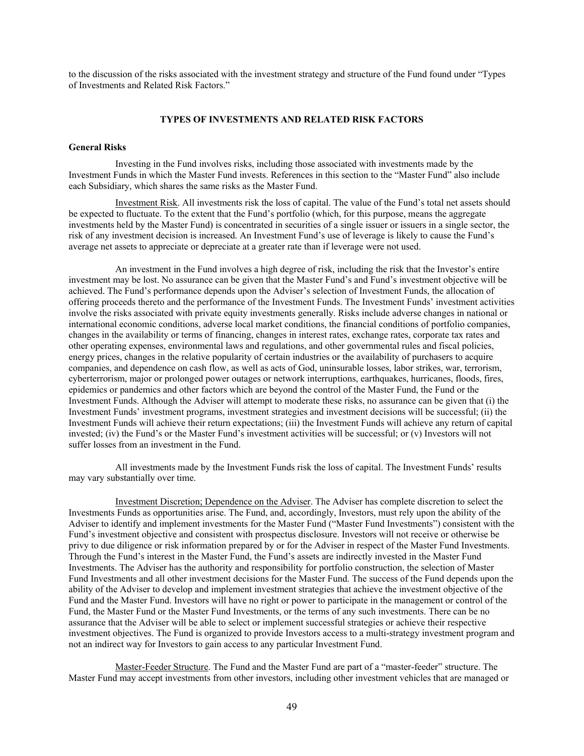to the discussion of the risks associated with the investment strategy and structure of the Fund found under "Types of Investments and Related Risk Factors."

#### **TYPES OF INVESTMENTS AND RELATED RISK FACTORS**

# **General Risks**

Investing in the Fund involves risks, including those associated with investments made by the Investment Funds in which the Master Fund invests. References in this section to the "Master Fund" also include each Subsidiary, which shares the same risks as the Master Fund.

Investment Risk. All investments risk the loss of capital. The value of the Fund's total net assets should be expected to fluctuate. To the extent that the Fund's portfolio (which, for this purpose, means the aggregate investments held by the Master Fund) is concentrated in securities of a single issuer or issuers in a single sector, the risk of any investment decision is increased. An Investment Fund's use of leverage is likely to cause the Fund's average net assets to appreciate or depreciate at a greater rate than if leverage were not used.

An investment in the Fund involves a high degree of risk, including the risk that the Investor's entire investment may be lost. No assurance can be given that the Master Fund's and Fund's investment objective will be achieved. The Fund's performance depends upon the Adviser's selection of Investment Funds, the allocation of offering proceeds thereto and the performance of the Investment Funds. The Investment Funds' investment activities involve the risks associated with private equity investments generally. Risks include adverse changes in national or international economic conditions, adverse local market conditions, the financial conditions of portfolio companies, changes in the availability or terms of financing, changes in interest rates, exchange rates, corporate tax rates and other operating expenses, environmental laws and regulations, and other governmental rules and fiscal policies, energy prices, changes in the relative popularity of certain industries or the availability of purchasers to acquire companies, and dependence on cash flow, as well as acts of God, uninsurable losses, labor strikes, war, terrorism, cyberterrorism, major or prolonged power outages or network interruptions, earthquakes, hurricanes, floods, fires, epidemics or pandemics and other factors which are beyond the control of the Master Fund, the Fund or the Investment Funds. Although the Adviser will attempt to moderate these risks, no assurance can be given that (i) the Investment Funds' investment programs, investment strategies and investment decisions will be successful; (ii) the Investment Funds will achieve their return expectations; (iii) the Investment Funds will achieve any return of capital invested; (iv) the Fund's or the Master Fund's investment activities will be successful; or (v) Investors will not suffer losses from an investment in the Fund.

All investments made by the Investment Funds risk the loss of capital. The Investment Funds' results may vary substantially over time.

Investment Discretion; Dependence on the Adviser. The Adviser has complete discretion to select the Investments Funds as opportunities arise. The Fund, and, accordingly, Investors, must rely upon the ability of the Adviser to identify and implement investments for the Master Fund ("Master Fund Investments") consistent with the Fund's investment objective and consistent with prospectus disclosure. Investors will not receive or otherwise be privy to due diligence or risk information prepared by or for the Adviser in respect of the Master Fund Investments. Through the Fund's interest in the Master Fund, the Fund's assets are indirectly invested in the Master Fund Investments. The Adviser has the authority and responsibility for portfolio construction, the selection of Master Fund Investments and all other investment decisions for the Master Fund. The success of the Fund depends upon the ability of the Adviser to develop and implement investment strategies that achieve the investment objective of the Fund and the Master Fund. Investors will have no right or power to participate in the management or control of the Fund, the Master Fund or the Master Fund Investments, or the terms of any such investments. There can be no assurance that the Adviser will be able to select or implement successful strategies or achieve their respective investment objectives. The Fund is organized to provide Investors access to a multi-strategy investment program and not an indirect way for Investors to gain access to any particular Investment Fund.

Master-Feeder Structure. The Fund and the Master Fund are part of a "master-feeder" structure. The Master Fund may accept investments from other investors, including other investment vehicles that are managed or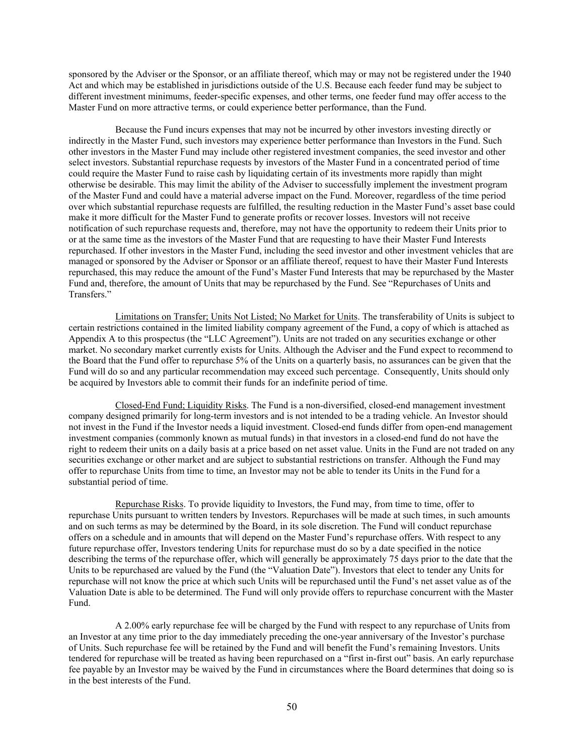sponsored by the Adviser or the Sponsor, or an affiliate thereof, which may or may not be registered under the 1940 Act and which may be established in jurisdictions outside of the U.S. Because each feeder fund may be subject to different investment minimums, feeder-specific expenses, and other terms, one feeder fund may offer access to the Master Fund on more attractive terms, or could experience better performance, than the Fund.

Because the Fund incurs expenses that may not be incurred by other investors investing directly or indirectly in the Master Fund, such investors may experience better performance than Investors in the Fund. Such other investors in the Master Fund may include other registered investment companies, the seed investor and other select investors. Substantial repurchase requests by investors of the Master Fund in a concentrated period of time could require the Master Fund to raise cash by liquidating certain of its investments more rapidly than might otherwise be desirable. This may limit the ability of the Adviser to successfully implement the investment program of the Master Fund and could have a material adverse impact on the Fund. Moreover, regardless of the time period over which substantial repurchase requests are fulfilled, the resulting reduction in the Master Fund's asset base could make it more difficult for the Master Fund to generate profits or recover losses. Investors will not receive notification of such repurchase requests and, therefore, may not have the opportunity to redeem their Units prior to or at the same time as the investors of the Master Fund that are requesting to have their Master Fund Interests repurchased. If other investors in the Master Fund, including the seed investor and other investment vehicles that are managed or sponsored by the Adviser or Sponsor or an affiliate thereof, request to have their Master Fund Interests repurchased, this may reduce the amount of the Fund's Master Fund Interests that may be repurchased by the Master Fund and, therefore, the amount of Units that may be repurchased by the Fund. See "Repurchases of Units and Transfers."

Limitations on Transfer; Units Not Listed; No Market for Units. The transferability of Units is subject to certain restrictions contained in the limited liability company agreement of the Fund, a copy of which is attached as Appendix A to this prospectus (the "LLC Agreement"). Units are not traded on any securities exchange or other market. No secondary market currently exists for Units. Although the Adviser and the Fund expect to recommend to the Board that the Fund offer to repurchase 5% of the Units on a quarterly basis, no assurances can be given that the Fund will do so and any particular recommendation may exceed such percentage. Consequently, Units should only be acquired by Investors able to commit their funds for an indefinite period of time.

Closed-End Fund; Liquidity Risks. The Fund is a non-diversified, closed-end management investment company designed primarily for long-term investors and is not intended to be a trading vehicle. An Investor should not invest in the Fund if the Investor needs a liquid investment. Closed-end funds differ from open-end management investment companies (commonly known as mutual funds) in that investors in a closed-end fund do not have the right to redeem their units on a daily basis at a price based on net asset value. Units in the Fund are not traded on any securities exchange or other market and are subject to substantial restrictions on transfer. Although the Fund may offer to repurchase Units from time to time, an Investor may not be able to tender its Units in the Fund for a substantial period of time.

Repurchase Risks. To provide liquidity to Investors, the Fund may, from time to time, offer to repurchase Units pursuant to written tenders by Investors. Repurchases will be made at such times, in such amounts and on such terms as may be determined by the Board, in its sole discretion. The Fund will conduct repurchase offers on a schedule and in amounts that will depend on the Master Fund's repurchase offers. With respect to any future repurchase offer, Investors tendering Units for repurchase must do so by a date specified in the notice describing the terms of the repurchase offer, which will generally be approximately 75 days prior to the date that the Units to be repurchased are valued by the Fund (the "Valuation Date"). Investors that elect to tender any Units for repurchase will not know the price at which such Units will be repurchased until the Fund's net asset value as of the Valuation Date is able to be determined. The Fund will only provide offers to repurchase concurrent with the Master Fund.

A 2.00% early repurchase fee will be charged by the Fund with respect to any repurchase of Units from an Investor at any time prior to the day immediately preceding the one-year anniversary of the Investor's purchase of Units. Such repurchase fee will be retained by the Fund and will benefit the Fund's remaining Investors. Units tendered for repurchase will be treated as having been repurchased on a "first in-first out" basis. An early repurchase fee payable by an Investor may be waived by the Fund in circumstances where the Board determines that doing so is in the best interests of the Fund.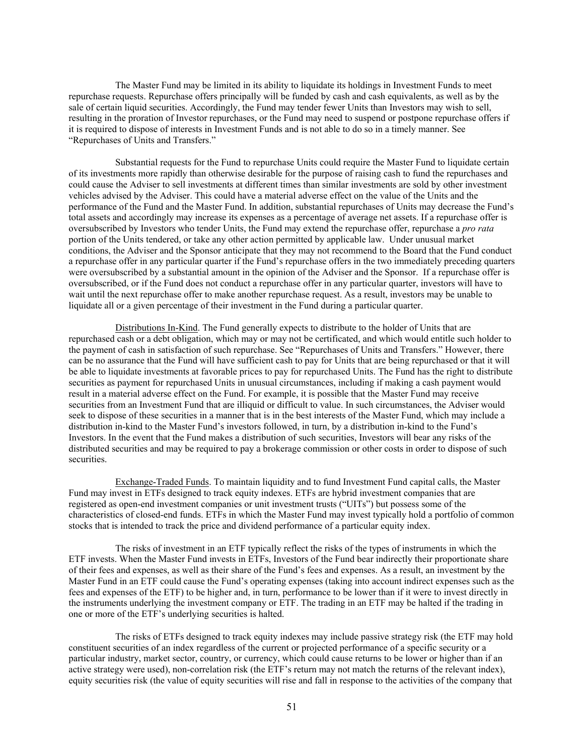The Master Fund may be limited in its ability to liquidate its holdings in Investment Funds to meet repurchase requests. Repurchase offers principally will be funded by cash and cash equivalents, as well as by the sale of certain liquid securities. Accordingly, the Fund may tender fewer Units than Investors may wish to sell, resulting in the proration of Investor repurchases, or the Fund may need to suspend or postpone repurchase offers if it is required to dispose of interests in Investment Funds and is not able to do so in a timely manner. See "Repurchases of Units and Transfers."

Substantial requests for the Fund to repurchase Units could require the Master Fund to liquidate certain of its investments more rapidly than otherwise desirable for the purpose of raising cash to fund the repurchases and could cause the Adviser to sell investments at different times than similar investments are sold by other investment vehicles advised by the Adviser. This could have a material adverse effect on the value of the Units and the performance of the Fund and the Master Fund. In addition, substantial repurchases of Units may decrease the Fund's total assets and accordingly may increase its expenses as a percentage of average net assets. If a repurchase offer is oversubscribed by Investors who tender Units, the Fund may extend the repurchase offer, repurchase a *pro rata* portion of the Units tendered, or take any other action permitted by applicable law. Under unusual market conditions, the Adviser and the Sponsor anticipate that they may not recommend to the Board that the Fund conduct a repurchase offer in any particular quarter if the Fund's repurchase offers in the two immediately preceding quarters were oversubscribed by a substantial amount in the opinion of the Adviser and the Sponsor. If a repurchase offer is oversubscribed, or if the Fund does not conduct a repurchase offer in any particular quarter, investors will have to wait until the next repurchase offer to make another repurchase request. As a result, investors may be unable to liquidate all or a given percentage of their investment in the Fund during a particular quarter.

Distributions In-Kind. The Fund generally expects to distribute to the holder of Units that are repurchased cash or a debt obligation, which may or may not be certificated, and which would entitle such holder to the payment of cash in satisfaction of such repurchase. See "Repurchases of Units and Transfers." However, there can be no assurance that the Fund will have sufficient cash to pay for Units that are being repurchased or that it will be able to liquidate investments at favorable prices to pay for repurchased Units. The Fund has the right to distribute securities as payment for repurchased Units in unusual circumstances, including if making a cash payment would result in a material adverse effect on the Fund. For example, it is possible that the Master Fund may receive securities from an Investment Fund that are illiquid or difficult to value. In such circumstances, the Adviser would seek to dispose of these securities in a manner that is in the best interests of the Master Fund, which may include a distribution in-kind to the Master Fund's investors followed, in turn, by a distribution in-kind to the Fund's Investors. In the event that the Fund makes a distribution of such securities, Investors will bear any risks of the distributed securities and may be required to pay a brokerage commission or other costs in order to dispose of such securities.

Exchange-Traded Funds. To maintain liquidity and to fund Investment Fund capital calls, the Master Fund may invest in ETFs designed to track equity indexes. ETFs are hybrid investment companies that are registered as open-end investment companies or unit investment trusts ("UITs") but possess some of the characteristics of closed-end funds. ETFs in which the Master Fund may invest typically hold a portfolio of common stocks that is intended to track the price and dividend performance of a particular equity index.

The risks of investment in an ETF typically reflect the risks of the types of instruments in which the ETF invests. When the Master Fund invests in ETFs, Investors of the Fund bear indirectly their proportionate share of their fees and expenses, as well as their share of the Fund's fees and expenses. As a result, an investment by the Master Fund in an ETF could cause the Fund's operating expenses (taking into account indirect expenses such as the fees and expenses of the ETF) to be higher and, in turn, performance to be lower than if it were to invest directly in the instruments underlying the investment company or ETF. The trading in an ETF may be halted if the trading in one or more of the ETF's underlying securities is halted.

The risks of ETFs designed to track equity indexes may include passive strategy risk (the ETF may hold constituent securities of an index regardless of the current or projected performance of a specific security or a particular industry, market sector, country, or currency, which could cause returns to be lower or higher than if an active strategy were used), non-correlation risk (the ETF's return may not match the returns of the relevant index), equity securities risk (the value of equity securities will rise and fall in response to the activities of the company that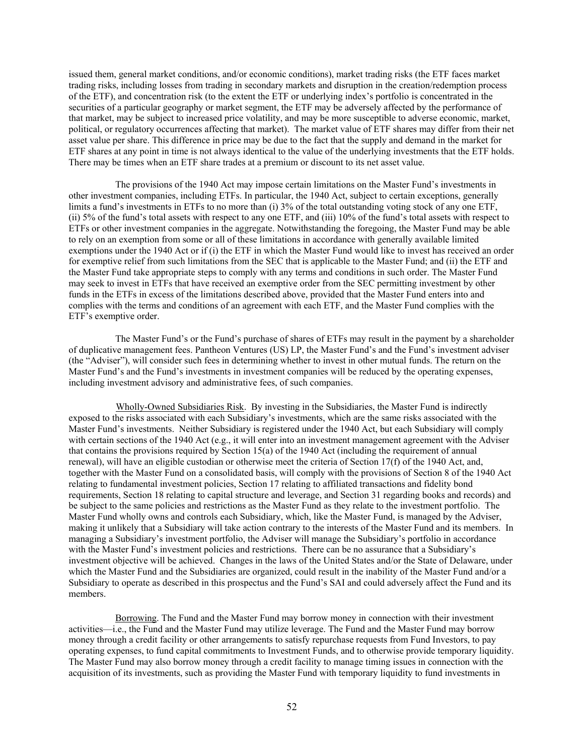issued them, general market conditions, and/or economic conditions), market trading risks (the ETF faces market trading risks, including losses from trading in secondary markets and disruption in the creation/redemption process of the ETF), and concentration risk (to the extent the ETF or underlying index's portfolio is concentrated in the securities of a particular geography or market segment, the ETF may be adversely affected by the performance of that market, may be subject to increased price volatility, and may be more susceptible to adverse economic, market, political, or regulatory occurrences affecting that market). The market value of ETF shares may differ from their net asset value per share. This difference in price may be due to the fact that the supply and demand in the market for ETF shares at any point in time is not always identical to the value of the underlying investments that the ETF holds. There may be times when an ETF share trades at a premium or discount to its net asset value.

The provisions of the 1940 Act may impose certain limitations on the Master Fund's investments in other investment companies, including ETFs. In particular, the 1940 Act, subject to certain exceptions, generally limits a fund's investments in ETFs to no more than (i) 3% of the total outstanding voting stock of any one ETF, (ii) 5% of the fund's total assets with respect to any one ETF, and (iii) 10% of the fund's total assets with respect to ETFs or other investment companies in the aggregate. Notwithstanding the foregoing, the Master Fund may be able to rely on an exemption from some or all of these limitations in accordance with generally available limited exemptions under the 1940 Act or if (i) the ETF in which the Master Fund would like to invest has received an order for exemptive relief from such limitations from the SEC that is applicable to the Master Fund; and (ii) the ETF and the Master Fund take appropriate steps to comply with any terms and conditions in such order. The Master Fund may seek to invest in ETFs that have received an exemptive order from the SEC permitting investment by other funds in the ETFs in excess of the limitations described above, provided that the Master Fund enters into and complies with the terms and conditions of an agreement with each ETF, and the Master Fund complies with the ETF's exemptive order.

The Master Fund's or the Fund's purchase of shares of ETFs may result in the payment by a shareholder of duplicative management fees. Pantheon Ventures (US) LP, the Master Fund's and the Fund's investment adviser (the "Adviser"), will consider such fees in determining whether to invest in other mutual funds. The return on the Master Fund's and the Fund's investments in investment companies will be reduced by the operating expenses, including investment advisory and administrative fees, of such companies.

Wholly-Owned Subsidiaries Risk. By investing in the Subsidiaries, the Master Fund is indirectly exposed to the risks associated with each Subsidiary's investments, which are the same risks associated with the Master Fund's investments. Neither Subsidiary is registered under the 1940 Act, but each Subsidiary will comply with certain sections of the 1940 Act (e.g., it will enter into an investment management agreement with the Adviser that contains the provisions required by Section 15(a) of the 1940 Act (including the requirement of annual renewal), will have an eligible custodian or otherwise meet the criteria of Section 17(f) of the 1940 Act, and, together with the Master Fund on a consolidated basis, will comply with the provisions of Section 8 of the 1940 Act relating to fundamental investment policies, Section 17 relating to affiliated transactions and fidelity bond requirements, Section 18 relating to capital structure and leverage, and Section 31 regarding books and records) and be subject to the same policies and restrictions as the Master Fund as they relate to the investment portfolio. The Master Fund wholly owns and controls each Subsidiary, which, like the Master Fund, is managed by the Adviser, making it unlikely that a Subsidiary will take action contrary to the interests of the Master Fund and its members. In managing a Subsidiary's investment portfolio, the Adviser will manage the Subsidiary's portfolio in accordance with the Master Fund's investment policies and restrictions. There can be no assurance that a Subsidiary's investment objective will be achieved. Changes in the laws of the United States and/or the State of Delaware, under which the Master Fund and the Subsidiaries are organized, could result in the inability of the Master Fund and/or a Subsidiary to operate as described in this prospectus and the Fund's SAI and could adversely affect the Fund and its members.

Borrowing. The Fund and the Master Fund may borrow money in connection with their investment activities—i.e., the Fund and the Master Fund may utilize leverage. The Fund and the Master Fund may borrow money through a credit facility or other arrangements to satisfy repurchase requests from Fund Investors, to pay operating expenses, to fund capital commitments to Investment Funds, and to otherwise provide temporary liquidity. The Master Fund may also borrow money through a credit facility to manage timing issues in connection with the acquisition of its investments, such as providing the Master Fund with temporary liquidity to fund investments in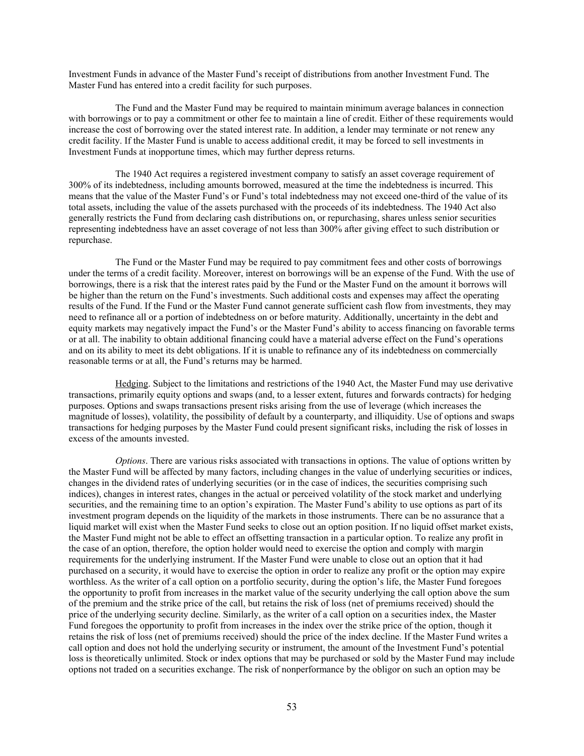Investment Funds in advance of the Master Fund's receipt of distributions from another Investment Fund. The Master Fund has entered into a credit facility for such purposes.

The Fund and the Master Fund may be required to maintain minimum average balances in connection with borrowings or to pay a commitment or other fee to maintain a line of credit. Either of these requirements would increase the cost of borrowing over the stated interest rate. In addition, a lender may terminate or not renew any credit facility. If the Master Fund is unable to access additional credit, it may be forced to sell investments in Investment Funds at inopportune times, which may further depress returns.

The 1940 Act requires a registered investment company to satisfy an asset coverage requirement of 300% of its indebtedness, including amounts borrowed, measured at the time the indebtedness is incurred. This means that the value of the Master Fund's or Fund's total indebtedness may not exceed one-third of the value of its total assets, including the value of the assets purchased with the proceeds of its indebtedness. The 1940 Act also generally restricts the Fund from declaring cash distributions on, or repurchasing, shares unless senior securities representing indebtedness have an asset coverage of not less than 300% after giving effect to such distribution or repurchase.

The Fund or the Master Fund may be required to pay commitment fees and other costs of borrowings under the terms of a credit facility. Moreover, interest on borrowings will be an expense of the Fund. With the use of borrowings, there is a risk that the interest rates paid by the Fund or the Master Fund on the amount it borrows will be higher than the return on the Fund's investments. Such additional costs and expenses may affect the operating results of the Fund. If the Fund or the Master Fund cannot generate sufficient cash flow from investments, they may need to refinance all or a portion of indebtedness on or before maturity. Additionally, uncertainty in the debt and equity markets may negatively impact the Fund's or the Master Fund's ability to access financing on favorable terms or at all. The inability to obtain additional financing could have a material adverse effect on the Fund's operations and on its ability to meet its debt obligations. If it is unable to refinance any of its indebtedness on commercially reasonable terms or at all, the Fund's returns may be harmed.

Hedging. Subject to the limitations and restrictions of the 1940 Act, the Master Fund may use derivative transactions, primarily equity options and swaps (and, to a lesser extent, futures and forwards contracts) for hedging purposes. Options and swaps transactions present risks arising from the use of leverage (which increases the magnitude of losses), volatility, the possibility of default by a counterparty, and illiquidity. Use of options and swaps transactions for hedging purposes by the Master Fund could present significant risks, including the risk of losses in excess of the amounts invested.

*Options*. There are various risks associated with transactions in options. The value of options written by the Master Fund will be affected by many factors, including changes in the value of underlying securities or indices, changes in the dividend rates of underlying securities (or in the case of indices, the securities comprising such indices), changes in interest rates, changes in the actual or perceived volatility of the stock market and underlying securities, and the remaining time to an option's expiration. The Master Fund's ability to use options as part of its investment program depends on the liquidity of the markets in those instruments. There can be no assurance that a liquid market will exist when the Master Fund seeks to close out an option position. If no liquid offset market exists, the Master Fund might not be able to effect an offsetting transaction in a particular option. To realize any profit in the case of an option, therefore, the option holder would need to exercise the option and comply with margin requirements for the underlying instrument. If the Master Fund were unable to close out an option that it had purchased on a security, it would have to exercise the option in order to realize any profit or the option may expire worthless. As the writer of a call option on a portfolio security, during the option's life, the Master Fund foregoes the opportunity to profit from increases in the market value of the security underlying the call option above the sum of the premium and the strike price of the call, but retains the risk of loss (net of premiums received) should the price of the underlying security decline. Similarly, as the writer of a call option on a securities index, the Master Fund foregoes the opportunity to profit from increases in the index over the strike price of the option, though it retains the risk of loss (net of premiums received) should the price of the index decline. If the Master Fund writes a call option and does not hold the underlying security or instrument, the amount of the Investment Fund's potential loss is theoretically unlimited. Stock or index options that may be purchased or sold by the Master Fund may include options not traded on a securities exchange. The risk of nonperformance by the obligor on such an option may be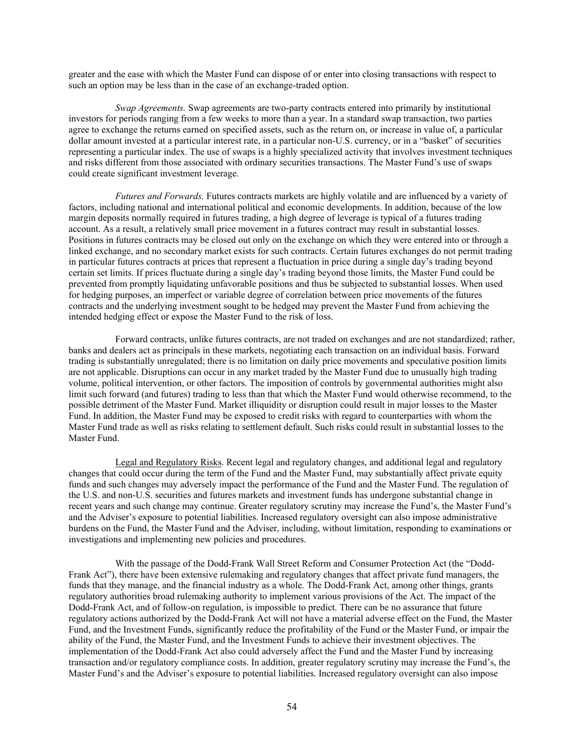greater and the ease with which the Master Fund can dispose of or enter into closing transactions with respect to such an option may be less than in the case of an exchange-traded option.

*Swap Agreements.* Swap agreements are two-party contracts entered into primarily by institutional investors for periods ranging from a few weeks to more than a year. In a standard swap transaction, two parties agree to exchange the returns earned on specified assets, such as the return on, or increase in value of, a particular dollar amount invested at a particular interest rate, in a particular non-U.S. currency, or in a "basket" of securities representing a particular index. The use of swaps is a highly specialized activity that involves investment techniques and risks different from those associated with ordinary securities transactions. The Master Fund's use of swaps could create significant investment leverage.

*Futures and Forwards.* Futures contracts markets are highly volatile and are influenced by a variety of factors, including national and international political and economic developments. In addition, because of the low margin deposits normally required in futures trading, a high degree of leverage is typical of a futures trading account. As a result, a relatively small price movement in a futures contract may result in substantial losses. Positions in futures contracts may be closed out only on the exchange on which they were entered into or through a linked exchange, and no secondary market exists for such contracts. Certain futures exchanges do not permit trading in particular futures contracts at prices that represent a fluctuation in price during a single day's trading beyond certain set limits. If prices fluctuate during a single day's trading beyond those limits, the Master Fund could be prevented from promptly liquidating unfavorable positions and thus be subjected to substantial losses. When used for hedging purposes, an imperfect or variable degree of correlation between price movements of the futures contracts and the underlying investment sought to be hedged may prevent the Master Fund from achieving the intended hedging effect or expose the Master Fund to the risk of loss.

Forward contracts, unlike futures contracts, are not traded on exchanges and are not standardized; rather, banks and dealers act as principals in these markets, negotiating each transaction on an individual basis. Forward trading is substantially unregulated; there is no limitation on daily price movements and speculative position limits are not applicable. Disruptions can occur in any market traded by the Master Fund due to unusually high trading volume, political intervention, or other factors. The imposition of controls by governmental authorities might also limit such forward (and futures) trading to less than that which the Master Fund would otherwise recommend, to the possible detriment of the Master Fund. Market illiquidity or disruption could result in major losses to the Master Fund. In addition, the Master Fund may be exposed to credit risks with regard to counterparties with whom the Master Fund trade as well as risks relating to settlement default. Such risks could result in substantial losses to the Master Fund.

Legal and Regulatory Risks. Recent legal and regulatory changes, and additional legal and regulatory changes that could occur during the term of the Fund and the Master Fund, may substantially affect private equity funds and such changes may adversely impact the performance of the Fund and the Master Fund. The regulation of the U.S. and non-U.S. securities and futures markets and investment funds has undergone substantial change in recent years and such change may continue. Greater regulatory scrutiny may increase the Fund's, the Master Fund's and the Adviser's exposure to potential liabilities. Increased regulatory oversight can also impose administrative burdens on the Fund, the Master Fund and the Adviser, including, without limitation, responding to examinations or investigations and implementing new policies and procedures.

With the passage of the Dodd-Frank Wall Street Reform and Consumer Protection Act (the "Dodd-Frank Act"), there have been extensive rulemaking and regulatory changes that affect private fund managers, the funds that they manage, and the financial industry as a whole. The Dodd-Frank Act, among other things, grants regulatory authorities broad rulemaking authority to implement various provisions of the Act. The impact of the Dodd-Frank Act, and of follow-on regulation, is impossible to predict. There can be no assurance that future regulatory actions authorized by the Dodd-Frank Act will not have a material adverse effect on the Fund, the Master Fund, and the Investment Funds, significantly reduce the profitability of the Fund or the Master Fund, or impair the ability of the Fund, the Master Fund, and the Investment Funds to achieve their investment objectives. The implementation of the Dodd-Frank Act also could adversely affect the Fund and the Master Fund by increasing transaction and/or regulatory compliance costs. In addition, greater regulatory scrutiny may increase the Fund's, the Master Fund's and the Adviser's exposure to potential liabilities. Increased regulatory oversight can also impose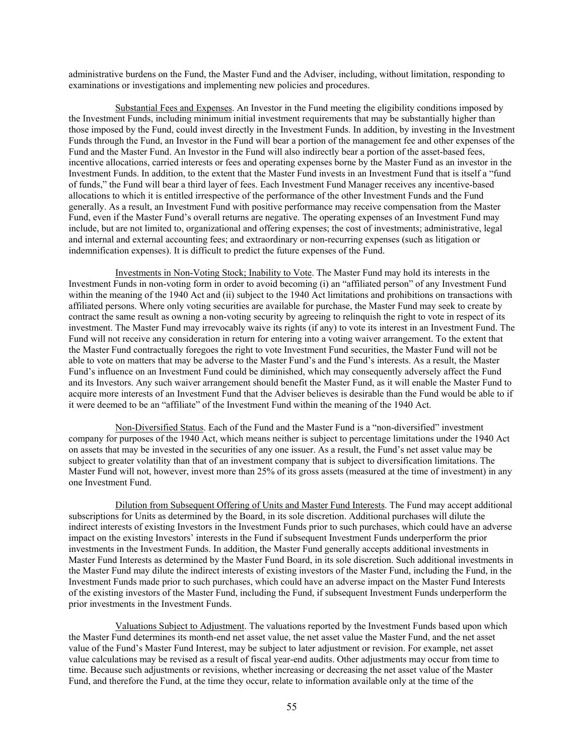administrative burdens on the Fund, the Master Fund and the Adviser, including, without limitation, responding to examinations or investigations and implementing new policies and procedures.

Substantial Fees and Expenses. An Investor in the Fund meeting the eligibility conditions imposed by the Investment Funds, including minimum initial investment requirements that may be substantially higher than those imposed by the Fund, could invest directly in the Investment Funds. In addition, by investing in the Investment Funds through the Fund, an Investor in the Fund will bear a portion of the management fee and other expenses of the Fund and the Master Fund. An Investor in the Fund will also indirectly bear a portion of the asset-based fees, incentive allocations, carried interests or fees and operating expenses borne by the Master Fund as an investor in the Investment Funds. In addition, to the extent that the Master Fund invests in an Investment Fund that is itself a "fund of funds," the Fund will bear a third layer of fees. Each Investment Fund Manager receives any incentive-based allocations to which it is entitled irrespective of the performance of the other Investment Funds and the Fund generally. As a result, an Investment Fund with positive performance may receive compensation from the Master Fund, even if the Master Fund's overall returns are negative. The operating expenses of an Investment Fund may include, but are not limited to, organizational and offering expenses; the cost of investments; administrative, legal and internal and external accounting fees; and extraordinary or non-recurring expenses (such as litigation or indemnification expenses). It is difficult to predict the future expenses of the Fund.

Investments in Non-Voting Stock; Inability to Vote. The Master Fund may hold its interests in the Investment Funds in non-voting form in order to avoid becoming (i) an "affiliated person" of any Investment Fund within the meaning of the 1940 Act and (ii) subject to the 1940 Act limitations and prohibitions on transactions with affiliated persons. Where only voting securities are available for purchase, the Master Fund may seek to create by contract the same result as owning a non-voting security by agreeing to relinquish the right to vote in respect of its investment. The Master Fund may irrevocably waive its rights (if any) to vote its interest in an Investment Fund. The Fund will not receive any consideration in return for entering into a voting waiver arrangement. To the extent that the Master Fund contractually foregoes the right to vote Investment Fund securities, the Master Fund will not be able to vote on matters that may be adverse to the Master Fund's and the Fund's interests. As a result, the Master Fund's influence on an Investment Fund could be diminished, which may consequently adversely affect the Fund and its Investors. Any such waiver arrangement should benefit the Master Fund, as it will enable the Master Fund to acquire more interests of an Investment Fund that the Adviser believes is desirable than the Fund would be able to if it were deemed to be an "affiliate" of the Investment Fund within the meaning of the 1940 Act.

Non-Diversified Status. Each of the Fund and the Master Fund is a "non-diversified" investment company for purposes of the 1940 Act, which means neither is subject to percentage limitations under the 1940 Act on assets that may be invested in the securities of any one issuer. As a result, the Fund's net asset value may be subject to greater volatility than that of an investment company that is subject to diversification limitations. The Master Fund will not, however, invest more than 25% of its gross assets (measured at the time of investment) in any one Investment Fund.

Dilution from Subsequent Offering of Units and Master Fund Interests. The Fund may accept additional subscriptions for Units as determined by the Board, in its sole discretion. Additional purchases will dilute the indirect interests of existing Investors in the Investment Funds prior to such purchases, which could have an adverse impact on the existing Investors' interests in the Fund if subsequent Investment Funds underperform the prior investments in the Investment Funds. In addition, the Master Fund generally accepts additional investments in Master Fund Interests as determined by the Master Fund Board, in its sole discretion. Such additional investments in the Master Fund may dilute the indirect interests of existing investors of the Master Fund, including the Fund, in the Investment Funds made prior to such purchases, which could have an adverse impact on the Master Fund Interests of the existing investors of the Master Fund, including the Fund, if subsequent Investment Funds underperform the prior investments in the Investment Funds.

Valuations Subject to Adjustment. The valuations reported by the Investment Funds based upon which the Master Fund determines its month-end net asset value, the net asset value the Master Fund, and the net asset value of the Fund's Master Fund Interest, may be subject to later adjustment or revision. For example, net asset value calculations may be revised as a result of fiscal year-end audits. Other adjustments may occur from time to time. Because such adjustments or revisions, whether increasing or decreasing the net asset value of the Master Fund, and therefore the Fund, at the time they occur, relate to information available only at the time of the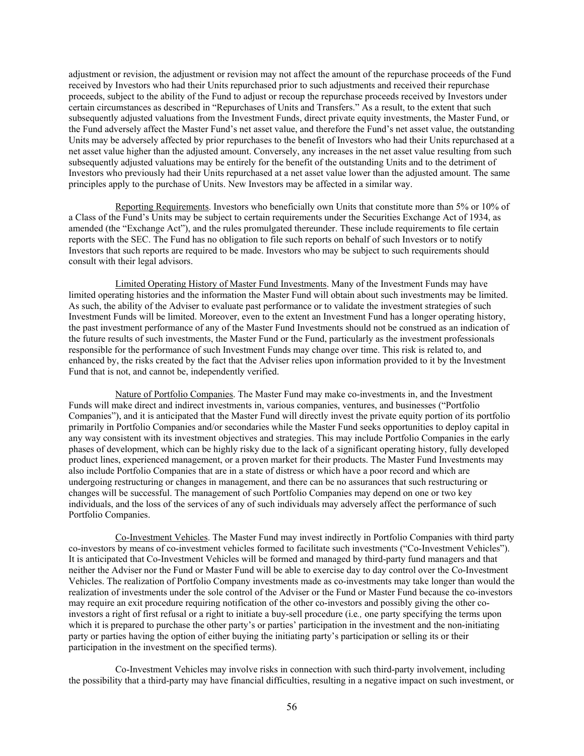adjustment or revision, the adjustment or revision may not affect the amount of the repurchase proceeds of the Fund received by Investors who had their Units repurchased prior to such adjustments and received their repurchase proceeds, subject to the ability of the Fund to adjust or recoup the repurchase proceeds received by Investors under certain circumstances as described in "Repurchases of Units and Transfers." As a result, to the extent that such subsequently adjusted valuations from the Investment Funds, direct private equity investments, the Master Fund, or the Fund adversely affect the Master Fund's net asset value, and therefore the Fund's net asset value, the outstanding Units may be adversely affected by prior repurchases to the benefit of Investors who had their Units repurchased at a net asset value higher than the adjusted amount. Conversely, any increases in the net asset value resulting from such subsequently adjusted valuations may be entirely for the benefit of the outstanding Units and to the detriment of Investors who previously had their Units repurchased at a net asset value lower than the adjusted amount. The same principles apply to the purchase of Units. New Investors may be affected in a similar way.

Reporting Requirements. Investors who beneficially own Units that constitute more than 5% or 10% of a Class of the Fund's Units may be subject to certain requirements under the Securities Exchange Act of 1934, as amended (the "Exchange Act"), and the rules promulgated thereunder. These include requirements to file certain reports with the SEC. The Fund has no obligation to file such reports on behalf of such Investors or to notify Investors that such reports are required to be made. Investors who may be subject to such requirements should consult with their legal advisors.

Limited Operating History of Master Fund Investments. Many of the Investment Funds may have limited operating histories and the information the Master Fund will obtain about such investments may be limited. As such, the ability of the Adviser to evaluate past performance or to validate the investment strategies of such Investment Funds will be limited. Moreover, even to the extent an Investment Fund has a longer operating history, the past investment performance of any of the Master Fund Investments should not be construed as an indication of the future results of such investments, the Master Fund or the Fund, particularly as the investment professionals responsible for the performance of such Investment Funds may change over time. This risk is related to, and enhanced by, the risks created by the fact that the Adviser relies upon information provided to it by the Investment Fund that is not, and cannot be, independently verified.

Nature of Portfolio Companies. The Master Fund may make co-investments in, and the Investment Funds will make direct and indirect investments in, various companies, ventures, and businesses ("Portfolio Companies"), and it is anticipated that the Master Fund will directly invest the private equity portion of its portfolio primarily in Portfolio Companies and/or secondaries while the Master Fund seeks opportunities to deploy capital in any way consistent with its investment objectives and strategies. This may include Portfolio Companies in the early phases of development, which can be highly risky due to the lack of a significant operating history, fully developed product lines, experienced management, or a proven market for their products. The Master Fund Investments may also include Portfolio Companies that are in a state of distress or which have a poor record and which are undergoing restructuring or changes in management, and there can be no assurances that such restructuring or changes will be successful. The management of such Portfolio Companies may depend on one or two key individuals, and the loss of the services of any of such individuals may adversely affect the performance of such Portfolio Companies.

Co-Investment Vehicles. The Master Fund may invest indirectly in Portfolio Companies with third party co-investors by means of co-investment vehicles formed to facilitate such investments ("Co-Investment Vehicles"). It is anticipated that Co-Investment Vehicles will be formed and managed by third-party fund managers and that neither the Adviser nor the Fund or Master Fund will be able to exercise day to day control over the Co-Investment Vehicles. The realization of Portfolio Company investments made as co-investments may take longer than would the realization of investments under the sole control of the Adviser or the Fund or Master Fund because the co-investors may require an exit procedure requiring notification of the other co-investors and possibly giving the other coinvestors a right of first refusal or a right to initiate a buy-sell procedure (i.e*.,* one party specifying the terms upon which it is prepared to purchase the other party's or parties' participation in the investment and the non-initiating party or parties having the option of either buying the initiating party's participation or selling its or their participation in the investment on the specified terms).

Co-Investment Vehicles may involve risks in connection with such third-party involvement, including the possibility that a third-party may have financial difficulties, resulting in a negative impact on such investment, or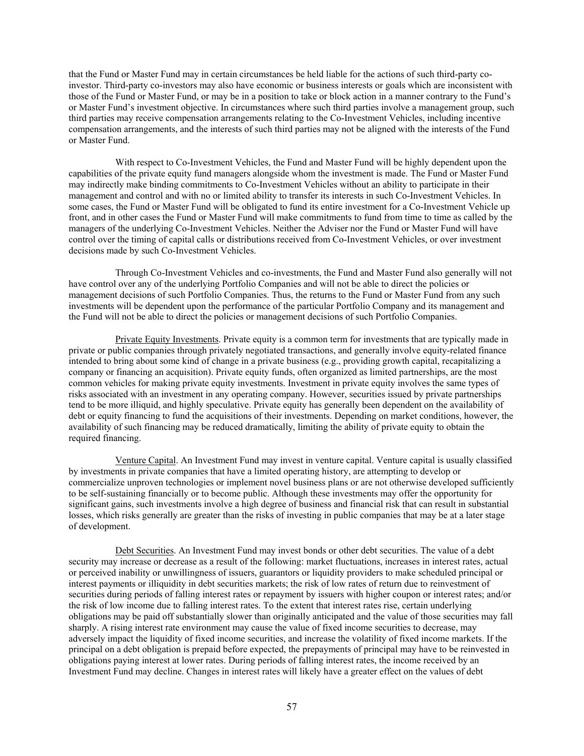that the Fund or Master Fund may in certain circumstances be held liable for the actions of such third-party coinvestor. Third-party co-investors may also have economic or business interests or goals which are inconsistent with those of the Fund or Master Fund, or may be in a position to take or block action in a manner contrary to the Fund's or Master Fund's investment objective. In circumstances where such third parties involve a management group, such third parties may receive compensation arrangements relating to the Co-Investment Vehicles, including incentive compensation arrangements, and the interests of such third parties may not be aligned with the interests of the Fund or Master Fund.

With respect to Co-Investment Vehicles, the Fund and Master Fund will be highly dependent upon the capabilities of the private equity fund managers alongside whom the investment is made. The Fund or Master Fund may indirectly make binding commitments to Co-Investment Vehicles without an ability to participate in their management and control and with no or limited ability to transfer its interests in such Co-Investment Vehicles. In some cases, the Fund or Master Fund will be obligated to fund its entire investment for a Co-Investment Vehicle up front, and in other cases the Fund or Master Fund will make commitments to fund from time to time as called by the managers of the underlying Co-Investment Vehicles. Neither the Adviser nor the Fund or Master Fund will have control over the timing of capital calls or distributions received from Co-Investment Vehicles, or over investment decisions made by such Co-Investment Vehicles.

Through Co-Investment Vehicles and co-investments, the Fund and Master Fund also generally will not have control over any of the underlying Portfolio Companies and will not be able to direct the policies or management decisions of such Portfolio Companies. Thus, the returns to the Fund or Master Fund from any such investments will be dependent upon the performance of the particular Portfolio Company and its management and the Fund will not be able to direct the policies or management decisions of such Portfolio Companies.

Private Equity Investments. Private equity is a common term for investments that are typically made in private or public companies through privately negotiated transactions, and generally involve equity-related finance intended to bring about some kind of change in a private business (e.g., providing growth capital, recapitalizing a company or financing an acquisition). Private equity funds, often organized as limited partnerships, are the most common vehicles for making private equity investments. Investment in private equity involves the same types of risks associated with an investment in any operating company. However, securities issued by private partnerships tend to be more illiquid, and highly speculative. Private equity has generally been dependent on the availability of debt or equity financing to fund the acquisitions of their investments. Depending on market conditions, however, the availability of such financing may be reduced dramatically, limiting the ability of private equity to obtain the required financing.

Venture Capital. An Investment Fund may invest in venture capital. Venture capital is usually classified by investments in private companies that have a limited operating history, are attempting to develop or commercialize unproven technologies or implement novel business plans or are not otherwise developed sufficiently to be self-sustaining financially or to become public. Although these investments may offer the opportunity for significant gains, such investments involve a high degree of business and financial risk that can result in substantial losses, which risks generally are greater than the risks of investing in public companies that may be at a later stage of development.

Debt Securities. An Investment Fund may invest bonds or other debt securities. The value of a debt security may increase or decrease as a result of the following: market fluctuations, increases in interest rates, actual or perceived inability or unwillingness of issuers, guarantors or liquidity providers to make scheduled principal or interest payments or illiquidity in debt securities markets; the risk of low rates of return due to reinvestment of securities during periods of falling interest rates or repayment by issuers with higher coupon or interest rates; and/or the risk of low income due to falling interest rates. To the extent that interest rates rise, certain underlying obligations may be paid off substantially slower than originally anticipated and the value of those securities may fall sharply. A rising interest rate environment may cause the value of fixed income securities to decrease, may adversely impact the liquidity of fixed income securities, and increase the volatility of fixed income markets. If the principal on a debt obligation is prepaid before expected, the prepayments of principal may have to be reinvested in obligations paying interest at lower rates. During periods of falling interest rates, the income received by an Investment Fund may decline. Changes in interest rates will likely have a greater effect on the values of debt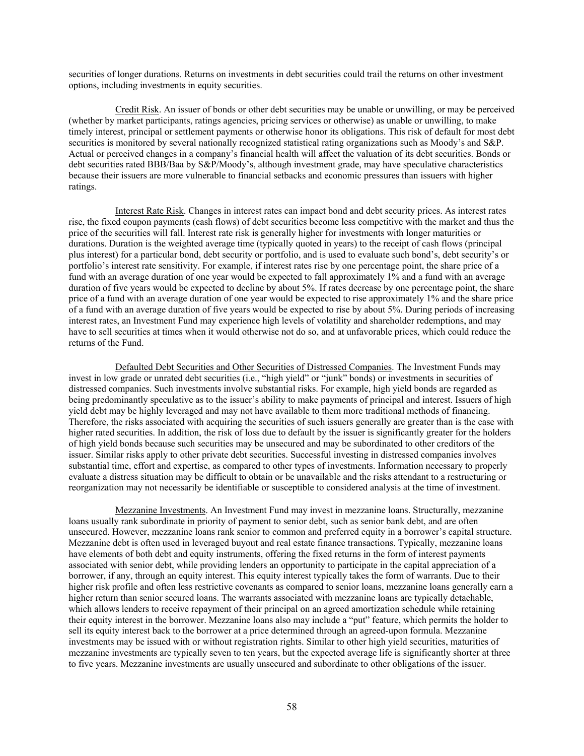securities of longer durations. Returns on investments in debt securities could trail the returns on other investment options, including investments in equity securities.

Credit Risk. An issuer of bonds or other debt securities may be unable or unwilling, or may be perceived (whether by market participants, ratings agencies, pricing services or otherwise) as unable or unwilling, to make timely interest, principal or settlement payments or otherwise honor its obligations. This risk of default for most debt securities is monitored by several nationally recognized statistical rating organizations such as Moody's and S&P. Actual or perceived changes in a company's financial health will affect the valuation of its debt securities. Bonds or debt securities rated BBB/Baa by S&P/Moody's, although investment grade, may have speculative characteristics because their issuers are more vulnerable to financial setbacks and economic pressures than issuers with higher ratings.

Interest Rate Risk. Changes in interest rates can impact bond and debt security prices. As interest rates rise, the fixed coupon payments (cash flows) of debt securities become less competitive with the market and thus the price of the securities will fall. Interest rate risk is generally higher for investments with longer maturities or durations. Duration is the weighted average time (typically quoted in years) to the receipt of cash flows (principal plus interest) for a particular bond, debt security or portfolio, and is used to evaluate such bond's, debt security's or portfolio's interest rate sensitivity. For example, if interest rates rise by one percentage point, the share price of a fund with an average duration of one year would be expected to fall approximately 1% and a fund with an average duration of five years would be expected to decline by about 5%. If rates decrease by one percentage point, the share price of a fund with an average duration of one year would be expected to rise approximately 1% and the share price of a fund with an average duration of five years would be expected to rise by about 5%. During periods of increasing interest rates, an Investment Fund may experience high levels of volatility and shareholder redemptions, and may have to sell securities at times when it would otherwise not do so, and at unfavorable prices, which could reduce the returns of the Fund.

Defaulted Debt Securities and Other Securities of Distressed Companies. The Investment Funds may invest in low grade or unrated debt securities (i.e., "high yield" or "junk" bonds) or investments in securities of distressed companies. Such investments involve substantial risks. For example, high yield bonds are regarded as being predominantly speculative as to the issuer's ability to make payments of principal and interest. Issuers of high yield debt may be highly leveraged and may not have available to them more traditional methods of financing. Therefore, the risks associated with acquiring the securities of such issuers generally are greater than is the case with higher rated securities. In addition, the risk of loss due to default by the issuer is significantly greater for the holders of high yield bonds because such securities may be unsecured and may be subordinated to other creditors of the issuer. Similar risks apply to other private debt securities. Successful investing in distressed companies involves substantial time, effort and expertise, as compared to other types of investments. Information necessary to properly evaluate a distress situation may be difficult to obtain or be unavailable and the risks attendant to a restructuring or reorganization may not necessarily be identifiable or susceptible to considered analysis at the time of investment.

Mezzanine Investments. An Investment Fund may invest in mezzanine loans. Structurally, mezzanine loans usually rank subordinate in priority of payment to senior debt, such as senior bank debt, and are often unsecured. However, mezzanine loans rank senior to common and preferred equity in a borrower's capital structure. Mezzanine debt is often used in leveraged buyout and real estate finance transactions. Typically, mezzanine loans have elements of both debt and equity instruments, offering the fixed returns in the form of interest payments associated with senior debt, while providing lenders an opportunity to participate in the capital appreciation of a borrower, if any, through an equity interest. This equity interest typically takes the form of warrants. Due to their higher risk profile and often less restrictive covenants as compared to senior loans, mezzanine loans generally earn a higher return than senior secured loans. The warrants associated with mezzanine loans are typically detachable, which allows lenders to receive repayment of their principal on an agreed amortization schedule while retaining their equity interest in the borrower. Mezzanine loans also may include a "put" feature, which permits the holder to sell its equity interest back to the borrower at a price determined through an agreed-upon formula. Mezzanine investments may be issued with or without registration rights. Similar to other high yield securities, maturities of mezzanine investments are typically seven to ten years, but the expected average life is significantly shorter at three to five years. Mezzanine investments are usually unsecured and subordinate to other obligations of the issuer.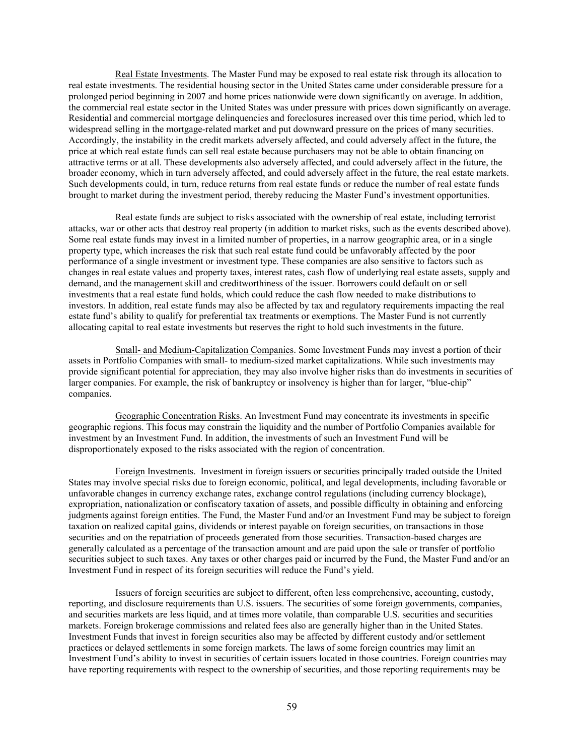Real Estate Investments. The Master Fund may be exposed to real estate risk through its allocation to real estate investments. The residential housing sector in the United States came under considerable pressure for a prolonged period beginning in 2007 and home prices nationwide were down significantly on average. In addition, the commercial real estate sector in the United States was under pressure with prices down significantly on average. Residential and commercial mortgage delinquencies and foreclosures increased over this time period, which led to widespread selling in the mortgage-related market and put downward pressure on the prices of many securities. Accordingly, the instability in the credit markets adversely affected, and could adversely affect in the future, the price at which real estate funds can sell real estate because purchasers may not be able to obtain financing on attractive terms or at all. These developments also adversely affected, and could adversely affect in the future, the broader economy, which in turn adversely affected, and could adversely affect in the future, the real estate markets. Such developments could, in turn, reduce returns from real estate funds or reduce the number of real estate funds brought to market during the investment period, thereby reducing the Master Fund's investment opportunities.

Real estate funds are subject to risks associated with the ownership of real estate, including terrorist attacks, war or other acts that destroy real property (in addition to market risks, such as the events described above). Some real estate funds may invest in a limited number of properties, in a narrow geographic area, or in a single property type, which increases the risk that such real estate fund could be unfavorably affected by the poor performance of a single investment or investment type. These companies are also sensitive to factors such as changes in real estate values and property taxes, interest rates, cash flow of underlying real estate assets, supply and demand, and the management skill and creditworthiness of the issuer. Borrowers could default on or sell investments that a real estate fund holds, which could reduce the cash flow needed to make distributions to investors. In addition, real estate funds may also be affected by tax and regulatory requirements impacting the real estate fund's ability to qualify for preferential tax treatments or exemptions. The Master Fund is not currently allocating capital to real estate investments but reserves the right to hold such investments in the future.

Small- and Medium-Capitalization Companies. Some Investment Funds may invest a portion of their assets in Portfolio Companies with small- to medium-sized market capitalizations. While such investments may provide significant potential for appreciation, they may also involve higher risks than do investments in securities of larger companies. For example, the risk of bankruptcy or insolvency is higher than for larger, "blue-chip" companies.

Geographic Concentration Risks. An Investment Fund may concentrate its investments in specific geographic regions. This focus may constrain the liquidity and the number of Portfolio Companies available for investment by an Investment Fund. In addition, the investments of such an Investment Fund will be disproportionately exposed to the risks associated with the region of concentration.

Foreign Investments. Investment in foreign issuers or securities principally traded outside the United States may involve special risks due to foreign economic, political, and legal developments, including favorable or unfavorable changes in currency exchange rates, exchange control regulations (including currency blockage), expropriation, nationalization or confiscatory taxation of assets, and possible difficulty in obtaining and enforcing judgments against foreign entities. The Fund, the Master Fund and/or an Investment Fund may be subject to foreign taxation on realized capital gains, dividends or interest payable on foreign securities, on transactions in those securities and on the repatriation of proceeds generated from those securities. Transaction-based charges are generally calculated as a percentage of the transaction amount and are paid upon the sale or transfer of portfolio securities subject to such taxes. Any taxes or other charges paid or incurred by the Fund, the Master Fund and/or an Investment Fund in respect of its foreign securities will reduce the Fund's yield.

Issuers of foreign securities are subject to different, often less comprehensive, accounting, custody, reporting, and disclosure requirements than U.S. issuers. The securities of some foreign governments, companies, and securities markets are less liquid, and at times more volatile, than comparable U.S. securities and securities markets. Foreign brokerage commissions and related fees also are generally higher than in the United States. Investment Funds that invest in foreign securities also may be affected by different custody and/or settlement practices or delayed settlements in some foreign markets. The laws of some foreign countries may limit an Investment Fund's ability to invest in securities of certain issuers located in those countries. Foreign countries may have reporting requirements with respect to the ownership of securities, and those reporting requirements may be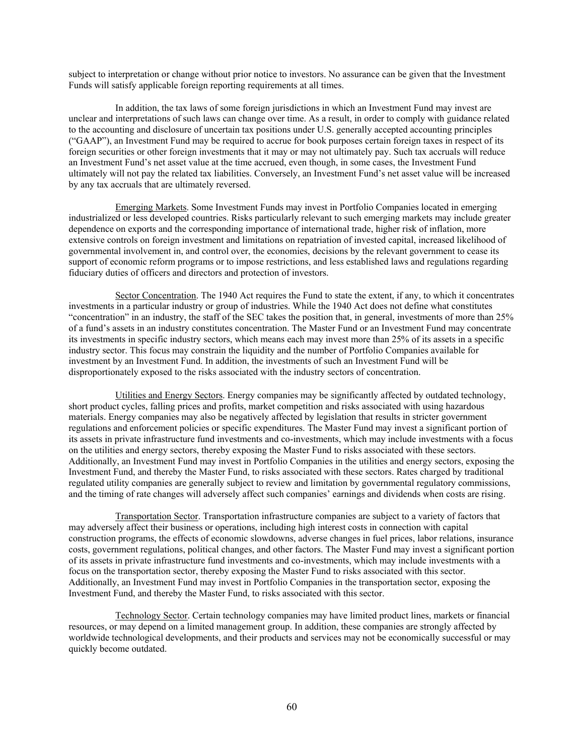subject to interpretation or change without prior notice to investors. No assurance can be given that the Investment Funds will satisfy applicable foreign reporting requirements at all times.

In addition, the tax laws of some foreign jurisdictions in which an Investment Fund may invest are unclear and interpretations of such laws can change over time. As a result, in order to comply with guidance related to the accounting and disclosure of uncertain tax positions under U.S. generally accepted accounting principles ("GAAP"), an Investment Fund may be required to accrue for book purposes certain foreign taxes in respect of its foreign securities or other foreign investments that it may or may not ultimately pay. Such tax accruals will reduce an Investment Fund's net asset value at the time accrued, even though, in some cases, the Investment Fund ultimately will not pay the related tax liabilities. Conversely, an Investment Fund's net asset value will be increased by any tax accruals that are ultimately reversed.

Emerging Markets. Some Investment Funds may invest in Portfolio Companies located in emerging industrialized or less developed countries. Risks particularly relevant to such emerging markets may include greater dependence on exports and the corresponding importance of international trade, higher risk of inflation, more extensive controls on foreign investment and limitations on repatriation of invested capital, increased likelihood of governmental involvement in, and control over, the economies, decisions by the relevant government to cease its support of economic reform programs or to impose restrictions, and less established laws and regulations regarding fiduciary duties of officers and directors and protection of investors.

Sector Concentration. The 1940 Act requires the Fund to state the extent, if any, to which it concentrates investments in a particular industry or group of industries. While the 1940 Act does not define what constitutes "concentration" in an industry, the staff of the SEC takes the position that, in general, investments of more than 25% of a fund's assets in an industry constitutes concentration. The Master Fund or an Investment Fund may concentrate its investments in specific industry sectors, which means each may invest more than 25% of its assets in a specific industry sector. This focus may constrain the liquidity and the number of Portfolio Companies available for investment by an Investment Fund. In addition, the investments of such an Investment Fund will be disproportionately exposed to the risks associated with the industry sectors of concentration.

Utilities and Energy Sectors. Energy companies may be significantly affected by outdated technology, short product cycles, falling prices and profits, market competition and risks associated with using hazardous materials. Energy companies may also be negatively affected by legislation that results in stricter government regulations and enforcement policies or specific expenditures. The Master Fund may invest a significant portion of its assets in private infrastructure fund investments and co-investments, which may include investments with a focus on the utilities and energy sectors, thereby exposing the Master Fund to risks associated with these sectors. Additionally, an Investment Fund may invest in Portfolio Companies in the utilities and energy sectors, exposing the Investment Fund, and thereby the Master Fund, to risks associated with these sectors. Rates charged by traditional regulated utility companies are generally subject to review and limitation by governmental regulatory commissions, and the timing of rate changes will adversely affect such companies' earnings and dividends when costs are rising.

Transportation Sector. Transportation infrastructure companies are subject to a variety of factors that may adversely affect their business or operations, including high interest costs in connection with capital construction programs, the effects of economic slowdowns, adverse changes in fuel prices, labor relations, insurance costs, government regulations, political changes, and other factors. The Master Fund may invest a significant portion of its assets in private infrastructure fund investments and co-investments, which may include investments with a focus on the transportation sector, thereby exposing the Master Fund to risks associated with this sector. Additionally, an Investment Fund may invest in Portfolio Companies in the transportation sector, exposing the Investment Fund, and thereby the Master Fund, to risks associated with this sector.

Technology Sector. Certain technology companies may have limited product lines, markets or financial resources, or may depend on a limited management group. In addition, these companies are strongly affected by worldwide technological developments, and their products and services may not be economically successful or may quickly become outdated.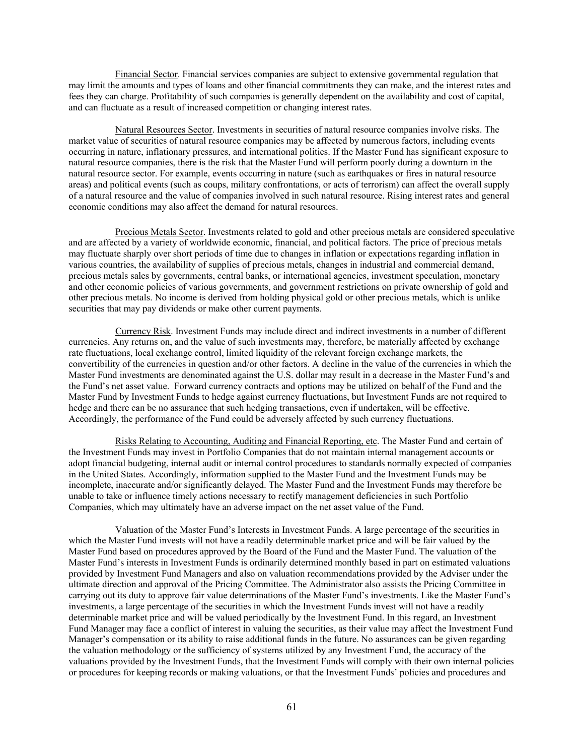Financial Sector. Financial services companies are subject to extensive governmental regulation that may limit the amounts and types of loans and other financial commitments they can make, and the interest rates and fees they can charge. Profitability of such companies is generally dependent on the availability and cost of capital, and can fluctuate as a result of increased competition or changing interest rates.

Natural Resources Sector. Investments in securities of natural resource companies involve risks. The market value of securities of natural resource companies may be affected by numerous factors, including events occurring in nature, inflationary pressures, and international politics. If the Master Fund has significant exposure to natural resource companies, there is the risk that the Master Fund will perform poorly during a downturn in the natural resource sector. For example, events occurring in nature (such as earthquakes or fires in natural resource areas) and political events (such as coups, military confrontations, or acts of terrorism) can affect the overall supply of a natural resource and the value of companies involved in such natural resource. Rising interest rates and general economic conditions may also affect the demand for natural resources.

Precious Metals Sector. Investments related to gold and other precious metals are considered speculative and are affected by a variety of worldwide economic, financial, and political factors. The price of precious metals may fluctuate sharply over short periods of time due to changes in inflation or expectations regarding inflation in various countries, the availability of supplies of precious metals, changes in industrial and commercial demand, precious metals sales by governments, central banks, or international agencies, investment speculation, monetary and other economic policies of various governments, and government restrictions on private ownership of gold and other precious metals. No income is derived from holding physical gold or other precious metals, which is unlike securities that may pay dividends or make other current payments.

Currency Risk. Investment Funds may include direct and indirect investments in a number of different currencies. Any returns on, and the value of such investments may, therefore, be materially affected by exchange rate fluctuations, local exchange control, limited liquidity of the relevant foreign exchange markets, the convertibility of the currencies in question and/or other factors. A decline in the value of the currencies in which the Master Fund investments are denominated against the U.S. dollar may result in a decrease in the Master Fund's and the Fund's net asset value. Forward currency contracts and options may be utilized on behalf of the Fund and the Master Fund by Investment Funds to hedge against currency fluctuations, but Investment Funds are not required to hedge and there can be no assurance that such hedging transactions, even if undertaken, will be effective. Accordingly, the performance of the Fund could be adversely affected by such currency fluctuations.

Risks Relating to Accounting, Auditing and Financial Reporting, etc. The Master Fund and certain of the Investment Funds may invest in Portfolio Companies that do not maintain internal management accounts or adopt financial budgeting, internal audit or internal control procedures to standards normally expected of companies in the United States. Accordingly, information supplied to the Master Fund and the Investment Funds may be incomplete, inaccurate and/or significantly delayed. The Master Fund and the Investment Funds may therefore be unable to take or influence timely actions necessary to rectify management deficiencies in such Portfolio Companies, which may ultimately have an adverse impact on the net asset value of the Fund.

Valuation of the Master Fund's Interests in Investment Funds. A large percentage of the securities in which the Master Fund invests will not have a readily determinable market price and will be fair valued by the Master Fund based on procedures approved by the Board of the Fund and the Master Fund. The valuation of the Master Fund's interests in Investment Funds is ordinarily determined monthly based in part on estimated valuations provided by Investment Fund Managers and also on valuation recommendations provided by the Adviser under the ultimate direction and approval of the Pricing Committee. The Administrator also assists the Pricing Committee in carrying out its duty to approve fair value determinations of the Master Fund's investments. Like the Master Fund's investments, a large percentage of the securities in which the Investment Funds invest will not have a readily determinable market price and will be valued periodically by the Investment Fund. In this regard, an Investment Fund Manager may face a conflict of interest in valuing the securities, as their value may affect the Investment Fund Manager's compensation or its ability to raise additional funds in the future. No assurances can be given regarding the valuation methodology or the sufficiency of systems utilized by any Investment Fund, the accuracy of the valuations provided by the Investment Funds, that the Investment Funds will comply with their own internal policies or procedures for keeping records or making valuations, or that the Investment Funds' policies and procedures and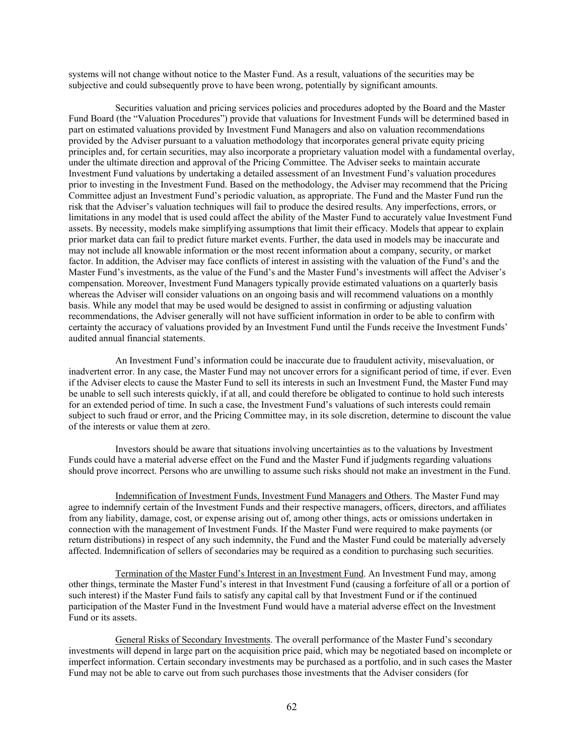systems will not change without notice to the Master Fund. As a result, valuations of the securities may be subjective and could subsequently prove to have been wrong, potentially by significant amounts.

Securities valuation and pricing services policies and procedures adopted by the Board and the Master Fund Board (the "Valuation Procedures") provide that valuations for Investment Funds will be determined based in part on estimated valuations provided by Investment Fund Managers and also on valuation recommendations provided by the Adviser pursuant to a valuation methodology that incorporates general private equity pricing principles and, for certain securities, may also incorporate a proprietary valuation model with a fundamental overlay, under the ultimate direction and approval of the Pricing Committee. The Adviser seeks to maintain accurate Investment Fund valuations by undertaking a detailed assessment of an Investment Fund's valuation procedures prior to investing in the Investment Fund. Based on the methodology, the Adviser may recommend that the Pricing Committee adjust an Investment Fund's periodic valuation, as appropriate. The Fund and the Master Fund run the risk that the Adviser's valuation techniques will fail to produce the desired results. Any imperfections, errors, or limitations in any model that is used could affect the ability of the Master Fund to accurately value Investment Fund assets. By necessity, models make simplifying assumptions that limit their efficacy. Models that appear to explain prior market data can fail to predict future market events. Further, the data used in models may be inaccurate and may not include all knowable information or the most recent information about a company, security, or market factor. In addition, the Adviser may face conflicts of interest in assisting with the valuation of the Fund's and the Master Fund's investments, as the value of the Fund's and the Master Fund's investments will affect the Adviser's compensation. Moreover, Investment Fund Managers typically provide estimated valuations on a quarterly basis whereas the Adviser will consider valuations on an ongoing basis and will recommend valuations on a monthly basis. While any model that may be used would be designed to assist in confirming or adjusting valuation recommendations, the Adviser generally will not have sufficient information in order to be able to confirm with certainty the accuracy of valuations provided by an Investment Fund until the Funds receive the Investment Funds' audited annual financial statements.

An Investment Fund's information could be inaccurate due to fraudulent activity, misevaluation, or inadvertent error. In any case, the Master Fund may not uncover errors for a significant period of time, if ever. Even if the Adviser elects to cause the Master Fund to sell its interests in such an Investment Fund, the Master Fund may be unable to sell such interests quickly, if at all, and could therefore be obligated to continue to hold such interests for an extended period of time. In such a case, the Investment Fund's valuations of such interests could remain subject to such fraud or error, and the Pricing Committee may, in its sole discretion, determine to discount the value of the interests or value them at zero.

Investors should be aware that situations involving uncertainties as to the valuations by Investment Funds could have a material adverse effect on the Fund and the Master Fund if judgments regarding valuations should prove incorrect. Persons who are unwilling to assume such risks should not make an investment in the Fund.

Indemnification of Investment Funds, Investment Fund Managers and Others. The Master Fund may agree to indemnify certain of the Investment Funds and their respective managers, officers, directors, and affiliates from any liability, damage, cost, or expense arising out of, among other things, acts or omissions undertaken in connection with the management of Investment Funds. If the Master Fund were required to make payments (or return distributions) in respect of any such indemnity, the Fund and the Master Fund could be materially adversely affected. Indemnification of sellers of secondaries may be required as a condition to purchasing such securities.

Termination of the Master Fund's Interest in an Investment Fund. An Investment Fund may, among other things, terminate the Master Fund's interest in that Investment Fund (causing a forfeiture of all or a portion of such interest) if the Master Fund fails to satisfy any capital call by that Investment Fund or if the continued participation of the Master Fund in the Investment Fund would have a material adverse effect on the Investment Fund or its assets.

General Risks of Secondary Investments. The overall performance of the Master Fund's secondary investments will depend in large part on the acquisition price paid, which may be negotiated based on incomplete or imperfect information. Certain secondary investments may be purchased as a portfolio, and in such cases the Master Fund may not be able to carve out from such purchases those investments that the Adviser considers (for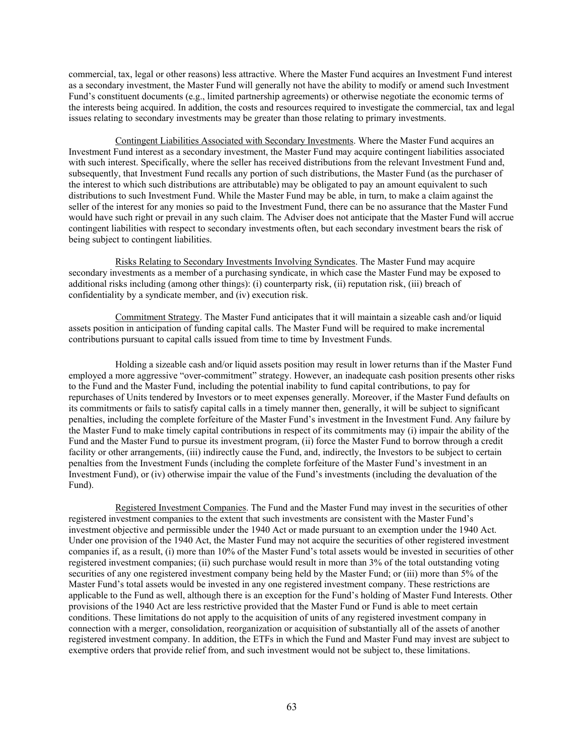commercial, tax, legal or other reasons) less attractive. Where the Master Fund acquires an Investment Fund interest as a secondary investment, the Master Fund will generally not have the ability to modify or amend such Investment Fund's constituent documents (e.g., limited partnership agreements) or otherwise negotiate the economic terms of the interests being acquired. In addition, the costs and resources required to investigate the commercial, tax and legal issues relating to secondary investments may be greater than those relating to primary investments.

Contingent Liabilities Associated with Secondary Investments. Where the Master Fund acquires an Investment Fund interest as a secondary investment, the Master Fund may acquire contingent liabilities associated with such interest. Specifically, where the seller has received distributions from the relevant Investment Fund and, subsequently, that Investment Fund recalls any portion of such distributions, the Master Fund (as the purchaser of the interest to which such distributions are attributable) may be obligated to pay an amount equivalent to such distributions to such Investment Fund. While the Master Fund may be able, in turn, to make a claim against the seller of the interest for any monies so paid to the Investment Fund, there can be no assurance that the Master Fund would have such right or prevail in any such claim. The Adviser does not anticipate that the Master Fund will accrue contingent liabilities with respect to secondary investments often, but each secondary investment bears the risk of being subject to contingent liabilities.

Risks Relating to Secondary Investments Involving Syndicates. The Master Fund may acquire secondary investments as a member of a purchasing syndicate, in which case the Master Fund may be exposed to additional risks including (among other things): (i) counterparty risk, (ii) reputation risk, (iii) breach of confidentiality by a syndicate member, and (iv) execution risk.

Commitment Strategy. The Master Fund anticipates that it will maintain a sizeable cash and/or liquid assets position in anticipation of funding capital calls. The Master Fund will be required to make incremental contributions pursuant to capital calls issued from time to time by Investment Funds.

Holding a sizeable cash and/or liquid assets position may result in lower returns than if the Master Fund employed a more aggressive "over-commitment" strategy. However, an inadequate cash position presents other risks to the Fund and the Master Fund, including the potential inability to fund capital contributions, to pay for repurchases of Units tendered by Investors or to meet expenses generally. Moreover, if the Master Fund defaults on its commitments or fails to satisfy capital calls in a timely manner then, generally, it will be subject to significant penalties, including the complete forfeiture of the Master Fund's investment in the Investment Fund. Any failure by the Master Fund to make timely capital contributions in respect of its commitments may (i) impair the ability of the Fund and the Master Fund to pursue its investment program, (ii) force the Master Fund to borrow through a credit facility or other arrangements, (iii) indirectly cause the Fund, and, indirectly, the Investors to be subject to certain penalties from the Investment Funds (including the complete forfeiture of the Master Fund's investment in an Investment Fund), or (iv) otherwise impair the value of the Fund's investments (including the devaluation of the Fund).

Registered Investment Companies. The Fund and the Master Fund may invest in the securities of other registered investment companies to the extent that such investments are consistent with the Master Fund's investment objective and permissible under the 1940 Act or made pursuant to an exemption under the 1940 Act. Under one provision of the 1940 Act, the Master Fund may not acquire the securities of other registered investment companies if, as a result, (i) more than 10% of the Master Fund's total assets would be invested in securities of other registered investment companies; (ii) such purchase would result in more than 3% of the total outstanding voting securities of any one registered investment company being held by the Master Fund; or (iii) more than 5% of the Master Fund's total assets would be invested in any one registered investment company. These restrictions are applicable to the Fund as well, although there is an exception for the Fund's holding of Master Fund Interests. Other provisions of the 1940 Act are less restrictive provided that the Master Fund or Fund is able to meet certain conditions. These limitations do not apply to the acquisition of units of any registered investment company in connection with a merger, consolidation, reorganization or acquisition of substantially all of the assets of another registered investment company. In addition, the ETFs in which the Fund and Master Fund may invest are subject to exemptive orders that provide relief from, and such investment would not be subject to, these limitations.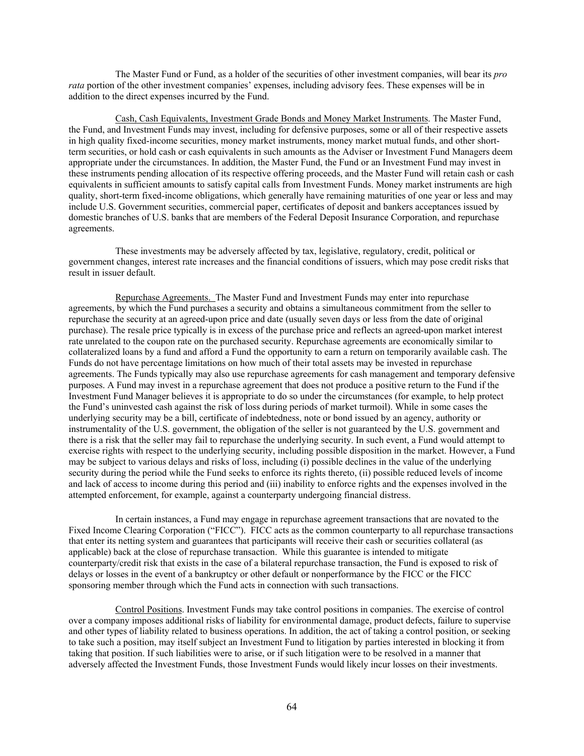The Master Fund or Fund, as a holder of the securities of other investment companies, will bear its *pro rata* portion of the other investment companies' expenses, including advisory fees. These expenses will be in addition to the direct expenses incurred by the Fund.

Cash, Cash Equivalents, Investment Grade Bonds and Money Market Instruments. The Master Fund, the Fund, and Investment Funds may invest, including for defensive purposes, some or all of their respective assets in high quality fixed-income securities, money market instruments, money market mutual funds, and other shortterm securities, or hold cash or cash equivalents in such amounts as the Adviser or Investment Fund Managers deem appropriate under the circumstances. In addition, the Master Fund, the Fund or an Investment Fund may invest in these instruments pending allocation of its respective offering proceeds, and the Master Fund will retain cash or cash equivalents in sufficient amounts to satisfy capital calls from Investment Funds. Money market instruments are high quality, short-term fixed-income obligations, which generally have remaining maturities of one year or less and may include U.S. Government securities, commercial paper, certificates of deposit and bankers acceptances issued by domestic branches of U.S. banks that are members of the Federal Deposit Insurance Corporation, and repurchase agreements.

These investments may be adversely affected by tax, legislative, regulatory, credit, political or government changes, interest rate increases and the financial conditions of issuers, which may pose credit risks that result in issuer default.

Repurchase Agreements. The Master Fund and Investment Funds may enter into repurchase agreements, by which the Fund purchases a security and obtains a simultaneous commitment from the seller to repurchase the security at an agreed-upon price and date (usually seven days or less from the date of original purchase). The resale price typically is in excess of the purchase price and reflects an agreed-upon market interest rate unrelated to the coupon rate on the purchased security. Repurchase agreements are economically similar to collateralized loans by a fund and afford a Fund the opportunity to earn a return on temporarily available cash. The Funds do not have percentage limitations on how much of their total assets may be invested in repurchase agreements. The Funds typically may also use repurchase agreements for cash management and temporary defensive purposes. A Fund may invest in a repurchase agreement that does not produce a positive return to the Fund if the Investment Fund Manager believes it is appropriate to do so under the circumstances (for example, to help protect the Fund's uninvested cash against the risk of loss during periods of market turmoil). While in some cases the underlying security may be a bill, certificate of indebtedness, note or bond issued by an agency, authority or instrumentality of the U.S. government, the obligation of the seller is not guaranteed by the U.S. government and there is a risk that the seller may fail to repurchase the underlying security. In such event, a Fund would attempt to exercise rights with respect to the underlying security, including possible disposition in the market. However, a Fund may be subject to various delays and risks of loss, including (i) possible declines in the value of the underlying security during the period while the Fund seeks to enforce its rights thereto, (ii) possible reduced levels of income and lack of access to income during this period and (iii) inability to enforce rights and the expenses involved in the attempted enforcement, for example, against a counterparty undergoing financial distress.

In certain instances, a Fund may engage in repurchase agreement transactions that are novated to the Fixed Income Clearing Corporation ("FICC"). FICC acts as the common counterparty to all repurchase transactions that enter its netting system and guarantees that participants will receive their cash or securities collateral (as applicable) back at the close of repurchase transaction. While this guarantee is intended to mitigate counterparty/credit risk that exists in the case of a bilateral repurchase transaction, the Fund is exposed to risk of delays or losses in the event of a bankruptcy or other default or nonperformance by the FICC or the FICC sponsoring member through which the Fund acts in connection with such transactions.

Control Positions. Investment Funds may take control positions in companies. The exercise of control over a company imposes additional risks of liability for environmental damage, product defects, failure to supervise and other types of liability related to business operations. In addition, the act of taking a control position, or seeking to take such a position, may itself subject an Investment Fund to litigation by parties interested in blocking it from taking that position. If such liabilities were to arise, or if such litigation were to be resolved in a manner that adversely affected the Investment Funds, those Investment Funds would likely incur losses on their investments.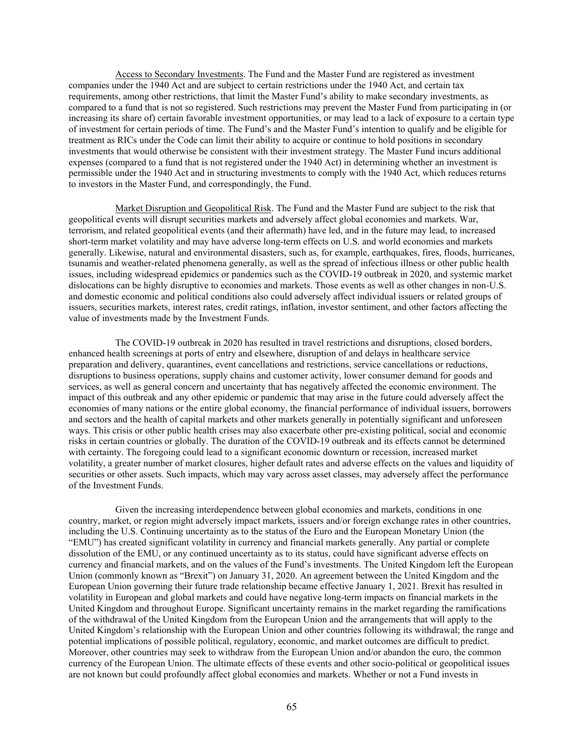Access to Secondary Investments. The Fund and the Master Fund are registered as investment companies under the 1940 Act and are subject to certain restrictions under the 1940 Act, and certain tax requirements, among other restrictions, that limit the Master Fund's ability to make secondary investments, as compared to a fund that is not so registered. Such restrictions may prevent the Master Fund from participating in (or increasing its share of) certain favorable investment opportunities, or may lead to a lack of exposure to a certain type of investment for certain periods of time. The Fund's and the Master Fund's intention to qualify and be eligible for treatment as RICs under the Code can limit their ability to acquire or continue to hold positions in secondary investments that would otherwise be consistent with their investment strategy. The Master Fund incurs additional expenses (compared to a fund that is not registered under the 1940 Act) in determining whether an investment is permissible under the 1940 Act and in structuring investments to comply with the 1940 Act, which reduces returns to investors in the Master Fund, and correspondingly, the Fund.

Market Disruption and Geopolitical Risk. The Fund and the Master Fund are subject to the risk that geopolitical events will disrupt securities markets and adversely affect global economies and markets. War, terrorism, and related geopolitical events (and their aftermath) have led, and in the future may lead, to increased short-term market volatility and may have adverse long-term effects on U.S. and world economies and markets generally. Likewise, natural and environmental disasters, such as, for example, earthquakes, fires, floods, hurricanes, tsunamis and weather-related phenomena generally, as well as the spread of infectious illness or other public health issues, including widespread epidemics or pandemics such as the COVID-19 outbreak in 2020, and systemic market dislocations can be highly disruptive to economies and markets. Those events as well as other changes in non-U.S. and domestic economic and political conditions also could adversely affect individual issuers or related groups of issuers, securities markets, interest rates, credit ratings, inflation, investor sentiment, and other factors affecting the value of investments made by the Investment Funds.

The COVID-19 outbreak in 2020 has resulted in travel restrictions and disruptions, closed borders, enhanced health screenings at ports of entry and elsewhere, disruption of and delays in healthcare service preparation and delivery, quarantines, event cancellations and restrictions, service cancellations or reductions, disruptions to business operations, supply chains and customer activity, lower consumer demand for goods and services, as well as general concern and uncertainty that has negatively affected the economic environment. The impact of this outbreak and any other epidemic or pandemic that may arise in the future could adversely affect the economies of many nations or the entire global economy, the financial performance of individual issuers, borrowers and sectors and the health of capital markets and other markets generally in potentially significant and unforeseen ways. This crisis or other public health crises may also exacerbate other pre-existing political, social and economic risks in certain countries or globally. The duration of the COVID-19 outbreak and its effects cannot be determined with certainty. The foregoing could lead to a significant economic downturn or recession, increased market volatility, a greater number of market closures, higher default rates and adverse effects on the values and liquidity of securities or other assets. Such impacts, which may vary across asset classes, may adversely affect the performance of the Investment Funds.

Given the increasing interdependence between global economies and markets, conditions in one country, market, or region might adversely impact markets, issuers and/or foreign exchange rates in other countries, including the U.S. Continuing uncertainty as to the status of the Euro and the European Monetary Union (the "EMU") has created significant volatility in currency and financial markets generally. Any partial or complete dissolution of the EMU, or any continued uncertainty as to its status, could have significant adverse effects on currency and financial markets, and on the values of the Fund's investments. The United Kingdom left the European Union (commonly known as "Brexit") on January 31, 2020. An agreement between the United Kingdom and the European Union governing their future trade relationship became effective January 1, 2021. Brexit has resulted in volatility in European and global markets and could have negative long-term impacts on financial markets in the United Kingdom and throughout Europe. Significant uncertainty remains in the market regarding the ramifications of the withdrawal of the United Kingdom from the European Union and the arrangements that will apply to the United Kingdom's relationship with the European Union and other countries following its withdrawal; the range and potential implications of possible political, regulatory, economic, and market outcomes are difficult to predict. Moreover, other countries may seek to withdraw from the European Union and/or abandon the euro, the common currency of the European Union. The ultimate effects of these events and other socio-political or geopolitical issues are not known but could profoundly affect global economies and markets. Whether or not a Fund invests in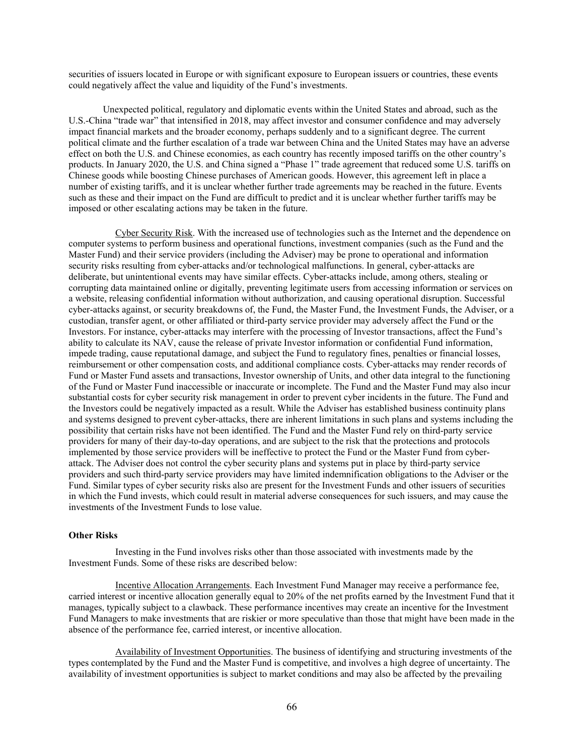securities of issuers located in Europe or with significant exposure to European issuers or countries, these events could negatively affect the value and liquidity of the Fund's investments.

Unexpected political, regulatory and diplomatic events within the United States and abroad, such as the U.S.-China "trade war" that intensified in 2018, may affect investor and consumer confidence and may adversely impact financial markets and the broader economy, perhaps suddenly and to a significant degree. The current political climate and the further escalation of a trade war between China and the United States may have an adverse effect on both the U.S. and Chinese economies, as each country has recently imposed tariffs on the other country's products. In January 2020, the U.S. and China signed a "Phase 1" trade agreement that reduced some U.S. tariffs on Chinese goods while boosting Chinese purchases of American goods. However, this agreement left in place a number of existing tariffs, and it is unclear whether further trade agreements may be reached in the future. Events such as these and their impact on the Fund are difficult to predict and it is unclear whether further tariffs may be imposed or other escalating actions may be taken in the future.

Cyber Security Risk. With the increased use of technologies such as the Internet and the dependence on computer systems to perform business and operational functions, investment companies (such as the Fund and the Master Fund) and their service providers (including the Adviser) may be prone to operational and information security risks resulting from cyber-attacks and/or technological malfunctions. In general, cyber-attacks are deliberate, but unintentional events may have similar effects. Cyber-attacks include, among others, stealing or corrupting data maintained online or digitally, preventing legitimate users from accessing information or services on a website, releasing confidential information without authorization, and causing operational disruption. Successful cyber-attacks against, or security breakdowns of, the Fund, the Master Fund, the Investment Funds, the Adviser, or a custodian, transfer agent, or other affiliated or third-party service provider may adversely affect the Fund or the Investors. For instance, cyber-attacks may interfere with the processing of Investor transactions, affect the Fund's ability to calculate its NAV, cause the release of private Investor information or confidential Fund information, impede trading, cause reputational damage, and subject the Fund to regulatory fines, penalties or financial losses, reimbursement or other compensation costs, and additional compliance costs. Cyber-attacks may render records of Fund or Master Fund assets and transactions, Investor ownership of Units, and other data integral to the functioning of the Fund or Master Fund inaccessible or inaccurate or incomplete. The Fund and the Master Fund may also incur substantial costs for cyber security risk management in order to prevent cyber incidents in the future. The Fund and the Investors could be negatively impacted as a result. While the Adviser has established business continuity plans and systems designed to prevent cyber-attacks, there are inherent limitations in such plans and systems including the possibility that certain risks have not been identified. The Fund and the Master Fund rely on third-party service providers for many of their day-to-day operations, and are subject to the risk that the protections and protocols implemented by those service providers will be ineffective to protect the Fund or the Master Fund from cyberattack. The Adviser does not control the cyber security plans and systems put in place by third-party service providers and such third-party service providers may have limited indemnification obligations to the Adviser or the Fund. Similar types of cyber security risks also are present for the Investment Funds and other issuers of securities in which the Fund invests, which could result in material adverse consequences for such issuers, and may cause the investments of the Investment Funds to lose value.

# **Other Risks**

Investing in the Fund involves risks other than those associated with investments made by the Investment Funds. Some of these risks are described below:

Incentive Allocation Arrangements. Each Investment Fund Manager may receive a performance fee, carried interest or incentive allocation generally equal to 20% of the net profits earned by the Investment Fund that it manages, typically subject to a clawback. These performance incentives may create an incentive for the Investment Fund Managers to make investments that are riskier or more speculative than those that might have been made in the absence of the performance fee, carried interest, or incentive allocation.

Availability of Investment Opportunities. The business of identifying and structuring investments of the types contemplated by the Fund and the Master Fund is competitive, and involves a high degree of uncertainty. The availability of investment opportunities is subject to market conditions and may also be affected by the prevailing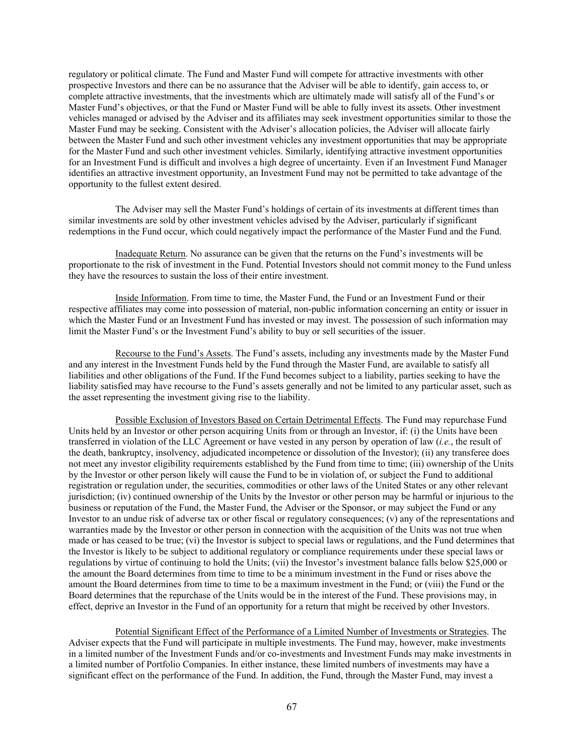regulatory or political climate. The Fund and Master Fund will compete for attractive investments with other prospective Investors and there can be no assurance that the Adviser will be able to identify, gain access to, or complete attractive investments, that the investments which are ultimately made will satisfy all of the Fund's or Master Fund's objectives, or that the Fund or Master Fund will be able to fully invest its assets. Other investment vehicles managed or advised by the Adviser and its affiliates may seek investment opportunities similar to those the Master Fund may be seeking. Consistent with the Adviser's allocation policies, the Adviser will allocate fairly between the Master Fund and such other investment vehicles any investment opportunities that may be appropriate for the Master Fund and such other investment vehicles. Similarly, identifying attractive investment opportunities for an Investment Fund is difficult and involves a high degree of uncertainty. Even if an Investment Fund Manager identifies an attractive investment opportunity, an Investment Fund may not be permitted to take advantage of the opportunity to the fullest extent desired.

The Adviser may sell the Master Fund's holdings of certain of its investments at different times than similar investments are sold by other investment vehicles advised by the Adviser, particularly if significant redemptions in the Fund occur, which could negatively impact the performance of the Master Fund and the Fund.

Inadequate Return. No assurance can be given that the returns on the Fund's investments will be proportionate to the risk of investment in the Fund. Potential Investors should not commit money to the Fund unless they have the resources to sustain the loss of their entire investment.

Inside Information. From time to time, the Master Fund, the Fund or an Investment Fund or their respective affiliates may come into possession of material, non-public information concerning an entity or issuer in which the Master Fund or an Investment Fund has invested or may invest. The possession of such information may limit the Master Fund's or the Investment Fund's ability to buy or sell securities of the issuer.

Recourse to the Fund's Assets. The Fund's assets, including any investments made by the Master Fund and any interest in the Investment Funds held by the Fund through the Master Fund, are available to satisfy all liabilities and other obligations of the Fund. If the Fund becomes subject to a liability, parties seeking to have the liability satisfied may have recourse to the Fund's assets generally and not be limited to any particular asset, such as the asset representing the investment giving rise to the liability.

Possible Exclusion of Investors Based on Certain Detrimental Effects. The Fund may repurchase Fund Units held by an Investor or other person acquiring Units from or through an Investor, if: (i) the Units have been transferred in violation of the LLC Agreement or have vested in any person by operation of law (*i.e.*, the result of the death, bankruptcy, insolvency, adjudicated incompetence or dissolution of the Investor); (ii) any transferee does not meet any investor eligibility requirements established by the Fund from time to time; (iii) ownership of the Units by the Investor or other person likely will cause the Fund to be in violation of, or subject the Fund to additional registration or regulation under, the securities, commodities or other laws of the United States or any other relevant jurisdiction; (iv) continued ownership of the Units by the Investor or other person may be harmful or injurious to the business or reputation of the Fund, the Master Fund, the Adviser or the Sponsor, or may subject the Fund or any Investor to an undue risk of adverse tax or other fiscal or regulatory consequences; (v) any of the representations and warranties made by the Investor or other person in connection with the acquisition of the Units was not true when made or has ceased to be true; (vi) the Investor is subject to special laws or regulations, and the Fund determines that the Investor is likely to be subject to additional regulatory or compliance requirements under these special laws or regulations by virtue of continuing to hold the Units; (vii) the Investor's investment balance falls below \$25,000 or the amount the Board determines from time to time to be a minimum investment in the Fund or rises above the amount the Board determines from time to time to be a maximum investment in the Fund; or (viii) the Fund or the Board determines that the repurchase of the Units would be in the interest of the Fund. These provisions may, in effect, deprive an Investor in the Fund of an opportunity for a return that might be received by other Investors.

Potential Significant Effect of the Performance of a Limited Number of Investments or Strategies. The Adviser expects that the Fund will participate in multiple investments. The Fund may, however, make investments in a limited number of the Investment Funds and/or co-investments and Investment Funds may make investments in a limited number of Portfolio Companies. In either instance, these limited numbers of investments may have a significant effect on the performance of the Fund. In addition, the Fund, through the Master Fund, may invest a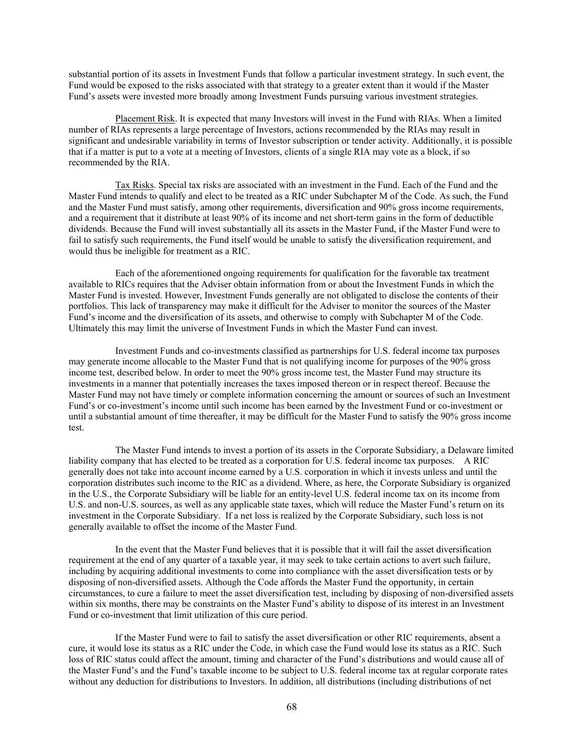substantial portion of its assets in Investment Funds that follow a particular investment strategy. In such event, the Fund would be exposed to the risks associated with that strategy to a greater extent than it would if the Master Fund's assets were invested more broadly among Investment Funds pursuing various investment strategies.

Placement Risk. It is expected that many Investors will invest in the Fund with RIAs. When a limited number of RIAs represents a large percentage of Investors, actions recommended by the RIAs may result in significant and undesirable variability in terms of Investor subscription or tender activity. Additionally, it is possible that if a matter is put to a vote at a meeting of Investors, clients of a single RIA may vote as a block, if so recommended by the RIA.

Tax Risks. Special tax risks are associated with an investment in the Fund. Each of the Fund and the Master Fund intends to qualify and elect to be treated as a RIC under Subchapter M of the Code. As such, the Fund and the Master Fund must satisfy, among other requirements, diversification and 90% gross income requirements, and a requirement that it distribute at least 90% of its income and net short-term gains in the form of deductible dividends. Because the Fund will invest substantially all its assets in the Master Fund, if the Master Fund were to fail to satisfy such requirements, the Fund itself would be unable to satisfy the diversification requirement, and would thus be ineligible for treatment as a RIC.

Each of the aforementioned ongoing requirements for qualification for the favorable tax treatment available to RICs requires that the Adviser obtain information from or about the Investment Funds in which the Master Fund is invested. However, Investment Funds generally are not obligated to disclose the contents of their portfolios. This lack of transparency may make it difficult for the Adviser to monitor the sources of the Master Fund's income and the diversification of its assets, and otherwise to comply with Subchapter M of the Code. Ultimately this may limit the universe of Investment Funds in which the Master Fund can invest.

Investment Funds and co-investments classified as partnerships for U.S. federal income tax purposes may generate income allocable to the Master Fund that is not qualifying income for purposes of the 90% gross income test, described below. In order to meet the 90% gross income test, the Master Fund may structure its investments in a manner that potentially increases the taxes imposed thereon or in respect thereof. Because the Master Fund may not have timely or complete information concerning the amount or sources of such an Investment Fund's or co-investment's income until such income has been earned by the Investment Fund or co-investment or until a substantial amount of time thereafter, it may be difficult for the Master Fund to satisfy the 90% gross income test.

The Master Fund intends to invest a portion of its assets in the Corporate Subsidiary, a Delaware limited liability company that has elected to be treated as a corporation for U.S. federal income tax purposes. A RIC generally does not take into account income earned by a U.S. corporation in which it invests unless and until the corporation distributes such income to the RIC as a dividend. Where, as here, the Corporate Subsidiary is organized in the U.S., the Corporate Subsidiary will be liable for an entity-level U.S. federal income tax on its income from U.S. and non-U.S. sources, as well as any applicable state taxes, which will reduce the Master Fund's return on its investment in the Corporate Subsidiary. If a net loss is realized by the Corporate Subsidiary, such loss is not generally available to offset the income of the Master Fund.

In the event that the Master Fund believes that it is possible that it will fail the asset diversification requirement at the end of any quarter of a taxable year, it may seek to take certain actions to avert such failure, including by acquiring additional investments to come into compliance with the asset diversification tests or by disposing of non-diversified assets. Although the Code affords the Master Fund the opportunity, in certain circumstances, to cure a failure to meet the asset diversification test, including by disposing of non-diversified assets within six months, there may be constraints on the Master Fund's ability to dispose of its interest in an Investment Fund or co-investment that limit utilization of this cure period.

If the Master Fund were to fail to satisfy the asset diversification or other RIC requirements, absent a cure, it would lose its status as a RIC under the Code, in which case the Fund would lose its status as a RIC. Such loss of RIC status could affect the amount, timing and character of the Fund's distributions and would cause all of the Master Fund's and the Fund's taxable income to be subject to U.S. federal income tax at regular corporate rates without any deduction for distributions to Investors. In addition, all distributions (including distributions of net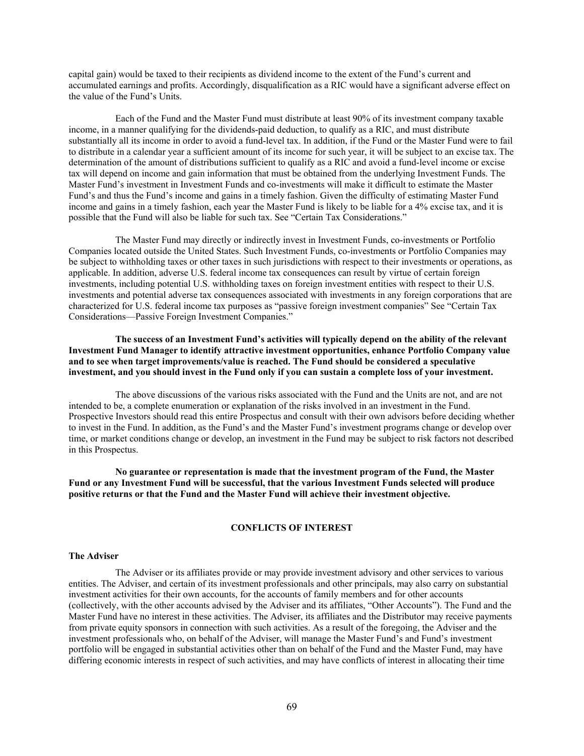capital gain) would be taxed to their recipients as dividend income to the extent of the Fund's current and accumulated earnings and profits. Accordingly, disqualification as a RIC would have a significant adverse effect on the value of the Fund's Units.

Each of the Fund and the Master Fund must distribute at least 90% of its investment company taxable income, in a manner qualifying for the dividends-paid deduction, to qualify as a RIC, and must distribute substantially all its income in order to avoid a fund-level tax. In addition, if the Fund or the Master Fund were to fail to distribute in a calendar year a sufficient amount of its income for such year, it will be subject to an excise tax. The determination of the amount of distributions sufficient to qualify as a RIC and avoid a fund-level income or excise tax will depend on income and gain information that must be obtained from the underlying Investment Funds. The Master Fund's investment in Investment Funds and co-investments will make it difficult to estimate the Master Fund's and thus the Fund's income and gains in a timely fashion. Given the difficulty of estimating Master Fund income and gains in a timely fashion, each year the Master Fund is likely to be liable for a 4% excise tax, and it is possible that the Fund will also be liable for such tax. See "Certain Tax Considerations."

The Master Fund may directly or indirectly invest in Investment Funds, co-investments or Portfolio Companies located outside the United States. Such Investment Funds, co-investments or Portfolio Companies may be subject to withholding taxes or other taxes in such jurisdictions with respect to their investments or operations, as applicable. In addition, adverse U.S. federal income tax consequences can result by virtue of certain foreign investments, including potential U.S. withholding taxes on foreign investment entities with respect to their U.S. investments and potential adverse tax consequences associated with investments in any foreign corporations that are characterized for U.S. federal income tax purposes as "passive foreign investment companies" See "Certain Tax Considerations—Passive Foreign Investment Companies."

**The success of an Investment Fund's activities will typically depend on the ability of the relevant Investment Fund Manager to identify attractive investment opportunities, enhance Portfolio Company value and to see when target improvements/value is reached. The Fund should be considered a speculative investment, and you should invest in the Fund only if you can sustain a complete loss of your investment.**

The above discussions of the various risks associated with the Fund and the Units are not, and are not intended to be, a complete enumeration or explanation of the risks involved in an investment in the Fund. Prospective Investors should read this entire Prospectus and consult with their own advisors before deciding whether to invest in the Fund. In addition, as the Fund's and the Master Fund's investment programs change or develop over time, or market conditions change or develop, an investment in the Fund may be subject to risk factors not described in this Prospectus.

**No guarantee or representation is made that the investment program of the Fund, the Master Fund or any Investment Fund will be successful, that the various Investment Funds selected will produce positive returns or that the Fund and the Master Fund will achieve their investment objective.**

## **CONFLICTS OF INTEREST**

# **The Adviser**

The Adviser or its affiliates provide or may provide investment advisory and other services to various entities. The Adviser, and certain of its investment professionals and other principals, may also carry on substantial investment activities for their own accounts, for the accounts of family members and for other accounts (collectively, with the other accounts advised by the Adviser and its affiliates, "Other Accounts"). The Fund and the Master Fund have no interest in these activities. The Adviser, its affiliates and the Distributor may receive payments from private equity sponsors in connection with such activities. As a result of the foregoing, the Adviser and the investment professionals who, on behalf of the Adviser, will manage the Master Fund's and Fund's investment portfolio will be engaged in substantial activities other than on behalf of the Fund and the Master Fund, may have differing economic interests in respect of such activities, and may have conflicts of interest in allocating their time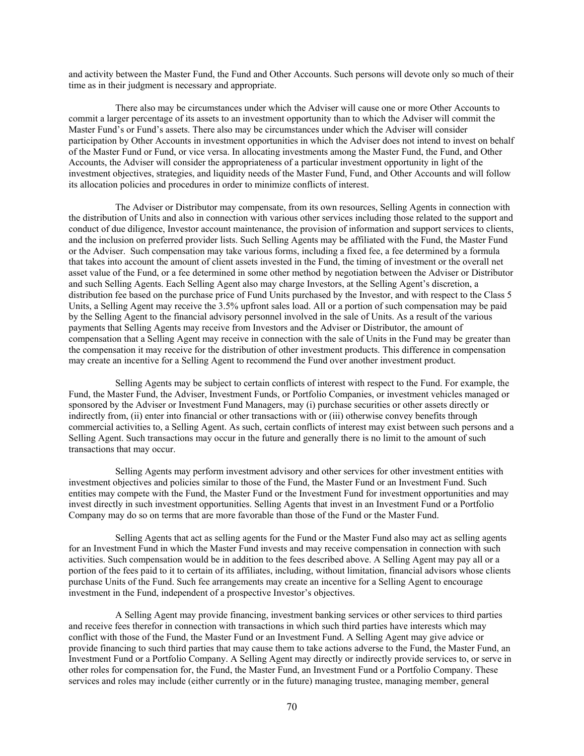and activity between the Master Fund, the Fund and Other Accounts. Such persons will devote only so much of their time as in their judgment is necessary and appropriate.

There also may be circumstances under which the Adviser will cause one or more Other Accounts to commit a larger percentage of its assets to an investment opportunity than to which the Adviser will commit the Master Fund's or Fund's assets. There also may be circumstances under which the Adviser will consider participation by Other Accounts in investment opportunities in which the Adviser does not intend to invest on behalf of the Master Fund or Fund, or vice versa. In allocating investments among the Master Fund, the Fund, and Other Accounts, the Adviser will consider the appropriateness of a particular investment opportunity in light of the investment objectives, strategies, and liquidity needs of the Master Fund, Fund, and Other Accounts and will follow its allocation policies and procedures in order to minimize conflicts of interest.

The Adviser or Distributor may compensate, from its own resources, Selling Agents in connection with the distribution of Units and also in connection with various other services including those related to the support and conduct of due diligence, Investor account maintenance, the provision of information and support services to clients, and the inclusion on preferred provider lists. Such Selling Agents may be affiliated with the Fund, the Master Fund or the Adviser. Such compensation may take various forms, including a fixed fee, a fee determined by a formula that takes into account the amount of client assets invested in the Fund, the timing of investment or the overall net asset value of the Fund, or a fee determined in some other method by negotiation between the Adviser or Distributor and such Selling Agents. Each Selling Agent also may charge Investors, at the Selling Agent's discretion, a distribution fee based on the purchase price of Fund Units purchased by the Investor, and with respect to the Class 5 Units, a Selling Agent may receive the 3.5% upfront sales load. All or a portion of such compensation may be paid by the Selling Agent to the financial advisory personnel involved in the sale of Units. As a result of the various payments that Selling Agents may receive from Investors and the Adviser or Distributor, the amount of compensation that a Selling Agent may receive in connection with the sale of Units in the Fund may be greater than the compensation it may receive for the distribution of other investment products. This difference in compensation may create an incentive for a Selling Agent to recommend the Fund over another investment product.

Selling Agents may be subject to certain conflicts of interest with respect to the Fund. For example, the Fund, the Master Fund, the Adviser, Investment Funds, or Portfolio Companies, or investment vehicles managed or sponsored by the Adviser or Investment Fund Managers, may (i) purchase securities or other assets directly or indirectly from, (ii) enter into financial or other transactions with or (iii) otherwise convey benefits through commercial activities to, a Selling Agent. As such, certain conflicts of interest may exist between such persons and a Selling Agent. Such transactions may occur in the future and generally there is no limit to the amount of such transactions that may occur.

Selling Agents may perform investment advisory and other services for other investment entities with investment objectives and policies similar to those of the Fund, the Master Fund or an Investment Fund. Such entities may compete with the Fund, the Master Fund or the Investment Fund for investment opportunities and may invest directly in such investment opportunities. Selling Agents that invest in an Investment Fund or a Portfolio Company may do so on terms that are more favorable than those of the Fund or the Master Fund.

Selling Agents that act as selling agents for the Fund or the Master Fund also may act as selling agents for an Investment Fund in which the Master Fund invests and may receive compensation in connection with such activities. Such compensation would be in addition to the fees described above. A Selling Agent may pay all or a portion of the fees paid to it to certain of its affiliates, including, without limitation, financial advisors whose clients purchase Units of the Fund. Such fee arrangements may create an incentive for a Selling Agent to encourage investment in the Fund, independent of a prospective Investor's objectives.

A Selling Agent may provide financing, investment banking services or other services to third parties and receive fees therefor in connection with transactions in which such third parties have interests which may conflict with those of the Fund, the Master Fund or an Investment Fund. A Selling Agent may give advice or provide financing to such third parties that may cause them to take actions adverse to the Fund, the Master Fund, an Investment Fund or a Portfolio Company. A Selling Agent may directly or indirectly provide services to, or serve in other roles for compensation for, the Fund, the Master Fund, an Investment Fund or a Portfolio Company. These services and roles may include (either currently or in the future) managing trustee, managing member, general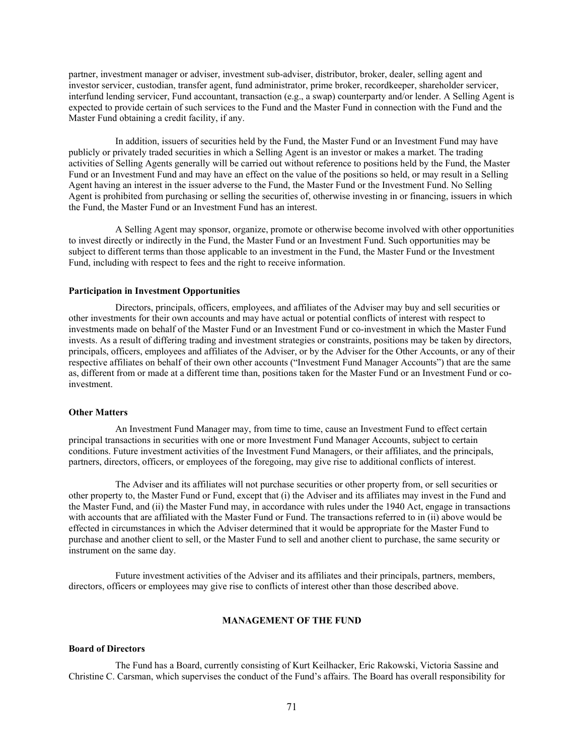partner, investment manager or adviser, investment sub-adviser, distributor, broker, dealer, selling agent and investor servicer, custodian, transfer agent, fund administrator, prime broker, recordkeeper, shareholder servicer, interfund lending servicer, Fund accountant, transaction (e.g., a swap) counterparty and/or lender. A Selling Agent is expected to provide certain of such services to the Fund and the Master Fund in connection with the Fund and the Master Fund obtaining a credit facility, if any.

In addition, issuers of securities held by the Fund, the Master Fund or an Investment Fund may have publicly or privately traded securities in which a Selling Agent is an investor or makes a market. The trading activities of Selling Agents generally will be carried out without reference to positions held by the Fund, the Master Fund or an Investment Fund and may have an effect on the value of the positions so held, or may result in a Selling Agent having an interest in the issuer adverse to the Fund, the Master Fund or the Investment Fund. No Selling Agent is prohibited from purchasing or selling the securities of, otherwise investing in or financing, issuers in which the Fund, the Master Fund or an Investment Fund has an interest.

A Selling Agent may sponsor, organize, promote or otherwise become involved with other opportunities to invest directly or indirectly in the Fund, the Master Fund or an Investment Fund. Such opportunities may be subject to different terms than those applicable to an investment in the Fund, the Master Fund or the Investment Fund, including with respect to fees and the right to receive information.

#### **Participation in Investment Opportunities**

Directors, principals, officers, employees, and affiliates of the Adviser may buy and sell securities or other investments for their own accounts and may have actual or potential conflicts of interest with respect to investments made on behalf of the Master Fund or an Investment Fund or co-investment in which the Master Fund invests. As a result of differing trading and investment strategies or constraints, positions may be taken by directors, principals, officers, employees and affiliates of the Adviser, or by the Adviser for the Other Accounts, or any of their respective affiliates on behalf of their own other accounts ("Investment Fund Manager Accounts") that are the same as, different from or made at a different time than, positions taken for the Master Fund or an Investment Fund or coinvestment.

### **Other Matters**

An Investment Fund Manager may, from time to time, cause an Investment Fund to effect certain principal transactions in securities with one or more Investment Fund Manager Accounts, subject to certain conditions. Future investment activities of the Investment Fund Managers, or their affiliates, and the principals, partners, directors, officers, or employees of the foregoing, may give rise to additional conflicts of interest.

The Adviser and its affiliates will not purchase securities or other property from, or sell securities or other property to, the Master Fund or Fund, except that (i) the Adviser and its affiliates may invest in the Fund and the Master Fund, and (ii) the Master Fund may, in accordance with rules under the 1940 Act, engage in transactions with accounts that are affiliated with the Master Fund or Fund. The transactions referred to in (ii) above would be effected in circumstances in which the Adviser determined that it would be appropriate for the Master Fund to purchase and another client to sell, or the Master Fund to sell and another client to purchase, the same security or instrument on the same day.

Future investment activities of the Adviser and its affiliates and their principals, partners, members, directors, officers or employees may give rise to conflicts of interest other than those described above.

## **MANAGEMENT OF THE FUND**

# **Board of Directors**

The Fund has a Board, currently consisting of Kurt Keilhacker, Eric Rakowski, Victoria Sassine and Christine C. Carsman, which supervises the conduct of the Fund's affairs. The Board has overall responsibility for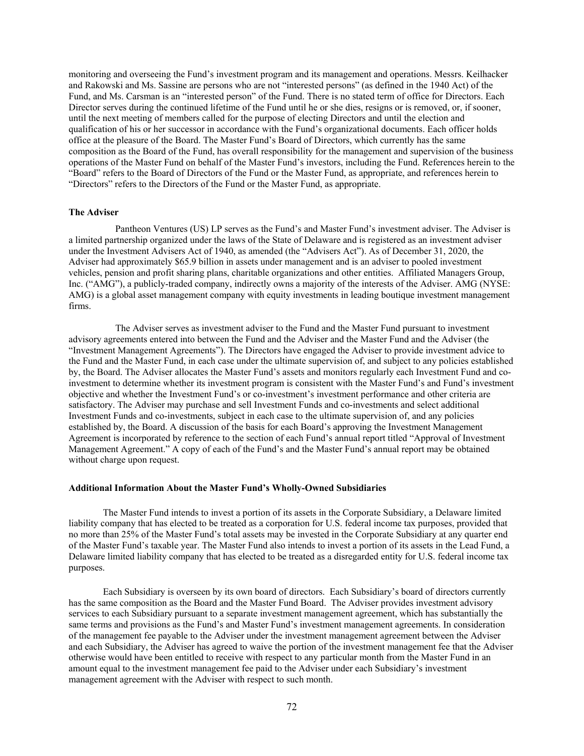monitoring and overseeing the Fund's investment program and its management and operations. Messrs. Keilhacker and Rakowski and Ms. Sassine are persons who are not "interested persons" (as defined in the 1940 Act) of the Fund, and Ms. Carsman is an "interested person" of the Fund. There is no stated term of office for Directors. Each Director serves during the continued lifetime of the Fund until he or she dies, resigns or is removed, or, if sooner, until the next meeting of members called for the purpose of electing Directors and until the election and qualification of his or her successor in accordance with the Fund's organizational documents. Each officer holds office at the pleasure of the Board. The Master Fund's Board of Directors, which currently has the same composition as the Board of the Fund, has overall responsibility for the management and supervision of the business operations of the Master Fund on behalf of the Master Fund's investors, including the Fund. References herein to the "Board" refers to the Board of Directors of the Fund or the Master Fund, as appropriate, and references herein to "Directors" refers to the Directors of the Fund or the Master Fund, as appropriate.

## **The Adviser**

Pantheon Ventures (US) LP serves as the Fund's and Master Fund's investment adviser. The Adviser is a limited partnership organized under the laws of the State of Delaware and is registered as an investment adviser under the Investment Advisers Act of 1940, as amended (the "Advisers Act"). As of December 31, 2020, the Adviser had approximately \$65.9 billion in assets under management and is an adviser to pooled investment vehicles, pension and profit sharing plans, charitable organizations and other entities. Affiliated Managers Group, Inc. ("AMG"), a publicly-traded company, indirectly owns a majority of the interests of the Adviser. AMG (NYSE: AMG) is a global asset management company with equity investments in leading boutique investment management firms.

The Adviser serves as investment adviser to the Fund and the Master Fund pursuant to investment advisory agreements entered into between the Fund and the Adviser and the Master Fund and the Adviser (the "Investment Management Agreements"). The Directors have engaged the Adviser to provide investment advice to the Fund and the Master Fund, in each case under the ultimate supervision of, and subject to any policies established by, the Board. The Adviser allocates the Master Fund's assets and monitors regularly each Investment Fund and coinvestment to determine whether its investment program is consistent with the Master Fund's and Fund's investment objective and whether the Investment Fund's or co-investment's investment performance and other criteria are satisfactory. The Adviser may purchase and sell Investment Funds and co-investments and select additional Investment Funds and co-investments, subject in each case to the ultimate supervision of, and any policies established by, the Board. A discussion of the basis for each Board's approving the Investment Management Agreement is incorporated by reference to the section of each Fund's annual report titled "Approval of Investment Management Agreement." A copy of each of the Fund's and the Master Fund's annual report may be obtained without charge upon request.

### **Additional Information About the Master Fund's Wholly-Owned Subsidiaries**

The Master Fund intends to invest a portion of its assets in the Corporate Subsidiary, a Delaware limited liability company that has elected to be treated as a corporation for U.S. federal income tax purposes, provided that no more than 25% of the Master Fund's total assets may be invested in the Corporate Subsidiary at any quarter end of the Master Fund's taxable year. The Master Fund also intends to invest a portion of its assets in the Lead Fund, a Delaware limited liability company that has elected to be treated as a disregarded entity for U.S. federal income tax purposes.

Each Subsidiary is overseen by its own board of directors. Each Subsidiary's board of directors currently has the same composition as the Board and the Master Fund Board. The Adviser provides investment advisory services to each Subsidiary pursuant to a separate investment management agreement, which has substantially the same terms and provisions as the Fund's and Master Fund's investment management agreements. In consideration of the management fee payable to the Adviser under the investment management agreement between the Adviser and each Subsidiary, the Adviser has agreed to waive the portion of the investment management fee that the Adviser otherwise would have been entitled to receive with respect to any particular month from the Master Fund in an amount equal to the investment management fee paid to the Adviser under each Subsidiary's investment management agreement with the Adviser with respect to such month.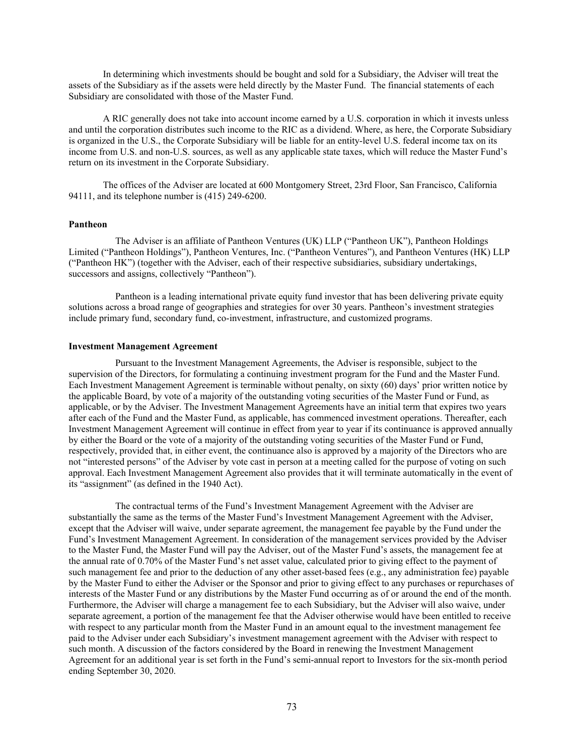In determining which investments should be bought and sold for a Subsidiary, the Adviser will treat the assets of the Subsidiary as if the assets were held directly by the Master Fund. The financial statements of each Subsidiary are consolidated with those of the Master Fund.

A RIC generally does not take into account income earned by a U.S. corporation in which it invests unless and until the corporation distributes such income to the RIC as a dividend. Where, as here, the Corporate Subsidiary is organized in the U.S., the Corporate Subsidiary will be liable for an entity-level U.S. federal income tax on its income from U.S. and non-U.S. sources, as well as any applicable state taxes, which will reduce the Master Fund's return on its investment in the Corporate Subsidiary.

The offices of the Adviser are located at 600 Montgomery Street, 23rd Floor, San Francisco, California 94111, and its telephone number is (415) 249-6200.

#### **Pantheon**

The Adviser is an affiliate of Pantheon Ventures (UK) LLP ("Pantheon UK"), Pantheon Holdings Limited ("Pantheon Holdings"), Pantheon Ventures, Inc. ("Pantheon Ventures"), and Pantheon Ventures (HK) LLP ("Pantheon HK") (together with the Adviser, each of their respective subsidiaries, subsidiary undertakings, successors and assigns, collectively "Pantheon").

Pantheon is a leading international private equity fund investor that has been delivering private equity solutions across a broad range of geographies and strategies for over 30 years. Pantheon's investment strategies include primary fund, secondary fund, co-investment, infrastructure, and customized programs.

## **Investment Management Agreement**

Pursuant to the Investment Management Agreements, the Adviser is responsible, subject to the supervision of the Directors, for formulating a continuing investment program for the Fund and the Master Fund. Each Investment Management Agreement is terminable without penalty, on sixty (60) days' prior written notice by the applicable Board, by vote of a majority of the outstanding voting securities of the Master Fund or Fund, as applicable, or by the Adviser. The Investment Management Agreements have an initial term that expires two years after each of the Fund and the Master Fund, as applicable, has commenced investment operations. Thereafter, each Investment Management Agreement will continue in effect from year to year if its continuance is approved annually by either the Board or the vote of a majority of the outstanding voting securities of the Master Fund or Fund, respectively, provided that, in either event, the continuance also is approved by a majority of the Directors who are not "interested persons" of the Adviser by vote cast in person at a meeting called for the purpose of voting on such approval. Each Investment Management Agreement also provides that it will terminate automatically in the event of its "assignment" (as defined in the 1940 Act).

The contractual terms of the Fund's Investment Management Agreement with the Adviser are substantially the same as the terms of the Master Fund's Investment Management Agreement with the Adviser, except that the Adviser will waive, under separate agreement, the management fee payable by the Fund under the Fund's Investment Management Agreement. In consideration of the management services provided by the Adviser to the Master Fund, the Master Fund will pay the Adviser, out of the Master Fund's assets, the management fee at the annual rate of 0.70% of the Master Fund's net asset value, calculated prior to giving effect to the payment of such management fee and prior to the deduction of any other asset-based fees (e.g., any administration fee) payable by the Master Fund to either the Adviser or the Sponsor and prior to giving effect to any purchases or repurchases of interests of the Master Fund or any distributions by the Master Fund occurring as of or around the end of the month. Furthermore, the Adviser will charge a management fee to each Subsidiary, but the Adviser will also waive, under separate agreement, a portion of the management fee that the Adviser otherwise would have been entitled to receive with respect to any particular month from the Master Fund in an amount equal to the investment management fee paid to the Adviser under each Subsidiary's investment management agreement with the Adviser with respect to such month. A discussion of the factors considered by the Board in renewing the Investment Management Agreement for an additional year is set forth in the Fund's semi-annual report to Investors for the six-month period ending September 30, 2020.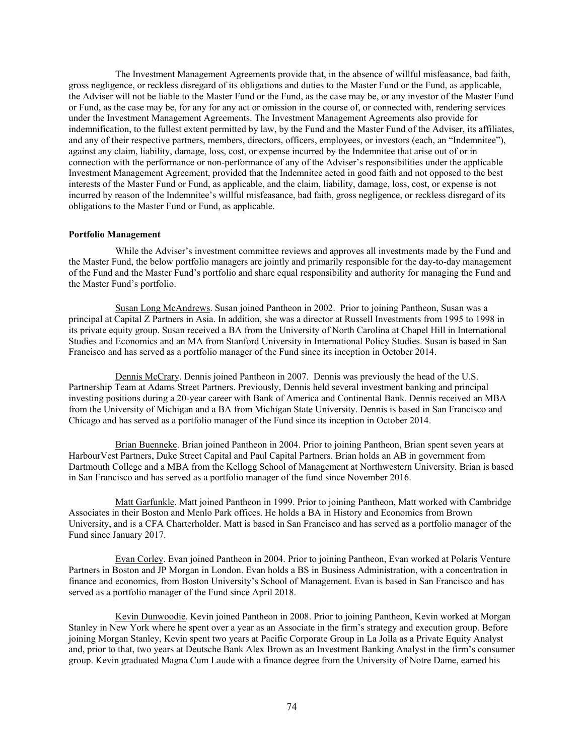The Investment Management Agreements provide that, in the absence of willful misfeasance, bad faith, gross negligence, or reckless disregard of its obligations and duties to the Master Fund or the Fund, as applicable, the Adviser will not be liable to the Master Fund or the Fund, as the case may be, or any investor of the Master Fund or Fund, as the case may be, for any for any act or omission in the course of, or connected with, rendering services under the Investment Management Agreements. The Investment Management Agreements also provide for indemnification, to the fullest extent permitted by law, by the Fund and the Master Fund of the Adviser, its affiliates, and any of their respective partners, members, directors, officers, employees, or investors (each, an "Indemnitee"), against any claim, liability, damage, loss, cost, or expense incurred by the Indemnitee that arise out of or in connection with the performance or non-performance of any of the Adviser's responsibilities under the applicable Investment Management Agreement, provided that the Indemnitee acted in good faith and not opposed to the best interests of the Master Fund or Fund, as applicable, and the claim, liability, damage, loss, cost, or expense is not incurred by reason of the Indemnitee's willful misfeasance, bad faith, gross negligence, or reckless disregard of its obligations to the Master Fund or Fund, as applicable.

#### **Portfolio Management**

While the Adviser's investment committee reviews and approves all investments made by the Fund and the Master Fund, the below portfolio managers are jointly and primarily responsible for the day-to-day management of the Fund and the Master Fund's portfolio and share equal responsibility and authority for managing the Fund and the Master Fund's portfolio.

Susan Long McAndrews. Susan joined Pantheon in 2002. Prior to joining Pantheon, Susan was a principal at Capital Z Partners in Asia. In addition, she was a director at Russell Investments from 1995 to 1998 in its private equity group. Susan received a BA from the University of North Carolina at Chapel Hill in International Studies and Economics and an MA from Stanford University in International Policy Studies. Susan is based in San Francisco and has served as a portfolio manager of the Fund since its inception in October 2014.

Dennis McCrary. Dennis joined Pantheon in 2007. Dennis was previously the head of the U.S. Partnership Team at Adams Street Partners. Previously, Dennis held several investment banking and principal investing positions during a 20-year career with Bank of America and Continental Bank. Dennis received an MBA from the University of Michigan and a BA from Michigan State University. Dennis is based in San Francisco and Chicago and has served as a portfolio manager of the Fund since its inception in October 2014.

Brian Buenneke. Brian joined Pantheon in 2004. Prior to joining Pantheon, Brian spent seven years at HarbourVest Partners, Duke Street Capital and Paul Capital Partners. Brian holds an AB in government from Dartmouth College and a MBA from the Kellogg School of Management at Northwestern University. Brian is based in San Francisco and has served as a portfolio manager of the fund since November 2016.

Matt Garfunkle. Matt joined Pantheon in 1999. Prior to joining Pantheon, Matt worked with Cambridge Associates in their Boston and Menlo Park offices. He holds a BA in History and Economics from Brown University, and is a CFA Charterholder. Matt is based in San Francisco and has served as a portfolio manager of the Fund since January 2017.

Evan Corley. Evan joined Pantheon in 2004. Prior to joining Pantheon, Evan worked at Polaris Venture Partners in Boston and JP Morgan in London. Evan holds a BS in Business Administration, with a concentration in finance and economics, from Boston University's School of Management. Evan is based in San Francisco and has served as a portfolio manager of the Fund since April 2018.

Kevin Dunwoodie. Kevin joined Pantheon in 2008. Prior to joining Pantheon, Kevin worked at Morgan Stanley in New York where he spent over a year as an Associate in the firm's strategy and execution group. Before joining Morgan Stanley, Kevin spent two years at Pacific Corporate Group in La Jolla as a Private Equity Analyst and, prior to that, two years at Deutsche Bank Alex Brown as an Investment Banking Analyst in the firm's consumer group. Kevin graduated Magna Cum Laude with a finance degree from the University of Notre Dame, earned his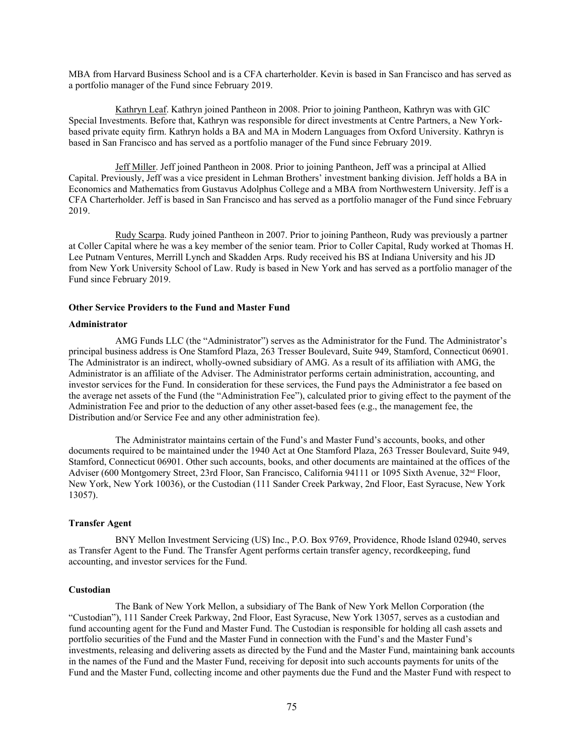MBA from Harvard Business School and is a CFA charterholder. Kevin is based in San Francisco and has served as a portfolio manager of the Fund since February 2019.

Kathryn Leaf. Kathryn joined Pantheon in 2008. Prior to joining Pantheon, Kathryn was with GIC Special Investments. Before that, Kathryn was responsible for direct investments at Centre Partners, a New Yorkbased private equity firm. Kathryn holds a BA and MA in Modern Languages from Oxford University. Kathryn is based in San Francisco and has served as a portfolio manager of the Fund since February 2019.

Jeff Miller. Jeff joined Pantheon in 2008. Prior to joining Pantheon, Jeff was a principal at Allied Capital. Previously, Jeff was a vice president in Lehman Brothers' investment banking division. Jeff holds a BA in Economics and Mathematics from Gustavus Adolphus College and a MBA from Northwestern University. Jeff is a CFA Charterholder. Jeff is based in San Francisco and has served as a portfolio manager of the Fund since February 2019.

Rudy Scarpa. Rudy joined Pantheon in 2007. Prior to joining Pantheon, Rudy was previously a partner at Coller Capital where he was a key member of the senior team. Prior to Coller Capital, Rudy worked at Thomas H. Lee Putnam Ventures, Merrill Lynch and Skadden Arps. Rudy received his BS at Indiana University and his JD from New York University School of Law. Rudy is based in New York and has served as a portfolio manager of the Fund since February 2019.

#### **Other Service Providers to the Fund and Master Fund**

#### **Administrator**

AMG Funds LLC (the "Administrator") serves as the Administrator for the Fund. The Administrator's principal business address is One Stamford Plaza, 263 Tresser Boulevard, Suite 949, Stamford, Connecticut 06901. The Administrator is an indirect, wholly-owned subsidiary of AMG. As a result of its affiliation with AMG, the Administrator is an affiliate of the Adviser. The Administrator performs certain administration, accounting, and investor services for the Fund. In consideration for these services, the Fund pays the Administrator a fee based on the average net assets of the Fund (the "Administration Fee"), calculated prior to giving effect to the payment of the Administration Fee and prior to the deduction of any other asset-based fees (e.g., the management fee, the Distribution and/or Service Fee and any other administration fee).

The Administrator maintains certain of the Fund's and Master Fund's accounts, books, and other documents required to be maintained under the 1940 Act at One Stamford Plaza, 263 Tresser Boulevard, Suite 949, Stamford, Connecticut 06901. Other such accounts, books, and other documents are maintained at the offices of the Adviser (600 Montgomery Street, 23rd Floor, San Francisco, California 94111 or 1095 Sixth Avenue, 32nd Floor, New York, New York 10036), or the Custodian (111 Sander Creek Parkway, 2nd Floor, East Syracuse, New York 13057).

#### **Transfer Agent**

BNY Mellon Investment Servicing (US) Inc., P.O. Box 9769, Providence, Rhode Island 02940, serves as Transfer Agent to the Fund. The Transfer Agent performs certain transfer agency, recordkeeping, fund accounting, and investor services for the Fund.

#### **Custodian**

The Bank of New York Mellon, a subsidiary of The Bank of New York Mellon Corporation (the "Custodian"), 111 Sander Creek Parkway, 2nd Floor, East Syracuse, New York 13057, serves as a custodian and fund accounting agent for the Fund and Master Fund. The Custodian is responsible for holding all cash assets and portfolio securities of the Fund and the Master Fund in connection with the Fund's and the Master Fund's investments, releasing and delivering assets as directed by the Fund and the Master Fund, maintaining bank accounts in the names of the Fund and the Master Fund, receiving for deposit into such accounts payments for units of the Fund and the Master Fund, collecting income and other payments due the Fund and the Master Fund with respect to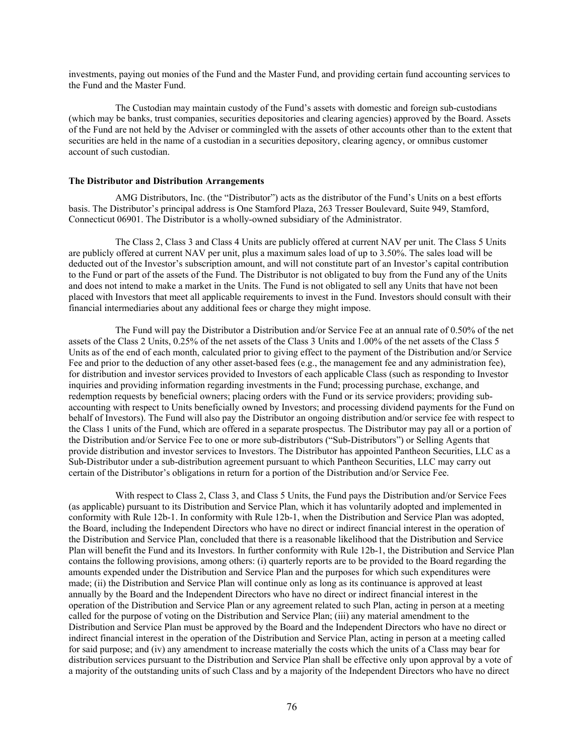investments, paying out monies of the Fund and the Master Fund, and providing certain fund accounting services to the Fund and the Master Fund.

The Custodian may maintain custody of the Fund's assets with domestic and foreign sub-custodians (which may be banks, trust companies, securities depositories and clearing agencies) approved by the Board. Assets of the Fund are not held by the Adviser or commingled with the assets of other accounts other than to the extent that securities are held in the name of a custodian in a securities depository, clearing agency, or omnibus customer account of such custodian.

#### **The Distributor and Distribution Arrangements**

AMG Distributors, Inc. (the "Distributor") acts as the distributor of the Fund's Units on a best efforts basis. The Distributor's principal address is One Stamford Plaza, 263 Tresser Boulevard, Suite 949, Stamford, Connecticut 06901. The Distributor is a wholly-owned subsidiary of the Administrator.

The Class 2, Class 3 and Class 4 Units are publicly offered at current NAV per unit. The Class 5 Units are publicly offered at current NAV per unit, plus a maximum sales load of up to 3.50%. The sales load will be deducted out of the Investor's subscription amount, and will not constitute part of an Investor's capital contribution to the Fund or part of the assets of the Fund. The Distributor is not obligated to buy from the Fund any of the Units and does not intend to make a market in the Units. The Fund is not obligated to sell any Units that have not been placed with Investors that meet all applicable requirements to invest in the Fund. Investors should consult with their financial intermediaries about any additional fees or charge they might impose.

The Fund will pay the Distributor a Distribution and/or Service Fee at an annual rate of 0.50% of the net assets of the Class 2 Units, 0.25% of the net assets of the Class 3 Units and 1.00% of the net assets of the Class 5 Units as of the end of each month, calculated prior to giving effect to the payment of the Distribution and/or Service Fee and prior to the deduction of any other asset-based fees (e.g., the management fee and any administration fee), for distribution and investor services provided to Investors of each applicable Class (such as responding to Investor inquiries and providing information regarding investments in the Fund; processing purchase, exchange, and redemption requests by beneficial owners; placing orders with the Fund or its service providers; providing subaccounting with respect to Units beneficially owned by Investors; and processing dividend payments for the Fund on behalf of Investors). The Fund will also pay the Distributor an ongoing distribution and/or service fee with respect to the Class 1 units of the Fund, which are offered in a separate prospectus. The Distributor may pay all or a portion of the Distribution and/or Service Fee to one or more sub-distributors ("Sub-Distributors") or Selling Agents that provide distribution and investor services to Investors. The Distributor has appointed Pantheon Securities, LLC as a Sub-Distributor under a sub-distribution agreement pursuant to which Pantheon Securities, LLC may carry out certain of the Distributor's obligations in return for a portion of the Distribution and/or Service Fee.

With respect to Class 2, Class 3, and Class 5 Units, the Fund pays the Distribution and/or Service Fees (as applicable) pursuant to its Distribution and Service Plan, which it has voluntarily adopted and implemented in conformity with Rule 12b-1. In conformity with Rule 12b-1, when the Distribution and Service Plan was adopted, the Board, including the Independent Directors who have no direct or indirect financial interest in the operation of the Distribution and Service Plan, concluded that there is a reasonable likelihood that the Distribution and Service Plan will benefit the Fund and its Investors. In further conformity with Rule 12b-1, the Distribution and Service Plan contains the following provisions, among others: (i) quarterly reports are to be provided to the Board regarding the amounts expended under the Distribution and Service Plan and the purposes for which such expenditures were made; (ii) the Distribution and Service Plan will continue only as long as its continuance is approved at least annually by the Board and the Independent Directors who have no direct or indirect financial interest in the operation of the Distribution and Service Plan or any agreement related to such Plan, acting in person at a meeting called for the purpose of voting on the Distribution and Service Plan; (iii) any material amendment to the Distribution and Service Plan must be approved by the Board and the Independent Directors who have no direct or indirect financial interest in the operation of the Distribution and Service Plan, acting in person at a meeting called for said purpose; and (iv) any amendment to increase materially the costs which the units of a Class may bear for distribution services pursuant to the Distribution and Service Plan shall be effective only upon approval by a vote of a majority of the outstanding units of such Class and by a majority of the Independent Directors who have no direct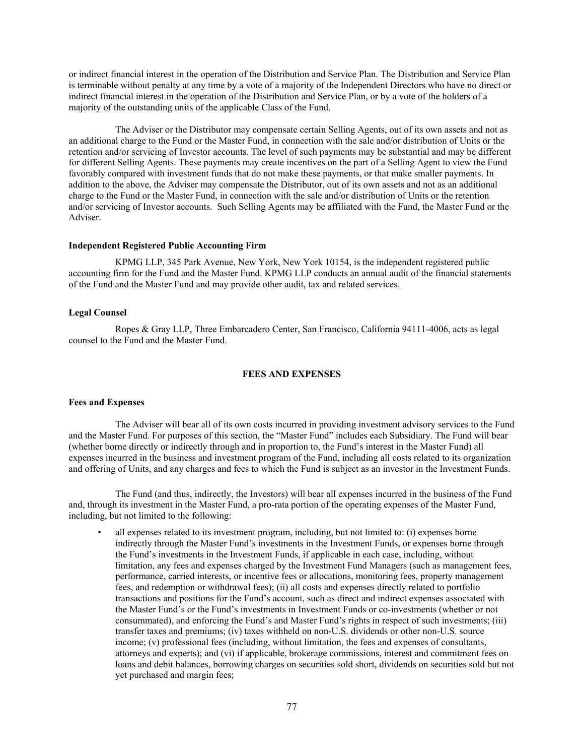or indirect financial interest in the operation of the Distribution and Service Plan. The Distribution and Service Plan is terminable without penalty at any time by a vote of a majority of the Independent Directors who have no direct or indirect financial interest in the operation of the Distribution and Service Plan, or by a vote of the holders of a majority of the outstanding units of the applicable Class of the Fund.

The Adviser or the Distributor may compensate certain Selling Agents, out of its own assets and not as an additional charge to the Fund or the Master Fund, in connection with the sale and/or distribution of Units or the retention and/or servicing of Investor accounts. The level of such payments may be substantial and may be different for different Selling Agents. These payments may create incentives on the part of a Selling Agent to view the Fund favorably compared with investment funds that do not make these payments, or that make smaller payments. In addition to the above, the Adviser may compensate the Distributor, out of its own assets and not as an additional charge to the Fund or the Master Fund, in connection with the sale and/or distribution of Units or the retention and/or servicing of Investor accounts. Such Selling Agents may be affiliated with the Fund, the Master Fund or the Adviser.

## **Independent Registered Public Accounting Firm**

KPMG LLP, 345 Park Avenue, New York, New York 10154, is the independent registered public accounting firm for the Fund and the Master Fund. KPMG LLP conducts an annual audit of the financial statements of the Fund and the Master Fund and may provide other audit, tax and related services.

### **Legal Counsel**

Ropes & Gray LLP, Three Embarcadero Center, San Francisco, California 94111-4006, acts as legal counsel to the Fund and the Master Fund.

## **FEES AND EXPENSES**

#### **Fees and Expenses**

The Adviser will bear all of its own costs incurred in providing investment advisory services to the Fund and the Master Fund. For purposes of this section, the "Master Fund" includes each Subsidiary. The Fund will bear (whether borne directly or indirectly through and in proportion to, the Fund's interest in the Master Fund) all expenses incurred in the business and investment program of the Fund, including all costs related to its organization and offering of Units, and any charges and fees to which the Fund is subject as an investor in the Investment Funds.

The Fund (and thus, indirectly, the Investors) will bear all expenses incurred in the business of the Fund and, through its investment in the Master Fund, a pro-rata portion of the operating expenses of the Master Fund, including, but not limited to the following:

• all expenses related to its investment program, including, but not limited to: (i) expenses borne indirectly through the Master Fund's investments in the Investment Funds, or expenses borne through the Fund's investments in the Investment Funds, if applicable in each case, including, without limitation, any fees and expenses charged by the Investment Fund Managers (such as management fees, performance, carried interests, or incentive fees or allocations, monitoring fees, property management fees, and redemption or withdrawal fees); (ii) all costs and expenses directly related to portfolio transactions and positions for the Fund's account, such as direct and indirect expenses associated with the Master Fund's or the Fund's investments in Investment Funds or co-investments (whether or not consummated), and enforcing the Fund's and Master Fund's rights in respect of such investments; (iii) transfer taxes and premiums; (iv) taxes withheld on non-U.S. dividends or other non-U.S. source income; (v) professional fees (including, without limitation, the fees and expenses of consultants, attorneys and experts); and (vi) if applicable, brokerage commissions, interest and commitment fees on loans and debit balances, borrowing charges on securities sold short, dividends on securities sold but not yet purchased and margin fees;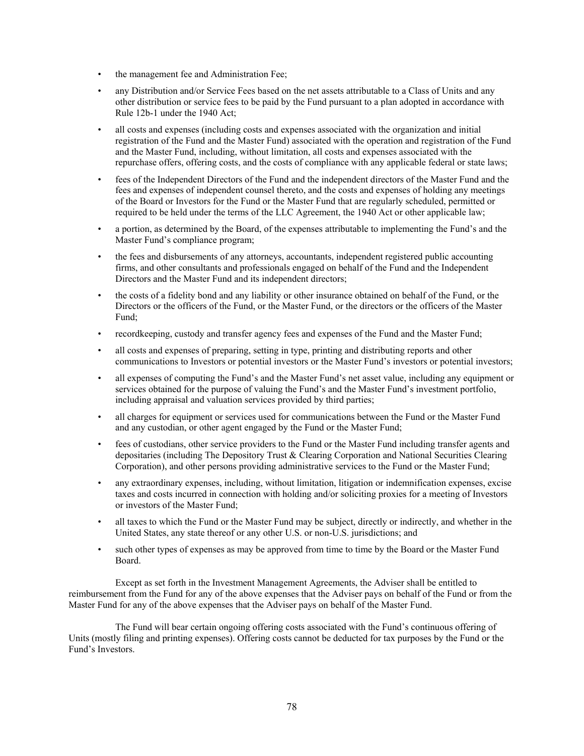- the management fee and Administration Fee;
- any Distribution and/or Service Fees based on the net assets attributable to a Class of Units and any other distribution or service fees to be paid by the Fund pursuant to a plan adopted in accordance with Rule 12b-1 under the 1940 Act;
- all costs and expenses (including costs and expenses associated with the organization and initial registration of the Fund and the Master Fund) associated with the operation and registration of the Fund and the Master Fund, including, without limitation, all costs and expenses associated with the repurchase offers, offering costs, and the costs of compliance with any applicable federal or state laws;
- fees of the Independent Directors of the Fund and the independent directors of the Master Fund and the fees and expenses of independent counsel thereto, and the costs and expenses of holding any meetings of the Board or Investors for the Fund or the Master Fund that are regularly scheduled, permitted or required to be held under the terms of the LLC Agreement, the 1940 Act or other applicable law;
- a portion, as determined by the Board, of the expenses attributable to implementing the Fund's and the Master Fund's compliance program;
- the fees and disbursements of any attorneys, accountants, independent registered public accounting firms, and other consultants and professionals engaged on behalf of the Fund and the Independent Directors and the Master Fund and its independent directors;
- the costs of a fidelity bond and any liability or other insurance obtained on behalf of the Fund, or the Directors or the officers of the Fund, or the Master Fund, or the directors or the officers of the Master Fund;
- recordkeeping, custody and transfer agency fees and expenses of the Fund and the Master Fund;
- all costs and expenses of preparing, setting in type, printing and distributing reports and other communications to Investors or potential investors or the Master Fund's investors or potential investors;
- all expenses of computing the Fund's and the Master Fund's net asset value, including any equipment or services obtained for the purpose of valuing the Fund's and the Master Fund's investment portfolio, including appraisal and valuation services provided by third parties;
- all charges for equipment or services used for communications between the Fund or the Master Fund and any custodian, or other agent engaged by the Fund or the Master Fund;
- fees of custodians, other service providers to the Fund or the Master Fund including transfer agents and depositaries (including The Depository Trust & Clearing Corporation and National Securities Clearing Corporation), and other persons providing administrative services to the Fund or the Master Fund;
- any extraordinary expenses, including, without limitation, litigation or indemnification expenses, excise taxes and costs incurred in connection with holding and/or soliciting proxies for a meeting of Investors or investors of the Master Fund;
- all taxes to which the Fund or the Master Fund may be subject, directly or indirectly, and whether in the United States, any state thereof or any other U.S. or non-U.S. jurisdictions; and
- such other types of expenses as may be approved from time to time by the Board or the Master Fund Board.

Except as set forth in the Investment Management Agreements, the Adviser shall be entitled to reimbursement from the Fund for any of the above expenses that the Adviser pays on behalf of the Fund or from the Master Fund for any of the above expenses that the Adviser pays on behalf of the Master Fund.

The Fund will bear certain ongoing offering costs associated with the Fund's continuous offering of Units (mostly filing and printing expenses). Offering costs cannot be deducted for tax purposes by the Fund or the Fund's Investors.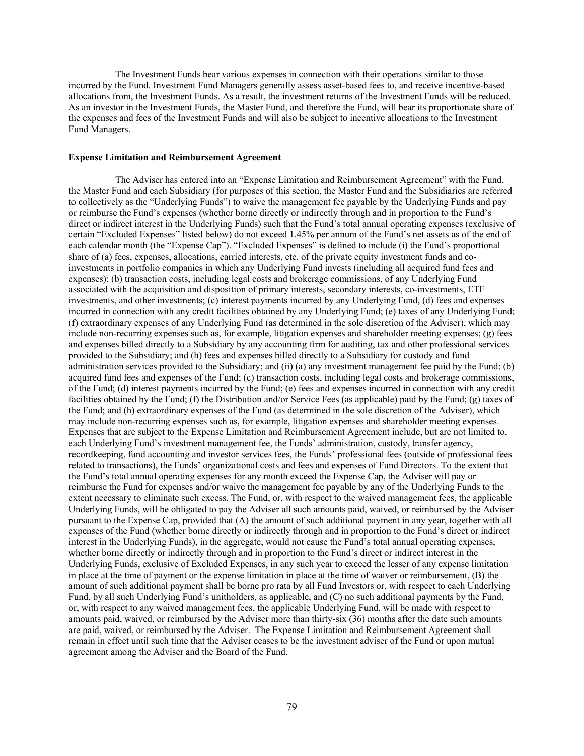The Investment Funds bear various expenses in connection with their operations similar to those incurred by the Fund. Investment Fund Managers generally assess asset-based fees to, and receive incentive-based allocations from, the Investment Funds. As a result, the investment returns of the Investment Funds will be reduced. As an investor in the Investment Funds, the Master Fund, and therefore the Fund, will bear its proportionate share of the expenses and fees of the Investment Funds and will also be subject to incentive allocations to the Investment Fund Managers.

## **Expense Limitation and Reimbursement Agreement**

The Adviser has entered into an "Expense Limitation and Reimbursement Agreement" with the Fund, the Master Fund and each Subsidiary (for purposes of this section, the Master Fund and the Subsidiaries are referred to collectively as the "Underlying Funds") to waive the management fee payable by the Underlying Funds and pay or reimburse the Fund's expenses (whether borne directly or indirectly through and in proportion to the Fund's direct or indirect interest in the Underlying Funds) such that the Fund's total annual operating expenses (exclusive of certain "Excluded Expenses" listed below) do not exceed 1.45% per annum of the Fund's net assets as of the end of each calendar month (the "Expense Cap"). "Excluded Expenses" is defined to include (i) the Fund's proportional share of (a) fees, expenses, allocations, carried interests, etc. of the private equity investment funds and coinvestments in portfolio companies in which any Underlying Fund invests (including all acquired fund fees and expenses); (b) transaction costs, including legal costs and brokerage commissions, of any Underlying Fund associated with the acquisition and disposition of primary interests, secondary interests, co-investments, ETF investments, and other investments; (c) interest payments incurred by any Underlying Fund, (d) fees and expenses incurred in connection with any credit facilities obtained by any Underlying Fund; (e) taxes of any Underlying Fund; (f) extraordinary expenses of any Underlying Fund (as determined in the sole discretion of the Adviser), which may include non-recurring expenses such as, for example, litigation expenses and shareholder meeting expenses; (g) fees and expenses billed directly to a Subsidiary by any accounting firm for auditing, tax and other professional services provided to the Subsidiary; and (h) fees and expenses billed directly to a Subsidiary for custody and fund administration services provided to the Subsidiary; and (ii) (a) any investment management fee paid by the Fund; (b) acquired fund fees and expenses of the Fund; (c) transaction costs, including legal costs and brokerage commissions, of the Fund; (d) interest payments incurred by the Fund; (e) fees and expenses incurred in connection with any credit facilities obtained by the Fund; (f) the Distribution and/or Service Fees (as applicable) paid by the Fund; (g) taxes of the Fund; and (h) extraordinary expenses of the Fund (as determined in the sole discretion of the Adviser), which may include non-recurring expenses such as, for example, litigation expenses and shareholder meeting expenses. Expenses that are subject to the Expense Limitation and Reimbursement Agreement include, but are not limited to, each Underlying Fund's investment management fee, the Funds' administration, custody, transfer agency, recordkeeping, fund accounting and investor services fees, the Funds' professional fees (outside of professional fees related to transactions), the Funds' organizational costs and fees and expenses of Fund Directors. To the extent that the Fund's total annual operating expenses for any month exceed the Expense Cap, the Adviser will pay or reimburse the Fund for expenses and/or waive the management fee payable by any of the Underlying Funds to the extent necessary to eliminate such excess. The Fund, or, with respect to the waived management fees, the applicable Underlying Funds, will be obligated to pay the Adviser all such amounts paid, waived, or reimbursed by the Adviser pursuant to the Expense Cap, provided that (A) the amount of such additional payment in any year, together with all expenses of the Fund (whether borne directly or indirectly through and in proportion to the Fund's direct or indirect interest in the Underlying Funds), in the aggregate, would not cause the Fund's total annual operating expenses, whether borne directly or indirectly through and in proportion to the Fund's direct or indirect interest in the Underlying Funds, exclusive of Excluded Expenses, in any such year to exceed the lesser of any expense limitation in place at the time of payment or the expense limitation in place at the time of waiver or reimbursement, (B) the amount of such additional payment shall be borne pro rata by all Fund Investors or, with respect to each Underlying Fund, by all such Underlying Fund's unitholders, as applicable, and (C) no such additional payments by the Fund, or, with respect to any waived management fees, the applicable Underlying Fund, will be made with respect to amounts paid, waived, or reimbursed by the Adviser more than thirty-six (36) months after the date such amounts are paid, waived, or reimbursed by the Adviser. The Expense Limitation and Reimbursement Agreement shall remain in effect until such time that the Adviser ceases to be the investment adviser of the Fund or upon mutual agreement among the Adviser and the Board of the Fund.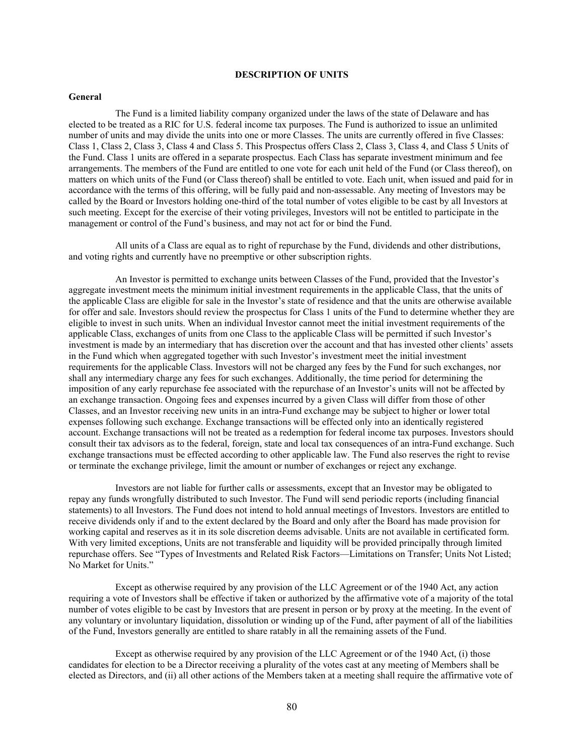## **DESCRIPTION OF UNITS**

#### **General**

The Fund is a limited liability company organized under the laws of the state of Delaware and has elected to be treated as a RIC for U.S. federal income tax purposes. The Fund is authorized to issue an unlimited number of units and may divide the units into one or more Classes. The units are currently offered in five Classes: Class 1, Class 2, Class 3, Class 4 and Class 5. This Prospectus offers Class 2, Class 3, Class 4, and Class 5 Units of the Fund. Class 1 units are offered in a separate prospectus. Each Class has separate investment minimum and fee arrangements. The members of the Fund are entitled to one vote for each unit held of the Fund (or Class thereof), on matters on which units of the Fund (or Class thereof) shall be entitled to vote. Each unit, when issued and paid for in accordance with the terms of this offering, will be fully paid and non-assessable. Any meeting of Investors may be called by the Board or Investors holding one-third of the total number of votes eligible to be cast by all Investors at such meeting. Except for the exercise of their voting privileges, Investors will not be entitled to participate in the management or control of the Fund's business, and may not act for or bind the Fund.

All units of a Class are equal as to right of repurchase by the Fund, dividends and other distributions, and voting rights and currently have no preemptive or other subscription rights.

An Investor is permitted to exchange units between Classes of the Fund, provided that the Investor's aggregate investment meets the minimum initial investment requirements in the applicable Class, that the units of the applicable Class are eligible for sale in the Investor's state of residence and that the units are otherwise available for offer and sale. Investors should review the prospectus for Class 1 units of the Fund to determine whether they are eligible to invest in such units. When an individual Investor cannot meet the initial investment requirements of the applicable Class, exchanges of units from one Class to the applicable Class will be permitted if such Investor's investment is made by an intermediary that has discretion over the account and that has invested other clients' assets in the Fund which when aggregated together with such Investor's investment meet the initial investment requirements for the applicable Class. Investors will not be charged any fees by the Fund for such exchanges, nor shall any intermediary charge any fees for such exchanges. Additionally, the time period for determining the imposition of any early repurchase fee associated with the repurchase of an Investor's units will not be affected by an exchange transaction. Ongoing fees and expenses incurred by a given Class will differ from those of other Classes, and an Investor receiving new units in an intra-Fund exchange may be subject to higher or lower total expenses following such exchange. Exchange transactions will be effected only into an identically registered account. Exchange transactions will not be treated as a redemption for federal income tax purposes. Investors should consult their tax advisors as to the federal, foreign, state and local tax consequences of an intra-Fund exchange. Such exchange transactions must be effected according to other applicable law. The Fund also reserves the right to revise or terminate the exchange privilege, limit the amount or number of exchanges or reject any exchange.

Investors are not liable for further calls or assessments, except that an Investor may be obligated to repay any funds wrongfully distributed to such Investor. The Fund will send periodic reports (including financial statements) to all Investors. The Fund does not intend to hold annual meetings of Investors. Investors are entitled to receive dividends only if and to the extent declared by the Board and only after the Board has made provision for working capital and reserves as it in its sole discretion deems advisable. Units are not available in certificated form. With very limited exceptions, Units are not transferable and liquidity will be provided principally through limited repurchase offers. See "Types of Investments and Related Risk Factors—Limitations on Transfer; Units Not Listed; No Market for Units."

Except as otherwise required by any provision of the LLC Agreement or of the 1940 Act, any action requiring a vote of Investors shall be effective if taken or authorized by the affirmative vote of a majority of the total number of votes eligible to be cast by Investors that are present in person or by proxy at the meeting. In the event of any voluntary or involuntary liquidation, dissolution or winding up of the Fund, after payment of all of the liabilities of the Fund, Investors generally are entitled to share ratably in all the remaining assets of the Fund.

Except as otherwise required by any provision of the LLC Agreement or of the 1940 Act, (i) those candidates for election to be a Director receiving a plurality of the votes cast at any meeting of Members shall be elected as Directors, and (ii) all other actions of the Members taken at a meeting shall require the affirmative vote of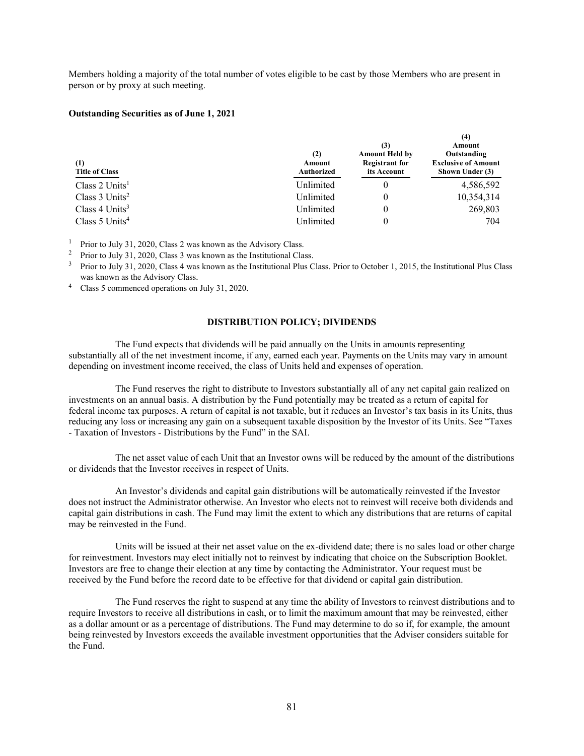Members holding a majority of the total number of votes eligible to be cast by those Members who are present in person or by proxy at such meeting.

## **Outstanding Securities as of June 1, 2021**

| (1)<br><b>Title of Class</b> | (2)<br>Amount<br><b>Authorized</b> | (3)<br><b>Amount Held by</b><br><b>Registrant for</b><br>its Account | 14)<br>Amount<br>Outstanding<br><b>Exclusive of Amount</b><br>Shown Under (3) |
|------------------------------|------------------------------------|----------------------------------------------------------------------|-------------------------------------------------------------------------------|
| Class $2$ Units <sup>1</sup> | Unlimited                          |                                                                      | 4,586,592                                                                     |
| Class $3$ Units <sup>2</sup> | Unlimited                          |                                                                      | 10,354,314                                                                    |
| Class $4$ Units <sup>3</sup> | Unlimited                          |                                                                      | 269,803                                                                       |
| Class $5$ Units <sup>4</sup> | Unlimited                          |                                                                      | 704                                                                           |

**(4)**

<sup>1</sup> Prior to July 31, 2020, Class 2 was known as the Advisory Class.

<sup>2</sup> Prior to July 31, 2020, Class 3 was known as the Institutional Class.

<sup>3</sup> Prior to July 31, 2020, Class 4 was known as the Institutional Plus Class. Prior to October 1, 2015, the Institutional Plus Class was known as the Advisory Class.<br><sup>4</sup> Class 5 commenced operations on July 31, 2020.

## **DISTRIBUTION POLICY; DIVIDENDS**

The Fund expects that dividends will be paid annually on the Units in amounts representing substantially all of the net investment income, if any, earned each year. Payments on the Units may vary in amount depending on investment income received, the class of Units held and expenses of operation.

The Fund reserves the right to distribute to Investors substantially all of any net capital gain realized on investments on an annual basis. A distribution by the Fund potentially may be treated as a return of capital for federal income tax purposes. A return of capital is not taxable, but it reduces an Investor's tax basis in its Units, thus reducing any loss or increasing any gain on a subsequent taxable disposition by the Investor of its Units. See "Taxes - Taxation of Investors - Distributions by the Fund" in the SAI.

The net asset value of each Unit that an Investor owns will be reduced by the amount of the distributions or dividends that the Investor receives in respect of Units.

An Investor's dividends and capital gain distributions will be automatically reinvested if the Investor does not instruct the Administrator otherwise. An Investor who elects not to reinvest will receive both dividends and capital gain distributions in cash. The Fund may limit the extent to which any distributions that are returns of capital may be reinvested in the Fund.

Units will be issued at their net asset value on the ex-dividend date; there is no sales load or other charge for reinvestment. Investors may elect initially not to reinvest by indicating that choice on the Subscription Booklet. Investors are free to change their election at any time by contacting the Administrator. Your request must be received by the Fund before the record date to be effective for that dividend or capital gain distribution.

The Fund reserves the right to suspend at any time the ability of Investors to reinvest distributions and to require Investors to receive all distributions in cash, or to limit the maximum amount that may be reinvested, either as a dollar amount or as a percentage of distributions. The Fund may determine to do so if, for example, the amount being reinvested by Investors exceeds the available investment opportunities that the Adviser considers suitable for the Fund.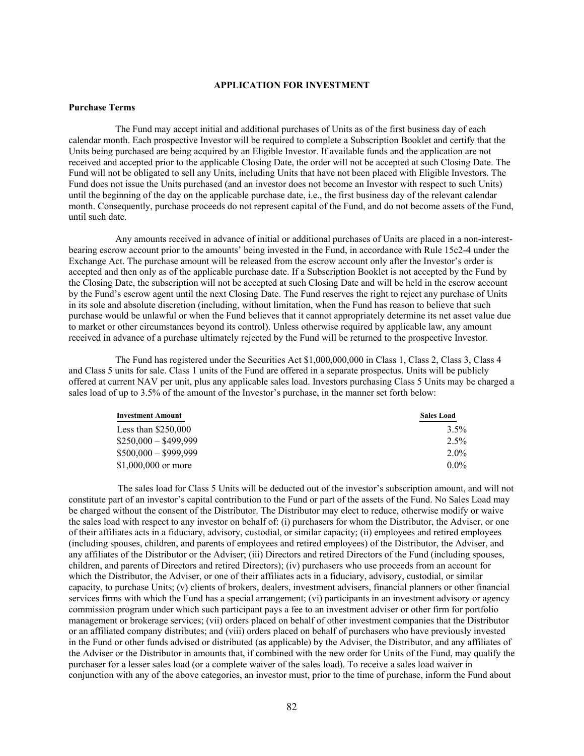## **APPLICATION FOR INVESTMENT**

## **Purchase Terms**

The Fund may accept initial and additional purchases of Units as of the first business day of each calendar month. Each prospective Investor will be required to complete a Subscription Booklet and certify that the Units being purchased are being acquired by an Eligible Investor. If available funds and the application are not received and accepted prior to the applicable Closing Date, the order will not be accepted at such Closing Date. The Fund will not be obligated to sell any Units, including Units that have not been placed with Eligible Investors. The Fund does not issue the Units purchased (and an investor does not become an Investor with respect to such Units) until the beginning of the day on the applicable purchase date, i.e., the first business day of the relevant calendar month. Consequently, purchase proceeds do not represent capital of the Fund, and do not become assets of the Fund, until such date.

Any amounts received in advance of initial or additional purchases of Units are placed in a non-interestbearing escrow account prior to the amounts' being invested in the Fund, in accordance with Rule 15c2-4 under the Exchange Act. The purchase amount will be released from the escrow account only after the Investor's order is accepted and then only as of the applicable purchase date. If a Subscription Booklet is not accepted by the Fund by the Closing Date, the subscription will not be accepted at such Closing Date and will be held in the escrow account by the Fund's escrow agent until the next Closing Date. The Fund reserves the right to reject any purchase of Units in its sole and absolute discretion (including, without limitation, when the Fund has reason to believe that such purchase would be unlawful or when the Fund believes that it cannot appropriately determine its net asset value due to market or other circumstances beyond its control). Unless otherwise required by applicable law, any amount received in advance of a purchase ultimately rejected by the Fund will be returned to the prospective Investor.

The Fund has registered under the Securities Act \$1,000,000,000 in Class 1, Class 2, Class 3, Class 4 and Class 5 units for sale. Class 1 units of the Fund are offered in a separate prospectus. Units will be publicly offered at current NAV per unit, plus any applicable sales load. Investors purchasing Class 5 Units may be charged a sales load of up to 3.5% of the amount of the Investor's purchase, in the manner set forth below:

| <b>Investment Amount</b> | <b>Sales Load</b> |
|--------------------------|-------------------|
| Less than $$250,000$     | $3.5\%$           |
| $$250,000 - $499,999$    | $2.5\%$           |
| $$500,000 - $999,999$    | $2.0\%$           |
| $$1,000,000$ or more     | $0.0\%$           |

 The sales load for Class 5 Units will be deducted out of the investor's subscription amount, and will not constitute part of an investor's capital contribution to the Fund or part of the assets of the Fund. No Sales Load may be charged without the consent of the Distributor. The Distributor may elect to reduce, otherwise modify or waive the sales load with respect to any investor on behalf of: (i) purchasers for whom the Distributor, the Adviser, or one of their affiliates acts in a fiduciary, advisory, custodial, or similar capacity; (ii) employees and retired employees (including spouses, children, and parents of employees and retired employees) of the Distributor, the Adviser, and any affiliates of the Distributor or the Adviser; (iii) Directors and retired Directors of the Fund (including spouses, children, and parents of Directors and retired Directors); (iv) purchasers who use proceeds from an account for which the Distributor, the Adviser, or one of their affiliates acts in a fiduciary, advisory, custodial, or similar capacity, to purchase Units; (v) clients of brokers, dealers, investment advisers, financial planners or other financial services firms with which the Fund has a special arrangement; (vi) participants in an investment advisory or agency commission program under which such participant pays a fee to an investment adviser or other firm for portfolio management or brokerage services; (vii) orders placed on behalf of other investment companies that the Distributor or an affiliated company distributes; and (viii) orders placed on behalf of purchasers who have previously invested in the Fund or other funds advised or distributed (as applicable) by the Adviser, the Distributor, and any affiliates of the Adviser or the Distributor in amounts that, if combined with the new order for Units of the Fund, may qualify the purchaser for a lesser sales load (or a complete waiver of the sales load). To receive a sales load waiver in conjunction with any of the above categories, an investor must, prior to the time of purchase, inform the Fund about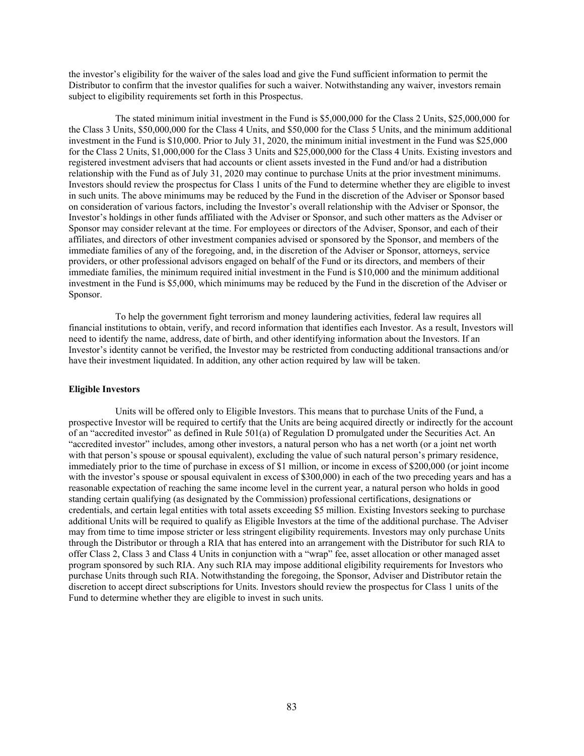the investor's eligibility for the waiver of the sales load and give the Fund sufficient information to permit the Distributor to confirm that the investor qualifies for such a waiver. Notwithstanding any waiver, investors remain subject to eligibility requirements set forth in this Prospectus.

The stated minimum initial investment in the Fund is \$5,000,000 for the Class 2 Units, \$25,000,000 for the Class 3 Units, \$50,000,000 for the Class 4 Units, and \$50,000 for the Class 5 Units, and the minimum additional investment in the Fund is \$10,000. Prior to July 31, 2020, the minimum initial investment in the Fund was \$25,000 for the Class 2 Units, \$1,000,000 for the Class 3 Units and \$25,000,000 for the Class 4 Units. Existing investors and registered investment advisers that had accounts or client assets invested in the Fund and/or had a distribution relationship with the Fund as of July 31, 2020 may continue to purchase Units at the prior investment minimums. Investors should review the prospectus for Class 1 units of the Fund to determine whether they are eligible to invest in such units. The above minimums may be reduced by the Fund in the discretion of the Adviser or Sponsor based on consideration of various factors, including the Investor's overall relationship with the Adviser or Sponsor, the Investor's holdings in other funds affiliated with the Adviser or Sponsor, and such other matters as the Adviser or Sponsor may consider relevant at the time. For employees or directors of the Adviser, Sponsor, and each of their affiliates, and directors of other investment companies advised or sponsored by the Sponsor, and members of the immediate families of any of the foregoing, and, in the discretion of the Adviser or Sponsor, attorneys, service providers, or other professional advisors engaged on behalf of the Fund or its directors, and members of their immediate families, the minimum required initial investment in the Fund is \$10,000 and the minimum additional investment in the Fund is \$5,000, which minimums may be reduced by the Fund in the discretion of the Adviser or Sponsor.

To help the government fight terrorism and money laundering activities, federal law requires all financial institutions to obtain, verify, and record information that identifies each Investor. As a result, Investors will need to identify the name, address, date of birth, and other identifying information about the Investors. If an Investor's identity cannot be verified, the Investor may be restricted from conducting additional transactions and/or have their investment liquidated. In addition, any other action required by law will be taken.

## **Eligible Investors**

Units will be offered only to Eligible Investors. This means that to purchase Units of the Fund, a prospective Investor will be required to certify that the Units are being acquired directly or indirectly for the account of an "accredited investor" as defined in Rule 501(a) of Regulation D promulgated under the Securities Act. An "accredited investor" includes, among other investors, a natural person who has a net worth (or a joint net worth with that person's spouse or spousal equivalent), excluding the value of such natural person's primary residence, immediately prior to the time of purchase in excess of \$1 million, or income in excess of \$200,000 (or joint income with the investor's spouse or spousal equivalent in excess of \$300,000) in each of the two preceding years and has a reasonable expectation of reaching the same income level in the current year, a natural person who holds in good standing certain qualifying (as designated by the Commission) professional certifications, designations or credentials, and certain legal entities with total assets exceeding \$5 million. Existing Investors seeking to purchase additional Units will be required to qualify as Eligible Investors at the time of the additional purchase. The Adviser may from time to time impose stricter or less stringent eligibility requirements. Investors may only purchase Units through the Distributor or through a RIA that has entered into an arrangement with the Distributor for such RIA to offer Class 2, Class 3 and Class 4 Units in conjunction with a "wrap" fee, asset allocation or other managed asset program sponsored by such RIA. Any such RIA may impose additional eligibility requirements for Investors who purchase Units through such RIA. Notwithstanding the foregoing, the Sponsor, Adviser and Distributor retain the discretion to accept direct subscriptions for Units. Investors should review the prospectus for Class 1 units of the Fund to determine whether they are eligible to invest in such units.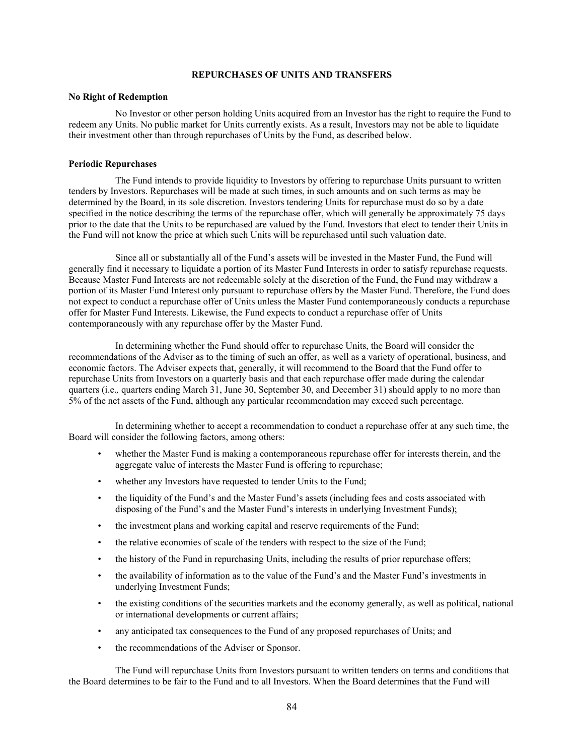## **REPURCHASES OF UNITS AND TRANSFERS**

#### **No Right of Redemption**

No Investor or other person holding Units acquired from an Investor has the right to require the Fund to redeem any Units. No public market for Units currently exists. As a result, Investors may not be able to liquidate their investment other than through repurchases of Units by the Fund, as described below.

## **Periodic Repurchases**

The Fund intends to provide liquidity to Investors by offering to repurchase Units pursuant to written tenders by Investors. Repurchases will be made at such times, in such amounts and on such terms as may be determined by the Board, in its sole discretion. Investors tendering Units for repurchase must do so by a date specified in the notice describing the terms of the repurchase offer, which will generally be approximately 75 days prior to the date that the Units to be repurchased are valued by the Fund. Investors that elect to tender their Units in the Fund will not know the price at which such Units will be repurchased until such valuation date.

Since all or substantially all of the Fund's assets will be invested in the Master Fund, the Fund will generally find it necessary to liquidate a portion of its Master Fund Interests in order to satisfy repurchase requests. Because Master Fund Interests are not redeemable solely at the discretion of the Fund, the Fund may withdraw a portion of its Master Fund Interest only pursuant to repurchase offers by the Master Fund. Therefore, the Fund does not expect to conduct a repurchase offer of Units unless the Master Fund contemporaneously conducts a repurchase offer for Master Fund Interests. Likewise, the Fund expects to conduct a repurchase offer of Units contemporaneously with any repurchase offer by the Master Fund.

In determining whether the Fund should offer to repurchase Units, the Board will consider the recommendations of the Adviser as to the timing of such an offer, as well as a variety of operational, business, and economic factors. The Adviser expects that, generally, it will recommend to the Board that the Fund offer to repurchase Units from Investors on a quarterly basis and that each repurchase offer made during the calendar quarters (i.e., quarters ending March 31, June 30, September 30, and December 31) should apply to no more than 5% of the net assets of the Fund, although any particular recommendation may exceed such percentage.

In determining whether to accept a recommendation to conduct a repurchase offer at any such time, the Board will consider the following factors, among others:

- whether the Master Fund is making a contemporaneous repurchase offer for interests therein, and the aggregate value of interests the Master Fund is offering to repurchase;
- whether any Investors have requested to tender Units to the Fund;
- the liquidity of the Fund's and the Master Fund's assets (including fees and costs associated with disposing of the Fund's and the Master Fund's interests in underlying Investment Funds);
- the investment plans and working capital and reserve requirements of the Fund;
- the relative economies of scale of the tenders with respect to the size of the Fund;
- the history of the Fund in repurchasing Units, including the results of prior repurchase offers;
- the availability of information as to the value of the Fund's and the Master Fund's investments in underlying Investment Funds;
- the existing conditions of the securities markets and the economy generally, as well as political, national or international developments or current affairs;
- any anticipated tax consequences to the Fund of any proposed repurchases of Units; and
- the recommendations of the Adviser or Sponsor.

The Fund will repurchase Units from Investors pursuant to written tenders on terms and conditions that the Board determines to be fair to the Fund and to all Investors. When the Board determines that the Fund will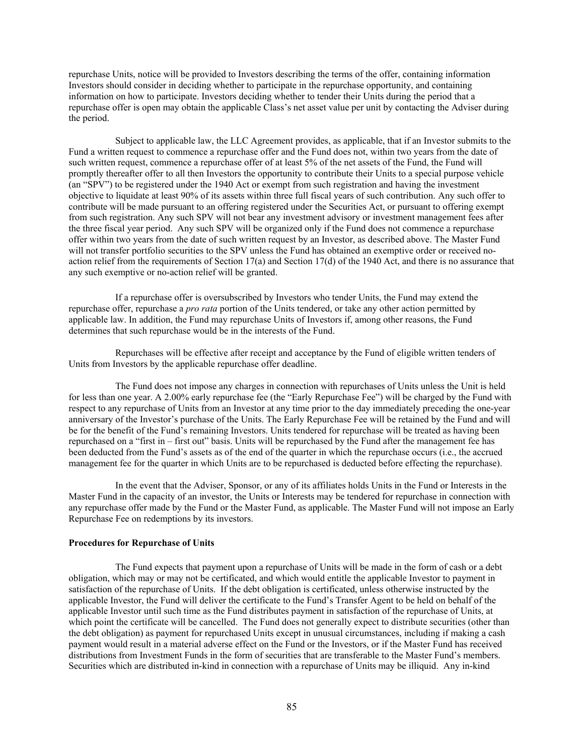repurchase Units, notice will be provided to Investors describing the terms of the offer, containing information Investors should consider in deciding whether to participate in the repurchase opportunity, and containing information on how to participate. Investors deciding whether to tender their Units during the period that a repurchase offer is open may obtain the applicable Class's net asset value per unit by contacting the Adviser during the period.

Subject to applicable law, the LLC Agreement provides, as applicable, that if an Investor submits to the Fund a written request to commence a repurchase offer and the Fund does not, within two years from the date of such written request, commence a repurchase offer of at least 5% of the net assets of the Fund, the Fund will promptly thereafter offer to all then Investors the opportunity to contribute their Units to a special purpose vehicle (an "SPV") to be registered under the 1940 Act or exempt from such registration and having the investment objective to liquidate at least 90% of its assets within three full fiscal years of such contribution. Any such offer to contribute will be made pursuant to an offering registered under the Securities Act, or pursuant to offering exempt from such registration. Any such SPV will not bear any investment advisory or investment management fees after the three fiscal year period. Any such SPV will be organized only if the Fund does not commence a repurchase offer within two years from the date of such written request by an Investor, as described above. The Master Fund will not transfer portfolio securities to the SPV unless the Fund has obtained an exemptive order or received noaction relief from the requirements of Section 17(a) and Section 17(d) of the 1940 Act, and there is no assurance that any such exemptive or no-action relief will be granted.

If a repurchase offer is oversubscribed by Investors who tender Units, the Fund may extend the repurchase offer, repurchase a *pro rata* portion of the Units tendered, or take any other action permitted by applicable law. In addition, the Fund may repurchase Units of Investors if, among other reasons, the Fund determines that such repurchase would be in the interests of the Fund.

Repurchases will be effective after receipt and acceptance by the Fund of eligible written tenders of Units from Investors by the applicable repurchase offer deadline.

The Fund does not impose any charges in connection with repurchases of Units unless the Unit is held for less than one year. A 2.00% early repurchase fee (the "Early Repurchase Fee") will be charged by the Fund with respect to any repurchase of Units from an Investor at any time prior to the day immediately preceding the one-year anniversary of the Investor's purchase of the Units. The Early Repurchase Fee will be retained by the Fund and will be for the benefit of the Fund's remaining Investors. Units tendered for repurchase will be treated as having been repurchased on a "first in – first out" basis. Units will be repurchased by the Fund after the management fee has been deducted from the Fund's assets as of the end of the quarter in which the repurchase occurs (i.e., the accrued management fee for the quarter in which Units are to be repurchased is deducted before effecting the repurchase).

In the event that the Adviser, Sponsor, or any of its affiliates holds Units in the Fund or Interests in the Master Fund in the capacity of an investor, the Units or Interests may be tendered for repurchase in connection with any repurchase offer made by the Fund or the Master Fund, as applicable. The Master Fund will not impose an Early Repurchase Fee on redemptions by its investors.

#### **Procedures for Repurchase of Units**

The Fund expects that payment upon a repurchase of Units will be made in the form of cash or a debt obligation, which may or may not be certificated, and which would entitle the applicable Investor to payment in satisfaction of the repurchase of Units. If the debt obligation is certificated, unless otherwise instructed by the applicable Investor, the Fund will deliver the certificate to the Fund's Transfer Agent to be held on behalf of the applicable Investor until such time as the Fund distributes payment in satisfaction of the repurchase of Units, at which point the certificate will be cancelled. The Fund does not generally expect to distribute securities (other than the debt obligation) as payment for repurchased Units except in unusual circumstances, including if making a cash payment would result in a material adverse effect on the Fund or the Investors, or if the Master Fund has received distributions from Investment Funds in the form of securities that are transferable to the Master Fund's members. Securities which are distributed in-kind in connection with a repurchase of Units may be illiquid. Any in-kind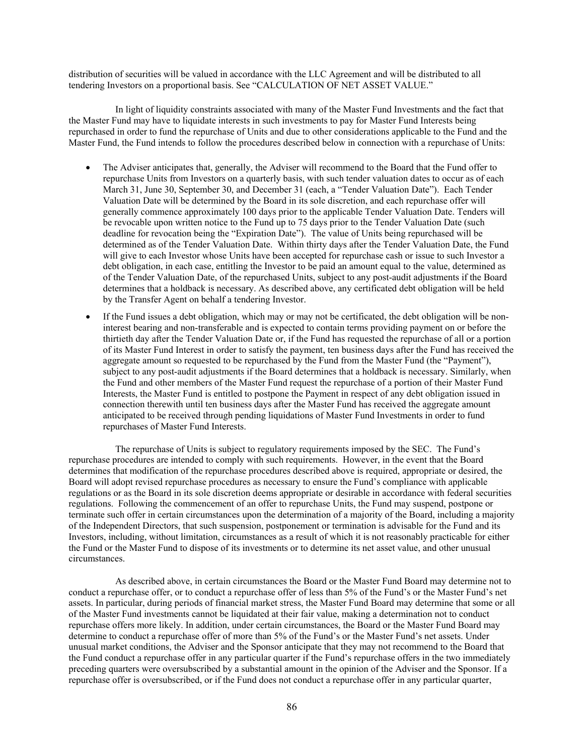distribution of securities will be valued in accordance with the LLC Agreement and will be distributed to all tendering Investors on a proportional basis. See "CALCULATION OF NET ASSET VALUE."

In light of liquidity constraints associated with many of the Master Fund Investments and the fact that the Master Fund may have to liquidate interests in such investments to pay for Master Fund Interests being repurchased in order to fund the repurchase of Units and due to other considerations applicable to the Fund and the Master Fund, the Fund intends to follow the procedures described below in connection with a repurchase of Units:

- The Adviser anticipates that, generally, the Adviser will recommend to the Board that the Fund offer to repurchase Units from Investors on a quarterly basis, with such tender valuation dates to occur as of each March 31, June 30, September 30, and December 31 (each, a "Tender Valuation Date"). Each Tender Valuation Date will be determined by the Board in its sole discretion, and each repurchase offer will generally commence approximately 100 days prior to the applicable Tender Valuation Date. Tenders will be revocable upon written notice to the Fund up to 75 days prior to the Tender Valuation Date (such deadline for revocation being the "Expiration Date"). The value of Units being repurchased will be determined as of the Tender Valuation Date. Within thirty days after the Tender Valuation Date, the Fund will give to each Investor whose Units have been accepted for repurchase cash or issue to such Investor a debt obligation, in each case, entitling the Investor to be paid an amount equal to the value, determined as of the Tender Valuation Date, of the repurchased Units, subject to any post-audit adjustments if the Board determines that a holdback is necessary. As described above, any certificated debt obligation will be held by the Transfer Agent on behalf a tendering Investor.
- If the Fund issues a debt obligation, which may or may not be certificated, the debt obligation will be noninterest bearing and non-transferable and is expected to contain terms providing payment on or before the thirtieth day after the Tender Valuation Date or, if the Fund has requested the repurchase of all or a portion of its Master Fund Interest in order to satisfy the payment, ten business days after the Fund has received the aggregate amount so requested to be repurchased by the Fund from the Master Fund (the "Payment"), subject to any post-audit adjustments if the Board determines that a holdback is necessary. Similarly, when the Fund and other members of the Master Fund request the repurchase of a portion of their Master Fund Interests, the Master Fund is entitled to postpone the Payment in respect of any debt obligation issued in connection therewith until ten business days after the Master Fund has received the aggregate amount anticipated to be received through pending liquidations of Master Fund Investments in order to fund repurchases of Master Fund Interests.

The repurchase of Units is subject to regulatory requirements imposed by the SEC. The Fund's repurchase procedures are intended to comply with such requirements. However, in the event that the Board determines that modification of the repurchase procedures described above is required, appropriate or desired, the Board will adopt revised repurchase procedures as necessary to ensure the Fund's compliance with applicable regulations or as the Board in its sole discretion deems appropriate or desirable in accordance with federal securities regulations. Following the commencement of an offer to repurchase Units, the Fund may suspend, postpone or terminate such offer in certain circumstances upon the determination of a majority of the Board, including a majority of the Independent Directors, that such suspension, postponement or termination is advisable for the Fund and its Investors, including, without limitation, circumstances as a result of which it is not reasonably practicable for either the Fund or the Master Fund to dispose of its investments or to determine its net asset value, and other unusual circumstances.

As described above, in certain circumstances the Board or the Master Fund Board may determine not to conduct a repurchase offer, or to conduct a repurchase offer of less than 5% of the Fund's or the Master Fund's net assets. In particular, during periods of financial market stress, the Master Fund Board may determine that some or all of the Master Fund investments cannot be liquidated at their fair value, making a determination not to conduct repurchase offers more likely. In addition, under certain circumstances, the Board or the Master Fund Board may determine to conduct a repurchase offer of more than 5% of the Fund's or the Master Fund's net assets. Under unusual market conditions, the Adviser and the Sponsor anticipate that they may not recommend to the Board that the Fund conduct a repurchase offer in any particular quarter if the Fund's repurchase offers in the two immediately preceding quarters were oversubscribed by a substantial amount in the opinion of the Adviser and the Sponsor. If a repurchase offer is oversubscribed, or if the Fund does not conduct a repurchase offer in any particular quarter,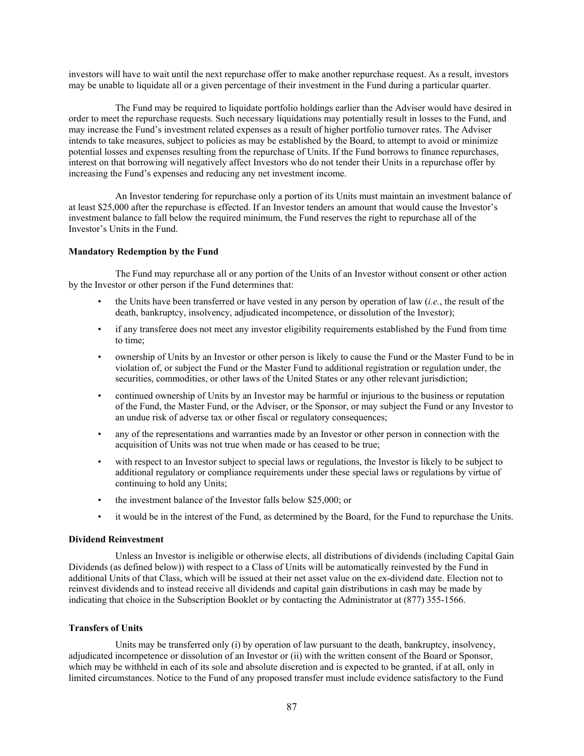investors will have to wait until the next repurchase offer to make another repurchase request. As a result, investors may be unable to liquidate all or a given percentage of their investment in the Fund during a particular quarter.

The Fund may be required to liquidate portfolio holdings earlier than the Adviser would have desired in order to meet the repurchase requests. Such necessary liquidations may potentially result in losses to the Fund, and may increase the Fund's investment related expenses as a result of higher portfolio turnover rates. The Adviser intends to take measures, subject to policies as may be established by the Board, to attempt to avoid or minimize potential losses and expenses resulting from the repurchase of Units. If the Fund borrows to finance repurchases, interest on that borrowing will negatively affect Investors who do not tender their Units in a repurchase offer by increasing the Fund's expenses and reducing any net investment income.

An Investor tendering for repurchase only a portion of its Units must maintain an investment balance of at least \$25,000 after the repurchase is effected. If an Investor tenders an amount that would cause the Investor's investment balance to fall below the required minimum, the Fund reserves the right to repurchase all of the Investor's Units in the Fund.

## **Mandatory Redemption by the Fund**

The Fund may repurchase all or any portion of the Units of an Investor without consent or other action by the Investor or other person if the Fund determines that:

- the Units have been transferred or have vested in any person by operation of law (*i.e.*, the result of the death, bankruptcy, insolvency, adjudicated incompetence, or dissolution of the Investor);
- if any transferee does not meet any investor eligibility requirements established by the Fund from time to time;
- ownership of Units by an Investor or other person is likely to cause the Fund or the Master Fund to be in violation of, or subject the Fund or the Master Fund to additional registration or regulation under, the securities, commodities, or other laws of the United States or any other relevant jurisdiction;
- continued ownership of Units by an Investor may be harmful or injurious to the business or reputation of the Fund, the Master Fund, or the Adviser, or the Sponsor, or may subject the Fund or any Investor to an undue risk of adverse tax or other fiscal or regulatory consequences;
- any of the representations and warranties made by an Investor or other person in connection with the acquisition of Units was not true when made or has ceased to be true;
- with respect to an Investor subject to special laws or regulations, the Investor is likely to be subject to additional regulatory or compliance requirements under these special laws or regulations by virtue of continuing to hold any Units;
- the investment balance of the Investor falls below \$25,000; or
- it would be in the interest of the Fund, as determined by the Board, for the Fund to repurchase the Units.

#### **Dividend Reinvestment**

Unless an Investor is ineligible or otherwise elects, all distributions of dividends (including Capital Gain Dividends (as defined below)) with respect to a Class of Units will be automatically reinvested by the Fund in additional Units of that Class, which will be issued at their net asset value on the ex-dividend date. Election not to reinvest dividends and to instead receive all dividends and capital gain distributions in cash may be made by indicating that choice in the Subscription Booklet or by contacting the Administrator at (877) 355-1566.

## **Transfers of Units**

Units may be transferred only (i) by operation of law pursuant to the death, bankruptcy, insolvency, adjudicated incompetence or dissolution of an Investor or (ii) with the written consent of the Board or Sponsor, which may be withheld in each of its sole and absolute discretion and is expected to be granted, if at all, only in limited circumstances. Notice to the Fund of any proposed transfer must include evidence satisfactory to the Fund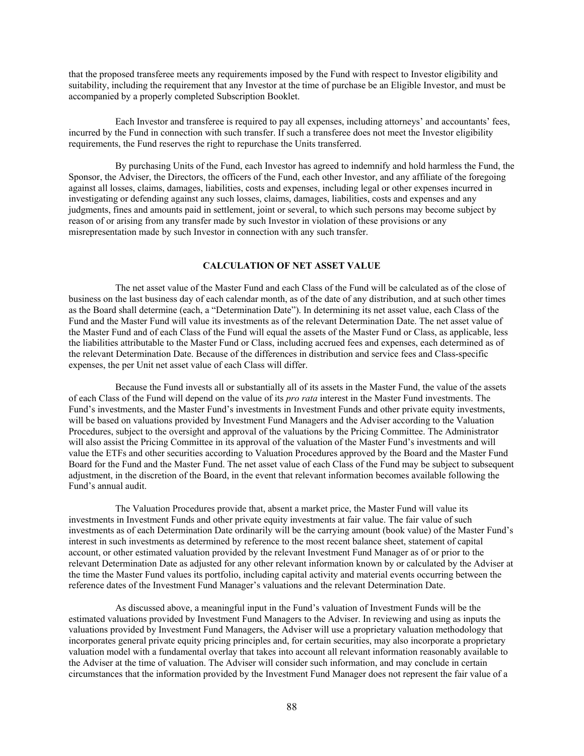that the proposed transferee meets any requirements imposed by the Fund with respect to Investor eligibility and suitability, including the requirement that any Investor at the time of purchase be an Eligible Investor, and must be accompanied by a properly completed Subscription Booklet.

Each Investor and transferee is required to pay all expenses, including attorneys' and accountants' fees, incurred by the Fund in connection with such transfer. If such a transferee does not meet the Investor eligibility requirements, the Fund reserves the right to repurchase the Units transferred.

By purchasing Units of the Fund, each Investor has agreed to indemnify and hold harmless the Fund, the Sponsor, the Adviser, the Directors, the officers of the Fund, each other Investor, and any affiliate of the foregoing against all losses, claims, damages, liabilities, costs and expenses, including legal or other expenses incurred in investigating or defending against any such losses, claims, damages, liabilities, costs and expenses and any judgments, fines and amounts paid in settlement, joint or several, to which such persons may become subject by reason of or arising from any transfer made by such Investor in violation of these provisions or any misrepresentation made by such Investor in connection with any such transfer.

## **CALCULATION OF NET ASSET VALUE**

The net asset value of the Master Fund and each Class of the Fund will be calculated as of the close of business on the last business day of each calendar month, as of the date of any distribution, and at such other times as the Board shall determine (each, a "Determination Date"). In determining its net asset value, each Class of the Fund and the Master Fund will value its investments as of the relevant Determination Date. The net asset value of the Master Fund and of each Class of the Fund will equal the assets of the Master Fund or Class, as applicable, less the liabilities attributable to the Master Fund or Class, including accrued fees and expenses, each determined as of the relevant Determination Date. Because of the differences in distribution and service fees and Class-specific expenses, the per Unit net asset value of each Class will differ.

Because the Fund invests all or substantially all of its assets in the Master Fund, the value of the assets of each Class of the Fund will depend on the value of its *pro rata* interest in the Master Fund investments. The Fund's investments, and the Master Fund's investments in Investment Funds and other private equity investments, will be based on valuations provided by Investment Fund Managers and the Adviser according to the Valuation Procedures, subject to the oversight and approval of the valuations by the Pricing Committee. The Administrator will also assist the Pricing Committee in its approval of the valuation of the Master Fund's investments and will value the ETFs and other securities according to Valuation Procedures approved by the Board and the Master Fund Board for the Fund and the Master Fund. The net asset value of each Class of the Fund may be subject to subsequent adjustment, in the discretion of the Board, in the event that relevant information becomes available following the Fund's annual audit.

The Valuation Procedures provide that, absent a market price, the Master Fund will value its investments in Investment Funds and other private equity investments at fair value. The fair value of such investments as of each Determination Date ordinarily will be the carrying amount (book value) of the Master Fund's interest in such investments as determined by reference to the most recent balance sheet, statement of capital account, or other estimated valuation provided by the relevant Investment Fund Manager as of or prior to the relevant Determination Date as adjusted for any other relevant information known by or calculated by the Adviser at the time the Master Fund values its portfolio, including capital activity and material events occurring between the reference dates of the Investment Fund Manager's valuations and the relevant Determination Date.

As discussed above, a meaningful input in the Fund's valuation of Investment Funds will be the estimated valuations provided by Investment Fund Managers to the Adviser. In reviewing and using as inputs the valuations provided by Investment Fund Managers, the Adviser will use a proprietary valuation methodology that incorporates general private equity pricing principles and, for certain securities, may also incorporate a proprietary valuation model with a fundamental overlay that takes into account all relevant information reasonably available to the Adviser at the time of valuation. The Adviser will consider such information, and may conclude in certain circumstances that the information provided by the Investment Fund Manager does not represent the fair value of a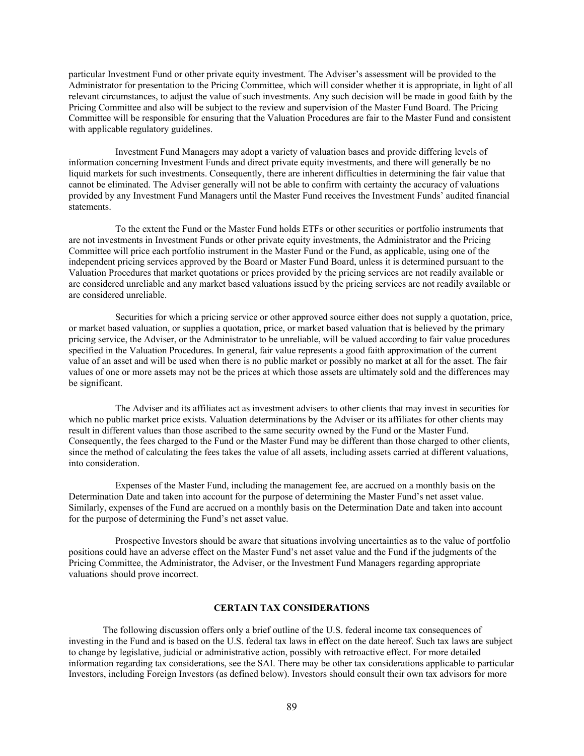particular Investment Fund or other private equity investment. The Adviser's assessment will be provided to the Administrator for presentation to the Pricing Committee, which will consider whether it is appropriate, in light of all relevant circumstances, to adjust the value of such investments. Any such decision will be made in good faith by the Pricing Committee and also will be subject to the review and supervision of the Master Fund Board. The Pricing Committee will be responsible for ensuring that the Valuation Procedures are fair to the Master Fund and consistent with applicable regulatory guidelines.

Investment Fund Managers may adopt a variety of valuation bases and provide differing levels of information concerning Investment Funds and direct private equity investments, and there will generally be no liquid markets for such investments. Consequently, there are inherent difficulties in determining the fair value that cannot be eliminated. The Adviser generally will not be able to confirm with certainty the accuracy of valuations provided by any Investment Fund Managers until the Master Fund receives the Investment Funds' audited financial statements.

To the extent the Fund or the Master Fund holds ETFs or other securities or portfolio instruments that are not investments in Investment Funds or other private equity investments, the Administrator and the Pricing Committee will price each portfolio instrument in the Master Fund or the Fund, as applicable, using one of the independent pricing services approved by the Board or Master Fund Board, unless it is determined pursuant to the Valuation Procedures that market quotations or prices provided by the pricing services are not readily available or are considered unreliable and any market based valuations issued by the pricing services are not readily available or are considered unreliable.

Securities for which a pricing service or other approved source either does not supply a quotation, price, or market based valuation, or supplies a quotation, price, or market based valuation that is believed by the primary pricing service, the Adviser, or the Administrator to be unreliable, will be valued according to fair value procedures specified in the Valuation Procedures. In general, fair value represents a good faith approximation of the current value of an asset and will be used when there is no public market or possibly no market at all for the asset. The fair values of one or more assets may not be the prices at which those assets are ultimately sold and the differences may be significant.

The Adviser and its affiliates act as investment advisers to other clients that may invest in securities for which no public market price exists. Valuation determinations by the Adviser or its affiliates for other clients may result in different values than those ascribed to the same security owned by the Fund or the Master Fund. Consequently, the fees charged to the Fund or the Master Fund may be different than those charged to other clients, since the method of calculating the fees takes the value of all assets, including assets carried at different valuations, into consideration.

Expenses of the Master Fund, including the management fee, are accrued on a monthly basis on the Determination Date and taken into account for the purpose of determining the Master Fund's net asset value. Similarly, expenses of the Fund are accrued on a monthly basis on the Determination Date and taken into account for the purpose of determining the Fund's net asset value.

Prospective Investors should be aware that situations involving uncertainties as to the value of portfolio positions could have an adverse effect on the Master Fund's net asset value and the Fund if the judgments of the Pricing Committee, the Administrator, the Adviser, or the Investment Fund Managers regarding appropriate valuations should prove incorrect.

## **CERTAIN TAX CONSIDERATIONS**

The following discussion offers only a brief outline of the U.S. federal income tax consequences of investing in the Fund and is based on the U.S. federal tax laws in effect on the date hereof. Such tax laws are subject to change by legislative, judicial or administrative action, possibly with retroactive effect. For more detailed information regarding tax considerations, see the SAI. There may be other tax considerations applicable to particular Investors, including Foreign Investors (as defined below). Investors should consult their own tax advisors for more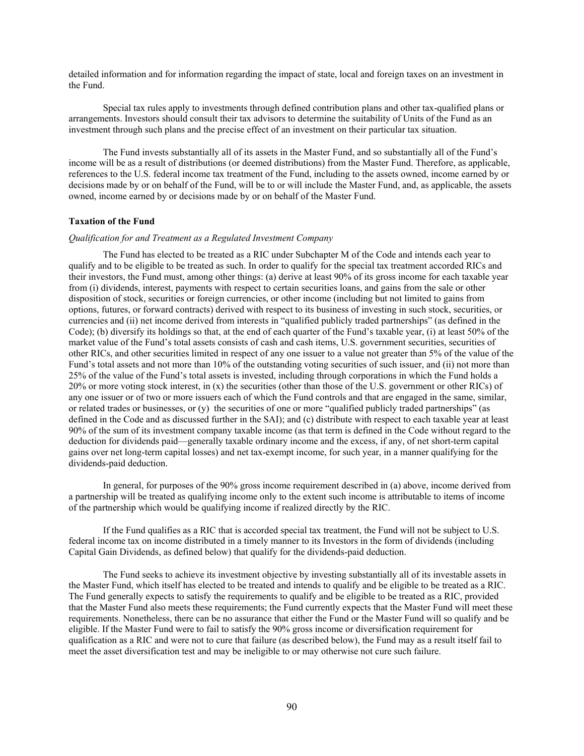detailed information and for information regarding the impact of state, local and foreign taxes on an investment in the Fund.

Special tax rules apply to investments through defined contribution plans and other tax-qualified plans or arrangements. Investors should consult their tax advisors to determine the suitability of Units of the Fund as an investment through such plans and the precise effect of an investment on their particular tax situation.

The Fund invests substantially all of its assets in the Master Fund, and so substantially all of the Fund's income will be as a result of distributions (or deemed distributions) from the Master Fund. Therefore, as applicable, references to the U.S. federal income tax treatment of the Fund, including to the assets owned, income earned by or decisions made by or on behalf of the Fund, will be to or will include the Master Fund, and, as applicable, the assets owned, income earned by or decisions made by or on behalf of the Master Fund.

#### **Taxation of the Fund**

## *Qualification for and Treatment as a Regulated Investment Company*

The Fund has elected to be treated as a RIC under Subchapter M of the Code and intends each year to qualify and to be eligible to be treated as such. In order to qualify for the special tax treatment accorded RICs and their investors, the Fund must, among other things: (a) derive at least 90% of its gross income for each taxable year from (i) dividends, interest, payments with respect to certain securities loans, and gains from the sale or other disposition of stock, securities or foreign currencies, or other income (including but not limited to gains from options, futures, or forward contracts) derived with respect to its business of investing in such stock, securities, or currencies and (ii) net income derived from interests in "qualified publicly traded partnerships" (as defined in the Code); (b) diversify its holdings so that, at the end of each quarter of the Fund's taxable year, (i) at least 50% of the market value of the Fund's total assets consists of cash and cash items, U.S. government securities, securities of other RICs, and other securities limited in respect of any one issuer to a value not greater than 5% of the value of the Fund's total assets and not more than 10% of the outstanding voting securities of such issuer, and (ii) not more than 25% of the value of the Fund's total assets is invested, including through corporations in which the Fund holds a 20% or more voting stock interest, in (x) the securities (other than those of the U.S. government or other RICs) of any one issuer or of two or more issuers each of which the Fund controls and that are engaged in the same, similar, or related trades or businesses, or (y) the securities of one or more "qualified publicly traded partnerships" (as defined in the Code and as discussed further in the SAI); and (c) distribute with respect to each taxable year at least 90% of the sum of its investment company taxable income (as that term is defined in the Code without regard to the deduction for dividends paid—generally taxable ordinary income and the excess, if any, of net short-term capital gains over net long-term capital losses) and net tax-exempt income, for such year, in a manner qualifying for the dividends-paid deduction.

In general, for purposes of the 90% gross income requirement described in (a) above, income derived from a partnership will be treated as qualifying income only to the extent such income is attributable to items of income of the partnership which would be qualifying income if realized directly by the RIC.

If the Fund qualifies as a RIC that is accorded special tax treatment, the Fund will not be subject to U.S. federal income tax on income distributed in a timely manner to its Investors in the form of dividends (including Capital Gain Dividends, as defined below) that qualify for the dividends-paid deduction.

The Fund seeks to achieve its investment objective by investing substantially all of its investable assets in the Master Fund, which itself has elected to be treated and intends to qualify and be eligible to be treated as a RIC. The Fund generally expects to satisfy the requirements to qualify and be eligible to be treated as a RIC, provided that the Master Fund also meets these requirements; the Fund currently expects that the Master Fund will meet these requirements. Nonetheless, there can be no assurance that either the Fund or the Master Fund will so qualify and be eligible. If the Master Fund were to fail to satisfy the 90% gross income or diversification requirement for qualification as a RIC and were not to cure that failure (as described below), the Fund may as a result itself fail to meet the asset diversification test and may be ineligible to or may otherwise not cure such failure.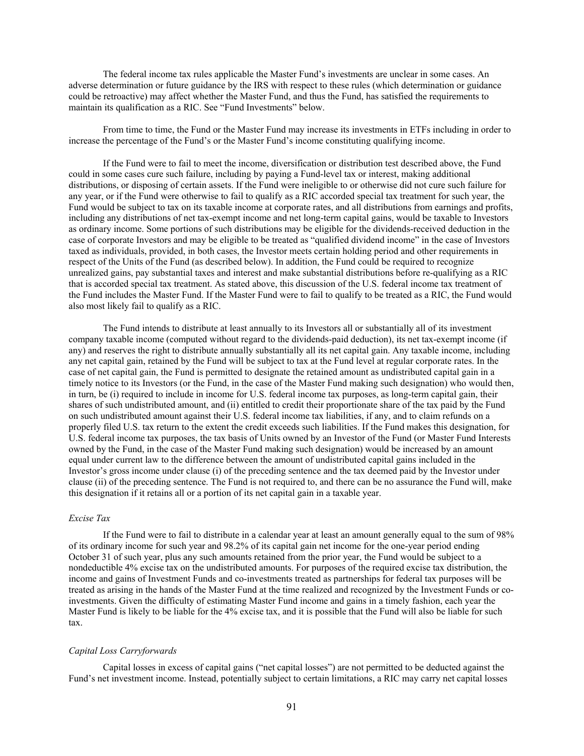The federal income tax rules applicable the Master Fund's investments are unclear in some cases. An adverse determination or future guidance by the IRS with respect to these rules (which determination or guidance could be retroactive) may affect whether the Master Fund, and thus the Fund, has satisfied the requirements to maintain its qualification as a RIC. See "Fund Investments" below.

From time to time, the Fund or the Master Fund may increase its investments in ETFs including in order to increase the percentage of the Fund's or the Master Fund's income constituting qualifying income.

If the Fund were to fail to meet the income, diversification or distribution test described above, the Fund could in some cases cure such failure, including by paying a Fund-level tax or interest, making additional distributions, or disposing of certain assets. If the Fund were ineligible to or otherwise did not cure such failure for any year, or if the Fund were otherwise to fail to qualify as a RIC accorded special tax treatment for such year, the Fund would be subject to tax on its taxable income at corporate rates, and all distributions from earnings and profits, including any distributions of net tax-exempt income and net long-term capital gains, would be taxable to Investors as ordinary income. Some portions of such distributions may be eligible for the dividends-received deduction in the case of corporate Investors and may be eligible to be treated as "qualified dividend income" in the case of Investors taxed as individuals, provided, in both cases, the Investor meets certain holding period and other requirements in respect of the Units of the Fund (as described below). In addition, the Fund could be required to recognize unrealized gains, pay substantial taxes and interest and make substantial distributions before re-qualifying as a RIC that is accorded special tax treatment. As stated above, this discussion of the U.S. federal income tax treatment of the Fund includes the Master Fund. If the Master Fund were to fail to qualify to be treated as a RIC, the Fund would also most likely fail to qualify as a RIC.

The Fund intends to distribute at least annually to its Investors all or substantially all of its investment company taxable income (computed without regard to the dividends-paid deduction), its net tax-exempt income (if any) and reserves the right to distribute annually substantially all its net capital gain. Any taxable income, including any net capital gain, retained by the Fund will be subject to tax at the Fund level at regular corporate rates. In the case of net capital gain, the Fund is permitted to designate the retained amount as undistributed capital gain in a timely notice to its Investors (or the Fund, in the case of the Master Fund making such designation) who would then, in turn, be (i) required to include in income for U.S. federal income tax purposes, as long-term capital gain, their shares of such undistributed amount, and (ii) entitled to credit their proportionate share of the tax paid by the Fund on such undistributed amount against their U.S. federal income tax liabilities, if any, and to claim refunds on a properly filed U.S. tax return to the extent the credit exceeds such liabilities. If the Fund makes this designation, for U.S. federal income tax purposes, the tax basis of Units owned by an Investor of the Fund (or Master Fund Interests owned by the Fund, in the case of the Master Fund making such designation) would be increased by an amount equal under current law to the difference between the amount of undistributed capital gains included in the Investor's gross income under clause (i) of the preceding sentence and the tax deemed paid by the Investor under clause (ii) of the preceding sentence. The Fund is not required to, and there can be no assurance the Fund will, make this designation if it retains all or a portion of its net capital gain in a taxable year.

#### *Excise Tax*

If the Fund were to fail to distribute in a calendar year at least an amount generally equal to the sum of 98% of its ordinary income for such year and 98.2% of its capital gain net income for the one-year period ending October 31 of such year, plus any such amounts retained from the prior year, the Fund would be subject to a nondeductible 4% excise tax on the undistributed amounts. For purposes of the required excise tax distribution, the income and gains of Investment Funds and co-investments treated as partnerships for federal tax purposes will be treated as arising in the hands of the Master Fund at the time realized and recognized by the Investment Funds or coinvestments. Given the difficulty of estimating Master Fund income and gains in a timely fashion, each year the Master Fund is likely to be liable for the 4% excise tax, and it is possible that the Fund will also be liable for such tax.

## *Capital Loss Carryforwards*

Capital losses in excess of capital gains ("net capital losses") are not permitted to be deducted against the Fund's net investment income. Instead, potentially subject to certain limitations, a RIC may carry net capital losses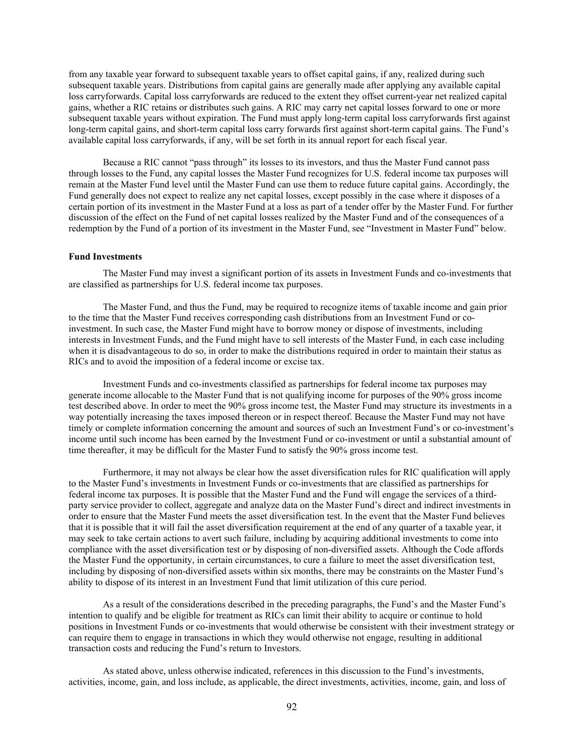from any taxable year forward to subsequent taxable years to offset capital gains, if any, realized during such subsequent taxable years. Distributions from capital gains are generally made after applying any available capital loss carryforwards. Capital loss carryforwards are reduced to the extent they offset current-year net realized capital gains, whether a RIC retains or distributes such gains. A RIC may carry net capital losses forward to one or more subsequent taxable years without expiration. The Fund must apply long-term capital loss carryforwards first against long-term capital gains, and short-term capital loss carry forwards first against short-term capital gains. The Fund's available capital loss carryforwards, if any, will be set forth in its annual report for each fiscal year.

Because a RIC cannot "pass through" its losses to its investors, and thus the Master Fund cannot pass through losses to the Fund, any capital losses the Master Fund recognizes for U.S. federal income tax purposes will remain at the Master Fund level until the Master Fund can use them to reduce future capital gains. Accordingly, the Fund generally does not expect to realize any net capital losses, except possibly in the case where it disposes of a certain portion of its investment in the Master Fund at a loss as part of a tender offer by the Master Fund. For further discussion of the effect on the Fund of net capital losses realized by the Master Fund and of the consequences of a redemption by the Fund of a portion of its investment in the Master Fund, see "Investment in Master Fund" below.

## **Fund Investments**

The Master Fund may invest a significant portion of its assets in Investment Funds and co-investments that are classified as partnerships for U.S. federal income tax purposes.

The Master Fund, and thus the Fund, may be required to recognize items of taxable income and gain prior to the time that the Master Fund receives corresponding cash distributions from an Investment Fund or coinvestment. In such case, the Master Fund might have to borrow money or dispose of investments, including interests in Investment Funds, and the Fund might have to sell interests of the Master Fund, in each case including when it is disadvantageous to do so, in order to make the distributions required in order to maintain their status as RICs and to avoid the imposition of a federal income or excise tax.

Investment Funds and co-investments classified as partnerships for federal income tax purposes may generate income allocable to the Master Fund that is not qualifying income for purposes of the 90% gross income test described above. In order to meet the 90% gross income test, the Master Fund may structure its investments in a way potentially increasing the taxes imposed thereon or in respect thereof. Because the Master Fund may not have timely or complete information concerning the amount and sources of such an Investment Fund's or co-investment's income until such income has been earned by the Investment Fund or co-investment or until a substantial amount of time thereafter, it may be difficult for the Master Fund to satisfy the 90% gross income test.

Furthermore, it may not always be clear how the asset diversification rules for RIC qualification will apply to the Master Fund's investments in Investment Funds or co-investments that are classified as partnerships for federal income tax purposes. It is possible that the Master Fund and the Fund will engage the services of a thirdparty service provider to collect, aggregate and analyze data on the Master Fund's direct and indirect investments in order to ensure that the Master Fund meets the asset diversification test. In the event that the Master Fund believes that it is possible that it will fail the asset diversification requirement at the end of any quarter of a taxable year, it may seek to take certain actions to avert such failure, including by acquiring additional investments to come into compliance with the asset diversification test or by disposing of non-diversified assets. Although the Code affords the Master Fund the opportunity, in certain circumstances, to cure a failure to meet the asset diversification test, including by disposing of non-diversified assets within six months, there may be constraints on the Master Fund's ability to dispose of its interest in an Investment Fund that limit utilization of this cure period.

As a result of the considerations described in the preceding paragraphs, the Fund's and the Master Fund's intention to qualify and be eligible for treatment as RICs can limit their ability to acquire or continue to hold positions in Investment Funds or co-investments that would otherwise be consistent with their investment strategy or can require them to engage in transactions in which they would otherwise not engage, resulting in additional transaction costs and reducing the Fund's return to Investors.

As stated above, unless otherwise indicated, references in this discussion to the Fund's investments, activities, income, gain, and loss include, as applicable, the direct investments, activities, income, gain, and loss of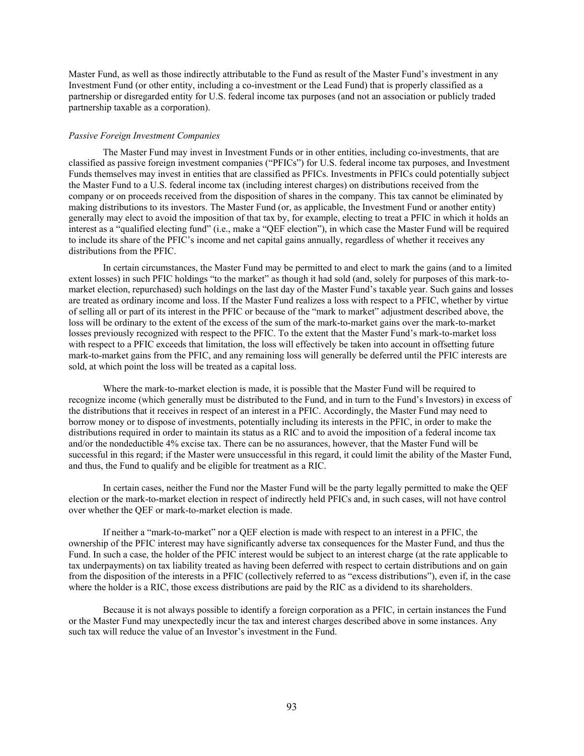Master Fund, as well as those indirectly attributable to the Fund as result of the Master Fund's investment in any Investment Fund (or other entity, including a co-investment or the Lead Fund) that is properly classified as a partnership or disregarded entity for U.S. federal income tax purposes (and not an association or publicly traded partnership taxable as a corporation).

#### *Passive Foreign Investment Companies*

The Master Fund may invest in Investment Funds or in other entities, including co-investments, that are classified as passive foreign investment companies ("PFICs") for U.S. federal income tax purposes, and Investment Funds themselves may invest in entities that are classified as PFICs. Investments in PFICs could potentially subject the Master Fund to a U.S. federal income tax (including interest charges) on distributions received from the company or on proceeds received from the disposition of shares in the company. This tax cannot be eliminated by making distributions to its investors. The Master Fund (or, as applicable, the Investment Fund or another entity) generally may elect to avoid the imposition of that tax by, for example, electing to treat a PFIC in which it holds an interest as a "qualified electing fund" (i.e., make a "QEF election"), in which case the Master Fund will be required to include its share of the PFIC's income and net capital gains annually, regardless of whether it receives any distributions from the PFIC.

In certain circumstances, the Master Fund may be permitted to and elect to mark the gains (and to a limited extent losses) in such PFIC holdings "to the market" as though it had sold (and, solely for purposes of this mark-tomarket election, repurchased) such holdings on the last day of the Master Fund's taxable year. Such gains and losses are treated as ordinary income and loss. If the Master Fund realizes a loss with respect to a PFIC, whether by virtue of selling all or part of its interest in the PFIC or because of the "mark to market" adjustment described above, the loss will be ordinary to the extent of the excess of the sum of the mark-to-market gains over the mark-to-market losses previously recognized with respect to the PFIC. To the extent that the Master Fund's mark-to-market loss with respect to a PFIC exceeds that limitation, the loss will effectively be taken into account in offsetting future mark-to-market gains from the PFIC, and any remaining loss will generally be deferred until the PFIC interests are sold, at which point the loss will be treated as a capital loss.

Where the mark-to-market election is made, it is possible that the Master Fund will be required to recognize income (which generally must be distributed to the Fund, and in turn to the Fund's Investors) in excess of the distributions that it receives in respect of an interest in a PFIC. Accordingly, the Master Fund may need to borrow money or to dispose of investments, potentially including its interests in the PFIC, in order to make the distributions required in order to maintain its status as a RIC and to avoid the imposition of a federal income tax and/or the nondeductible 4% excise tax. There can be no assurances, however, that the Master Fund will be successful in this regard; if the Master were unsuccessful in this regard, it could limit the ability of the Master Fund, and thus, the Fund to qualify and be eligible for treatment as a RIC.

In certain cases, neither the Fund nor the Master Fund will be the party legally permitted to make the QEF election or the mark-to-market election in respect of indirectly held PFICs and, in such cases, will not have control over whether the QEF or mark-to-market election is made.

If neither a "mark-to-market" nor a QEF election is made with respect to an interest in a PFIC, the ownership of the PFIC interest may have significantly adverse tax consequences for the Master Fund, and thus the Fund. In such a case, the holder of the PFIC interest would be subject to an interest charge (at the rate applicable to tax underpayments) on tax liability treated as having been deferred with respect to certain distributions and on gain from the disposition of the interests in a PFIC (collectively referred to as "excess distributions"), even if, in the case where the holder is a RIC, those excess distributions are paid by the RIC as a dividend to its shareholders.

Because it is not always possible to identify a foreign corporation as a PFIC, in certain instances the Fund or the Master Fund may unexpectedly incur the tax and interest charges described above in some instances. Any such tax will reduce the value of an Investor's investment in the Fund.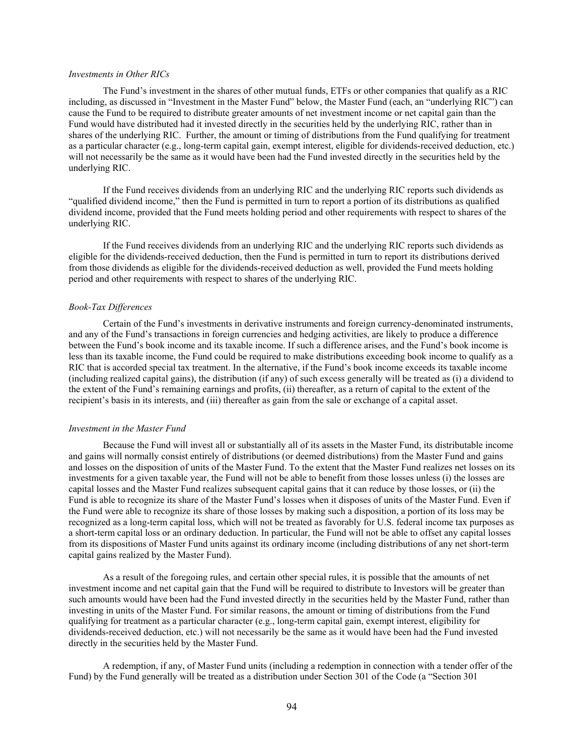## *Investments in Other RICs*

The Fund's investment in the shares of other mutual funds, ETFs or other companies that qualify as a RIC including, as discussed in "Investment in the Master Fund" below, the Master Fund (each, an "underlying RIC") can cause the Fund to be required to distribute greater amounts of net investment income or net capital gain than the Fund would have distributed had it invested directly in the securities held by the underlying RIC, rather than in shares of the underlying RIC. Further, the amount or timing of distributions from the Fund qualifying for treatment as a particular character (e.g., long-term capital gain, exempt interest, eligible for dividends-received deduction, etc.) will not necessarily be the same as it would have been had the Fund invested directly in the securities held by the underlying RIC.

If the Fund receives dividends from an underlying RIC and the underlying RIC reports such dividends as "qualified dividend income," then the Fund is permitted in turn to report a portion of its distributions as qualified dividend income, provided that the Fund meets holding period and other requirements with respect to shares of the underlying RIC.

If the Fund receives dividends from an underlying RIC and the underlying RIC reports such dividends as eligible for the dividends-received deduction, then the Fund is permitted in turn to report its distributions derived from those dividends as eligible for the dividends-received deduction as well, provided the Fund meets holding period and other requirements with respect to shares of the underlying RIC.

#### *Book-Tax Differences*

Certain of the Fund's investments in derivative instruments and foreign currency-denominated instruments, and any of the Fund's transactions in foreign currencies and hedging activities, are likely to produce a difference between the Fund's book income and its taxable income. If such a difference arises, and the Fund's book income is less than its taxable income, the Fund could be required to make distributions exceeding book income to qualify as a RIC that is accorded special tax treatment. In the alternative, if the Fund's book income exceeds its taxable income (including realized capital gains), the distribution (if any) of such excess generally will be treated as (i) a dividend to the extent of the Fund's remaining earnings and profits, (ii) thereafter, as a return of capital to the extent of the recipient's basis in its interests, and (iii) thereafter as gain from the sale or exchange of a capital asset.

#### *Investment in the Master Fund*

Because the Fund will invest all or substantially all of its assets in the Master Fund, its distributable income and gains will normally consist entirely of distributions (or deemed distributions) from the Master Fund and gains and losses on the disposition of units of the Master Fund. To the extent that the Master Fund realizes net losses on its investments for a given taxable year, the Fund will not be able to benefit from those losses unless (i) the losses are capital losses and the Master Fund realizes subsequent capital gains that it can reduce by those losses, or (ii) the Fund is able to recognize its share of the Master Fund's losses when it disposes of units of the Master Fund. Even if the Fund were able to recognize its share of those losses by making such a disposition, a portion of its loss may be recognized as a long-term capital loss, which will not be treated as favorably for U.S. federal income tax purposes as a short-term capital loss or an ordinary deduction. In particular, the Fund will not be able to offset any capital losses from its dispositions of Master Fund units against its ordinary income (including distributions of any net short-term capital gains realized by the Master Fund).

As a result of the foregoing rules, and certain other special rules, it is possible that the amounts of net investment income and net capital gain that the Fund will be required to distribute to Investors will be greater than such amounts would have been had the Fund invested directly in the securities held by the Master Fund, rather than investing in units of the Master Fund. For similar reasons, the amount or timing of distributions from the Fund qualifying for treatment as a particular character (e.g., long-term capital gain, exempt interest, eligibility for dividends-received deduction, etc.) will not necessarily be the same as it would have been had the Fund invested directly in the securities held by the Master Fund.

A redemption, if any, of Master Fund units (including a redemption in connection with a tender offer of the Fund) by the Fund generally will be treated as a distribution under Section 301 of the Code (a "Section 301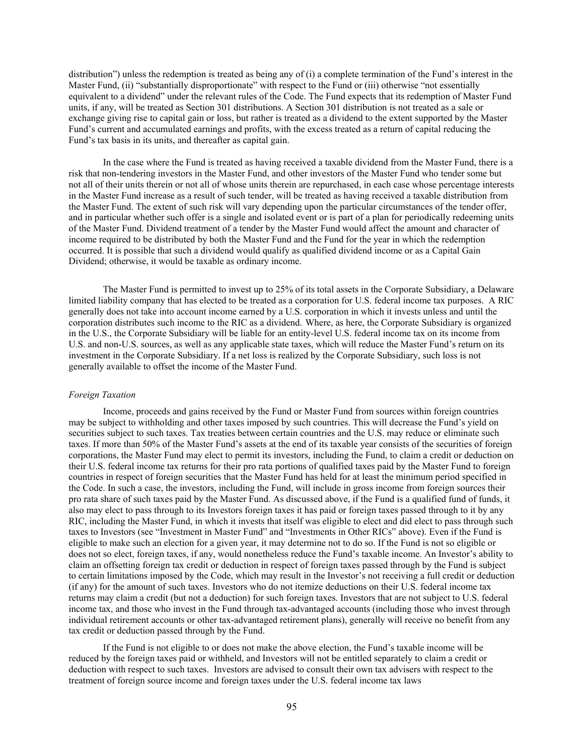distribution") unless the redemption is treated as being any of (i) a complete termination of the Fund's interest in the Master Fund, (ii) "substantially disproportionate" with respect to the Fund or (iii) otherwise "not essentially equivalent to a dividend" under the relevant rules of the Code. The Fund expects that its redemption of Master Fund units, if any, will be treated as Section 301 distributions. A Section 301 distribution is not treated as a sale or exchange giving rise to capital gain or loss, but rather is treated as a dividend to the extent supported by the Master Fund's current and accumulated earnings and profits, with the excess treated as a return of capital reducing the Fund's tax basis in its units, and thereafter as capital gain.

In the case where the Fund is treated as having received a taxable dividend from the Master Fund, there is a risk that non-tendering investors in the Master Fund, and other investors of the Master Fund who tender some but not all of their units therein or not all of whose units therein are repurchased, in each case whose percentage interests in the Master Fund increase as a result of such tender, will be treated as having received a taxable distribution from the Master Fund. The extent of such risk will vary depending upon the particular circumstances of the tender offer, and in particular whether such offer is a single and isolated event or is part of a plan for periodically redeeming units of the Master Fund. Dividend treatment of a tender by the Master Fund would affect the amount and character of income required to be distributed by both the Master Fund and the Fund for the year in which the redemption occurred. It is possible that such a dividend would qualify as qualified dividend income or as a Capital Gain Dividend; otherwise, it would be taxable as ordinary income.

The Master Fund is permitted to invest up to 25% of its total assets in the Corporate Subsidiary, a Delaware limited liability company that has elected to be treated as a corporation for U.S. federal income tax purposes. A RIC generally does not take into account income earned by a U.S. corporation in which it invests unless and until the corporation distributes such income to the RIC as a dividend. Where, as here, the Corporate Subsidiary is organized in the U.S., the Corporate Subsidiary will be liable for an entity-level U.S. federal income tax on its income from U.S. and non-U.S. sources, as well as any applicable state taxes, which will reduce the Master Fund's return on its investment in the Corporate Subsidiary. If a net loss is realized by the Corporate Subsidiary, such loss is not generally available to offset the income of the Master Fund.

#### *Foreign Taxation*

Income, proceeds and gains received by the Fund or Master Fund from sources within foreign countries may be subject to withholding and other taxes imposed by such countries. This will decrease the Fund's yield on securities subject to such taxes. Tax treaties between certain countries and the U.S. may reduce or eliminate such taxes. If more than 50% of the Master Fund's assets at the end of its taxable year consists of the securities of foreign corporations, the Master Fund may elect to permit its investors, including the Fund, to claim a credit or deduction on their U.S. federal income tax returns for their pro rata portions of qualified taxes paid by the Master Fund to foreign countries in respect of foreign securities that the Master Fund has held for at least the minimum period specified in the Code. In such a case, the investors, including the Fund, will include in gross income from foreign sources their pro rata share of such taxes paid by the Master Fund. As discussed above, if the Fund is a qualified fund of funds, it also may elect to pass through to its Investors foreign taxes it has paid or foreign taxes passed through to it by any RIC, including the Master Fund, in which it invests that itself was eligible to elect and did elect to pass through such taxes to Investors (see "Investment in Master Fund" and "Investments in Other RICs" above). Even if the Fund is eligible to make such an election for a given year, it may determine not to do so. If the Fund is not so eligible or does not so elect, foreign taxes, if any, would nonetheless reduce the Fund's taxable income. An Investor's ability to claim an offsetting foreign tax credit or deduction in respect of foreign taxes passed through by the Fund is subject to certain limitations imposed by the Code, which may result in the Investor's not receiving a full credit or deduction (if any) for the amount of such taxes. Investors who do not itemize deductions on their U.S. federal income tax returns may claim a credit (but not a deduction) for such foreign taxes. Investors that are not subject to U.S. federal income tax, and those who invest in the Fund through tax-advantaged accounts (including those who invest through individual retirement accounts or other tax-advantaged retirement plans), generally will receive no benefit from any tax credit or deduction passed through by the Fund.

If the Fund is not eligible to or does not make the above election, the Fund's taxable income will be reduced by the foreign taxes paid or withheld, and Investors will not be entitled separately to claim a credit or deduction with respect to such taxes. Investors are advised to consult their own tax advisers with respect to the treatment of foreign source income and foreign taxes under the U.S. federal income tax laws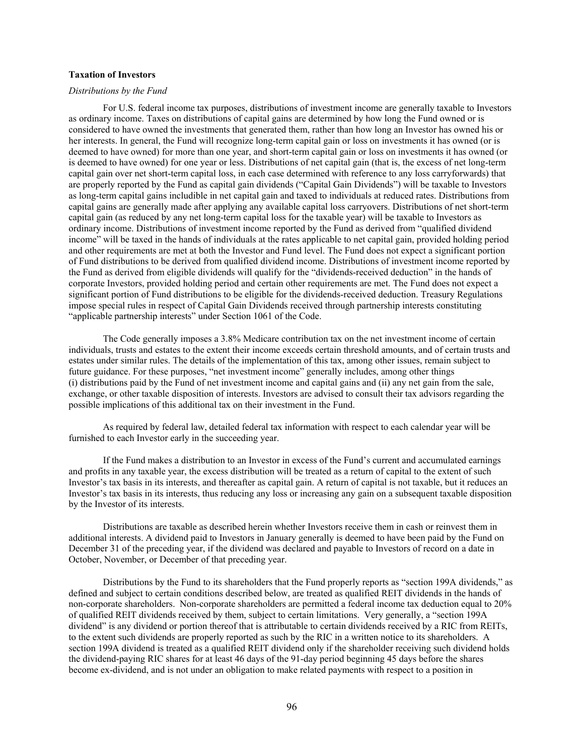## **Taxation of Investors**

#### *Distributions by the Fund*

For U.S. federal income tax purposes, distributions of investment income are generally taxable to Investors as ordinary income. Taxes on distributions of capital gains are determined by how long the Fund owned or is considered to have owned the investments that generated them, rather than how long an Investor has owned his or her interests. In general, the Fund will recognize long-term capital gain or loss on investments it has owned (or is deemed to have owned) for more than one year, and short-term capital gain or loss on investments it has owned (or is deemed to have owned) for one year or less. Distributions of net capital gain (that is, the excess of net long-term capital gain over net short-term capital loss, in each case determined with reference to any loss carryforwards) that are properly reported by the Fund as capital gain dividends ("Capital Gain Dividends") will be taxable to Investors as long-term capital gains includible in net capital gain and taxed to individuals at reduced rates. Distributions from capital gains are generally made after applying any available capital loss carryovers. Distributions of net short-term capital gain (as reduced by any net long-term capital loss for the taxable year) will be taxable to Investors as ordinary income. Distributions of investment income reported by the Fund as derived from "qualified dividend income" will be taxed in the hands of individuals at the rates applicable to net capital gain, provided holding period and other requirements are met at both the Investor and Fund level. The Fund does not expect a significant portion of Fund distributions to be derived from qualified dividend income. Distributions of investment income reported by the Fund as derived from eligible dividends will qualify for the "dividends-received deduction" in the hands of corporate Investors, provided holding period and certain other requirements are met. The Fund does not expect a significant portion of Fund distributions to be eligible for the dividends-received deduction. Treasury Regulations impose special rules in respect of Capital Gain Dividends received through partnership interests constituting "applicable partnership interests" under Section 1061 of the Code.

The Code generally imposes a 3.8% Medicare contribution tax on the net investment income of certain individuals, trusts and estates to the extent their income exceeds certain threshold amounts, and of certain trusts and estates under similar rules. The details of the implementation of this tax, among other issues, remain subject to future guidance. For these purposes, "net investment income" generally includes, among other things (i) distributions paid by the Fund of net investment income and capital gains and (ii) any net gain from the sale, exchange, or other taxable disposition of interests. Investors are advised to consult their tax advisors regarding the possible implications of this additional tax on their investment in the Fund.

As required by federal law, detailed federal tax information with respect to each calendar year will be furnished to each Investor early in the succeeding year.

If the Fund makes a distribution to an Investor in excess of the Fund's current and accumulated earnings and profits in any taxable year, the excess distribution will be treated as a return of capital to the extent of such Investor's tax basis in its interests, and thereafter as capital gain. A return of capital is not taxable, but it reduces an Investor's tax basis in its interests, thus reducing any loss or increasing any gain on a subsequent taxable disposition by the Investor of its interests.

Distributions are taxable as described herein whether Investors receive them in cash or reinvest them in additional interests. A dividend paid to Investors in January generally is deemed to have been paid by the Fund on December 31 of the preceding year, if the dividend was declared and payable to Investors of record on a date in October, November, or December of that preceding year.

Distributions by the Fund to its shareholders that the Fund properly reports as "section 199A dividends," as defined and subject to certain conditions described below, are treated as qualified REIT dividends in the hands of non-corporate shareholders. Non-corporate shareholders are permitted a federal income tax deduction equal to 20% of qualified REIT dividends received by them, subject to certain limitations. Very generally, a "section 199A dividend" is any dividend or portion thereof that is attributable to certain dividends received by a RIC from REITs, to the extent such dividends are properly reported as such by the RIC in a written notice to its shareholders. A section 199A dividend is treated as a qualified REIT dividend only if the shareholder receiving such dividend holds the dividend-paying RIC shares for at least 46 days of the 91-day period beginning 45 days before the shares become ex-dividend, and is not under an obligation to make related payments with respect to a position in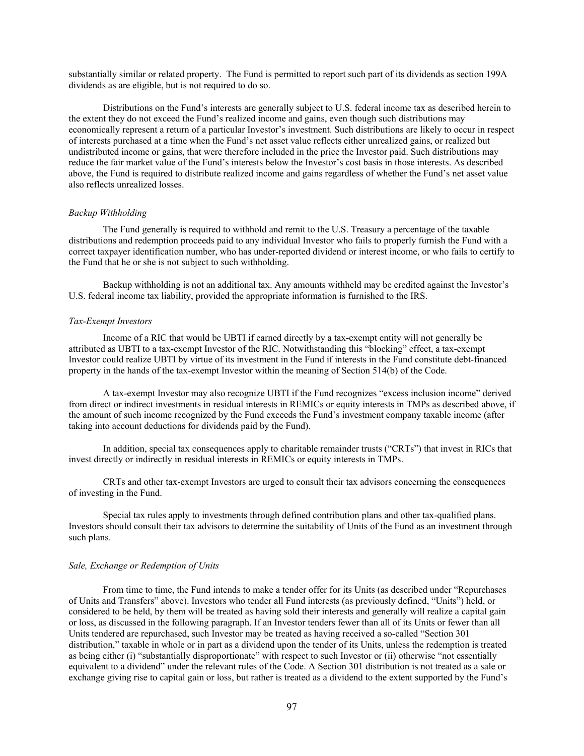substantially similar or related property. The Fund is permitted to report such part of its dividends as section 199A dividends as are eligible, but is not required to do so.

Distributions on the Fund's interests are generally subject to U.S. federal income tax as described herein to the extent they do not exceed the Fund's realized income and gains, even though such distributions may economically represent a return of a particular Investor's investment. Such distributions are likely to occur in respect of interests purchased at a time when the Fund's net asset value reflects either unrealized gains, or realized but undistributed income or gains, that were therefore included in the price the Investor paid. Such distributions may reduce the fair market value of the Fund's interests below the Investor's cost basis in those interests. As described above, the Fund is required to distribute realized income and gains regardless of whether the Fund's net asset value also reflects unrealized losses.

#### *Backup Withholding*

The Fund generally is required to withhold and remit to the U.S. Treasury a percentage of the taxable distributions and redemption proceeds paid to any individual Investor who fails to properly furnish the Fund with a correct taxpayer identification number, who has under-reported dividend or interest income, or who fails to certify to the Fund that he or she is not subject to such withholding.

Backup withholding is not an additional tax. Any amounts withheld may be credited against the Investor's U.S. federal income tax liability, provided the appropriate information is furnished to the IRS.

#### *Tax-Exempt Investors*

Income of a RIC that would be UBTI if earned directly by a tax-exempt entity will not generally be attributed as UBTI to a tax-exempt Investor of the RIC. Notwithstanding this "blocking" effect, a tax-exempt Investor could realize UBTI by virtue of its investment in the Fund if interests in the Fund constitute debt-financed property in the hands of the tax-exempt Investor within the meaning of Section 514(b) of the Code.

A tax-exempt Investor may also recognize UBTI if the Fund recognizes "excess inclusion income" derived from direct or indirect investments in residual interests in REMICs or equity interests in TMPs as described above, if the amount of such income recognized by the Fund exceeds the Fund's investment company taxable income (after taking into account deductions for dividends paid by the Fund).

In addition, special tax consequences apply to charitable remainder trusts ("CRTs") that invest in RICs that invest directly or indirectly in residual interests in REMICs or equity interests in TMPs.

CRTs and other tax-exempt Investors are urged to consult their tax advisors concerning the consequences of investing in the Fund.

Special tax rules apply to investments through defined contribution plans and other tax-qualified plans. Investors should consult their tax advisors to determine the suitability of Units of the Fund as an investment through such plans.

#### *Sale, Exchange or Redemption of Units*

From time to time, the Fund intends to make a tender offer for its Units (as described under "Repurchases of Units and Transfers" above). Investors who tender all Fund interests (as previously defined, "Units") held, or considered to be held, by them will be treated as having sold their interests and generally will realize a capital gain or loss, as discussed in the following paragraph. If an Investor tenders fewer than all of its Units or fewer than all Units tendered are repurchased, such Investor may be treated as having received a so-called "Section 301 distribution," taxable in whole or in part as a dividend upon the tender of its Units, unless the redemption is treated as being either (i) "substantially disproportionate" with respect to such Investor or (ii) otherwise "not essentially equivalent to a dividend" under the relevant rules of the Code. A Section 301 distribution is not treated as a sale or exchange giving rise to capital gain or loss, but rather is treated as a dividend to the extent supported by the Fund's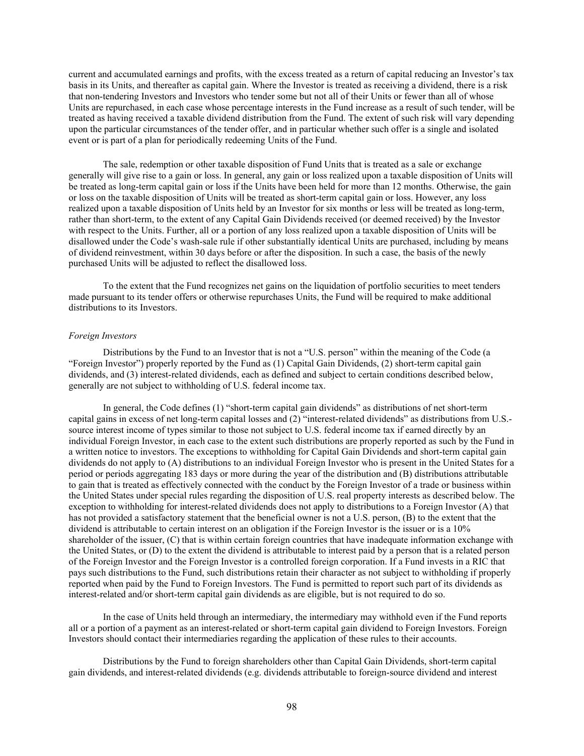current and accumulated earnings and profits, with the excess treated as a return of capital reducing an Investor's tax basis in its Units, and thereafter as capital gain. Where the Investor is treated as receiving a dividend, there is a risk that non-tendering Investors and Investors who tender some but not all of their Units or fewer than all of whose Units are repurchased, in each case whose percentage interests in the Fund increase as a result of such tender, will be treated as having received a taxable dividend distribution from the Fund. The extent of such risk will vary depending upon the particular circumstances of the tender offer, and in particular whether such offer is a single and isolated event or is part of a plan for periodically redeeming Units of the Fund.

The sale, redemption or other taxable disposition of Fund Units that is treated as a sale or exchange generally will give rise to a gain or loss. In general, any gain or loss realized upon a taxable disposition of Units will be treated as long-term capital gain or loss if the Units have been held for more than 12 months. Otherwise, the gain or loss on the taxable disposition of Units will be treated as short-term capital gain or loss. However, any loss realized upon a taxable disposition of Units held by an Investor for six months or less will be treated as long-term, rather than short-term, to the extent of any Capital Gain Dividends received (or deemed received) by the Investor with respect to the Units. Further, all or a portion of any loss realized upon a taxable disposition of Units will be disallowed under the Code's wash-sale rule if other substantially identical Units are purchased, including by means of dividend reinvestment, within 30 days before or after the disposition. In such a case, the basis of the newly purchased Units will be adjusted to reflect the disallowed loss.

To the extent that the Fund recognizes net gains on the liquidation of portfolio securities to meet tenders made pursuant to its tender offers or otherwise repurchases Units, the Fund will be required to make additional distributions to its Investors.

#### *Foreign Investors*

Distributions by the Fund to an Investor that is not a "U.S. person" within the meaning of the Code (a "Foreign Investor") properly reported by the Fund as (1) Capital Gain Dividends, (2) short-term capital gain dividends, and (3) interest-related dividends, each as defined and subject to certain conditions described below, generally are not subject to withholding of U.S. federal income tax.

In general, the Code defines (1) "short-term capital gain dividends" as distributions of net short-term capital gains in excess of net long-term capital losses and (2) "interest-related dividends" as distributions from U.S. source interest income of types similar to those not subject to U.S. federal income tax if earned directly by an individual Foreign Investor, in each case to the extent such distributions are properly reported as such by the Fund in a written notice to investors. The exceptions to withholding for Capital Gain Dividends and short-term capital gain dividends do not apply to (A) distributions to an individual Foreign Investor who is present in the United States for a period or periods aggregating 183 days or more during the year of the distribution and (B) distributions attributable to gain that is treated as effectively connected with the conduct by the Foreign Investor of a trade or business within the United States under special rules regarding the disposition of U.S. real property interests as described below. The exception to withholding for interest-related dividends does not apply to distributions to a Foreign Investor (A) that has not provided a satisfactory statement that the beneficial owner is not a U.S. person, (B) to the extent that the dividend is attributable to certain interest on an obligation if the Foreign Investor is the issuer or is a 10% shareholder of the issuer, (C) that is within certain foreign countries that have inadequate information exchange with the United States, or (D) to the extent the dividend is attributable to interest paid by a person that is a related person of the Foreign Investor and the Foreign Investor is a controlled foreign corporation. If a Fund invests in a RIC that pays such distributions to the Fund, such distributions retain their character as not subject to withholding if properly reported when paid by the Fund to Foreign Investors. The Fund is permitted to report such part of its dividends as interest-related and/or short-term capital gain dividends as are eligible, but is not required to do so.

In the case of Units held through an intermediary, the intermediary may withhold even if the Fund reports all or a portion of a payment as an interest-related or short-term capital gain dividend to Foreign Investors. Foreign Investors should contact their intermediaries regarding the application of these rules to their accounts.

Distributions by the Fund to foreign shareholders other than Capital Gain Dividends, short-term capital gain dividends, and interest-related dividends (e.g. dividends attributable to foreign-source dividend and interest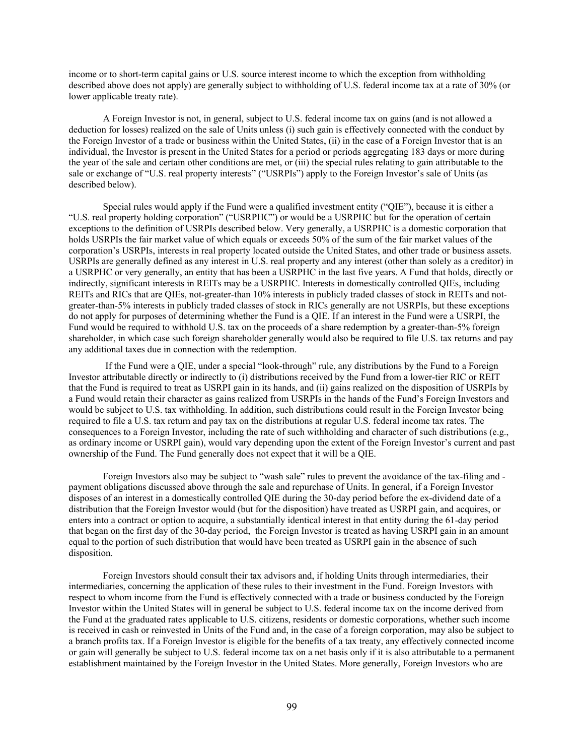income or to short-term capital gains or U.S. source interest income to which the exception from withholding described above does not apply) are generally subject to withholding of U.S. federal income tax at a rate of 30% (or lower applicable treaty rate).

A Foreign Investor is not, in general, subject to U.S. federal income tax on gains (and is not allowed a deduction for losses) realized on the sale of Units unless (i) such gain is effectively connected with the conduct by the Foreign Investor of a trade or business within the United States, (ii) in the case of a Foreign Investor that is an individual, the Investor is present in the United States for a period or periods aggregating 183 days or more during the year of the sale and certain other conditions are met, or (iii) the special rules relating to gain attributable to the sale or exchange of "U.S. real property interests" ("USRPIs") apply to the Foreign Investor's sale of Units (as described below).

 Special rules would apply if the Fund were a qualified investment entity ("QIE"), because it is either a "U.S. real property holding corporation" ("USRPHC") or would be a USRPHC but for the operation of certain exceptions to the definition of USRPIs described below. Very generally, a USRPHC is a domestic corporation that holds USRPIs the fair market value of which equals or exceeds 50% of the sum of the fair market values of the corporation's USRPIs, interests in real property located outside the United States, and other trade or business assets. USRPIs are generally defined as any interest in U.S. real property and any interest (other than solely as a creditor) in a USRPHC or very generally, an entity that has been a USRPHC in the last five years. A Fund that holds, directly or indirectly, significant interests in REITs may be a USRPHC. Interests in domestically controlled QIEs, including REITs and RICs that are QIEs, not-greater-than 10% interests in publicly traded classes of stock in REITs and notgreater-than-5% interests in publicly traded classes of stock in RICs generally are not USRPIs, but these exceptions do not apply for purposes of determining whether the Fund is a QIE. If an interest in the Fund were a USRPI, the Fund would be required to withhold U.S. tax on the proceeds of a share redemption by a greater-than-5% foreign shareholder, in which case such foreign shareholder generally would also be required to file U.S. tax returns and pay any additional taxes due in connection with the redemption.

 If the Fund were a QIE, under a special "look-through" rule, any distributions by the Fund to a Foreign Investor attributable directly or indirectly to (i) distributions received by the Fund from a lower-tier RIC or REIT that the Fund is required to treat as USRPI gain in its hands, and (ii) gains realized on the disposition of USRPIs by a Fund would retain their character as gains realized from USRPIs in the hands of the Fund's Foreign Investors and would be subject to U.S. tax withholding. In addition, such distributions could result in the Foreign Investor being required to file a U.S. tax return and pay tax on the distributions at regular U.S. federal income tax rates. The consequences to a Foreign Investor, including the rate of such withholding and character of such distributions (e.g., as ordinary income or USRPI gain), would vary depending upon the extent of the Foreign Investor's current and past ownership of the Fund. The Fund generally does not expect that it will be a QIE.

Foreign Investors also may be subject to "wash sale" rules to prevent the avoidance of the tax-filing and payment obligations discussed above through the sale and repurchase of Units. In general, if a Foreign Investor disposes of an interest in a domestically controlled QIE during the 30-day period before the ex-dividend date of a distribution that the Foreign Investor would (but for the disposition) have treated as USRPI gain, and acquires, or enters into a contract or option to acquire, a substantially identical interest in that entity during the 61-day period that began on the first day of the 30-day period, the Foreign Investor is treated as having USRPI gain in an amount equal to the portion of such distribution that would have been treated as USRPI gain in the absence of such disposition.

Foreign Investors should consult their tax advisors and, if holding Units through intermediaries, their intermediaries, concerning the application of these rules to their investment in the Fund. Foreign Investors with respect to whom income from the Fund is effectively connected with a trade or business conducted by the Foreign Investor within the United States will in general be subject to U.S. federal income tax on the income derived from the Fund at the graduated rates applicable to U.S. citizens, residents or domestic corporations, whether such income is received in cash or reinvested in Units of the Fund and, in the case of a foreign corporation, may also be subject to a branch profits tax. If a Foreign Investor is eligible for the benefits of a tax treaty, any effectively connected income or gain will generally be subject to U.S. federal income tax on a net basis only if it is also attributable to a permanent establishment maintained by the Foreign Investor in the United States. More generally, Foreign Investors who are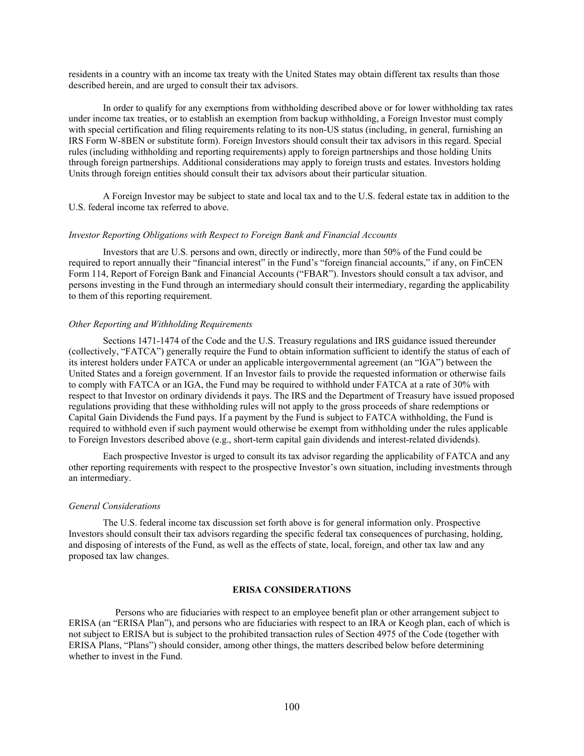residents in a country with an income tax treaty with the United States may obtain different tax results than those described herein, and are urged to consult their tax advisors.

In order to qualify for any exemptions from withholding described above or for lower withholding tax rates under income tax treaties, or to establish an exemption from backup withholding, a Foreign Investor must comply with special certification and filing requirements relating to its non-US status (including, in general, furnishing an IRS Form W-8BEN or substitute form). Foreign Investors should consult their tax advisors in this regard. Special rules (including withholding and reporting requirements) apply to foreign partnerships and those holding Units through foreign partnerships. Additional considerations may apply to foreign trusts and estates. Investors holding Units through foreign entities should consult their tax advisors about their particular situation.

A Foreign Investor may be subject to state and local tax and to the U.S. federal estate tax in addition to the U.S. federal income tax referred to above.

## *Investor Reporting Obligations with Respect to Foreign Bank and Financial Accounts*

Investors that are U.S. persons and own, directly or indirectly, more than 50% of the Fund could be required to report annually their "financial interest" in the Fund's "foreign financial accounts," if any, on FinCEN Form 114, Report of Foreign Bank and Financial Accounts ("FBAR"). Investors should consult a tax advisor, and persons investing in the Fund through an intermediary should consult their intermediary, regarding the applicability to them of this reporting requirement.

## *Other Reporting and Withholding Requirements*

Sections 1471-1474 of the Code and the U.S. Treasury regulations and IRS guidance issued thereunder (collectively, "FATCA") generally require the Fund to obtain information sufficient to identify the status of each of its interest holders under FATCA or under an applicable intergovernmental agreement (an "IGA") between the United States and a foreign government. If an Investor fails to provide the requested information or otherwise fails to comply with FATCA or an IGA, the Fund may be required to withhold under FATCA at a rate of 30% with respect to that Investor on ordinary dividends it pays. The IRS and the Department of Treasury have issued proposed regulations providing that these withholding rules will not apply to the gross proceeds of share redemptions or Capital Gain Dividends the Fund pays. If a payment by the Fund is subject to FATCA withholding, the Fund is required to withhold even if such payment would otherwise be exempt from withholding under the rules applicable to Foreign Investors described above (e.g., short-term capital gain dividends and interest-related dividends).

Each prospective Investor is urged to consult its tax advisor regarding the applicability of FATCA and any other reporting requirements with respect to the prospective Investor's own situation, including investments through an intermediary.

#### *General Considerations*

The U.S. federal income tax discussion set forth above is for general information only. Prospective Investors should consult their tax advisors regarding the specific federal tax consequences of purchasing, holding, and disposing of interests of the Fund, as well as the effects of state, local, foreign, and other tax law and any proposed tax law changes.

#### **ERISA CONSIDERATIONS**

Persons who are fiduciaries with respect to an employee benefit plan or other arrangement subject to ERISA (an "ERISA Plan"), and persons who are fiduciaries with respect to an IRA or Keogh plan, each of which is not subject to ERISA but is subject to the prohibited transaction rules of Section 4975 of the Code (together with ERISA Plans, "Plans") should consider, among other things, the matters described below before determining whether to invest in the Fund.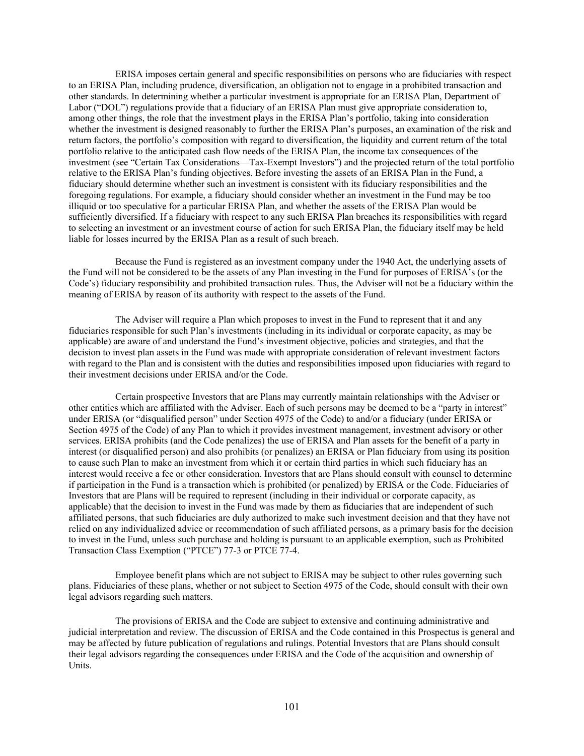ERISA imposes certain general and specific responsibilities on persons who are fiduciaries with respect to an ERISA Plan, including prudence, diversification, an obligation not to engage in a prohibited transaction and other standards. In determining whether a particular investment is appropriate for an ERISA Plan, Department of Labor ("DOL") regulations provide that a fiduciary of an ERISA Plan must give appropriate consideration to, among other things, the role that the investment plays in the ERISA Plan's portfolio, taking into consideration whether the investment is designed reasonably to further the ERISA Plan's purposes, an examination of the risk and return factors, the portfolio's composition with regard to diversification, the liquidity and current return of the total portfolio relative to the anticipated cash flow needs of the ERISA Plan, the income tax consequences of the investment (see "Certain Tax Considerations—Tax-Exempt Investors") and the projected return of the total portfolio relative to the ERISA Plan's funding objectives. Before investing the assets of an ERISA Plan in the Fund, a fiduciary should determine whether such an investment is consistent with its fiduciary responsibilities and the foregoing regulations. For example, a fiduciary should consider whether an investment in the Fund may be too illiquid or too speculative for a particular ERISA Plan, and whether the assets of the ERISA Plan would be sufficiently diversified. If a fiduciary with respect to any such ERISA Plan breaches its responsibilities with regard to selecting an investment or an investment course of action for such ERISA Plan, the fiduciary itself may be held liable for losses incurred by the ERISA Plan as a result of such breach.

Because the Fund is registered as an investment company under the 1940 Act, the underlying assets of the Fund will not be considered to be the assets of any Plan investing in the Fund for purposes of ERISA's (or the Code's) fiduciary responsibility and prohibited transaction rules. Thus, the Adviser will not be a fiduciary within the meaning of ERISA by reason of its authority with respect to the assets of the Fund.

The Adviser will require a Plan which proposes to invest in the Fund to represent that it and any fiduciaries responsible for such Plan's investments (including in its individual or corporate capacity, as may be applicable) are aware of and understand the Fund's investment objective, policies and strategies, and that the decision to invest plan assets in the Fund was made with appropriate consideration of relevant investment factors with regard to the Plan and is consistent with the duties and responsibilities imposed upon fiduciaries with regard to their investment decisions under ERISA and/or the Code.

Certain prospective Investors that are Plans may currently maintain relationships with the Adviser or other entities which are affiliated with the Adviser. Each of such persons may be deemed to be a "party in interest" under ERISA (or "disqualified person" under Section 4975 of the Code) to and/or a fiduciary (under ERISA or Section 4975 of the Code) of any Plan to which it provides investment management, investment advisory or other services. ERISA prohibits (and the Code penalizes) the use of ERISA and Plan assets for the benefit of a party in interest (or disqualified person) and also prohibits (or penalizes) an ERISA or Plan fiduciary from using its position to cause such Plan to make an investment from which it or certain third parties in which such fiduciary has an interest would receive a fee or other consideration. Investors that are Plans should consult with counsel to determine if participation in the Fund is a transaction which is prohibited (or penalized) by ERISA or the Code. Fiduciaries of Investors that are Plans will be required to represent (including in their individual or corporate capacity, as applicable) that the decision to invest in the Fund was made by them as fiduciaries that are independent of such affiliated persons, that such fiduciaries are duly authorized to make such investment decision and that they have not relied on any individualized advice or recommendation of such affiliated persons, as a primary basis for the decision to invest in the Fund, unless such purchase and holding is pursuant to an applicable exemption, such as Prohibited Transaction Class Exemption ("PTCE") 77-3 or PTCE 77-4.

Employee benefit plans which are not subject to ERISA may be subject to other rules governing such plans. Fiduciaries of these plans, whether or not subject to Section 4975 of the Code, should consult with their own legal advisors regarding such matters.

The provisions of ERISA and the Code are subject to extensive and continuing administrative and judicial interpretation and review. The discussion of ERISA and the Code contained in this Prospectus is general and may be affected by future publication of regulations and rulings. Potential Investors that are Plans should consult their legal advisors regarding the consequences under ERISA and the Code of the acquisition and ownership of Units.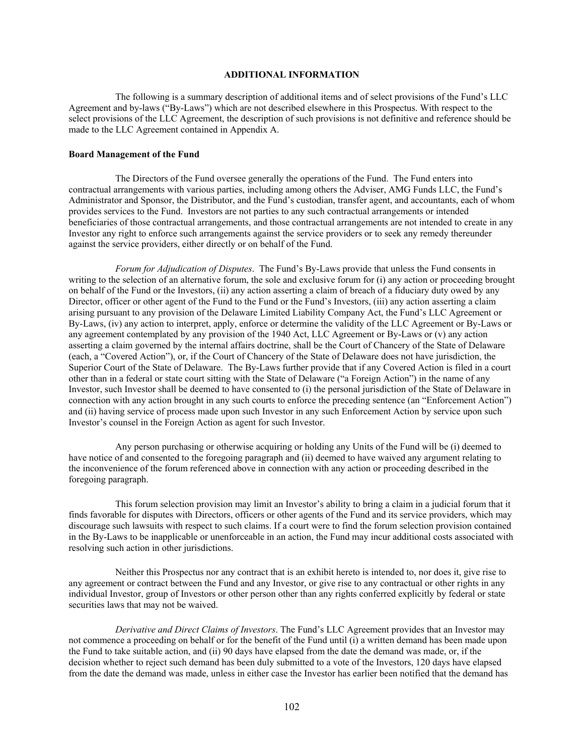## **ADDITIONAL INFORMATION**

The following is a summary description of additional items and of select provisions of the Fund's LLC Agreement and by-laws ("By-Laws") which are not described elsewhere in this Prospectus. With respect to the select provisions of the LLC Agreement, the description of such provisions is not definitive and reference should be made to the LLC Agreement contained in Appendix A.

#### **Board Management of the Fund**

The Directors of the Fund oversee generally the operations of the Fund. The Fund enters into contractual arrangements with various parties, including among others the Adviser, AMG Funds LLC, the Fund's Administrator and Sponsor, the Distributor, and the Fund's custodian, transfer agent, and accountants, each of whom provides services to the Fund. Investors are not parties to any such contractual arrangements or intended beneficiaries of those contractual arrangements, and those contractual arrangements are not intended to create in any Investor any right to enforce such arrangements against the service providers or to seek any remedy thereunder against the service providers, either directly or on behalf of the Fund.

*Forum for Adjudication of Disputes*. The Fund's By-Laws provide that unless the Fund consents in writing to the selection of an alternative forum, the sole and exclusive forum for (i) any action or proceeding brought on behalf of the Fund or the Investors, (ii) any action asserting a claim of breach of a fiduciary duty owed by any Director, officer or other agent of the Fund to the Fund or the Fund's Investors, (iii) any action asserting a claim arising pursuant to any provision of the Delaware Limited Liability Company Act, the Fund's LLC Agreement or By-Laws, (iv) any action to interpret, apply, enforce or determine the validity of the LLC Agreement or By-Laws or any agreement contemplated by any provision of the 1940 Act, LLC Agreement or By-Laws or (v) any action asserting a claim governed by the internal affairs doctrine, shall be the Court of Chancery of the State of Delaware (each, a "Covered Action"), or, if the Court of Chancery of the State of Delaware does not have jurisdiction, the Superior Court of the State of Delaware. The By-Laws further provide that if any Covered Action is filed in a court other than in a federal or state court sitting with the State of Delaware ("a Foreign Action") in the name of any Investor, such Investor shall be deemed to have consented to (i) the personal jurisdiction of the State of Delaware in connection with any action brought in any such courts to enforce the preceding sentence (an "Enforcement Action") and (ii) having service of process made upon such Investor in any such Enforcement Action by service upon such Investor's counsel in the Foreign Action as agent for such Investor.

Any person purchasing or otherwise acquiring or holding any Units of the Fund will be (i) deemed to have notice of and consented to the foregoing paragraph and (ii) deemed to have waived any argument relating to the inconvenience of the forum referenced above in connection with any action or proceeding described in the foregoing paragraph.

This forum selection provision may limit an Investor's ability to bring a claim in a judicial forum that it finds favorable for disputes with Directors, officers or other agents of the Fund and its service providers, which may discourage such lawsuits with respect to such claims. If a court were to find the forum selection provision contained in the By-Laws to be inapplicable or unenforceable in an action, the Fund may incur additional costs associated with resolving such action in other jurisdictions.

Neither this Prospectus nor any contract that is an exhibit hereto is intended to, nor does it, give rise to any agreement or contract between the Fund and any Investor, or give rise to any contractual or other rights in any individual Investor, group of Investors or other person other than any rights conferred explicitly by federal or state securities laws that may not be waived.

*Derivative and Direct Claims of Investors*. The Fund's LLC Agreement provides that an Investor may not commence a proceeding on behalf or for the benefit of the Fund until (i) a written demand has been made upon the Fund to take suitable action, and (ii) 90 days have elapsed from the date the demand was made, or, if the decision whether to reject such demand has been duly submitted to a vote of the Investors, 120 days have elapsed from the date the demand was made, unless in either case the Investor has earlier been notified that the demand has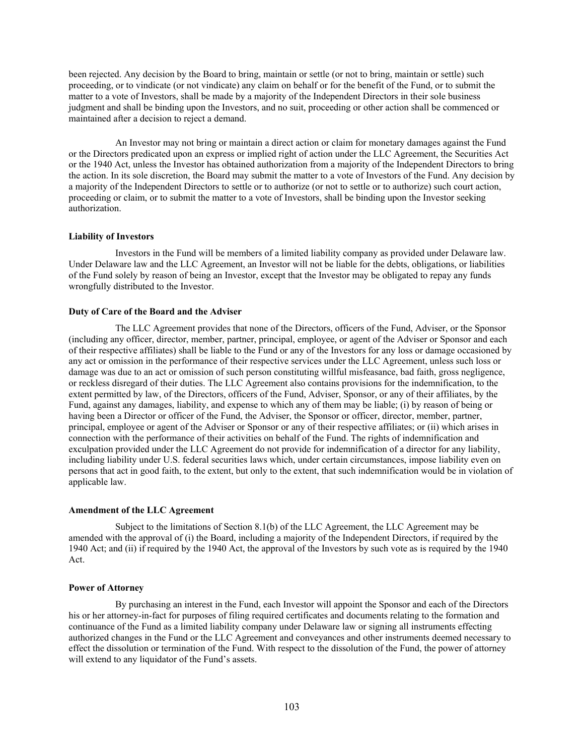been rejected. Any decision by the Board to bring, maintain or settle (or not to bring, maintain or settle) such proceeding, or to vindicate (or not vindicate) any claim on behalf or for the benefit of the Fund, or to submit the matter to a vote of Investors, shall be made by a majority of the Independent Directors in their sole business judgment and shall be binding upon the Investors, and no suit, proceeding or other action shall be commenced or maintained after a decision to reject a demand.

An Investor may not bring or maintain a direct action or claim for monetary damages against the Fund or the Directors predicated upon an express or implied right of action under the LLC Agreement, the Securities Act or the 1940 Act, unless the Investor has obtained authorization from a majority of the Independent Directors to bring the action. In its sole discretion, the Board may submit the matter to a vote of Investors of the Fund. Any decision by a majority of the Independent Directors to settle or to authorize (or not to settle or to authorize) such court action, proceeding or claim, or to submit the matter to a vote of Investors, shall be binding upon the Investor seeking authorization.

### **Liability of Investors**

Investors in the Fund will be members of a limited liability company as provided under Delaware law. Under Delaware law and the LLC Agreement, an Investor will not be liable for the debts, obligations, or liabilities of the Fund solely by reason of being an Investor, except that the Investor may be obligated to repay any funds wrongfully distributed to the Investor.

#### **Duty of Care of the Board and the Adviser**

The LLC Agreement provides that none of the Directors, officers of the Fund, Adviser, or the Sponsor (including any officer, director, member, partner, principal, employee, or agent of the Adviser or Sponsor and each of their respective affiliates) shall be liable to the Fund or any of the Investors for any loss or damage occasioned by any act or omission in the performance of their respective services under the LLC Agreement, unless such loss or damage was due to an act or omission of such person constituting willful misfeasance, bad faith, gross negligence, or reckless disregard of their duties. The LLC Agreement also contains provisions for the indemnification, to the extent permitted by law, of the Directors, officers of the Fund, Adviser, Sponsor, or any of their affiliates, by the Fund, against any damages, liability, and expense to which any of them may be liable; (i) by reason of being or having been a Director or officer of the Fund, the Adviser, the Sponsor or officer, director, member, partner, principal, employee or agent of the Adviser or Sponsor or any of their respective affiliates; or (ii) which arises in connection with the performance of their activities on behalf of the Fund. The rights of indemnification and exculpation provided under the LLC Agreement do not provide for indemnification of a director for any liability, including liability under U.S. federal securities laws which, under certain circumstances, impose liability even on persons that act in good faith, to the extent, but only to the extent, that such indemnification would be in violation of applicable law.

#### **Amendment of the LLC Agreement**

Subject to the limitations of Section 8.1(b) of the LLC Agreement, the LLC Agreement may be amended with the approval of (i) the Board, including a majority of the Independent Directors, if required by the 1940 Act; and (ii) if required by the 1940 Act, the approval of the Investors by such vote as is required by the 1940 Act.

## **Power of Attorney**

By purchasing an interest in the Fund, each Investor will appoint the Sponsor and each of the Directors his or her attorney-in-fact for purposes of filing required certificates and documents relating to the formation and continuance of the Fund as a limited liability company under Delaware law or signing all instruments effecting authorized changes in the Fund or the LLC Agreement and conveyances and other instruments deemed necessary to effect the dissolution or termination of the Fund. With respect to the dissolution of the Fund, the power of attorney will extend to any liquidator of the Fund's assets.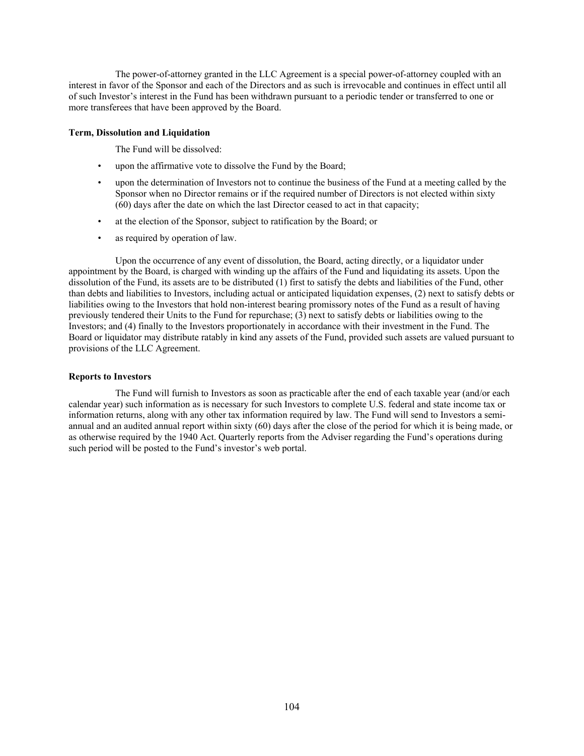The power-of-attorney granted in the LLC Agreement is a special power-of-attorney coupled with an interest in favor of the Sponsor and each of the Directors and as such is irrevocable and continues in effect until all of such Investor's interest in the Fund has been withdrawn pursuant to a periodic tender or transferred to one or more transferees that have been approved by the Board.

## **Term, Dissolution and Liquidation**

The Fund will be dissolved:

- upon the affirmative vote to dissolve the Fund by the Board;
- upon the determination of Investors not to continue the business of the Fund at a meeting called by the Sponsor when no Director remains or if the required number of Directors is not elected within sixty (60) days after the date on which the last Director ceased to act in that capacity;
- at the election of the Sponsor, subject to ratification by the Board; or
- as required by operation of law.

Upon the occurrence of any event of dissolution, the Board, acting directly, or a liquidator under appointment by the Board, is charged with winding up the affairs of the Fund and liquidating its assets. Upon the dissolution of the Fund, its assets are to be distributed (1) first to satisfy the debts and liabilities of the Fund, other than debts and liabilities to Investors, including actual or anticipated liquidation expenses, (2) next to satisfy debts or liabilities owing to the Investors that hold non-interest bearing promissory notes of the Fund as a result of having previously tendered their Units to the Fund for repurchase; (3) next to satisfy debts or liabilities owing to the Investors; and (4) finally to the Investors proportionately in accordance with their investment in the Fund. The Board or liquidator may distribute ratably in kind any assets of the Fund, provided such assets are valued pursuant to provisions of the LLC Agreement.

## **Reports to Investors**

The Fund will furnish to Investors as soon as practicable after the end of each taxable year (and/or each calendar year) such information as is necessary for such Investors to complete U.S. federal and state income tax or information returns, along with any other tax information required by law. The Fund will send to Investors a semiannual and an audited annual report within sixty (60) days after the close of the period for which it is being made, or as otherwise required by the 1940 Act. Quarterly reports from the Adviser regarding the Fund's operations during such period will be posted to the Fund's investor's web portal.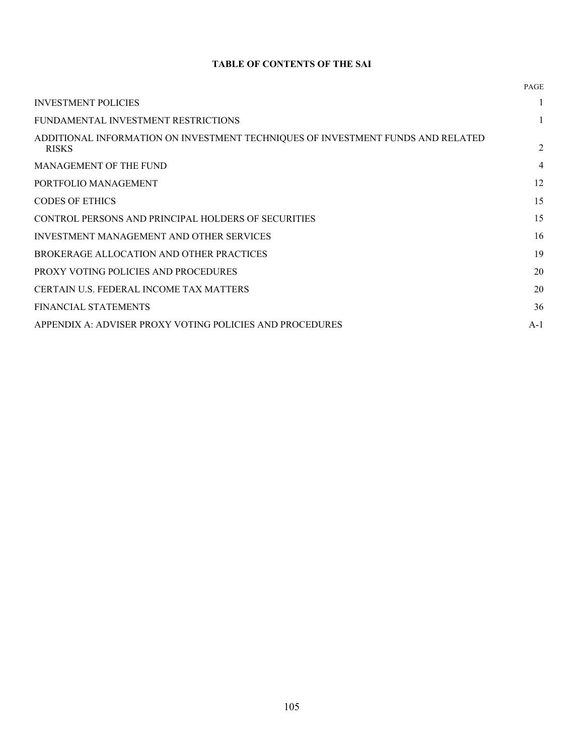## **TABLE OF CONTENTS OF THE SAI**

|                                                                                                 | <b>PAGE</b> |
|-------------------------------------------------------------------------------------------------|-------------|
| <b>INVESTMENT POLICIES</b>                                                                      | 1           |
| FUNDAMENTAL INVESTMENT RESTRICTIONS                                                             |             |
| ADDITIONAL INFORMATION ON INVESTMENT TECHNIQUES OF INVESTMENT FUNDS AND RELATED<br><b>RISKS</b> | 2           |
| MANAGEMENT OF THE FUND                                                                          | 4           |
| PORTFOLIO MANAGEMENT                                                                            | 12          |
| <b>CODES OF ETHICS</b>                                                                          | 15          |
| CONTROL PERSONS AND PRINCIPAL HOLDERS OF SECURITIES                                             | 15          |
| INVESTMENT MANAGEMENT AND OTHER SERVICES                                                        | 16          |
| BROKERAGE ALLOCATION AND OTHER PRACTICES                                                        | 19          |
| PROXY VOTING POLICIES AND PROCEDURES                                                            | 20          |
| CERTAIN U.S. FEDERAL INCOME TAX MATTERS                                                         | 20          |
| FINANCIAL STATEMENTS                                                                            | 36          |
| APPENDIX A: ADVISER PROXY VOTING POLICIES AND PROCEDURES                                        | $A-1$       |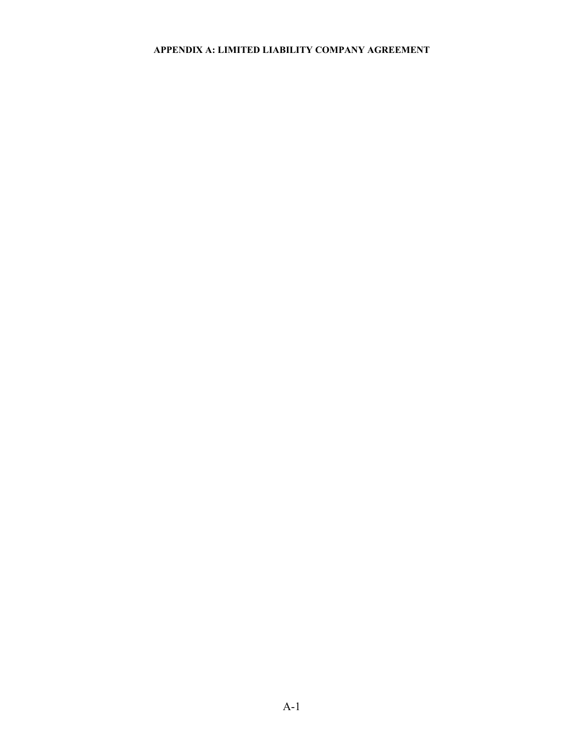# **APPENDIX A: LIMITED LIABILITY COMPANY AGREEMENT**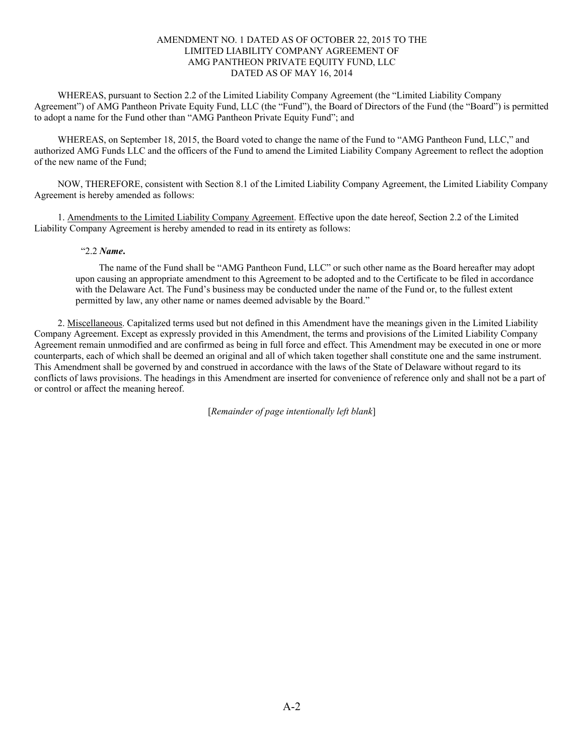## AMENDMENT NO. 1 DATED AS OF OCTOBER 22, 2015 TO THE LIMITED LIABILITY COMPANY AGREEMENT OF AMG PANTHEON PRIVATE EQUITY FUND, LLC DATED AS OF MAY 16, 2014

WHEREAS, pursuant to Section 2.2 of the Limited Liability Company Agreement (the "Limited Liability Company Agreement") of AMG Pantheon Private Equity Fund, LLC (the "Fund"), the Board of Directors of the Fund (the "Board") is permitted to adopt a name for the Fund other than "AMG Pantheon Private Equity Fund"; and

WHEREAS, on September 18, 2015, the Board voted to change the name of the Fund to "AMG Pantheon Fund, LLC," and authorized AMG Funds LLC and the officers of the Fund to amend the Limited Liability Company Agreement to reflect the adoption of the new name of the Fund;

NOW, THEREFORE, consistent with Section 8.1 of the Limited Liability Company Agreement, the Limited Liability Company Agreement is hereby amended as follows:

1. Amendments to the Limited Liability Company Agreement. Effective upon the date hereof, Section 2.2 of the Limited Liability Company Agreement is hereby amended to read in its entirety as follows:

## "2.2 *Name***.**

The name of the Fund shall be "AMG Pantheon Fund, LLC" or such other name as the Board hereafter may adopt upon causing an appropriate amendment to this Agreement to be adopted and to the Certificate to be filed in accordance with the Delaware Act. The Fund's business may be conducted under the name of the Fund or, to the fullest extent permitted by law, any other name or names deemed advisable by the Board."

2. Miscellaneous. Capitalized terms used but not defined in this Amendment have the meanings given in the Limited Liability Company Agreement. Except as expressly provided in this Amendment, the terms and provisions of the Limited Liability Company Agreement remain unmodified and are confirmed as being in full force and effect. This Amendment may be executed in one or more counterparts, each of which shall be deemed an original and all of which taken together shall constitute one and the same instrument. This Amendment shall be governed by and construed in accordance with the laws of the State of Delaware without regard to its conflicts of laws provisions. The headings in this Amendment are inserted for convenience of reference only and shall not be a part of or control or affect the meaning hereof.

[*Remainder of page intentionally left blank*]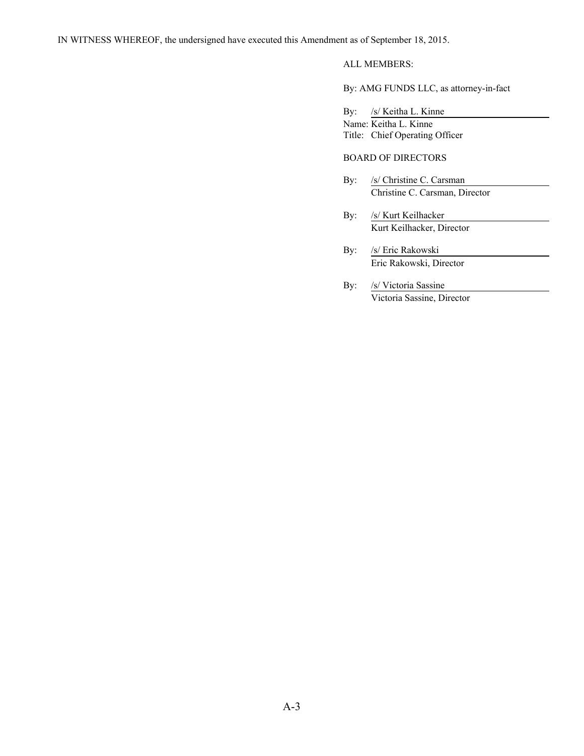# ALL MEMBERS:

By: AMG FUNDS LLC, as attorney-in-fact

By: /s/ Keitha L. Kinne Name: Keitha L. Kinne Title: Chief Operating Officer

# BOARD OF DIRECTORS

- By: /s/ Christine C. Carsman Christine C. Carsman, Director
- By: /s/ Kurt Keilhacker Kurt Keilhacker, Director
- By: /s/ Eric Rakowski Eric Rakowski, Director
- By: /s/ Victoria Sassine Victoria Sassine, Director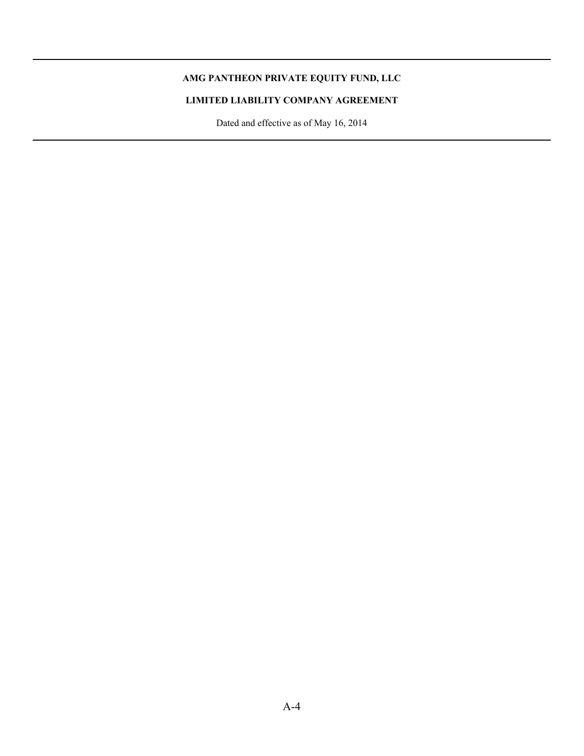# **AMG PANTHEON PRIVATE EQUITY FUND, LLC**

í

# **LIMITED LIABILITY COMPANY AGREEMENT**

Dated and effective as of May 16, 2014 i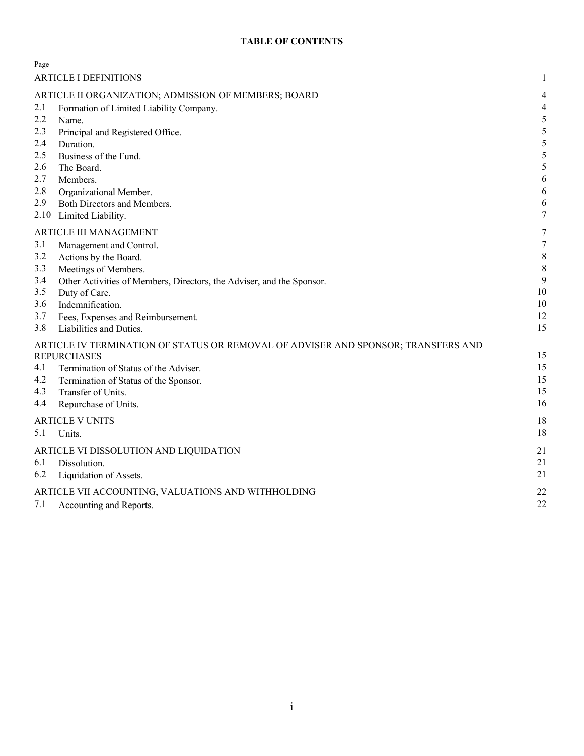# **TABLE OF CONTENTS**

| Page                                                 |                                                                                   |                  |
|------------------------------------------------------|-----------------------------------------------------------------------------------|------------------|
|                                                      | <b>ARTICLE I DEFINITIONS</b>                                                      | 1                |
| ARTICLE II ORGANIZATION; ADMISSION OF MEMBERS; BOARD |                                                                                   |                  |
| 2.1                                                  | Formation of Limited Liability Company.                                           | 4                |
| 2.2                                                  | Name.                                                                             | 5                |
| 2.3                                                  | Principal and Registered Office.                                                  | 5                |
| 2.4                                                  | Duration.                                                                         | 5                |
| 2.5                                                  | Business of the Fund.                                                             | 5                |
| 2.6<br>2.7                                           | The Board.                                                                        | 5<br>6           |
| 2.8                                                  | Members.<br>Organizational Member.                                                | 6                |
| 2.9                                                  | Both Directors and Members.                                                       | 6                |
| 2.10                                                 | Limited Liability.                                                                | 7                |
|                                                      | ARTICLE III MANAGEMENT                                                            | 7                |
| 3.1                                                  | Management and Control.                                                           | $\boldsymbol{7}$ |
| 3.2                                                  | Actions by the Board.                                                             | $\,8\,$          |
| 3.3                                                  | Meetings of Members.                                                              | $\,8\,$          |
| 3.4                                                  | Other Activities of Members, Directors, the Adviser, and the Sponsor.             | 9                |
| 3.5                                                  | Duty of Care.                                                                     | $10\,$           |
| 3.6                                                  | Indemnification.                                                                  | 10               |
| 3.7                                                  | Fees, Expenses and Reimbursement.                                                 | 12               |
| 3.8                                                  | Liabilities and Duties.                                                           | 15               |
|                                                      | ARTICLE IV TERMINATION OF STATUS OR REMOVAL OF ADVISER AND SPONSOR; TRANSFERS AND |                  |
|                                                      | <b>REPURCHASES</b>                                                                | 15               |
| 4.1                                                  | Termination of Status of the Adviser.                                             | 15               |
| 4.2                                                  | Termination of Status of the Sponsor.                                             | 15<br>15         |
| 4.3<br>4.4                                           | Transfer of Units.                                                                | 16               |
|                                                      | Repurchase of Units.                                                              |                  |
|                                                      | <b>ARTICLE V UNITS</b>                                                            | 18               |
| 5.1                                                  | Units.                                                                            | 18               |
|                                                      | ARTICLE VI DISSOLUTION AND LIQUIDATION                                            | 21               |
| 6.1                                                  | Dissolution.                                                                      | 21               |
| 6.2                                                  | Liquidation of Assets.                                                            | 21               |
| ARTICLE VII ACCOUNTING, VALUATIONS AND WITHHOLDING   |                                                                                   |                  |
| 7.1                                                  | Accounting and Reports.                                                           | 22               |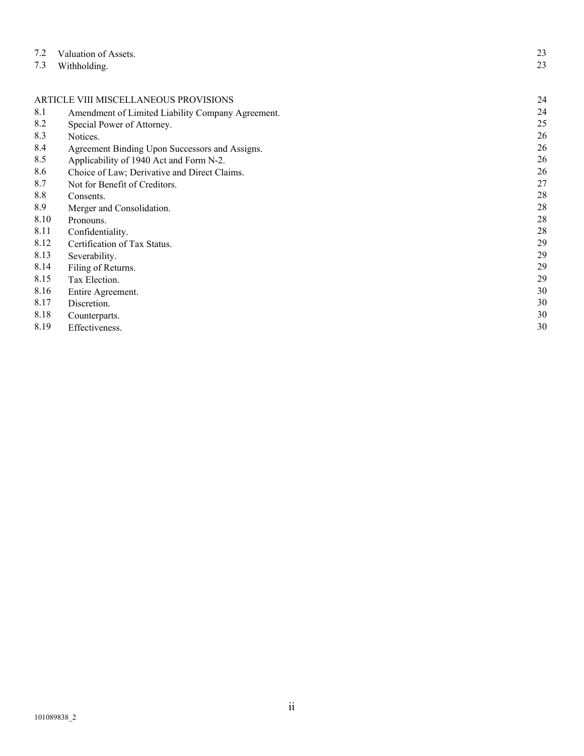| 7.2                                   | Valuation of Assets.                              | 23 |
|---------------------------------------|---------------------------------------------------|----|
| 7.3                                   | Withholding.                                      | 23 |
|                                       |                                                   |    |
| ARTICLE VIII MISCELLANEOUS PROVISIONS | 24                                                |    |
| 8.1                                   | Amendment of Limited Liability Company Agreement. | 24 |
| 8.2                                   | Special Power of Attorney.                        | 25 |
| 8.3                                   | Notices.                                          | 26 |
| 8.4                                   | Agreement Binding Upon Successors and Assigns.    | 26 |
| 8.5                                   | Applicability of 1940 Act and Form N-2.           | 26 |
| 8.6                                   | Choice of Law; Derivative and Direct Claims.      | 26 |
| 8.7                                   | Not for Benefit of Creditors.                     | 27 |
| 8.8                                   | Consents.                                         | 28 |
| 8.9                                   | Merger and Consolidation.                         | 28 |
| 8.10                                  | Pronouns.                                         | 28 |
| 8.11                                  | Confidentiality.                                  | 28 |
| 8.12                                  | Certification of Tax Status.                      | 29 |
| 8.13                                  | Severability.                                     | 29 |
| 8.14                                  | Filing of Returns.                                | 29 |
| 8.15                                  | Tax Election.                                     | 29 |
| 8.16                                  | Entire Agreement.                                 | 30 |
| 8.17                                  | Discretion.                                       | 30 |
| 8.18                                  | Counterparts.                                     | 30 |
| 8.19                                  | Effectiveness.                                    | 30 |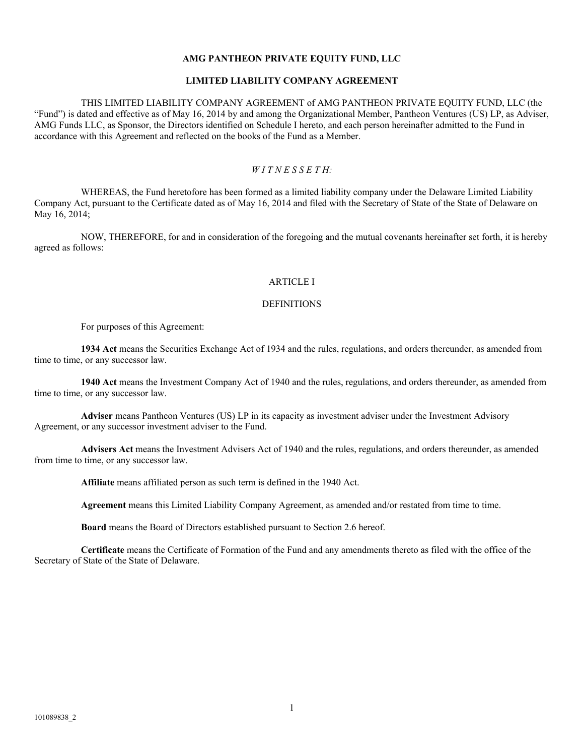### **AMG PANTHEON PRIVATE EQUITY FUND, LLC**

### **LIMITED LIABILITY COMPANY AGREEMENT**

#### THIS LIMITED LIABILITY COMPANY AGREEMENT of AMG PANTHEON PRIVATE EQUITY FUND, LLC (the

"Fund") is dated and effective as of May 16, 2014 by and among the Organizational Member, Pantheon Ventures (US) LP, as Adviser, AMG Funds LLC, as Sponsor, the Directors identified on Schedule I hereto, and each person hereinafter admitted to the Fund in accordance with this Agreement and reflected on the books of the Fund as a Member.

#### *W I T N E S S E T H:*

WHEREAS, the Fund heretofore has been formed as a limited liability company under the Delaware Limited Liability Company Act, pursuant to the Certificate dated as of May 16, 2014 and filed with the Secretary of State of the State of Delaware on May 16, 2014;

NOW, THEREFORE, for and in consideration of the foregoing and the mutual covenants hereinafter set forth, it is hereby agreed as follows:

#### ARTICLE I

# **DEFINITIONS**

For purposes of this Agreement:

**1934 Act** means the Securities Exchange Act of 1934 and the rules, regulations, and orders thereunder, as amended from time to time, or any successor law.

**1940 Act** means the Investment Company Act of 1940 and the rules, regulations, and orders thereunder, as amended from time to time, or any successor law.

**Adviser** means Pantheon Ventures (US) LP in its capacity as investment adviser under the Investment Advisory Agreement, or any successor investment adviser to the Fund.

**Advisers Act** means the Investment Advisers Act of 1940 and the rules, regulations, and orders thereunder, as amended from time to time, or any successor law.

**Affiliate** means affiliated person as such term is defined in the 1940 Act.

**Agreement** means this Limited Liability Company Agreement, as amended and/or restated from time to time.

**Board** means the Board of Directors established pursuant to Section 2.6 hereof.

**Certificate** means the Certificate of Formation of the Fund and any amendments thereto as filed with the office of the Secretary of State of the State of Delaware.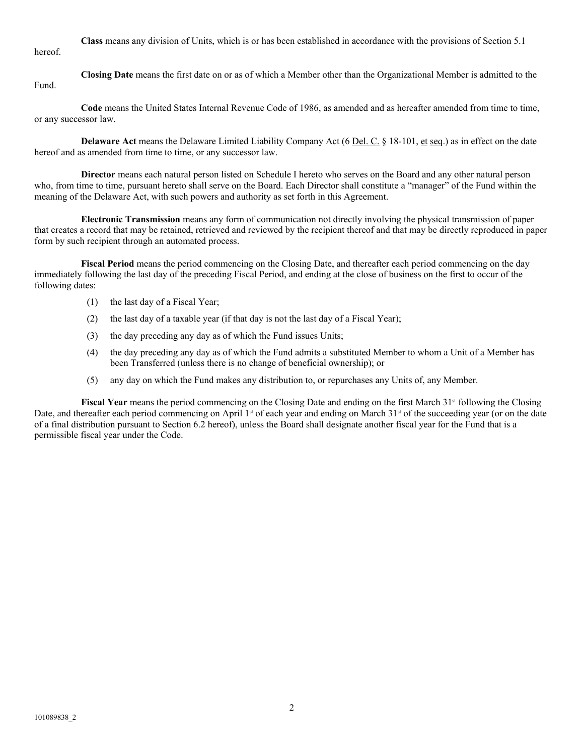**Class** means any division of Units, which is or has been established in accordance with the provisions of Section 5.1

hereof.

**Closing Date** means the first date on or as of which a Member other than the Organizational Member is admitted to the Fund.

**Code** means the United States Internal Revenue Code of 1986, as amended and as hereafter amended from time to time, or any successor law.

**Delaware Act** means the Delaware Limited Liability Company Act (6 <u>Del. C. § 18-101, et seq.</u>) as in effect on the date hereof and as amended from time to time, or any successor law.

**Director** means each natural person listed on Schedule I hereto who serves on the Board and any other natural person who, from time to time, pursuant hereto shall serve on the Board. Each Director shall constitute a "manager" of the Fund within the meaning of the Delaware Act, with such powers and authority as set forth in this Agreement.

**Electronic Transmission** means any form of communication not directly involving the physical transmission of paper that creates a record that may be retained, retrieved and reviewed by the recipient thereof and that may be directly reproduced in paper form by such recipient through an automated process.

**Fiscal Period** means the period commencing on the Closing Date, and thereafter each period commencing on the day immediately following the last day of the preceding Fiscal Period, and ending at the close of business on the first to occur of the following dates:

- (1) the last day of a Fiscal Year;
- (2) the last day of a taxable year (if that day is not the last day of a Fiscal Year);
- (3) the day preceding any day as of which the Fund issues Units;
- (4) the day preceding any day as of which the Fund admits a substituted Member to whom a Unit of a Member has been Transferred (unless there is no change of beneficial ownership); or
- (5) any day on which the Fund makes any distribution to, or repurchases any Units of, any Member.

**Fiscal Year** means the period commencing on the Closing Date and ending on the first March 31<sup>st</sup> following the Closing Date, and thereafter each period commencing on April  $1<sup>st</sup>$  of each year and ending on March  $31<sup>st</sup>$  of the succeeding year (or on the date of a final distribution pursuant to Section 6.2 hereof), unless the Board shall designate another fiscal year for the Fund that is a permissible fiscal year under the Code.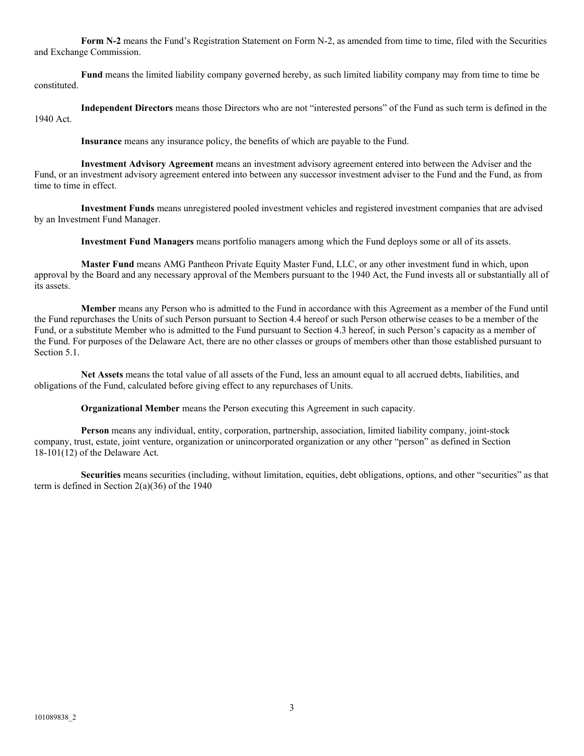**Form N-2** means the Fund's Registration Statement on Form N-2, as amended from time to time, filed with the Securities and Exchange Commission.

**Fund** means the limited liability company governed hereby, as such limited liability company may from time to time be constituted.

**Independent Directors** means those Directors who are not "interested persons" of the Fund as such term is defined in the 1940 Act.

**Insurance** means any insurance policy, the benefits of which are payable to the Fund.

**Investment Advisory Agreement** means an investment advisory agreement entered into between the Adviser and the Fund, or an investment advisory agreement entered into between any successor investment adviser to the Fund and the Fund, as from time to time in effect.

**Investment Funds** means unregistered pooled investment vehicles and registered investment companies that are advised by an Investment Fund Manager.

**Investment Fund Managers** means portfolio managers among which the Fund deploys some or all of its assets.

**Master Fund** means AMG Pantheon Private Equity Master Fund, LLC, or any other investment fund in which, upon approval by the Board and any necessary approval of the Members pursuant to the 1940 Act, the Fund invests all or substantially all of its assets.

**Member** means any Person who is admitted to the Fund in accordance with this Agreement as a member of the Fund until the Fund repurchases the Units of such Person pursuant to Section 4.4 hereof or such Person otherwise ceases to be a member of the Fund, or a substitute Member who is admitted to the Fund pursuant to Section 4.3 hereof, in such Person's capacity as a member of the Fund. For purposes of the Delaware Act, there are no other classes or groups of members other than those established pursuant to Section 5.1.

**Net Assets** means the total value of all assets of the Fund, less an amount equal to all accrued debts, liabilities, and obligations of the Fund, calculated before giving effect to any repurchases of Units.

**Organizational Member** means the Person executing this Agreement in such capacity.

**Person** means any individual, entity, corporation, partnership, association, limited liability company, joint-stock company, trust, estate, joint venture, organization or unincorporated organization or any other "person" as defined in Section 18-101(12) of the Delaware Act.

**Securities** means securities (including, without limitation, equities, debt obligations, options, and other "securities" as that term is defined in Section 2(a)(36) of the 1940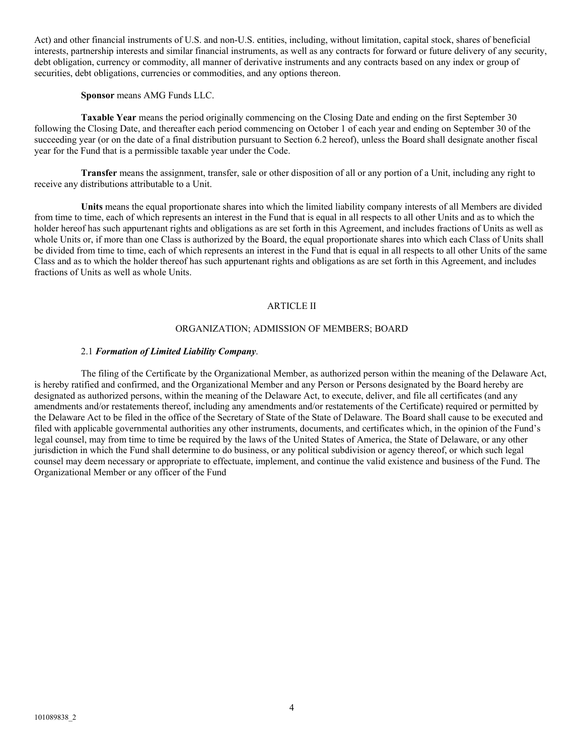Act) and other financial instruments of U.S. and non-U.S. entities, including, without limitation, capital stock, shares of beneficial interests, partnership interests and similar financial instruments, as well as any contracts for forward or future delivery of any security, debt obligation, currency or commodity, all manner of derivative instruments and any contracts based on any index or group of securities, debt obligations, currencies or commodities, and any options thereon.

**Sponsor** means AMG Funds LLC.

**Taxable Year** means the period originally commencing on the Closing Date and ending on the first September 30 following the Closing Date, and thereafter each period commencing on October 1 of each year and ending on September 30 of the succeeding year (or on the date of a final distribution pursuant to Section 6.2 hereof), unless the Board shall designate another fiscal year for the Fund that is a permissible taxable year under the Code.

**Transfer** means the assignment, transfer, sale or other disposition of all or any portion of a Unit, including any right to receive any distributions attributable to a Unit.

**Units** means the equal proportionate shares into which the limited liability company interests of all Members are divided from time to time, each of which represents an interest in the Fund that is equal in all respects to all other Units and as to which the holder hereof has such appurtenant rights and obligations as are set forth in this Agreement, and includes fractions of Units as well as whole Units or, if more than one Class is authorized by the Board, the equal proportionate shares into which each Class of Units shall be divided from time to time, each of which represents an interest in the Fund that is equal in all respects to all other Units of the same Class and as to which the holder thereof has such appurtenant rights and obligations as are set forth in this Agreement, and includes fractions of Units as well as whole Units.

### ARTICLE II

#### ORGANIZATION; ADMISSION OF MEMBERS; BOARD

#### 2.1 *Formation of Limited Liability Company*.

The filing of the Certificate by the Organizational Member, as authorized person within the meaning of the Delaware Act, is hereby ratified and confirmed, and the Organizational Member and any Person or Persons designated by the Board hereby are designated as authorized persons, within the meaning of the Delaware Act, to execute, deliver, and file all certificates (and any amendments and/or restatements thereof, including any amendments and/or restatements of the Certificate) required or permitted by the Delaware Act to be filed in the office of the Secretary of State of the State of Delaware. The Board shall cause to be executed and filed with applicable governmental authorities any other instruments, documents, and certificates which, in the opinion of the Fund's legal counsel, may from time to time be required by the laws of the United States of America, the State of Delaware, or any other jurisdiction in which the Fund shall determine to do business, or any political subdivision or agency thereof, or which such legal counsel may deem necessary or appropriate to effectuate, implement, and continue the valid existence and business of the Fund. The Organizational Member or any officer of the Fund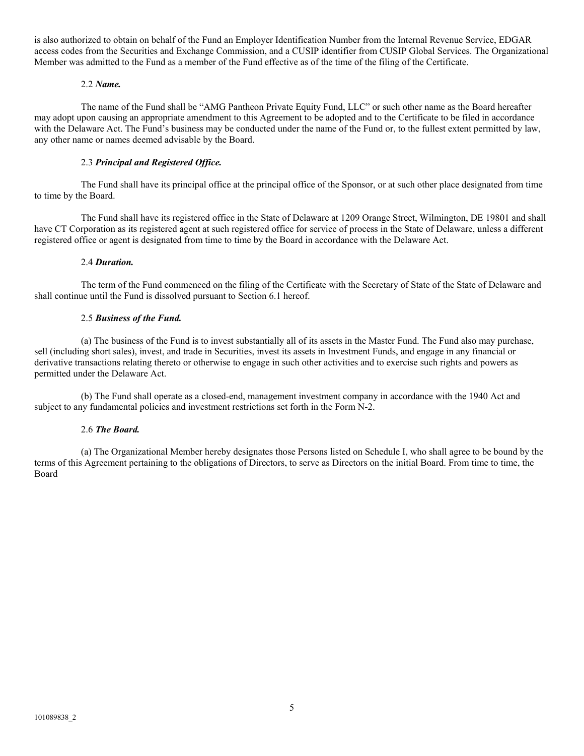is also authorized to obtain on behalf of the Fund an Employer Identification Number from the Internal Revenue Service, EDGAR access codes from the Securities and Exchange Commission, and a CUSIP identifier from CUSIP Global Services. The Organizational Member was admitted to the Fund as a member of the Fund effective as of the time of the filing of the Certificate.

### 2.2 *Name.*

The name of the Fund shall be "AMG Pantheon Private Equity Fund, LLC" or such other name as the Board hereafter may adopt upon causing an appropriate amendment to this Agreement to be adopted and to the Certificate to be filed in accordance with the Delaware Act. The Fund's business may be conducted under the name of the Fund or, to the fullest extent permitted by law, any other name or names deemed advisable by the Board.

# 2.3 *Principal and Registered Office.*

The Fund shall have its principal office at the principal office of the Sponsor, or at such other place designated from time to time by the Board.

The Fund shall have its registered office in the State of Delaware at 1209 Orange Street, Wilmington, DE 19801 and shall have CT Corporation as its registered agent at such registered office for service of process in the State of Delaware, unless a different registered office or agent is designated from time to time by the Board in accordance with the Delaware Act.

## 2.4 *Duration.*

The term of the Fund commenced on the filing of the Certificate with the Secretary of State of the State of Delaware and shall continue until the Fund is dissolved pursuant to Section 6.1 hereof.

## 2.5 *Business of the Fund.*

(a) The business of the Fund is to invest substantially all of its assets in the Master Fund. The Fund also may purchase, sell (including short sales), invest, and trade in Securities, invest its assets in Investment Funds, and engage in any financial or derivative transactions relating thereto or otherwise to engage in such other activities and to exercise such rights and powers as permitted under the Delaware Act.

(b) The Fund shall operate as a closed-end, management investment company in accordance with the 1940 Act and subject to any fundamental policies and investment restrictions set forth in the Form N-2.

## 2.6 *The Board.*

(a) The Organizational Member hereby designates those Persons listed on Schedule I, who shall agree to be bound by the terms of this Agreement pertaining to the obligations of Directors, to serve as Directors on the initial Board. From time to time, the Board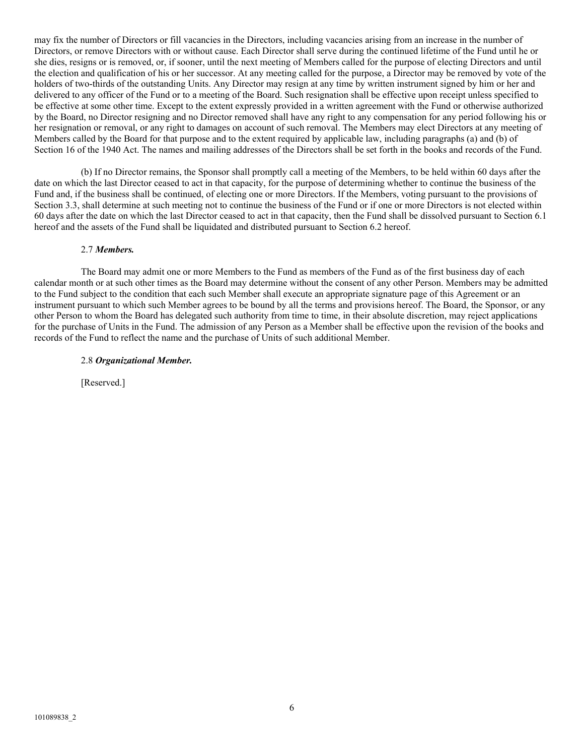may fix the number of Directors or fill vacancies in the Directors, including vacancies arising from an increase in the number of Directors, or remove Directors with or without cause. Each Director shall serve during the continued lifetime of the Fund until he or she dies, resigns or is removed, or, if sooner, until the next meeting of Members called for the purpose of electing Directors and until the election and qualification of his or her successor. At any meeting called for the purpose, a Director may be removed by vote of the holders of two-thirds of the outstanding Units. Any Director may resign at any time by written instrument signed by him or her and delivered to any officer of the Fund or to a meeting of the Board. Such resignation shall be effective upon receipt unless specified to be effective at some other time. Except to the extent expressly provided in a written agreement with the Fund or otherwise authorized by the Board, no Director resigning and no Director removed shall have any right to any compensation for any period following his or her resignation or removal, or any right to damages on account of such removal. The Members may elect Directors at any meeting of Members called by the Board for that purpose and to the extent required by applicable law, including paragraphs (a) and (b) of Section 16 of the 1940 Act. The names and mailing addresses of the Directors shall be set forth in the books and records of the Fund.

(b) If no Director remains, the Sponsor shall promptly call a meeting of the Members, to be held within 60 days after the date on which the last Director ceased to act in that capacity, for the purpose of determining whether to continue the business of the Fund and, if the business shall be continued, of electing one or more Directors. If the Members, voting pursuant to the provisions of Section 3.3, shall determine at such meeting not to continue the business of the Fund or if one or more Directors is not elected within 60 days after the date on which the last Director ceased to act in that capacity, then the Fund shall be dissolved pursuant to Section 6.1 hereof and the assets of the Fund shall be liquidated and distributed pursuant to Section 6.2 hereof.

#### 2.7 *Members.*

The Board may admit one or more Members to the Fund as members of the Fund as of the first business day of each calendar month or at such other times as the Board may determine without the consent of any other Person. Members may be admitted to the Fund subject to the condition that each such Member shall execute an appropriate signature page of this Agreement or an instrument pursuant to which such Member agrees to be bound by all the terms and provisions hereof. The Board, the Sponsor, or any other Person to whom the Board has delegated such authority from time to time, in their absolute discretion, may reject applications for the purchase of Units in the Fund. The admission of any Person as a Member shall be effective upon the revision of the books and records of the Fund to reflect the name and the purchase of Units of such additional Member.

#### 2.8 *Organizational Member.*

[Reserved.]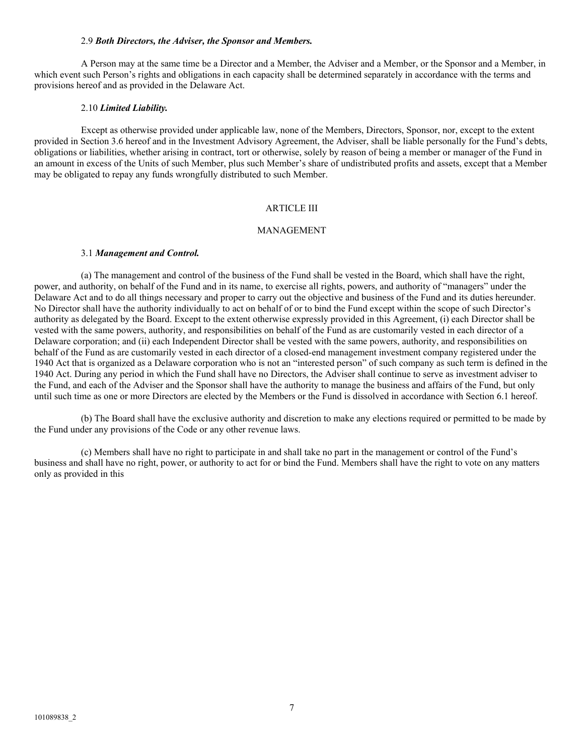### 2.9 *Both Directors, the Adviser, the Sponsor and Members.*

A Person may at the same time be a Director and a Member, the Adviser and a Member, or the Sponsor and a Member, in which event such Person's rights and obligations in each capacity shall be determined separately in accordance with the terms and provisions hereof and as provided in the Delaware Act.

#### 2.10 *Limited Liability.*

Except as otherwise provided under applicable law, none of the Members, Directors, Sponsor, nor, except to the extent provided in Section 3.6 hereof and in the Investment Advisory Agreement, the Adviser, shall be liable personally for the Fund's debts, obligations or liabilities, whether arising in contract, tort or otherwise, solely by reason of being a member or manager of the Fund in an amount in excess of the Units of such Member, plus such Member's share of undistributed profits and assets, except that a Member may be obligated to repay any funds wrongfully distributed to such Member.

### ARTICLE III

#### MANAGEMENT

#### 3.1 *Management and Control.*

(a) The management and control of the business of the Fund shall be vested in the Board, which shall have the right, power, and authority, on behalf of the Fund and in its name, to exercise all rights, powers, and authority of "managers" under the Delaware Act and to do all things necessary and proper to carry out the objective and business of the Fund and its duties hereunder. No Director shall have the authority individually to act on behalf of or to bind the Fund except within the scope of such Director's authority as delegated by the Board. Except to the extent otherwise expressly provided in this Agreement, (i) each Director shall be vested with the same powers, authority, and responsibilities on behalf of the Fund as are customarily vested in each director of a Delaware corporation; and (ii) each Independent Director shall be vested with the same powers, authority, and responsibilities on behalf of the Fund as are customarily vested in each director of a closed-end management investment company registered under the 1940 Act that is organized as a Delaware corporation who is not an "interested person" of such company as such term is defined in the 1940 Act. During any period in which the Fund shall have no Directors, the Adviser shall continue to serve as investment adviser to the Fund, and each of the Adviser and the Sponsor shall have the authority to manage the business and affairs of the Fund, but only until such time as one or more Directors are elected by the Members or the Fund is dissolved in accordance with Section 6.1 hereof.

(b) The Board shall have the exclusive authority and discretion to make any elections required or permitted to be made by the Fund under any provisions of the Code or any other revenue laws.

(c) Members shall have no right to participate in and shall take no part in the management or control of the Fund's business and shall have no right, power, or authority to act for or bind the Fund. Members shall have the right to vote on any matters only as provided in this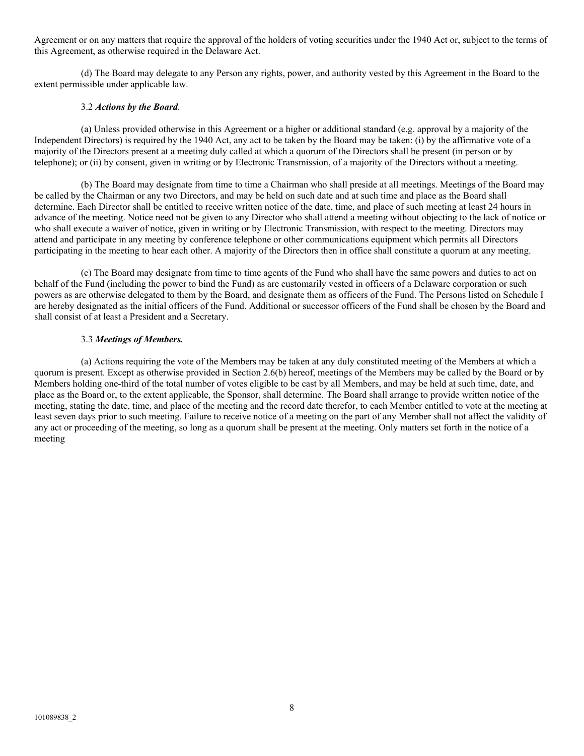Agreement or on any matters that require the approval of the holders of voting securities under the 1940 Act or, subject to the terms of this Agreement, as otherwise required in the Delaware Act.

(d) The Board may delegate to any Person any rights, power, and authority vested by this Agreement in the Board to the extent permissible under applicable law.

### 3.2 *Actions by the Board*.

(a) Unless provided otherwise in this Agreement or a higher or additional standard (e.g. approval by a majority of the Independent Directors) is required by the 1940 Act, any act to be taken by the Board may be taken: (i) by the affirmative vote of a majority of the Directors present at a meeting duly called at which a quorum of the Directors shall be present (in person or by telephone); or (ii) by consent, given in writing or by Electronic Transmission, of a majority of the Directors without a meeting.

(b) The Board may designate from time to time a Chairman who shall preside at all meetings. Meetings of the Board may be called by the Chairman or any two Directors, and may be held on such date and at such time and place as the Board shall determine. Each Director shall be entitled to receive written notice of the date, time, and place of such meeting at least 24 hours in advance of the meeting. Notice need not be given to any Director who shall attend a meeting without objecting to the lack of notice or who shall execute a waiver of notice, given in writing or by Electronic Transmission, with respect to the meeting. Directors may attend and participate in any meeting by conference telephone or other communications equipment which permits all Directors participating in the meeting to hear each other. A majority of the Directors then in office shall constitute a quorum at any meeting.

(c) The Board may designate from time to time agents of the Fund who shall have the same powers and duties to act on behalf of the Fund (including the power to bind the Fund) as are customarily vested in officers of a Delaware corporation or such powers as are otherwise delegated to them by the Board, and designate them as officers of the Fund. The Persons listed on Schedule I are hereby designated as the initial officers of the Fund. Additional or successor officers of the Fund shall be chosen by the Board and shall consist of at least a President and a Secretary.

### 3.3 *Meetings of Members.*

(a) Actions requiring the vote of the Members may be taken at any duly constituted meeting of the Members at which a quorum is present. Except as otherwise provided in Section 2.6(b) hereof, meetings of the Members may be called by the Board or by Members holding one-third of the total number of votes eligible to be cast by all Members, and may be held at such time, date, and place as the Board or, to the extent applicable, the Sponsor, shall determine. The Board shall arrange to provide written notice of the meeting, stating the date, time, and place of the meeting and the record date therefor, to each Member entitled to vote at the meeting at least seven days prior to such meeting. Failure to receive notice of a meeting on the part of any Member shall not affect the validity of any act or proceeding of the meeting, so long as a quorum shall be present at the meeting. Only matters set forth in the notice of a meeting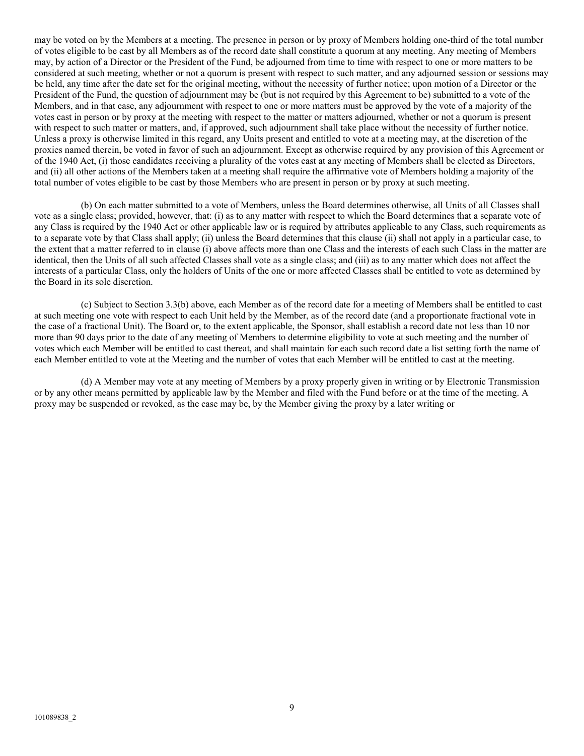may be voted on by the Members at a meeting. The presence in person or by proxy of Members holding one-third of the total number of votes eligible to be cast by all Members as of the record date shall constitute a quorum at any meeting. Any meeting of Members may, by action of a Director or the President of the Fund, be adjourned from time to time with respect to one or more matters to be considered at such meeting, whether or not a quorum is present with respect to such matter, and any adjourned session or sessions may be held, any time after the date set for the original meeting, without the necessity of further notice; upon motion of a Director or the President of the Fund, the question of adjournment may be (but is not required by this Agreement to be) submitted to a vote of the Members, and in that case, any adjournment with respect to one or more matters must be approved by the vote of a majority of the votes cast in person or by proxy at the meeting with respect to the matter or matters adjourned, whether or not a quorum is present with respect to such matter or matters, and, if approved, such adjournment shall take place without the necessity of further notice. Unless a proxy is otherwise limited in this regard, any Units present and entitled to vote at a meeting may, at the discretion of the proxies named therein, be voted in favor of such an adjournment. Except as otherwise required by any provision of this Agreement or of the 1940 Act, (i) those candidates receiving a plurality of the votes cast at any meeting of Members shall be elected as Directors, and (ii) all other actions of the Members taken at a meeting shall require the affirmative vote of Members holding a majority of the total number of votes eligible to be cast by those Members who are present in person or by proxy at such meeting.

(b) On each matter submitted to a vote of Members, unless the Board determines otherwise, all Units of all Classes shall vote as a single class; provided, however, that: (i) as to any matter with respect to which the Board determines that a separate vote of any Class is required by the 1940 Act or other applicable law or is required by attributes applicable to any Class, such requirements as to a separate vote by that Class shall apply; (ii) unless the Board determines that this clause (ii) shall not apply in a particular case, to the extent that a matter referred to in clause (i) above affects more than one Class and the interests of each such Class in the matter are identical, then the Units of all such affected Classes shall vote as a single class; and (iii) as to any matter which does not affect the interests of a particular Class, only the holders of Units of the one or more affected Classes shall be entitled to vote as determined by the Board in its sole discretion.

(c) Subject to Section 3.3(b) above, each Member as of the record date for a meeting of Members shall be entitled to cast at such meeting one vote with respect to each Unit held by the Member, as of the record date (and a proportionate fractional vote in the case of a fractional Unit). The Board or, to the extent applicable, the Sponsor, shall establish a record date not less than 10 nor more than 90 days prior to the date of any meeting of Members to determine eligibility to vote at such meeting and the number of votes which each Member will be entitled to cast thereat, and shall maintain for each such record date a list setting forth the name of each Member entitled to vote at the Meeting and the number of votes that each Member will be entitled to cast at the meeting.

(d) A Member may vote at any meeting of Members by a proxy properly given in writing or by Electronic Transmission or by any other means permitted by applicable law by the Member and filed with the Fund before or at the time of the meeting. A proxy may be suspended or revoked, as the case may be, by the Member giving the proxy by a later writing or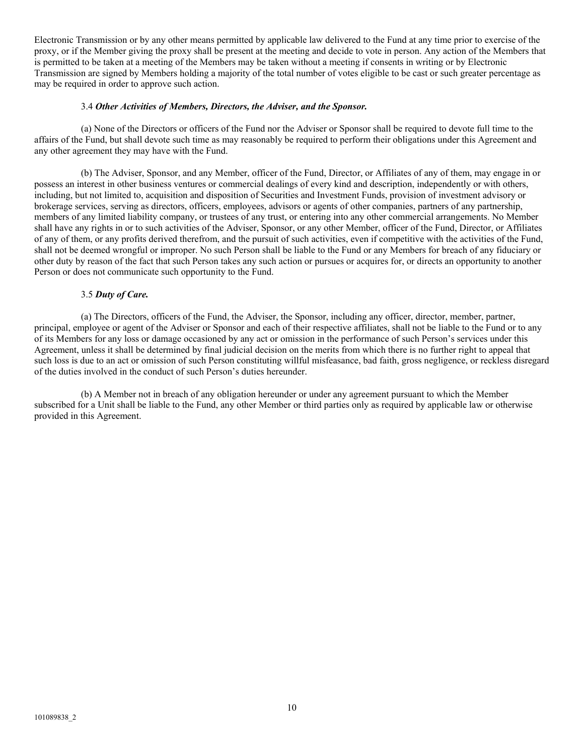Electronic Transmission or by any other means permitted by applicable law delivered to the Fund at any time prior to exercise of the proxy, or if the Member giving the proxy shall be present at the meeting and decide to vote in person. Any action of the Members that is permitted to be taken at a meeting of the Members may be taken without a meeting if consents in writing or by Electronic Transmission are signed by Members holding a majority of the total number of votes eligible to be cast or such greater percentage as may be required in order to approve such action.

### 3.4 *Other Activities of Members, Directors, the Adviser, and the Sponsor.*

(a) None of the Directors or officers of the Fund nor the Adviser or Sponsor shall be required to devote full time to the affairs of the Fund, but shall devote such time as may reasonably be required to perform their obligations under this Agreement and any other agreement they may have with the Fund.

(b) The Adviser, Sponsor, and any Member, officer of the Fund, Director, or Affiliates of any of them, may engage in or possess an interest in other business ventures or commercial dealings of every kind and description, independently or with others, including, but not limited to, acquisition and disposition of Securities and Investment Funds, provision of investment advisory or brokerage services, serving as directors, officers, employees, advisors or agents of other companies, partners of any partnership, members of any limited liability company, or trustees of any trust, or entering into any other commercial arrangements. No Member shall have any rights in or to such activities of the Adviser, Sponsor, or any other Member, officer of the Fund, Director, or Affiliates of any of them, or any profits derived therefrom, and the pursuit of such activities, even if competitive with the activities of the Fund, shall not be deemed wrongful or improper. No such Person shall be liable to the Fund or any Members for breach of any fiduciary or other duty by reason of the fact that such Person takes any such action or pursues or acquires for, or directs an opportunity to another Person or does not communicate such opportunity to the Fund.

### 3.5 *Duty of Care.*

(a) The Directors, officers of the Fund, the Adviser, the Sponsor, including any officer, director, member, partner, principal, employee or agent of the Adviser or Sponsor and each of their respective affiliates, shall not be liable to the Fund or to any of its Members for any loss or damage occasioned by any act or omission in the performance of such Person's services under this Agreement, unless it shall be determined by final judicial decision on the merits from which there is no further right to appeal that such loss is due to an act or omission of such Person constituting willful misfeasance, bad faith, gross negligence, or reckless disregard of the duties involved in the conduct of such Person's duties hereunder.

(b) A Member not in breach of any obligation hereunder or under any agreement pursuant to which the Member subscribed for a Unit shall be liable to the Fund, any other Member or third parties only as required by applicable law or otherwise provided in this Agreement.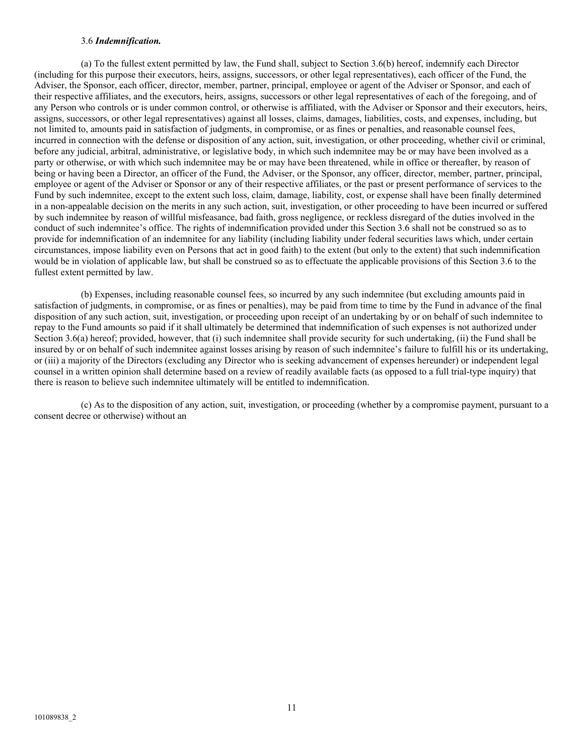### 3.6 *Indemnification.*

(a) To the fullest extent permitted by law, the Fund shall, subject to Section 3.6(b) hereof, indemnify each Director (including for this purpose their executors, heirs, assigns, successors, or other legal representatives), each officer of the Fund, the Adviser, the Sponsor, each officer, director, member, partner, principal, employee or agent of the Adviser or Sponsor, and each of their respective affiliates, and the executors, heirs, assigns, successors or other legal representatives of each of the foregoing, and of any Person who controls or is under common control, or otherwise is affiliated, with the Adviser or Sponsor and their executors, heirs, assigns, successors, or other legal representatives) against all losses, claims, damages, liabilities, costs, and expenses, including, but not limited to, amounts paid in satisfaction of judgments, in compromise, or as fines or penalties, and reasonable counsel fees, incurred in connection with the defense or disposition of any action, suit, investigation, or other proceeding, whether civil or criminal, before any judicial, arbitral, administrative, or legislative body, in which such indemnitee may be or may have been involved as a party or otherwise, or with which such indemnitee may be or may have been threatened, while in office or thereafter, by reason of being or having been a Director, an officer of the Fund, the Adviser, or the Sponsor, any officer, director, member, partner, principal, employee or agent of the Adviser or Sponsor or any of their respective affiliates, or the past or present performance of services to the Fund by such indemnitee, except to the extent such loss, claim, damage, liability, cost, or expense shall have been finally determined in a non-appealable decision on the merits in any such action, suit, investigation, or other proceeding to have been incurred or suffered by such indemnitee by reason of willful misfeasance, bad faith, gross negligence, or reckless disregard of the duties involved in the conduct of such indemnitee's office. The rights of indemnification provided under this Section 3.6 shall not be construed so as to provide for indemnification of an indemnitee for any liability (including liability under federal securities laws which, under certain circumstances, impose liability even on Persons that act in good faith) to the extent (but only to the extent) that such indemnification would be in violation of applicable law, but shall be construed so as to effectuate the applicable provisions of this Section 3.6 to the fullest extent permitted by law.

(b) Expenses, including reasonable counsel fees, so incurred by any such indemnitee (but excluding amounts paid in satisfaction of judgments, in compromise, or as fines or penalties), may be paid from time to time by the Fund in advance of the final disposition of any such action, suit, investigation, or proceeding upon receipt of an undertaking by or on behalf of such indemnitee to repay to the Fund amounts so paid if it shall ultimately be determined that indemnification of such expenses is not authorized under Section 3.6(a) hereof; provided, however, that (i) such indemnitee shall provide security for such undertaking, (ii) the Fund shall be insured by or on behalf of such indemnitee against losses arising by reason of such indemnitee's failure to fulfill his or its undertaking, or (iii) a majority of the Directors (excluding any Director who is seeking advancement of expenses hereunder) or independent legal counsel in a written opinion shall determine based on a review of readily available facts (as opposed to a full trial-type inquiry) that there is reason to believe such indemnitee ultimately will be entitled to indemnification.

(c) As to the disposition of any action, suit, investigation, or proceeding (whether by a compromise payment, pursuant to a consent decree or otherwise) without an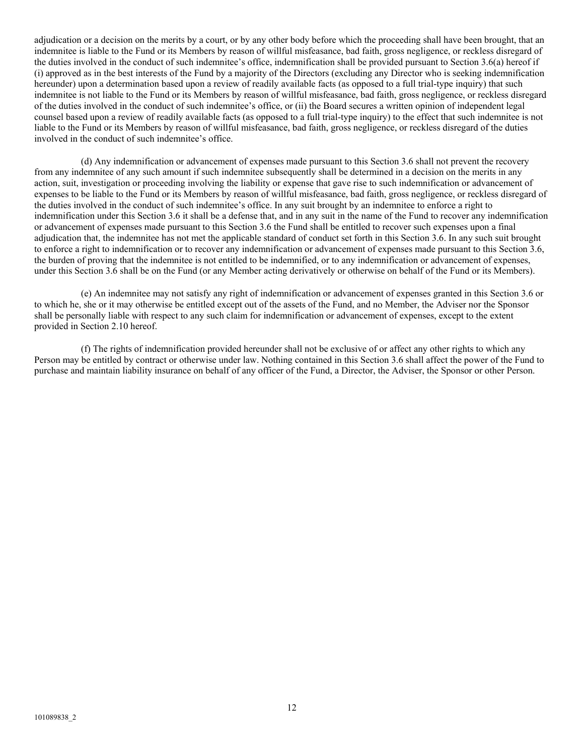adjudication or a decision on the merits by a court, or by any other body before which the proceeding shall have been brought, that an indemnitee is liable to the Fund or its Members by reason of willful misfeasance, bad faith, gross negligence, or reckless disregard of the duties involved in the conduct of such indemnitee's office, indemnification shall be provided pursuant to Section 3.6(a) hereof if (i) approved as in the best interests of the Fund by a majority of the Directors (excluding any Director who is seeking indemnification hereunder) upon a determination based upon a review of readily available facts (as opposed to a full trial-type inquiry) that such indemnitee is not liable to the Fund or its Members by reason of willful misfeasance, bad faith, gross negligence, or reckless disregard of the duties involved in the conduct of such indemnitee's office, or (ii) the Board secures a written opinion of independent legal counsel based upon a review of readily available facts (as opposed to a full trial-type inquiry) to the effect that such indemnitee is not liable to the Fund or its Members by reason of willful misfeasance, bad faith, gross negligence, or reckless disregard of the duties involved in the conduct of such indemnitee's office.

(d) Any indemnification or advancement of expenses made pursuant to this Section 3.6 shall not prevent the recovery from any indemnitee of any such amount if such indemnitee subsequently shall be determined in a decision on the merits in any action, suit, investigation or proceeding involving the liability or expense that gave rise to such indemnification or advancement of expenses to be liable to the Fund or its Members by reason of willful misfeasance, bad faith, gross negligence, or reckless disregard of the duties involved in the conduct of such indemnitee's office. In any suit brought by an indemnitee to enforce a right to indemnification under this Section 3.6 it shall be a defense that, and in any suit in the name of the Fund to recover any indemnification or advancement of expenses made pursuant to this Section 3.6 the Fund shall be entitled to recover such expenses upon a final adjudication that, the indemnitee has not met the applicable standard of conduct set forth in this Section 3.6. In any such suit brought to enforce a right to indemnification or to recover any indemnification or advancement of expenses made pursuant to this Section 3.6, the burden of proving that the indemnitee is not entitled to be indemnified, or to any indemnification or advancement of expenses, under this Section 3.6 shall be on the Fund (or any Member acting derivatively or otherwise on behalf of the Fund or its Members).

(e) An indemnitee may not satisfy any right of indemnification or advancement of expenses granted in this Section 3.6 or to which he, she or it may otherwise be entitled except out of the assets of the Fund, and no Member, the Adviser nor the Sponsor shall be personally liable with respect to any such claim for indemnification or advancement of expenses, except to the extent provided in Section 2.10 hereof.

(f) The rights of indemnification provided hereunder shall not be exclusive of or affect any other rights to which any Person may be entitled by contract or otherwise under law. Nothing contained in this Section 3.6 shall affect the power of the Fund to purchase and maintain liability insurance on behalf of any officer of the Fund, a Director, the Adviser, the Sponsor or other Person.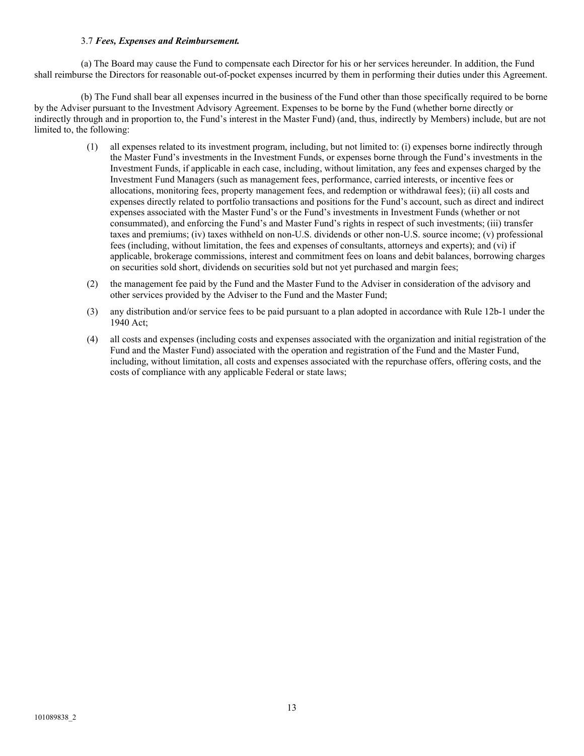### 3.7 *Fees, Expenses and Reimbursement.*

(a) The Board may cause the Fund to compensate each Director for his or her services hereunder. In addition, the Fund shall reimburse the Directors for reasonable out-of-pocket expenses incurred by them in performing their duties under this Agreement.

(b) The Fund shall bear all expenses incurred in the business of the Fund other than those specifically required to be borne by the Adviser pursuant to the Investment Advisory Agreement. Expenses to be borne by the Fund (whether borne directly or indirectly through and in proportion to, the Fund's interest in the Master Fund) (and, thus, indirectly by Members) include, but are not limited to, the following:

- (1) all expenses related to its investment program, including, but not limited to: (i) expenses borne indirectly through the Master Fund's investments in the Investment Funds, or expenses borne through the Fund's investments in the Investment Funds, if applicable in each case, including, without limitation, any fees and expenses charged by the Investment Fund Managers (such as management fees, performance, carried interests, or incentive fees or allocations, monitoring fees, property management fees, and redemption or withdrawal fees); (ii) all costs and expenses directly related to portfolio transactions and positions for the Fund's account, such as direct and indirect expenses associated with the Master Fund's or the Fund's investments in Investment Funds (whether or not consummated), and enforcing the Fund's and Master Fund's rights in respect of such investments; (iii) transfer taxes and premiums; (iv) taxes withheld on non-U.S. dividends or other non-U.S. source income; (v) professional fees (including, without limitation, the fees and expenses of consultants, attorneys and experts); and (vi) if applicable, brokerage commissions, interest and commitment fees on loans and debit balances, borrowing charges on securities sold short, dividends on securities sold but not yet purchased and margin fees;
- (2) the management fee paid by the Fund and the Master Fund to the Adviser in consideration of the advisory and other services provided by the Adviser to the Fund and the Master Fund;
- (3) any distribution and/or service fees to be paid pursuant to a plan adopted in accordance with Rule 12b-1 under the 1940 Act;
- (4) all costs and expenses (including costs and expenses associated with the organization and initial registration of the Fund and the Master Fund) associated with the operation and registration of the Fund and the Master Fund, including, without limitation, all costs and expenses associated with the repurchase offers, offering costs, and the costs of compliance with any applicable Federal or state laws;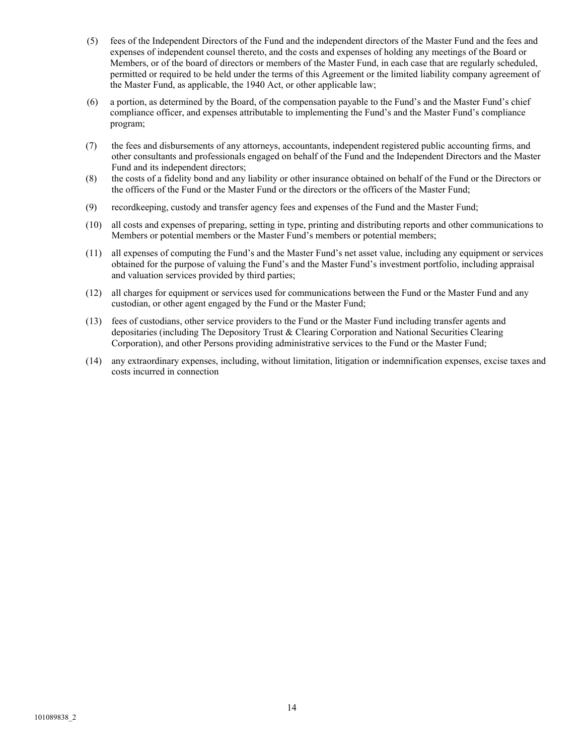- (5) fees of the Independent Directors of the Fund and the independent directors of the Master Fund and the fees and expenses of independent counsel thereto, and the costs and expenses of holding any meetings of the Board or Members, or of the board of directors or members of the Master Fund, in each case that are regularly scheduled, permitted or required to be held under the terms of this Agreement or the limited liability company agreement of the Master Fund, as applicable, the 1940 Act, or other applicable law;
- (6) a portion, as determined by the Board, of the compensation payable to the Fund's and the Master Fund's chief compliance officer, and expenses attributable to implementing the Fund's and the Master Fund's compliance program;
- (7) the fees and disbursements of any attorneys, accountants, independent registered public accounting firms, and other consultants and professionals engaged on behalf of the Fund and the Independent Directors and the Master Fund and its independent directors;
- (8) the costs of a fidelity bond and any liability or other insurance obtained on behalf of the Fund or the Directors or the officers of the Fund or the Master Fund or the directors or the officers of the Master Fund;
- (9) recordkeeping, custody and transfer agency fees and expenses of the Fund and the Master Fund;
- (10) all costs and expenses of preparing, setting in type, printing and distributing reports and other communications to Members or potential members or the Master Fund's members or potential members;
- (11) all expenses of computing the Fund's and the Master Fund's net asset value, including any equipment or services obtained for the purpose of valuing the Fund's and the Master Fund's investment portfolio, including appraisal and valuation services provided by third parties;
- (12) all charges for equipment or services used for communications between the Fund or the Master Fund and any custodian, or other agent engaged by the Fund or the Master Fund;
- (13) fees of custodians, other service providers to the Fund or the Master Fund including transfer agents and depositaries (including The Depository Trust & Clearing Corporation and National Securities Clearing Corporation), and other Persons providing administrative services to the Fund or the Master Fund;
- (14) any extraordinary expenses, including, without limitation, litigation or indemnification expenses, excise taxes and costs incurred in connection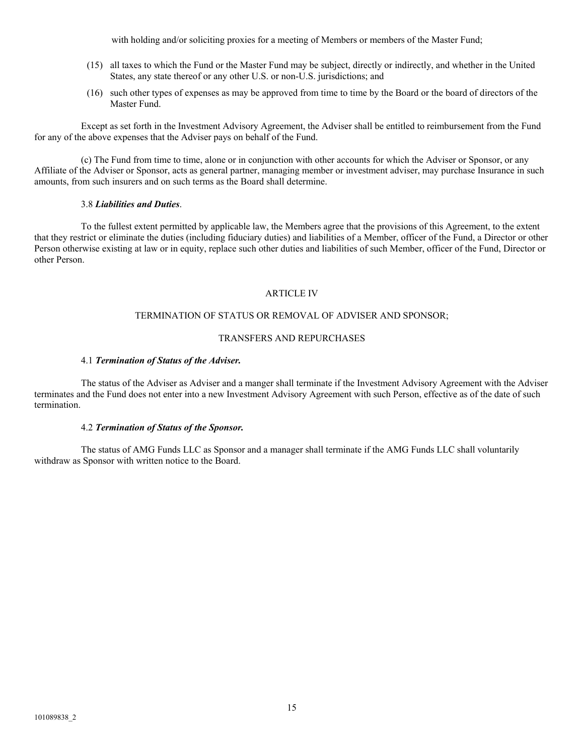with holding and/or soliciting proxies for a meeting of Members or members of the Master Fund;

- (15) all taxes to which the Fund or the Master Fund may be subject, directly or indirectly, and whether in the United States, any state thereof or any other U.S. or non-U.S. jurisdictions; and
- (16) such other types of expenses as may be approved from time to time by the Board or the board of directors of the Master Fund.

Except as set forth in the Investment Advisory Agreement, the Adviser shall be entitled to reimbursement from the Fund for any of the above expenses that the Adviser pays on behalf of the Fund.

(c) The Fund from time to time, alone or in conjunction with other accounts for which the Adviser or Sponsor, or any Affiliate of the Adviser or Sponsor, acts as general partner, managing member or investment adviser, may purchase Insurance in such amounts, from such insurers and on such terms as the Board shall determine.

### 3.8 *Liabilities and Duties*.

To the fullest extent permitted by applicable law, the Members agree that the provisions of this Agreement, to the extent that they restrict or eliminate the duties (including fiduciary duties) and liabilities of a Member, officer of the Fund, a Director or other Person otherwise existing at law or in equity, replace such other duties and liabilities of such Member, officer of the Fund, Director or other Person.

### ARTICLE IV

### TERMINATION OF STATUS OR REMOVAL OF ADVISER AND SPONSOR;

### TRANSFERS AND REPURCHASES

#### 4.1 *Termination of Status of the Adviser.*

The status of the Adviser as Adviser and a manger shall terminate if the Investment Advisory Agreement with the Adviser terminates and the Fund does not enter into a new Investment Advisory Agreement with such Person, effective as of the date of such termination.

#### 4.2 *Termination of Status of the Sponsor.*

The status of AMG Funds LLC as Sponsor and a manager shall terminate if the AMG Funds LLC shall voluntarily withdraw as Sponsor with written notice to the Board.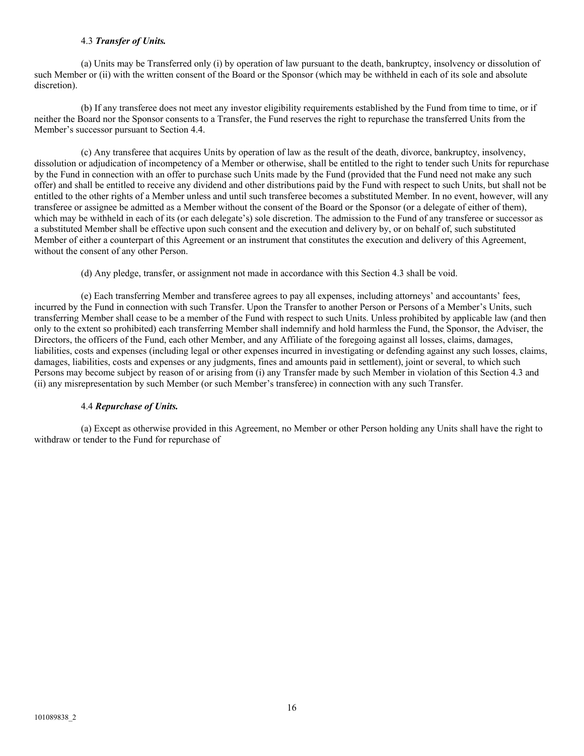### 4.3 *Transfer of Units.*

(a) Units may be Transferred only (i) by operation of law pursuant to the death, bankruptcy, insolvency or dissolution of such Member or (ii) with the written consent of the Board or the Sponsor (which may be withheld in each of its sole and absolute discretion).

(b) If any transferee does not meet any investor eligibility requirements established by the Fund from time to time, or if neither the Board nor the Sponsor consents to a Transfer, the Fund reserves the right to repurchase the transferred Units from the Member's successor pursuant to Section 4.4.

(c) Any transferee that acquires Units by operation of law as the result of the death, divorce, bankruptcy, insolvency, dissolution or adjudication of incompetency of a Member or otherwise, shall be entitled to the right to tender such Units for repurchase by the Fund in connection with an offer to purchase such Units made by the Fund (provided that the Fund need not make any such offer) and shall be entitled to receive any dividend and other distributions paid by the Fund with respect to such Units, but shall not be entitled to the other rights of a Member unless and until such transferee becomes a substituted Member. In no event, however, will any transferee or assignee be admitted as a Member without the consent of the Board or the Sponsor (or a delegate of either of them), which may be withheld in each of its (or each delegate's) sole discretion. The admission to the Fund of any transferee or successor as a substituted Member shall be effective upon such consent and the execution and delivery by, or on behalf of, such substituted Member of either a counterpart of this Agreement or an instrument that constitutes the execution and delivery of this Agreement, without the consent of any other Person.

(d) Any pledge, transfer, or assignment not made in accordance with this Section 4.3 shall be void.

(e) Each transferring Member and transferee agrees to pay all expenses, including attorneys' and accountants' fees, incurred by the Fund in connection with such Transfer. Upon the Transfer to another Person or Persons of a Member's Units, such transferring Member shall cease to be a member of the Fund with respect to such Units. Unless prohibited by applicable law (and then only to the extent so prohibited) each transferring Member shall indemnify and hold harmless the Fund, the Sponsor, the Adviser, the Directors, the officers of the Fund, each other Member, and any Affiliate of the foregoing against all losses, claims, damages, liabilities, costs and expenses (including legal or other expenses incurred in investigating or defending against any such losses, claims, damages, liabilities, costs and expenses or any judgments, fines and amounts paid in settlement), joint or several, to which such Persons may become subject by reason of or arising from (i) any Transfer made by such Member in violation of this Section 4.3 and (ii) any misrepresentation by such Member (or such Member's transferee) in connection with any such Transfer.

## 4.4 *Repurchase of Units.*

(a) Except as otherwise provided in this Agreement, no Member or other Person holding any Units shall have the right to withdraw or tender to the Fund for repurchase of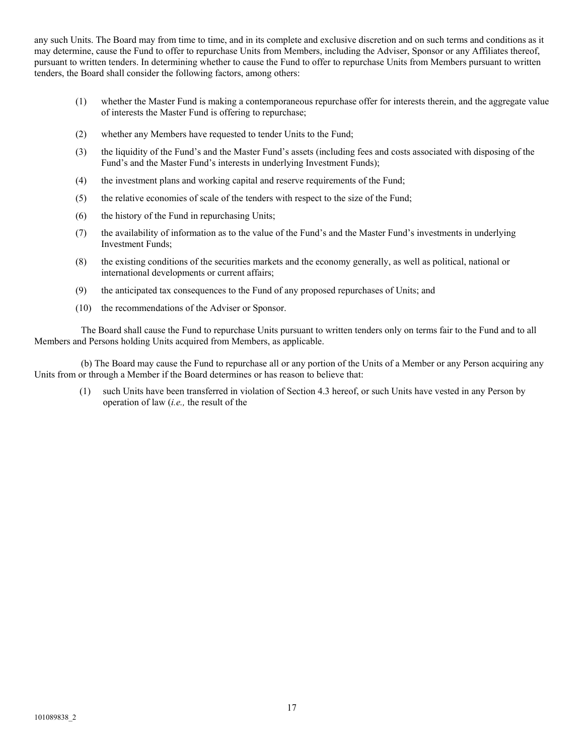any such Units. The Board may from time to time, and in its complete and exclusive discretion and on such terms and conditions as it may determine, cause the Fund to offer to repurchase Units from Members, including the Adviser, Sponsor or any Affiliates thereof, pursuant to written tenders. In determining whether to cause the Fund to offer to repurchase Units from Members pursuant to written tenders, the Board shall consider the following factors, among others:

- (1) whether the Master Fund is making a contemporaneous repurchase offer for interests therein, and the aggregate value of interests the Master Fund is offering to repurchase;
- (2) whether any Members have requested to tender Units to the Fund;
- (3) the liquidity of the Fund's and the Master Fund's assets (including fees and costs associated with disposing of the Fund's and the Master Fund's interests in underlying Investment Funds);
- (4) the investment plans and working capital and reserve requirements of the Fund;
- (5) the relative economies of scale of the tenders with respect to the size of the Fund;
- (6) the history of the Fund in repurchasing Units;
- (7) the availability of information as to the value of the Fund's and the Master Fund's investments in underlying Investment Funds;
- (8) the existing conditions of the securities markets and the economy generally, as well as political, national or international developments or current affairs;
- (9) the anticipated tax consequences to the Fund of any proposed repurchases of Units; and
- (10) the recommendations of the Adviser or Sponsor.

The Board shall cause the Fund to repurchase Units pursuant to written tenders only on terms fair to the Fund and to all Members and Persons holding Units acquired from Members, as applicable.

(b) The Board may cause the Fund to repurchase all or any portion of the Units of a Member or any Person acquiring any Units from or through a Member if the Board determines or has reason to believe that:

(1) such Units have been transferred in violation of Section 4.3 hereof, or such Units have vested in any Person by operation of law (*i.e.,* the result of the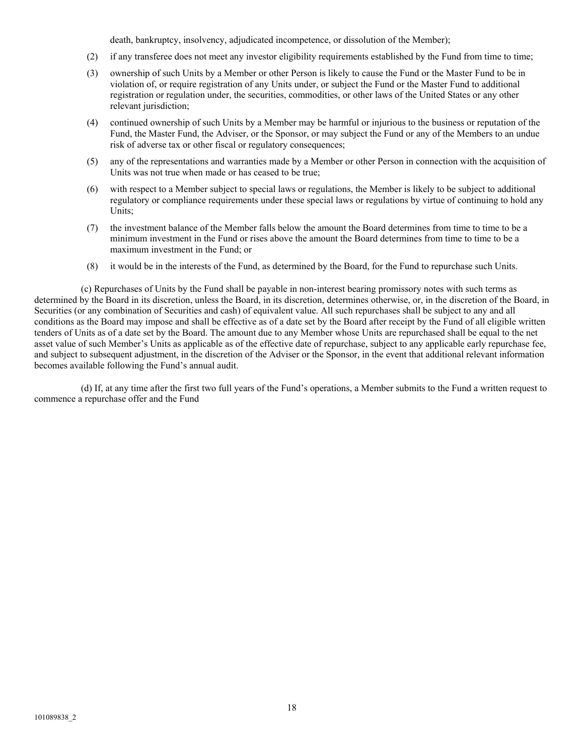death, bankruptcy, insolvency, adjudicated incompetence, or dissolution of the Member);

- (2) if any transferee does not meet any investor eligibility requirements established by the Fund from time to time;
- (3) ownership of such Units by a Member or other Person is likely to cause the Fund or the Master Fund to be in violation of, or require registration of any Units under, or subject the Fund or the Master Fund to additional registration or regulation under, the securities, commodities, or other laws of the United States or any other relevant jurisdiction;
- (4) continued ownership of such Units by a Member may be harmful or injurious to the business or reputation of the Fund, the Master Fund, the Adviser, or the Sponsor, or may subject the Fund or any of the Members to an undue risk of adverse tax or other fiscal or regulatory consequences;
- (5) any of the representations and warranties made by a Member or other Person in connection with the acquisition of Units was not true when made or has ceased to be true;
- (6) with respect to a Member subject to special laws or regulations, the Member is likely to be subject to additional regulatory or compliance requirements under these special laws or regulations by virtue of continuing to hold any Units;
- (7) the investment balance of the Member falls below the amount the Board determines from time to time to be a minimum investment in the Fund or rises above the amount the Board determines from time to time to be a maximum investment in the Fund; or
- (8) it would be in the interests of the Fund, as determined by the Board, for the Fund to repurchase such Units.

(c) Repurchases of Units by the Fund shall be payable in non-interest bearing promissory notes with such terms as determined by the Board in its discretion, unless the Board, in its discretion, determines otherwise, or, in the discretion of the Board, in Securities (or any combination of Securities and cash) of equivalent value. All such repurchases shall be subject to any and all conditions as the Board may impose and shall be effective as of a date set by the Board after receipt by the Fund of all eligible written tenders of Units as of a date set by the Board. The amount due to any Member whose Units are repurchased shall be equal to the net asset value of such Member's Units as applicable as of the effective date of repurchase, subject to any applicable early repurchase fee, and subject to subsequent adjustment, in the discretion of the Adviser or the Sponsor, in the event that additional relevant information becomes available following the Fund's annual audit.

(d) If, at any time after the first two full years of the Fund's operations, a Member submits to the Fund a written request to commence a repurchase offer and the Fund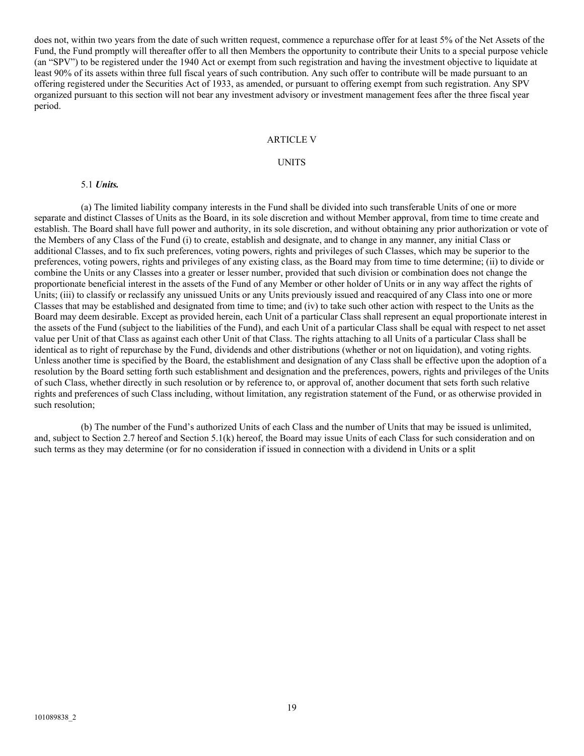does not, within two years from the date of such written request, commence a repurchase offer for at least 5% of the Net Assets of the Fund, the Fund promptly will thereafter offer to all then Members the opportunity to contribute their Units to a special purpose vehicle (an "SPV") to be registered under the 1940 Act or exempt from such registration and having the investment objective to liquidate at least 90% of its assets within three full fiscal years of such contribution. Any such offer to contribute will be made pursuant to an offering registered under the Securities Act of 1933, as amended, or pursuant to offering exempt from such registration. Any SPV organized pursuant to this section will not bear any investment advisory or investment management fees after the three fiscal year period.

#### ARTICLE V

#### UNITS

#### 5.1 *Units.*

(a) The limited liability company interests in the Fund shall be divided into such transferable Units of one or more separate and distinct Classes of Units as the Board, in its sole discretion and without Member approval, from time to time create and establish. The Board shall have full power and authority, in its sole discretion, and without obtaining any prior authorization or vote of the Members of any Class of the Fund (i) to create, establish and designate, and to change in any manner, any initial Class or additional Classes, and to fix such preferences, voting powers, rights and privileges of such Classes, which may be superior to the preferences, voting powers, rights and privileges of any existing class, as the Board may from time to time determine; (ii) to divide or combine the Units or any Classes into a greater or lesser number, provided that such division or combination does not change the proportionate beneficial interest in the assets of the Fund of any Member or other holder of Units or in any way affect the rights of Units; (iii) to classify or reclassify any unissued Units or any Units previously issued and reacquired of any Class into one or more Classes that may be established and designated from time to time; and (iv) to take such other action with respect to the Units as the Board may deem desirable. Except as provided herein, each Unit of a particular Class shall represent an equal proportionate interest in the assets of the Fund (subject to the liabilities of the Fund), and each Unit of a particular Class shall be equal with respect to net asset value per Unit of that Class as against each other Unit of that Class. The rights attaching to all Units of a particular Class shall be identical as to right of repurchase by the Fund, dividends and other distributions (whether or not on liquidation), and voting rights. Unless another time is specified by the Board, the establishment and designation of any Class shall be effective upon the adoption of a resolution by the Board setting forth such establishment and designation and the preferences, powers, rights and privileges of the Units of such Class, whether directly in such resolution or by reference to, or approval of, another document that sets forth such relative rights and preferences of such Class including, without limitation, any registration statement of the Fund, or as otherwise provided in such resolution;

(b) The number of the Fund's authorized Units of each Class and the number of Units that may be issued is unlimited, and, subject to Section 2.7 hereof and Section 5.1(k) hereof, the Board may issue Units of each Class for such consideration and on such terms as they may determine (or for no consideration if issued in connection with a dividend in Units or a split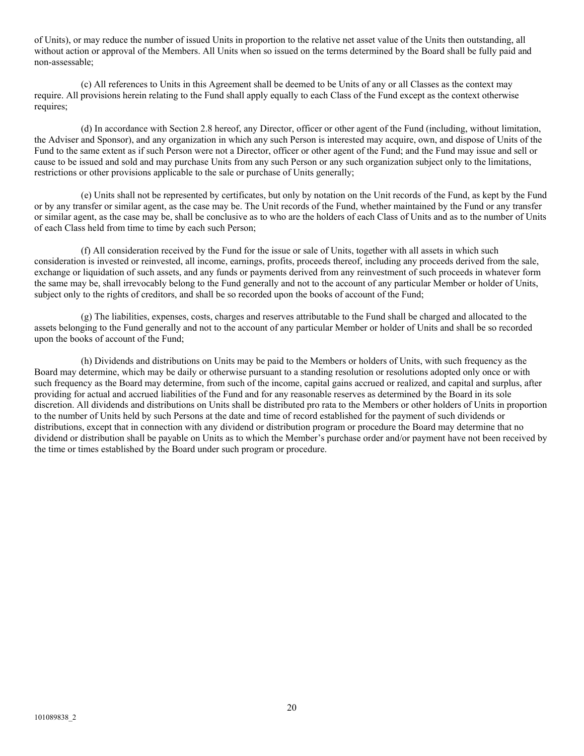of Units), or may reduce the number of issued Units in proportion to the relative net asset value of the Units then outstanding, all without action or approval of the Members. All Units when so issued on the terms determined by the Board shall be fully paid and non-assessable;

(c) All references to Units in this Agreement shall be deemed to be Units of any or all Classes as the context may require. All provisions herein relating to the Fund shall apply equally to each Class of the Fund except as the context otherwise requires;

(d) In accordance with Section 2.8 hereof, any Director, officer or other agent of the Fund (including, without limitation, the Adviser and Sponsor), and any organization in which any such Person is interested may acquire, own, and dispose of Units of the Fund to the same extent as if such Person were not a Director, officer or other agent of the Fund; and the Fund may issue and sell or cause to be issued and sold and may purchase Units from any such Person or any such organization subject only to the limitations, restrictions or other provisions applicable to the sale or purchase of Units generally;

(e) Units shall not be represented by certificates, but only by notation on the Unit records of the Fund, as kept by the Fund or by any transfer or similar agent, as the case may be. The Unit records of the Fund, whether maintained by the Fund or any transfer or similar agent, as the case may be, shall be conclusive as to who are the holders of each Class of Units and as to the number of Units of each Class held from time to time by each such Person;

(f) All consideration received by the Fund for the issue or sale of Units, together with all assets in which such consideration is invested or reinvested, all income, earnings, profits, proceeds thereof, including any proceeds derived from the sale, exchange or liquidation of such assets, and any funds or payments derived from any reinvestment of such proceeds in whatever form the same may be, shall irrevocably belong to the Fund generally and not to the account of any particular Member or holder of Units, subject only to the rights of creditors, and shall be so recorded upon the books of account of the Fund;

(g) The liabilities, expenses, costs, charges and reserves attributable to the Fund shall be charged and allocated to the assets belonging to the Fund generally and not to the account of any particular Member or holder of Units and shall be so recorded upon the books of account of the Fund;

(h) Dividends and distributions on Units may be paid to the Members or holders of Units, with such frequency as the Board may determine, which may be daily or otherwise pursuant to a standing resolution or resolutions adopted only once or with such frequency as the Board may determine, from such of the income, capital gains accrued or realized, and capital and surplus, after providing for actual and accrued liabilities of the Fund and for any reasonable reserves as determined by the Board in its sole discretion. All dividends and distributions on Units shall be distributed pro rata to the Members or other holders of Units in proportion to the number of Units held by such Persons at the date and time of record established for the payment of such dividends or distributions, except that in connection with any dividend or distribution program or procedure the Board may determine that no dividend or distribution shall be payable on Units as to which the Member's purchase order and/or payment have not been received by the time or times established by the Board under such program or procedure.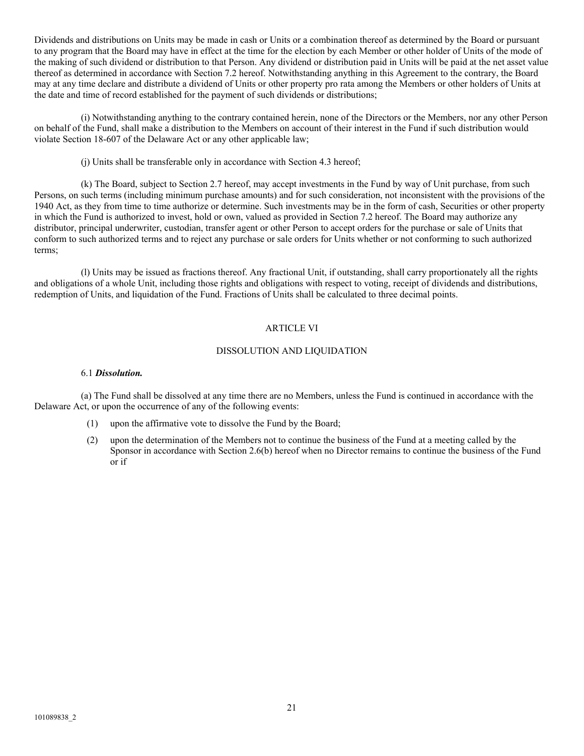Dividends and distributions on Units may be made in cash or Units or a combination thereof as determined by the Board or pursuant to any program that the Board may have in effect at the time for the election by each Member or other holder of Units of the mode of the making of such dividend or distribution to that Person. Any dividend or distribution paid in Units will be paid at the net asset value thereof as determined in accordance with Section 7.2 hereof. Notwithstanding anything in this Agreement to the contrary, the Board may at any time declare and distribute a dividend of Units or other property pro rata among the Members or other holders of Units at the date and time of record established for the payment of such dividends or distributions;

(i) Notwithstanding anything to the contrary contained herein, none of the Directors or the Members, nor any other Person on behalf of the Fund, shall make a distribution to the Members on account of their interest in the Fund if such distribution would violate Section 18-607 of the Delaware Act or any other applicable law;

(j) Units shall be transferable only in accordance with Section 4.3 hereof;

(k) The Board, subject to Section 2.7 hereof, may accept investments in the Fund by way of Unit purchase, from such Persons, on such terms (including minimum purchase amounts) and for such consideration, not inconsistent with the provisions of the 1940 Act, as they from time to time authorize or determine. Such investments may be in the form of cash, Securities or other property in which the Fund is authorized to invest, hold or own, valued as provided in Section 7.2 hereof. The Board may authorize any distributor, principal underwriter, custodian, transfer agent or other Person to accept orders for the purchase or sale of Units that conform to such authorized terms and to reject any purchase or sale orders for Units whether or not conforming to such authorized terms;

(l) Units may be issued as fractions thereof. Any fractional Unit, if outstanding, shall carry proportionately all the rights and obligations of a whole Unit, including those rights and obligations with respect to voting, receipt of dividends and distributions, redemption of Units, and liquidation of the Fund. Fractions of Units shall be calculated to three decimal points.

# ARTICLE VI

## DISSOLUTION AND LIQUIDATION

#### 6.1 *Dissolution.*

(a) The Fund shall be dissolved at any time there are no Members, unless the Fund is continued in accordance with the Delaware Act, or upon the occurrence of any of the following events:

- (1) upon the affirmative vote to dissolve the Fund by the Board;
- (2) upon the determination of the Members not to continue the business of the Fund at a meeting called by the Sponsor in accordance with Section 2.6(b) hereof when no Director remains to continue the business of the Fund or if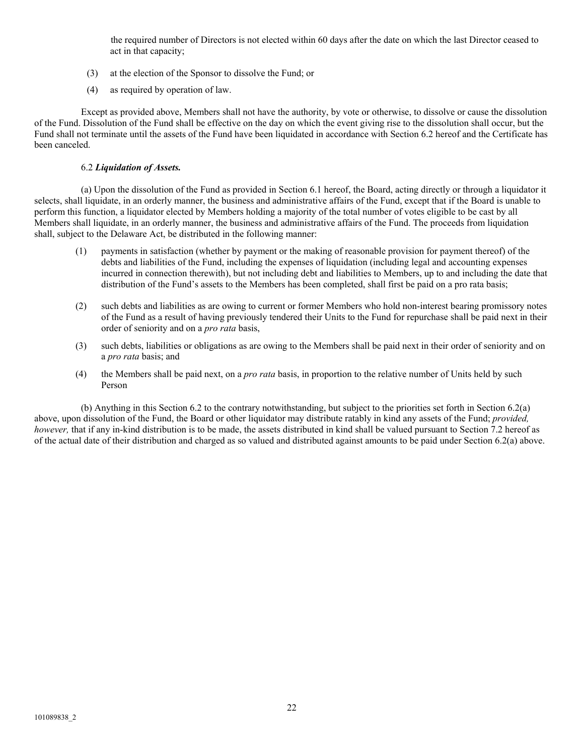the required number of Directors is not elected within 60 days after the date on which the last Director ceased to act in that capacity;

- (3) at the election of the Sponsor to dissolve the Fund; or
- (4) as required by operation of law.

Except as provided above, Members shall not have the authority, by vote or otherwise, to dissolve or cause the dissolution of the Fund. Dissolution of the Fund shall be effective on the day on which the event giving rise to the dissolution shall occur, but the Fund shall not terminate until the assets of the Fund have been liquidated in accordance with Section 6.2 hereof and the Certificate has been canceled.

# 6.2 *Liquidation of Assets.*

(a) Upon the dissolution of the Fund as provided in Section 6.1 hereof, the Board, acting directly or through a liquidator it selects, shall liquidate, in an orderly manner, the business and administrative affairs of the Fund, except that if the Board is unable to perform this function, a liquidator elected by Members holding a majority of the total number of votes eligible to be cast by all Members shall liquidate, in an orderly manner, the business and administrative affairs of the Fund. The proceeds from liquidation shall, subject to the Delaware Act, be distributed in the following manner:

- (1) payments in satisfaction (whether by payment or the making of reasonable provision for payment thereof) of the debts and liabilities of the Fund, including the expenses of liquidation (including legal and accounting expenses incurred in connection therewith), but not including debt and liabilities to Members, up to and including the date that distribution of the Fund's assets to the Members has been completed, shall first be paid on a pro rata basis;
- (2) such debts and liabilities as are owing to current or former Members who hold non-interest bearing promissory notes of the Fund as a result of having previously tendered their Units to the Fund for repurchase shall be paid next in their order of seniority and on a *pro rata* basis,
- (3) such debts, liabilities or obligations as are owing to the Members shall be paid next in their order of seniority and on a *pro rata* basis; and
- (4) the Members shall be paid next, on a *pro rata* basis, in proportion to the relative number of Units held by such Person

(b) Anything in this Section 6.2 to the contrary notwithstanding, but subject to the priorities set forth in Section 6.2(a) above, upon dissolution of the Fund, the Board or other liquidator may distribute ratably in kind any assets of the Fund; *provided, however,* that if any in-kind distribution is to be made, the assets distributed in kind shall be valued pursuant to Section 7.2 hereof as of the actual date of their distribution and charged as so valued and distributed against amounts to be paid under Section 6.2(a) above.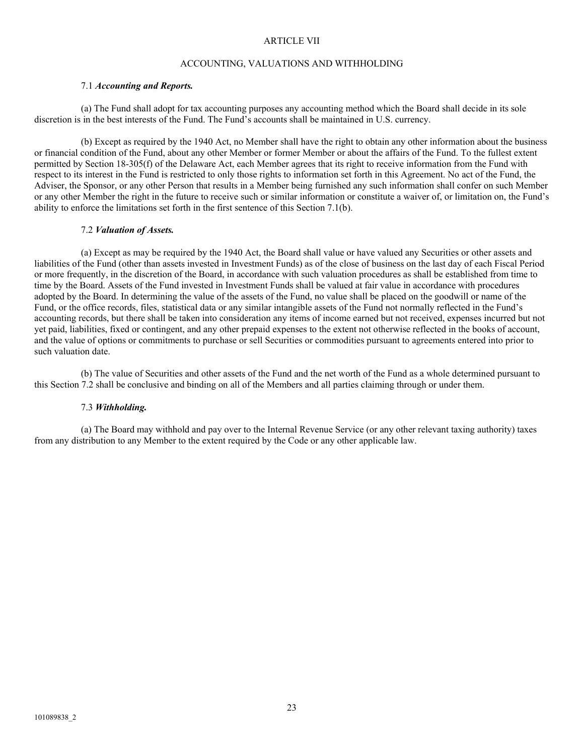### ARTICLE VII

### ACCOUNTING, VALUATIONS AND WITHHOLDING

#### 7.1 *Accounting and Reports.*

(a) The Fund shall adopt for tax accounting purposes any accounting method which the Board shall decide in its sole discretion is in the best interests of the Fund. The Fund's accounts shall be maintained in U.S. currency.

(b) Except as required by the 1940 Act, no Member shall have the right to obtain any other information about the business or financial condition of the Fund, about any other Member or former Member or about the affairs of the Fund. To the fullest extent permitted by Section 18-305(f) of the Delaware Act, each Member agrees that its right to receive information from the Fund with respect to its interest in the Fund is restricted to only those rights to information set forth in this Agreement. No act of the Fund, the Adviser, the Sponsor, or any other Person that results in a Member being furnished any such information shall confer on such Member or any other Member the right in the future to receive such or similar information or constitute a waiver of, or limitation on, the Fund's ability to enforce the limitations set forth in the first sentence of this Section 7.1(b).

### 7.2 *Valuation of Assets.*

(a) Except as may be required by the 1940 Act, the Board shall value or have valued any Securities or other assets and liabilities of the Fund (other than assets invested in Investment Funds) as of the close of business on the last day of each Fiscal Period or more frequently, in the discretion of the Board, in accordance with such valuation procedures as shall be established from time to time by the Board. Assets of the Fund invested in Investment Funds shall be valued at fair value in accordance with procedures adopted by the Board. In determining the value of the assets of the Fund, no value shall be placed on the goodwill or name of the Fund, or the office records, files, statistical data or any similar intangible assets of the Fund not normally reflected in the Fund's accounting records, but there shall be taken into consideration any items of income earned but not received, expenses incurred but not yet paid, liabilities, fixed or contingent, and any other prepaid expenses to the extent not otherwise reflected in the books of account, and the value of options or commitments to purchase or sell Securities or commodities pursuant to agreements entered into prior to such valuation date.

(b) The value of Securities and other assets of the Fund and the net worth of the Fund as a whole determined pursuant to this Section 7.2 shall be conclusive and binding on all of the Members and all parties claiming through or under them.

#### 7.3 *Withholding.*

(a) The Board may withhold and pay over to the Internal Revenue Service (or any other relevant taxing authority) taxes from any distribution to any Member to the extent required by the Code or any other applicable law.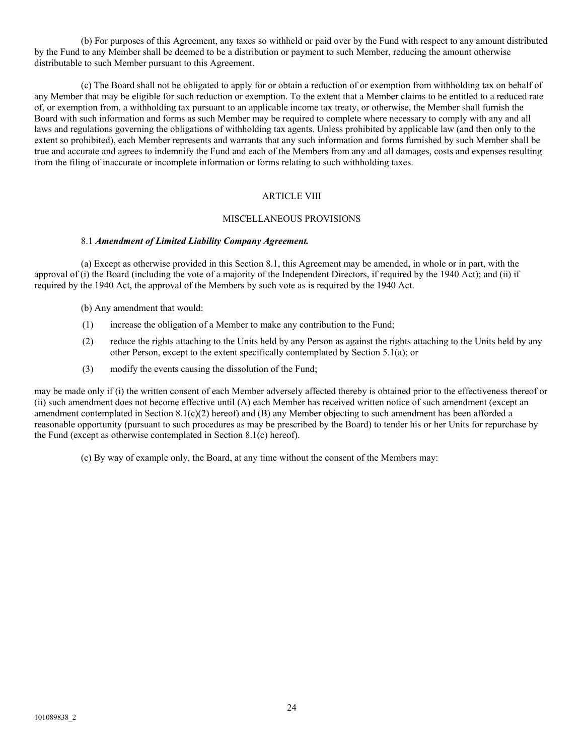(b) For purposes of this Agreement, any taxes so withheld or paid over by the Fund with respect to any amount distributed by the Fund to any Member shall be deemed to be a distribution or payment to such Member, reducing the amount otherwise distributable to such Member pursuant to this Agreement.

(c) The Board shall not be obligated to apply for or obtain a reduction of or exemption from withholding tax on behalf of any Member that may be eligible for such reduction or exemption. To the extent that a Member claims to be entitled to a reduced rate of, or exemption from, a withholding tax pursuant to an applicable income tax treaty, or otherwise, the Member shall furnish the Board with such information and forms as such Member may be required to complete where necessary to comply with any and all laws and regulations governing the obligations of withholding tax agents. Unless prohibited by applicable law (and then only to the extent so prohibited), each Member represents and warrants that any such information and forms furnished by such Member shall be true and accurate and agrees to indemnify the Fund and each of the Members from any and all damages, costs and expenses resulting from the filing of inaccurate or incomplete information or forms relating to such withholding taxes.

## ARTICLE VIII

#### MISCELLANEOUS PROVISIONS

#### 8.1 *Amendment of Limited Liability Company Agreement.*

(a) Except as otherwise provided in this Section 8.1, this Agreement may be amended, in whole or in part, with the approval of (i) the Board (including the vote of a majority of the Independent Directors, if required by the 1940 Act); and (ii) if required by the 1940 Act, the approval of the Members by such vote as is required by the 1940 Act.

- (b) Any amendment that would:
- (1) increase the obligation of a Member to make any contribution to the Fund;
- (2) reduce the rights attaching to the Units held by any Person as against the rights attaching to the Units held by any other Person, except to the extent specifically contemplated by Section 5.1(a); or
- (3) modify the events causing the dissolution of the Fund;

may be made only if (i) the written consent of each Member adversely affected thereby is obtained prior to the effectiveness thereof or (ii) such amendment does not become effective until (A) each Member has received written notice of such amendment (except an amendment contemplated in Section  $8.1(c)(2)$  hereof) and (B) any Member objecting to such amendment has been afforded a reasonable opportunity (pursuant to such procedures as may be prescribed by the Board) to tender his or her Units for repurchase by the Fund (except as otherwise contemplated in Section 8.1(c) hereof).

(c) By way of example only, the Board, at any time without the consent of the Members may: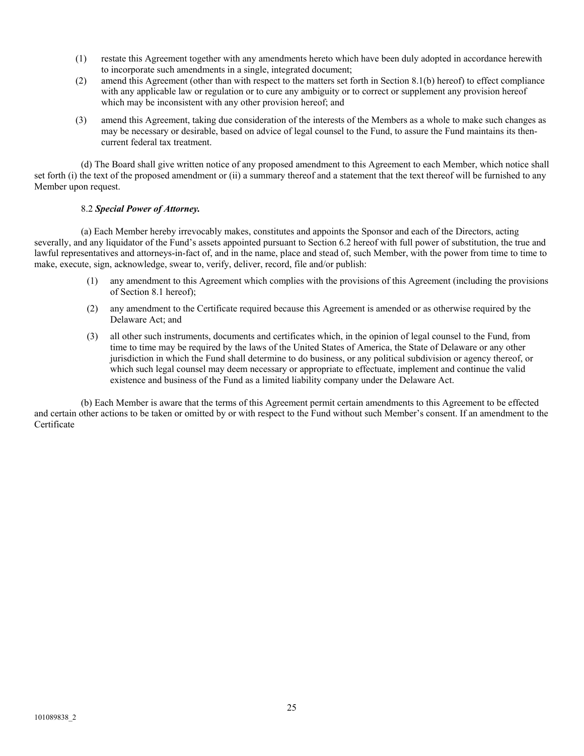- (1) restate this Agreement together with any amendments hereto which have been duly adopted in accordance herewith to incorporate such amendments in a single, integrated document;
- (2) amend this Agreement (other than with respect to the matters set forth in Section 8.1(b) hereof) to effect compliance with any applicable law or regulation or to cure any ambiguity or to correct or supplement any provision hereof which may be inconsistent with any other provision hereof; and
- (3) amend this Agreement, taking due consideration of the interests of the Members as a whole to make such changes as may be necessary or desirable, based on advice of legal counsel to the Fund, to assure the Fund maintains its thencurrent federal tax treatment.

(d) The Board shall give written notice of any proposed amendment to this Agreement to each Member, which notice shall set forth (i) the text of the proposed amendment or (ii) a summary thereof and a statement that the text thereof will be furnished to any Member upon request.

## 8.2 *Special Power of Attorney.*

(a) Each Member hereby irrevocably makes, constitutes and appoints the Sponsor and each of the Directors, acting severally, and any liquidator of the Fund's assets appointed pursuant to Section 6.2 hereof with full power of substitution, the true and lawful representatives and attorneys-in-fact of, and in the name, place and stead of, such Member, with the power from time to time to make, execute, sign, acknowledge, swear to, verify, deliver, record, file and/or publish:

- (1) any amendment to this Agreement which complies with the provisions of this Agreement (including the provisions of Section 8.1 hereof);
- (2) any amendment to the Certificate required because this Agreement is amended or as otherwise required by the Delaware Act; and
- (3) all other such instruments, documents and certificates which, in the opinion of legal counsel to the Fund, from time to time may be required by the laws of the United States of America, the State of Delaware or any other jurisdiction in which the Fund shall determine to do business, or any political subdivision or agency thereof, or which such legal counsel may deem necessary or appropriate to effectuate, implement and continue the valid existence and business of the Fund as a limited liability company under the Delaware Act.

(b) Each Member is aware that the terms of this Agreement permit certain amendments to this Agreement to be effected and certain other actions to be taken or omitted by or with respect to the Fund without such Member's consent. If an amendment to the Certificate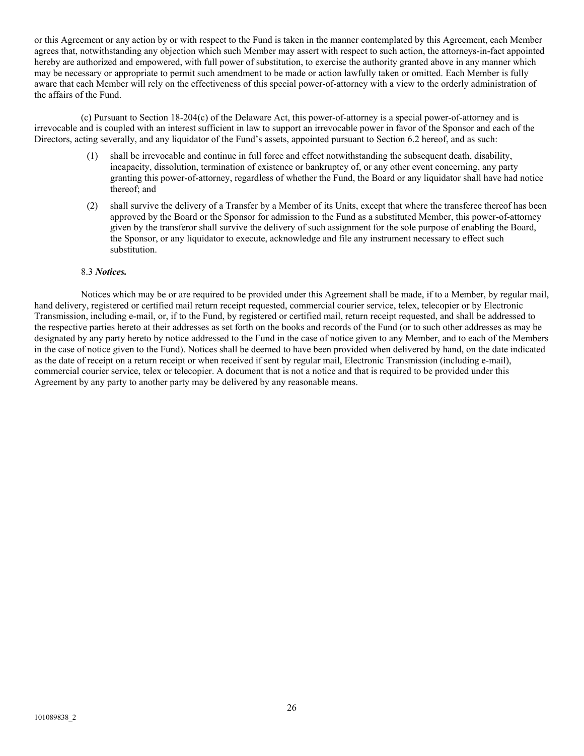or this Agreement or any action by or with respect to the Fund is taken in the manner contemplated by this Agreement, each Member agrees that, notwithstanding any objection which such Member may assert with respect to such action, the attorneys-in-fact appointed hereby are authorized and empowered, with full power of substitution, to exercise the authority granted above in any manner which may be necessary or appropriate to permit such amendment to be made or action lawfully taken or omitted. Each Member is fully aware that each Member will rely on the effectiveness of this special power-of-attorney with a view to the orderly administration of the affairs of the Fund.

(c) Pursuant to Section 18-204(c) of the Delaware Act, this power-of-attorney is a special power-of-attorney and is irrevocable and is coupled with an interest sufficient in law to support an irrevocable power in favor of the Sponsor and each of the Directors, acting severally, and any liquidator of the Fund's assets, appointed pursuant to Section 6.2 hereof, and as such:

- (1) shall be irrevocable and continue in full force and effect notwithstanding the subsequent death, disability, incapacity, dissolution, termination of existence or bankruptcy of, or any other event concerning, any party granting this power-of-attorney, regardless of whether the Fund, the Board or any liquidator shall have had notice thereof; and
- (2) shall survive the delivery of a Transfer by a Member of its Units, except that where the transferee thereof has been approved by the Board or the Sponsor for admission to the Fund as a substituted Member, this power-of-attorney given by the transferor shall survive the delivery of such assignment for the sole purpose of enabling the Board, the Sponsor, or any liquidator to execute, acknowledge and file any instrument necessary to effect such substitution.

#### 8.3 *Notices.*

Notices which may be or are required to be provided under this Agreement shall be made, if to a Member, by regular mail, hand delivery, registered or certified mail return receipt requested, commercial courier service, telex, telecopier or by Electronic Transmission, including e-mail, or, if to the Fund, by registered or certified mail, return receipt requested, and shall be addressed to the respective parties hereto at their addresses as set forth on the books and records of the Fund (or to such other addresses as may be designated by any party hereto by notice addressed to the Fund in the case of notice given to any Member, and to each of the Members in the case of notice given to the Fund). Notices shall be deemed to have been provided when delivered by hand, on the date indicated as the date of receipt on a return receipt or when received if sent by regular mail, Electronic Transmission (including e-mail), commercial courier service, telex or telecopier. A document that is not a notice and that is required to be provided under this Agreement by any party to another party may be delivered by any reasonable means.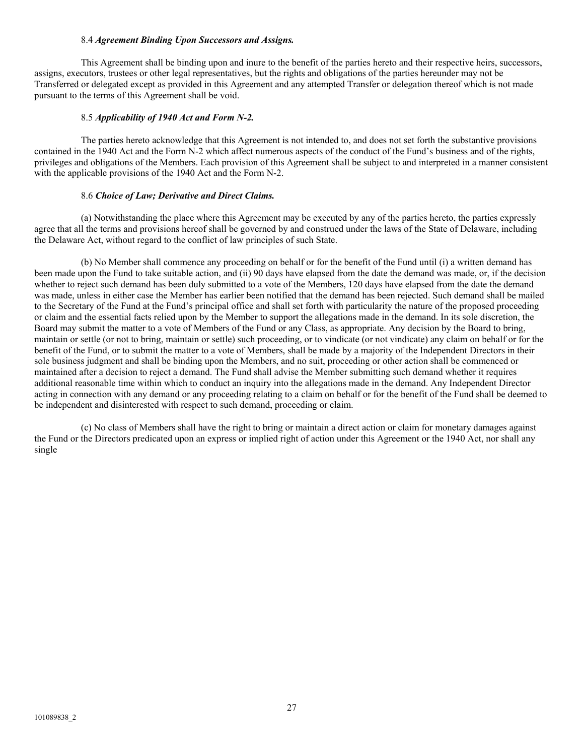### 8.4 *Agreement Binding Upon Successors and Assigns.*

This Agreement shall be binding upon and inure to the benefit of the parties hereto and their respective heirs, successors, assigns, executors, trustees or other legal representatives, but the rights and obligations of the parties hereunder may not be Transferred or delegated except as provided in this Agreement and any attempted Transfer or delegation thereof which is not made pursuant to the terms of this Agreement shall be void.

### 8.5 *Applicability of 1940 Act and Form N-2.*

The parties hereto acknowledge that this Agreement is not intended to, and does not set forth the substantive provisions contained in the 1940 Act and the Form N-2 which affect numerous aspects of the conduct of the Fund's business and of the rights, privileges and obligations of the Members. Each provision of this Agreement shall be subject to and interpreted in a manner consistent with the applicable provisions of the 1940 Act and the Form N-2.

#### 8.6 *Choice of Law; Derivative and Direct Claims.*

(a) Notwithstanding the place where this Agreement may be executed by any of the parties hereto, the parties expressly agree that all the terms and provisions hereof shall be governed by and construed under the laws of the State of Delaware, including the Delaware Act, without regard to the conflict of law principles of such State.

(b) No Member shall commence any proceeding on behalf or for the benefit of the Fund until (i) a written demand has been made upon the Fund to take suitable action, and (ii) 90 days have elapsed from the date the demand was made, or, if the decision whether to reject such demand has been duly submitted to a vote of the Members, 120 days have elapsed from the date the demand was made, unless in either case the Member has earlier been notified that the demand has been rejected. Such demand shall be mailed to the Secretary of the Fund at the Fund's principal office and shall set forth with particularity the nature of the proposed proceeding or claim and the essential facts relied upon by the Member to support the allegations made in the demand. In its sole discretion, the Board may submit the matter to a vote of Members of the Fund or any Class, as appropriate. Any decision by the Board to bring, maintain or settle (or not to bring, maintain or settle) such proceeding, or to vindicate (or not vindicate) any claim on behalf or for the benefit of the Fund, or to submit the matter to a vote of Members, shall be made by a majority of the Independent Directors in their sole business judgment and shall be binding upon the Members, and no suit, proceeding or other action shall be commenced or maintained after a decision to reject a demand. The Fund shall advise the Member submitting such demand whether it requires additional reasonable time within which to conduct an inquiry into the allegations made in the demand. Any Independent Director acting in connection with any demand or any proceeding relating to a claim on behalf or for the benefit of the Fund shall be deemed to be independent and disinterested with respect to such demand, proceeding or claim.

(c) No class of Members shall have the right to bring or maintain a direct action or claim for monetary damages against the Fund or the Directors predicated upon an express or implied right of action under this Agreement or the 1940 Act, nor shall any single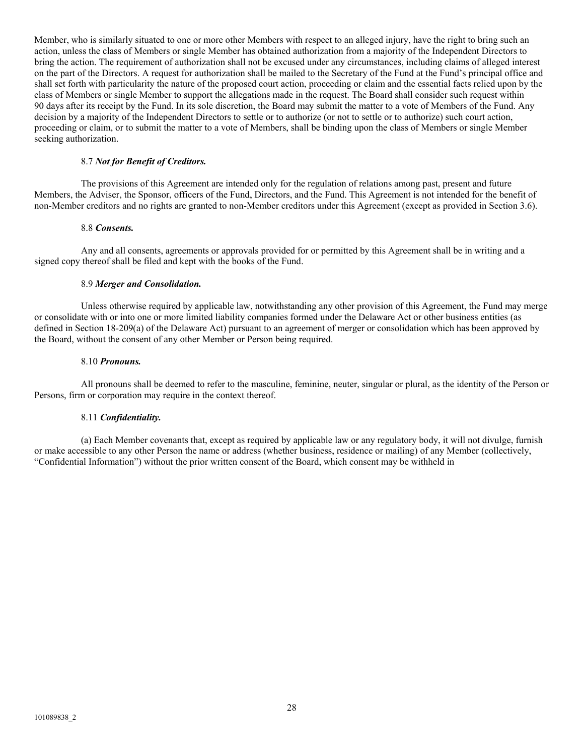Member, who is similarly situated to one or more other Members with respect to an alleged injury, have the right to bring such an action, unless the class of Members or single Member has obtained authorization from a majority of the Independent Directors to bring the action. The requirement of authorization shall not be excused under any circumstances, including claims of alleged interest on the part of the Directors. A request for authorization shall be mailed to the Secretary of the Fund at the Fund's principal office and shall set forth with particularity the nature of the proposed court action, proceeding or claim and the essential facts relied upon by the class of Members or single Member to support the allegations made in the request. The Board shall consider such request within 90 days after its receipt by the Fund. In its sole discretion, the Board may submit the matter to a vote of Members of the Fund. Any decision by a majority of the Independent Directors to settle or to authorize (or not to settle or to authorize) such court action, proceeding or claim, or to submit the matter to a vote of Members, shall be binding upon the class of Members or single Member seeking authorization.

#### 8.7 *Not for Benefit of Creditors.*

The provisions of this Agreement are intended only for the regulation of relations among past, present and future Members, the Adviser, the Sponsor, officers of the Fund, Directors, and the Fund. This Agreement is not intended for the benefit of non-Member creditors and no rights are granted to non-Member creditors under this Agreement (except as provided in Section 3.6).

#### 8.8 *Consents.*

Any and all consents, agreements or approvals provided for or permitted by this Agreement shall be in writing and a signed copy thereof shall be filed and kept with the books of the Fund.

### 8.9 *Merger and Consolidation.*

Unless otherwise required by applicable law, notwithstanding any other provision of this Agreement, the Fund may merge or consolidate with or into one or more limited liability companies formed under the Delaware Act or other business entities (as defined in Section 18-209(a) of the Delaware Act) pursuant to an agreement of merger or consolidation which has been approved by the Board, without the consent of any other Member or Person being required.

#### 8.10 *Pronouns.*

All pronouns shall be deemed to refer to the masculine, feminine, neuter, singular or plural, as the identity of the Person or Persons, firm or corporation may require in the context thereof.

## 8.11 *Confidentiality.*

(a) Each Member covenants that, except as required by applicable law or any regulatory body, it will not divulge, furnish or make accessible to any other Person the name or address (whether business, residence or mailing) of any Member (collectively, "Confidential Information") without the prior written consent of the Board, which consent may be withheld in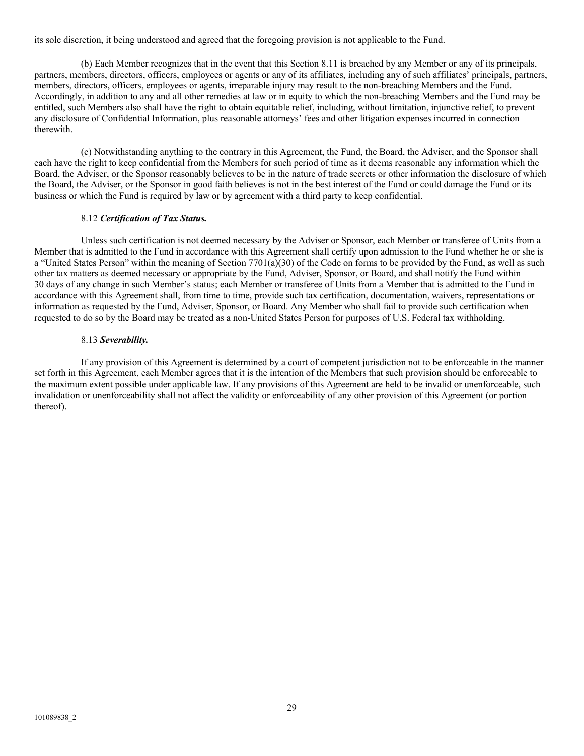its sole discretion, it being understood and agreed that the foregoing provision is not applicable to the Fund.

(b) Each Member recognizes that in the event that this Section 8.11 is breached by any Member or any of its principals, partners, members, directors, officers, employees or agents or any of its affiliates, including any of such affiliates' principals, partners, members, directors, officers, employees or agents, irreparable injury may result to the non-breaching Members and the Fund. Accordingly, in addition to any and all other remedies at law or in equity to which the non-breaching Members and the Fund may be entitled, such Members also shall have the right to obtain equitable relief, including, without limitation, injunctive relief, to prevent any disclosure of Confidential Information, plus reasonable attorneys' fees and other litigation expenses incurred in connection therewith.

(c) Notwithstanding anything to the contrary in this Agreement, the Fund, the Board, the Adviser, and the Sponsor shall each have the right to keep confidential from the Members for such period of time as it deems reasonable any information which the Board, the Adviser, or the Sponsor reasonably believes to be in the nature of trade secrets or other information the disclosure of which the Board, the Adviser, or the Sponsor in good faith believes is not in the best interest of the Fund or could damage the Fund or its business or which the Fund is required by law or by agreement with a third party to keep confidential.

### 8.12 *Certification of Tax Status.*

Unless such certification is not deemed necessary by the Adviser or Sponsor, each Member or transferee of Units from a Member that is admitted to the Fund in accordance with this Agreement shall certify upon admission to the Fund whether he or she is a "United States Person" within the meaning of Section 7701(a)(30) of the Code on forms to be provided by the Fund, as well as such other tax matters as deemed necessary or appropriate by the Fund, Adviser, Sponsor, or Board, and shall notify the Fund within 30 days of any change in such Member's status; each Member or transferee of Units from a Member that is admitted to the Fund in accordance with this Agreement shall, from time to time, provide such tax certification, documentation, waivers, representations or information as requested by the Fund, Adviser, Sponsor, or Board. Any Member who shall fail to provide such certification when requested to do so by the Board may be treated as a non-United States Person for purposes of U.S. Federal tax withholding.

### 8.13 *Severability.*

If any provision of this Agreement is determined by a court of competent jurisdiction not to be enforceable in the manner set forth in this Agreement, each Member agrees that it is the intention of the Members that such provision should be enforceable to the maximum extent possible under applicable law. If any provisions of this Agreement are held to be invalid or unenforceable, such invalidation or unenforceability shall not affect the validity or enforceability of any other provision of this Agreement (or portion thereof).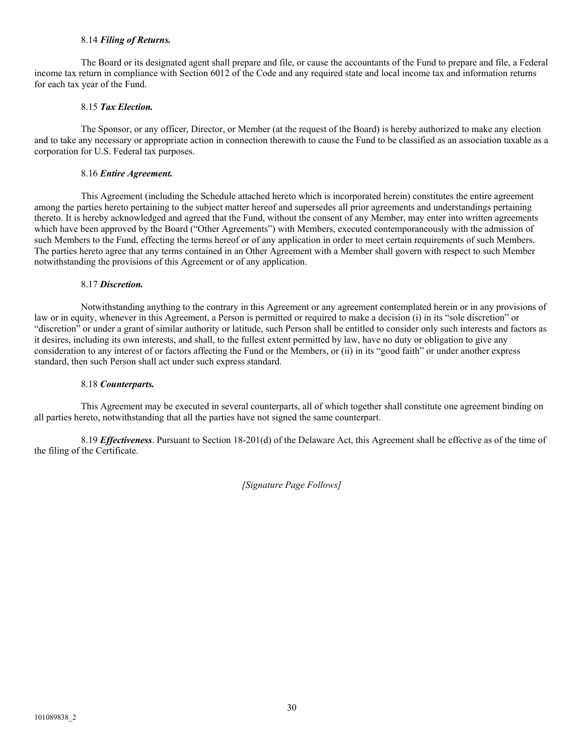#### 8.14 *Filing of Returns.*

The Board or its designated agent shall prepare and file, or cause the accountants of the Fund to prepare and file, a Federal income tax return in compliance with Section 6012 of the Code and any required state and local income tax and information returns for each tax year of the Fund.

### 8.15 *Tax Election.*

The Sponsor, or any officer, Director, or Member (at the request of the Board) is hereby authorized to make any election and to take any necessary or appropriate action in connection therewith to cause the Fund to be classified as an association taxable as a corporation for U.S. Federal tax purposes.

#### 8.16 *Entire Agreement.*

This Agreement (including the Schedule attached hereto which is incorporated herein) constitutes the entire agreement among the parties hereto pertaining to the subject matter hereof and supersedes all prior agreements and understandings pertaining thereto. It is hereby acknowledged and agreed that the Fund, without the consent of any Member, may enter into written agreements which have been approved by the Board ("Other Agreements") with Members, executed contemporaneously with the admission of such Members to the Fund, effecting the terms hereof or of any application in order to meet certain requirements of such Members. The parties hereto agree that any terms contained in an Other Agreement with a Member shall govern with respect to such Member notwithstanding the provisions of this Agreement or of any application.

### 8.17 *Discretion.*

Notwithstanding anything to the contrary in this Agreement or any agreement contemplated herein or in any provisions of law or in equity, whenever in this Agreement, a Person is permitted or required to make a decision (i) in its "sole discretion" or "discretion" or under a grant of similar authority or latitude, such Person shall be entitled to consider only such interests and factors as it desires, including its own interests, and shall, to the fullest extent permitted by law, have no duty or obligation to give any consideration to any interest of or factors affecting the Fund or the Members, or (ii) in its "good faith" or under another express standard, then such Person shall act under such express standard.

#### 8.18 *Counterparts.*

This Agreement may be executed in several counterparts, all of which together shall constitute one agreement binding on all parties hereto, notwithstanding that all the parties have not signed the same counterpart.

8.19 *Effectiveness*. Pursuant to Section 18-201(d) of the Delaware Act, this Agreement shall be effective as of the time of the filing of the Certificate.

*[Signature Page Follows]*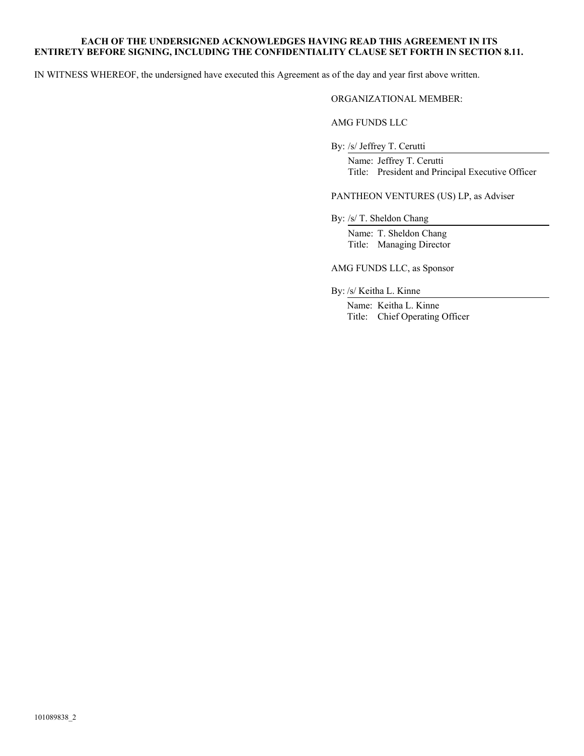### **EACH OF THE UNDERSIGNED ACKNOWLEDGES HAVING READ THIS AGREEMENT IN ITS ENTIRETY BEFORE SIGNING, INCLUDING THE CONFIDENTIALITY CLAUSE SET FORTH IN SECTION 8.11.**

IN WITNESS WHEREOF, the undersigned have executed this Agreement as of the day and year first above written.

### ORGANIZATIONAL MEMBER:

# AMG FUNDS LLC

By: /s/ Jeffrey T. Cerutti<br>Name: Jeffrey T. Cerutti<br>Title: President and Principal Executive Officer

PANTHEON VENTURES (US) LP, as Adviser

By: /s/ T. Sheldon Chang<br>Name: T. Sheldon Chang<br>Title: Managing Director

# AMG FUNDS LLC, as Sponsor

By: /s/ Keitha L. Kinne<br>Name: Keitha L. Kinne<br>Title: Chief Operating Officer